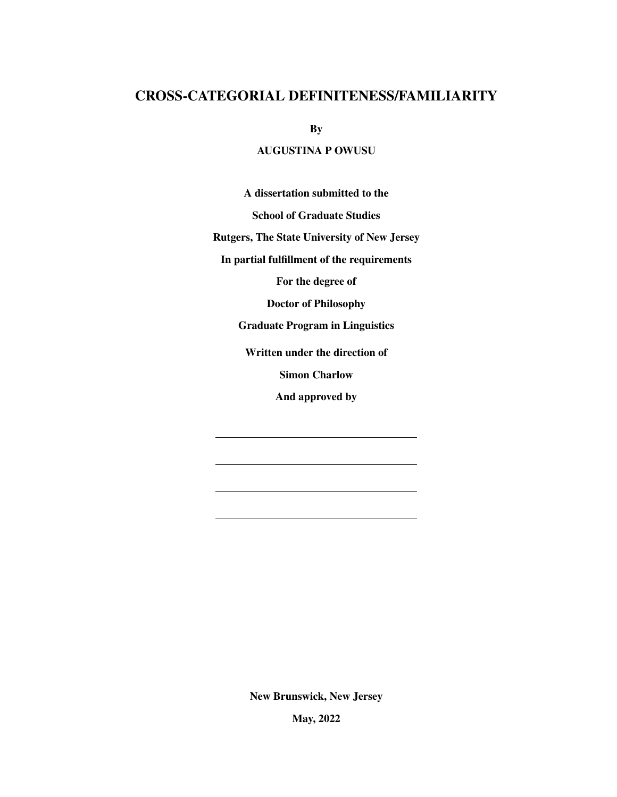# <span id="page-0-0"></span>CROSS-CATEGORIAL DEFINITENESS/FAMILIARITY

By

### AUGUSTINA P OWUSU

A dissertation submitted to the

School of Graduate Studies

Rutgers, The State University of New Jersey

In partial fulfillment of the requirements

For the degree of

Doctor of Philosophy

Graduate Program in Linguistics

Written under the direction of

Simon Charlow

And approved by

New Brunswick, New Jersey

May, 2022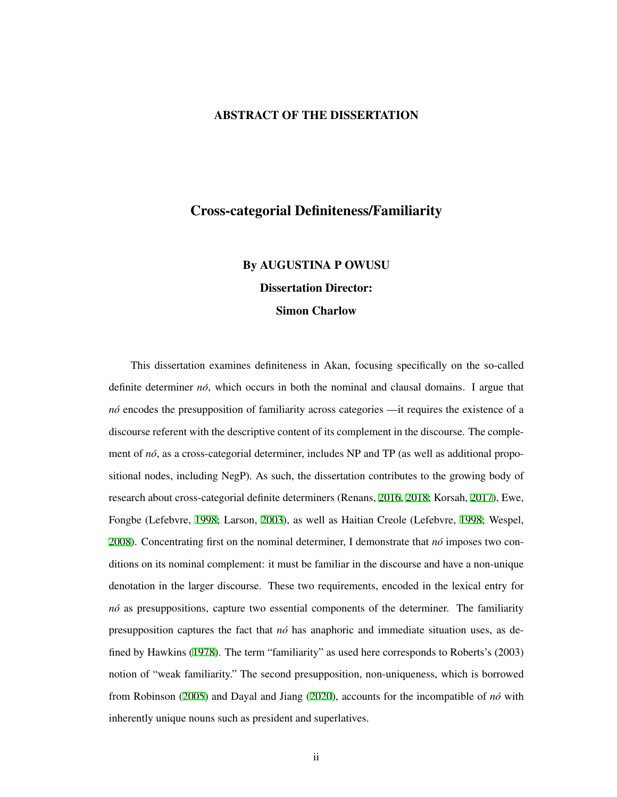#### ABSTRACT OF THE DISSERTATION

# Cross-categorial Definiteness/Familiarity

# By AUGUSTINA P OWUSU Dissertation Director:

#### Simon Charlow

This dissertation examines definiteness in Akan, focusing specifically on the so-called definite determiner *no´*, which occurs in both the nominal and clausal domains. I argue that *nó* encodes the presupposition of familiarity across categories —it requires the existence of a discourse referent with the descriptive content of its complement in the discourse. The complement of  $n\delta$ , as a cross-categorial determiner, includes NP and TP (as well as additional propositional nodes, including NegP). As such, the dissertation contributes to the growing body of research about cross-categorial definite determiners (Renans, [2016,](#page-215-0) [2018;](#page-215-1) Korsah, [2017\)](#page-212-0), Ewe, Fongbe (Lefebvre, [1998](#page-213-0); Larson, [2003](#page-213-1)), as well as Haitian Creole (Lefebvre, [1998](#page-213-0); Wespel, [2008\)](#page-218-0). Concentrating first on the nominal determiner, I demonstrate that  $n\sigma$  imposes two conditions on its nominal complement: it must be familiar in the discourse and have a non-unique denotation in the larger discourse. These two requirements, encoded in the lexical entry for *no´* as presuppositions, capture two essential components of the determiner. The familiarity presupposition captures the fact that *no´* has anaphoric and immediate situation uses, as defined by Hawkins [\(1978](#page-210-0)). The term "familiarity" as used here corresponds to Roberts's (2003) notion of "weak familiarity." The second presupposition, non-uniqueness, which is borrowed from Robinson [\(2005](#page-216-0)) and Dayal and Jiang ([2020\)](#page-208-0), accounts for the incompatible of *no´* with inherently unique nouns such as president and superlatives.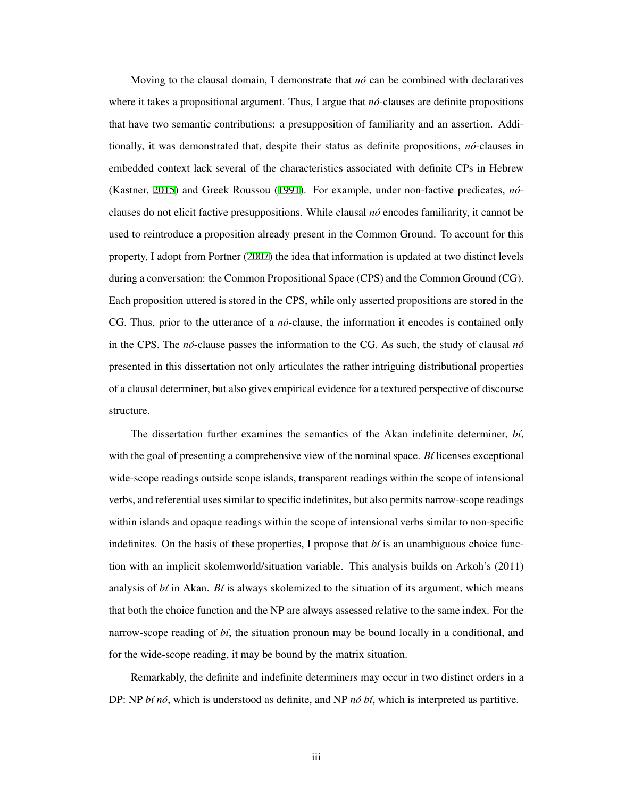Moving to the clausal domain, I demonstrate that  $n\acute{o}$  can be combined with declaratives where it takes a propositional argument. Thus, I argue that  $n\acute{o}$ -clauses are definite propositions that have two semantic contributions: a presupposition of familiarity and an assertion. Additionally, it was demonstrated that, despite their status as definite propositions, *no´*-clauses in embedded context lack several of the characteristics associated with definite CPs in Hebrew (Kastner, [2015\)](#page-212-1) and Greek Roussou ([1991\)](#page-216-1). For example, under non-factive predicates, *no´* clauses do not elicit factive presuppositions. While clausal *no´* encodes familiarity, it cannot be used to reintroduce a proposition already present in the Common Ground. To account for this property, I adopt from Portner [\(2007](#page-215-2)) the idea that information is updated at two distinct levels during a conversation: the Common Propositional Space (CPS) and the Common Ground (CG). Each proposition uttered is stored in the CPS, while only asserted propositions are stored in the CG. Thus, prior to the utterance of a *no´*-clause, the information it encodes is contained only in the CPS. The  $n\acute{o}$ -clause passes the information to the CG. As such, the study of clausal  $n\acute{o}$ presented in this dissertation not only articulates the rather intriguing distributional properties of a clausal determiner, but also gives empirical evidence for a textured perspective of discourse structure.

The dissertation further examines the semantics of the Akan indefinite determiner, *b´ı*, with the goal of presenting a comprehensive view of the nominal space. *B*' licenses exceptional wide-scope readings outside scope islands, transparent readings within the scope of intensional verbs, and referential uses similar to specific indefinites, but also permits narrow-scope readings within islands and opaque readings within the scope of intensional verbs similar to non-specific indefinites. On the basis of these properties, I propose that  $b\ell$  is an unambiguous choice function with an implicit skolemworld/situation variable. This analysis builds on Arkoh's (2011) analysis of *bt* in Akan. *Bt* is always skolemized to the situation of its argument, which means that both the choice function and the NP are always assessed relative to the same index. For the narrow-scope reading of *bt*, the situation pronoun may be bound locally in a conditional, and for the wide-scope reading, it may be bound by the matrix situation.

Remarkably, the definite and indefinite determiners may occur in two distinct orders in a DP: NP *bt no*, which is understood as definite, and NP *no bt*, which is interpreted as partitive.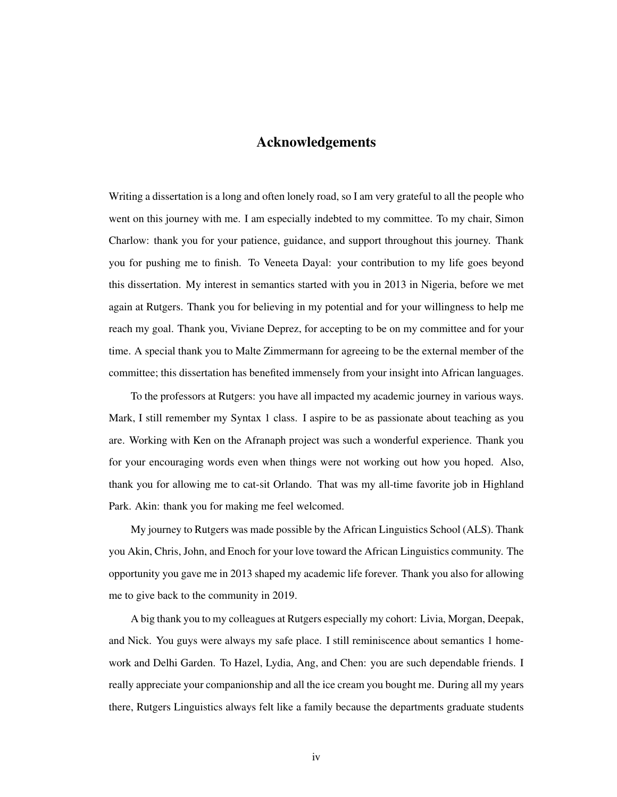## Acknowledgements

<span id="page-3-0"></span>Writing a dissertation is a long and often lonely road, so I am very grateful to all the people who went on this journey with me. I am especially indebted to my committee. To my chair, Simon Charlow: thank you for your patience, guidance, and support throughout this journey. Thank you for pushing me to finish. To Veneeta Dayal: your contribution to my life goes beyond this dissertation. My interest in semantics started with you in 2013 in Nigeria, before we met again at Rutgers. Thank you for believing in my potential and for your willingness to help me reach my goal. Thank you, Viviane Deprez, for accepting to be on my committee and for your time. A special thank you to Malte Zimmermann for agreeing to be the external member of the committee; this dissertation has benefited immensely from your insight into African languages.

To the professors at Rutgers: you have all impacted my academic journey in various ways. Mark, I still remember my Syntax 1 class. I aspire to be as passionate about teaching as you are. Working with Ken on the Afranaph project was such a wonderful experience. Thank you for your encouraging words even when things were not working out how you hoped. Also, thank you for allowing me to cat-sit Orlando. That was my all-time favorite job in Highland Park. Akin: thank you for making me feel welcomed.

My journey to Rutgers was made possible by the African Linguistics School (ALS). Thank you Akin, Chris, John, and Enoch for your love toward the African Linguistics community. The opportunity you gave me in 2013 shaped my academic life forever. Thank you also for allowing me to give back to the community in 2019.

A big thank you to my colleagues at Rutgers especially my cohort: Livia, Morgan, Deepak, and Nick. You guys were always my safe place. I still reminiscence about semantics 1 homework and Delhi Garden. To Hazel, Lydia, Ang, and Chen: you are such dependable friends. I really appreciate your companionship and all the ice cream you bought me. During all my years there, Rutgers Linguistics always felt like a family because the departments graduate students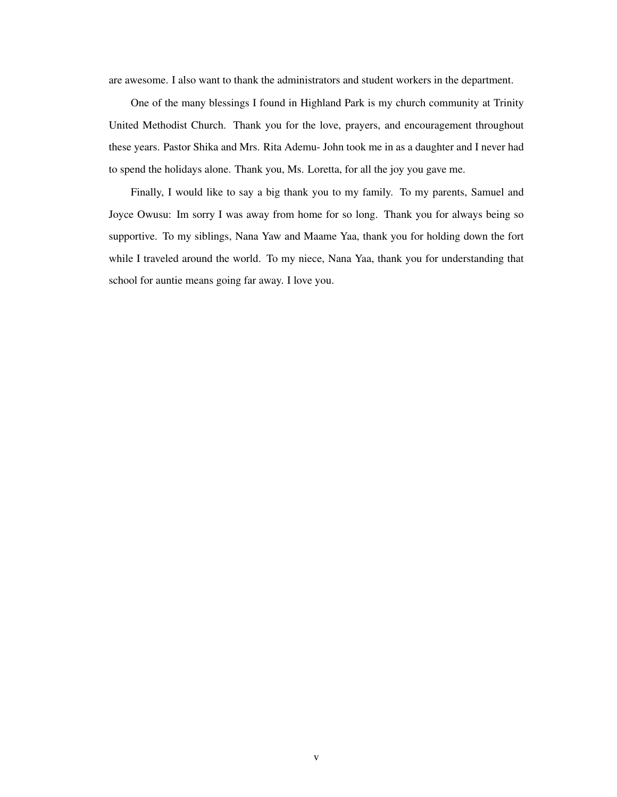are awesome. I also want to thank the administrators and student workers in the department.

One of the many blessings I found in Highland Park is my church community at Trinity United Methodist Church. Thank you for the love, prayers, and encouragement throughout these years. Pastor Shika and Mrs. Rita Ademu- John took me in as a daughter and I never had to spend the holidays alone. Thank you, Ms. Loretta, for all the joy you gave me.

Finally, I would like to say a big thank you to my family. To my parents, Samuel and Joyce Owusu: Im sorry I was away from home for so long. Thank you for always being so supportive. To my siblings, Nana Yaw and Maame Yaa, thank you for holding down the fort while I traveled around the world. To my niece, Nana Yaa, thank you for understanding that school for auntie means going far away. I love you.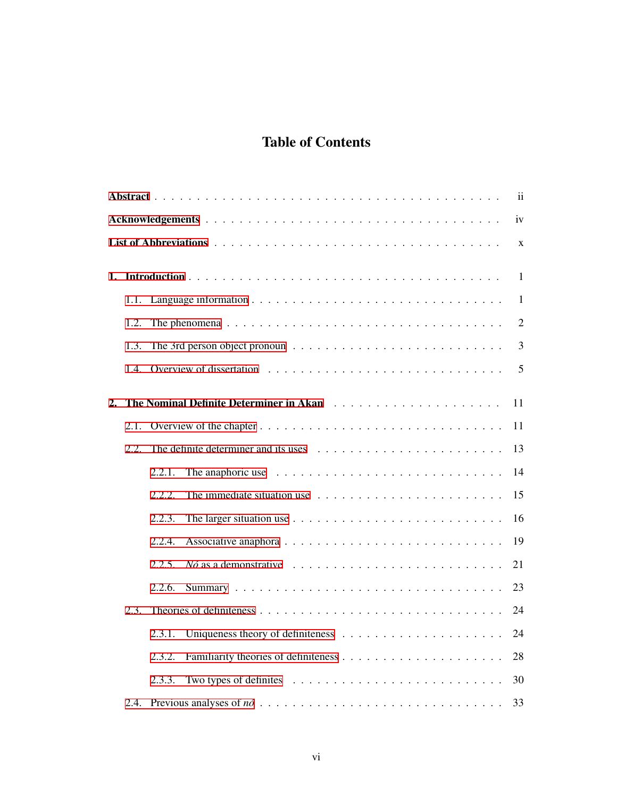# Table of Contents

|                  |      |        |                                                                                              | $\mathbf{ii}$  |
|------------------|------|--------|----------------------------------------------------------------------------------------------|----------------|
|                  |      |        |                                                                                              | iv             |
|                  |      |        |                                                                                              | X              |
| 1.               |      |        |                                                                                              | $\mathbf{1}$   |
|                  | 1.1. |        |                                                                                              | $\mathbf{1}$   |
|                  | 1.2. |        | The phenomena $\ldots \ldots \ldots \ldots \ldots \ldots \ldots \ldots \ldots \ldots \ldots$ | $\overline{2}$ |
|                  | 1.3. |        |                                                                                              | 3              |
|                  | 1.4. |        |                                                                                              | 5              |
| $\overline{2}$ . |      |        |                                                                                              | 11             |
|                  | 2.1. |        |                                                                                              | 11             |
|                  | 2.2. |        |                                                                                              | 13             |
|                  |      | 2.2.1. | The anaphoric use $\ldots \ldots \ldots \ldots \ldots \ldots \ldots \ldots \ldots$           | 14             |
|                  |      | 2.2.2. |                                                                                              | 15             |
|                  |      | 2.2.3. | The larger situation use $\ldots \ldots \ldots \ldots \ldots \ldots \ldots \ldots$           | 16             |
|                  |      | 2.2.4. |                                                                                              | 19             |
|                  |      | 2.2.5. | $N\acute{o}$ as a demonstrative $\ldots \ldots \ldots \ldots \ldots \ldots \ldots \ldots$    | 21             |
|                  |      | 2.2.6. |                                                                                              | 23             |
|                  | 2.3. |        |                                                                                              | 24             |
|                  |      | 2.3.1. |                                                                                              | 24             |
|                  |      | 2.3.2. |                                                                                              | 28             |
|                  |      | 2.3.3. |                                                                                              | 30             |
|                  |      |        |                                                                                              | 33             |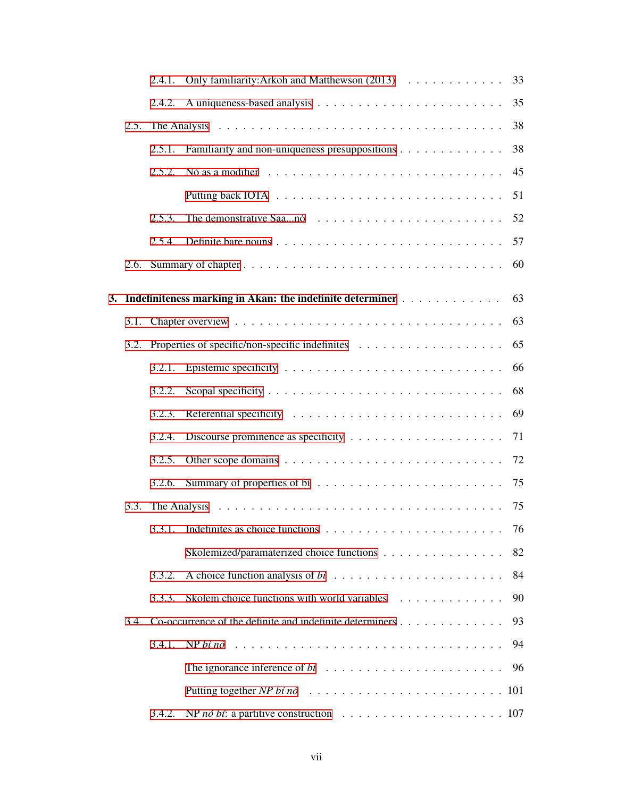|      | 2.4.1. | Only familiarity: Arkoh and Matthewson (2013)                                               | 33 |
|------|--------|---------------------------------------------------------------------------------------------|----|
|      | 2.4.2. |                                                                                             | 35 |
| 2.5. |        | The Analysis $\ldots \ldots \ldots \ldots \ldots \ldots \ldots \ldots \ldots \ldots \ldots$ | 38 |
|      | 2.5.1. | Familiarity and non-uniqueness presuppositions                                              | 38 |
|      | 2.5.2. | Nó as a modifier $\ldots \ldots \ldots \ldots \ldots \ldots \ldots \ldots \ldots \ldots$    | 45 |
|      |        |                                                                                             | 51 |
|      | 2.5.3. |                                                                                             | 52 |
|      | 2.5.4. |                                                                                             | 57 |
| 2.6. |        |                                                                                             | 60 |
|      |        | 3. Indefiniteness marking in Akan: the indefinite determiner                                | 63 |
| 3.1. |        |                                                                                             | 63 |
|      |        | 3.2. Properties of specific/non-specific indefinites $\dots \dots \dots \dots \dots \dots$  | 65 |
|      |        |                                                                                             | 66 |
|      | 3.2.2. |                                                                                             | 68 |
|      | 3.2.3. |                                                                                             | 69 |
|      | 3.2.4. |                                                                                             | 71 |
|      | 3.2.5. |                                                                                             | 72 |
|      | 3.2.6. |                                                                                             | 75 |
| 3.3. |        |                                                                                             | 75 |
|      |        |                                                                                             | 76 |
|      |        | Skolemized/paramaterized choice functions                                                   | 82 |
|      | 3.3.2. |                                                                                             | 84 |
|      | 3.3.3. | Skolem choice functions with world variables                                                | 90 |
|      |        | 3.4. Co-occurrence of the definite and indefinite determiners $\dots \dots \dots \dots$     | 93 |
|      |        |                                                                                             | 94 |
|      |        |                                                                                             | 96 |
|      |        |                                                                                             |    |
|      | 3.4.2. |                                                                                             |    |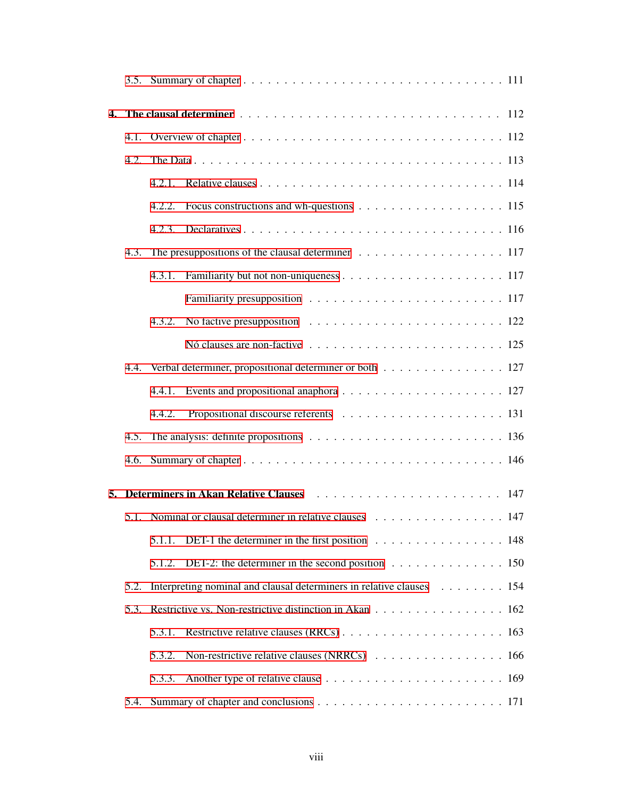| 4. |      |        |                                                                                                      |  |  |
|----|------|--------|------------------------------------------------------------------------------------------------------|--|--|
|    |      |        |                                                                                                      |  |  |
|    | 4.2. |        |                                                                                                      |  |  |
|    |      | 4.2.1. |                                                                                                      |  |  |
|    |      | 4.2.2. |                                                                                                      |  |  |
|    |      | 4.2.3. |                                                                                                      |  |  |
|    | 4.3. |        | The presuppositions of the clausal determiner $\ldots \ldots \ldots \ldots \ldots \ldots \ldots 117$ |  |  |
|    |      | 4.3.1. |                                                                                                      |  |  |
|    |      |        |                                                                                                      |  |  |
|    |      | 4.3.2. | No factive presupposition $\ldots \ldots \ldots \ldots \ldots \ldots \ldots \ldots 122$              |  |  |
|    |      |        |                                                                                                      |  |  |
|    |      |        | 4.4. Verbal determiner, propositional determiner or both 127                                         |  |  |
|    |      | 4.4.1. |                                                                                                      |  |  |
|    |      | 4.4.2. |                                                                                                      |  |  |
|    | 4.5. |        |                                                                                                      |  |  |
|    | 4.6. |        |                                                                                                      |  |  |
| 5. |      |        |                                                                                                      |  |  |
|    |      |        | 5.1. Nominal or clausal determiner in relative clauses et al., respectively                          |  |  |
|    |      | 5.1.1. | DET-1 the determiner in the first position 148                                                       |  |  |
|    |      | 5.1.2. |                                                                                                      |  |  |
|    | 5.2. |        | Interpreting nominal and clausal determiners in relative clauses 154                                 |  |  |
|    | 5.3. |        | Restrictive vs. Non-restrictive distinction in Akan 162                                              |  |  |
|    |      | 5.3.1. |                                                                                                      |  |  |
|    |      | 5.3.2. | Non-restrictive relative clauses (NRRCs) 166                                                         |  |  |
|    |      | 5.3.3. |                                                                                                      |  |  |
|    | 5.4. |        |                                                                                                      |  |  |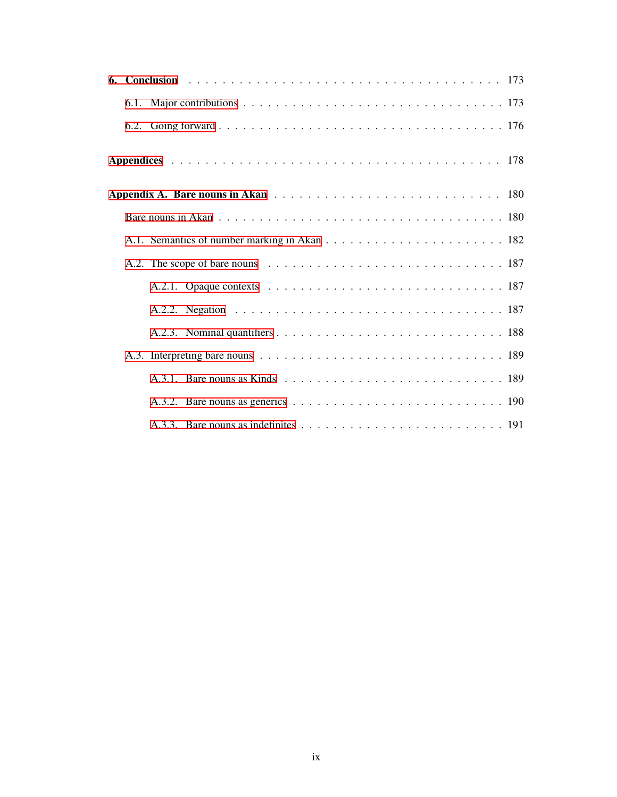|  |  |  | A.2. The scope of bare nouns $\ldots \ldots \ldots \ldots \ldots \ldots \ldots \ldots \ldots \ldots \ldots 187$ |  |
|--|--|--|-----------------------------------------------------------------------------------------------------------------|--|
|  |  |  |                                                                                                                 |  |
|  |  |  |                                                                                                                 |  |
|  |  |  |                                                                                                                 |  |
|  |  |  |                                                                                                                 |  |
|  |  |  |                                                                                                                 |  |
|  |  |  |                                                                                                                 |  |
|  |  |  |                                                                                                                 |  |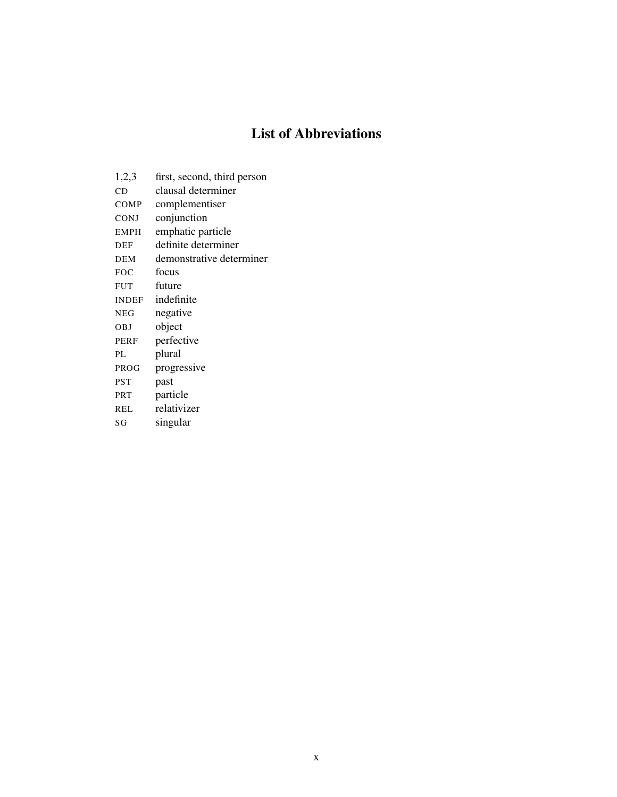# List of Abbreviations

<span id="page-9-0"></span>

| 1,2,3       | first, second, third person |
|-------------|-----------------------------|
| CD          | clausal determiner          |
| COMP        | complementiser              |
| <b>CONJ</b> | conjunction                 |
| <b>EMPH</b> | emphatic particle           |
| <b>DEF</b>  | definite determiner         |
| <b>DEM</b>  | demonstrative determiner    |
| <b>FOC</b>  | focus                       |
| <b>FUT</b>  | future                      |
| INDEF       | indefinite                  |
| <b>NEG</b>  | negative                    |
| <b>OBJ</b>  | object                      |
| PERF        | perfective                  |
| PL.         | plural                      |
| PROG        | progressive                 |
| <b>PST</b>  | past                        |
| <b>PRT</b>  | particle                    |
| REL         | relativizer                 |
| SG          | singular                    |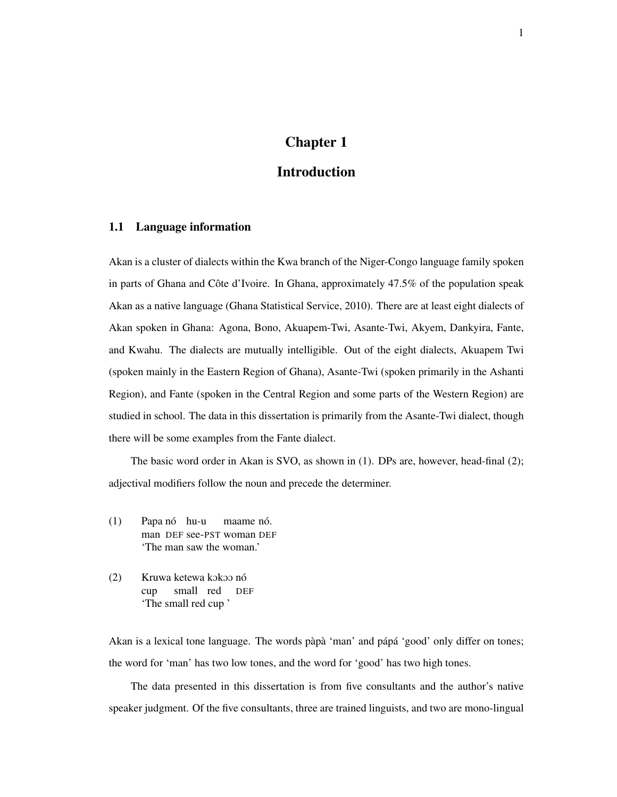# Chapter 1

# Introduction

### <span id="page-10-1"></span><span id="page-10-0"></span>1.1 Language information

Akan is a cluster of dialects within the Kwa branch of the Niger-Congo language family spoken in parts of Ghana and Côte d'Ivoire. In Ghana, approximately  $47.5\%$  of the population speak Akan as a native language (Ghana Statistical Service, 2010). There are at least eight dialects of Akan spoken in Ghana: Agona, Bono, Akuapem-Twi, Asante-Twi, Akyem, Dankyira, Fante, and Kwahu. The dialects are mutually intelligible. Out of the eight dialects, Akuapem Twi (spoken mainly in the Eastern Region of Ghana), Asante-Twi (spoken primarily in the Ashanti Region), and Fante (spoken in the Central Region and some parts of the Western Region) are studied in school. The data in this dissertation is primarily from the Asante-Twi dialect, though there will be some examples from the Fante dialect.

The basic word order in Akan is SVO, as shown in (1). DPs are, however, head-final (2); adjectival modifiers follow the noun and precede the determiner.

- (1) Papa nó hu-u man DEF see-PST woman DEF maame nó. 'The man saw the woman.'
- (2) Kruwa ketewa kokoo nó cup small red DEF 'The small red cup '

Akan is a lexical tone language. The words pàpà 'man' and pápá 'good' only differ on tones; the word for 'man' has two low tones, and the word for 'good' has two high tones.

The data presented in this dissertation is from five consultants and the author's native speaker judgment. Of the five consultants, three are trained linguists, and two are mono-lingual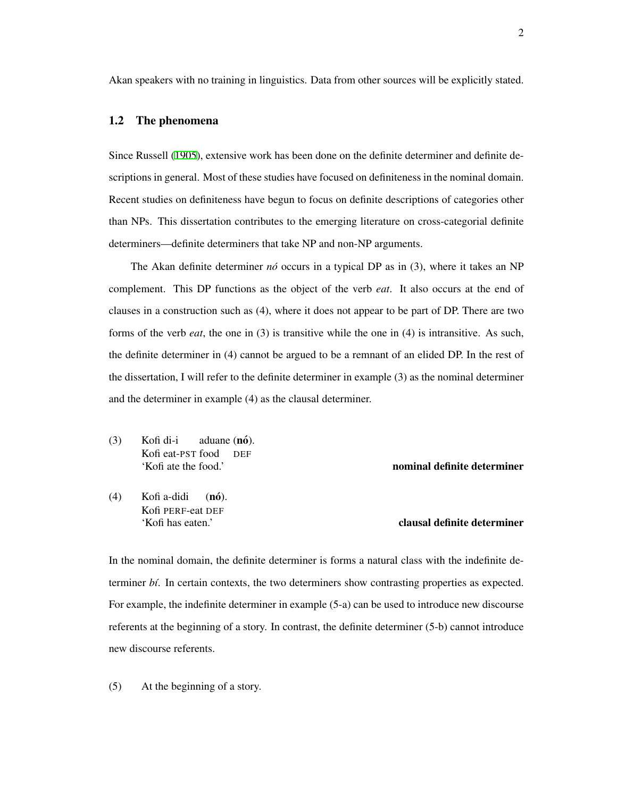Akan speakers with no training in linguistics. Data from other sources will be explicitly stated.

#### <span id="page-11-0"></span>1.2 The phenomena

Since Russell [\(1905](#page-216-2)), extensive work has been done on the definite determiner and definite descriptions in general. Most of these studies have focused on definiteness in the nominal domain. Recent studies on definiteness have begun to focus on definite descriptions of categories other than NPs. This dissertation contributes to the emerging literature on cross-categorial definite determiners—definite determiners that take NP and non-NP arguments.

The Akan definite determiner  $n\acute{o}$  occurs in a typical DP as in (3), where it takes an NP complement. This DP functions as the object of the verb *eat*. It also occurs at the end of clauses in a construction such as (4), where it does not appear to be part of DP. There are two forms of the verb *eat*, the one in (3) is transitive while the one in (4) is intransitive. As such, the definite determiner in (4) cannot be argued to be a remnant of an elided DP. In the rest of the dissertation, I will refer to the definite determiner in example (3) as the nominal determiner and the determiner in example (4) as the clausal determiner.

(3) Kofi di-i Kofi eat-PST food aduane (nó). DEF 'Kofi ate the food.' nominal definite determiner

(4) Kofi a-didi Kofi PERF-eat DEF  $(n6)$ .

#### 'Kofi has eaten.' clausal definite determiner

In the nominal domain, the definite determiner is forms a natural class with the indefinite determiner *b´ı*. In certain contexts, the two determiners show contrasting properties as expected. For example, the indefinite determiner in example (5-a) can be used to introduce new discourse referents at the beginning of a story. In contrast, the definite determiner (5-b) cannot introduce new discourse referents.

(5) At the beginning of a story.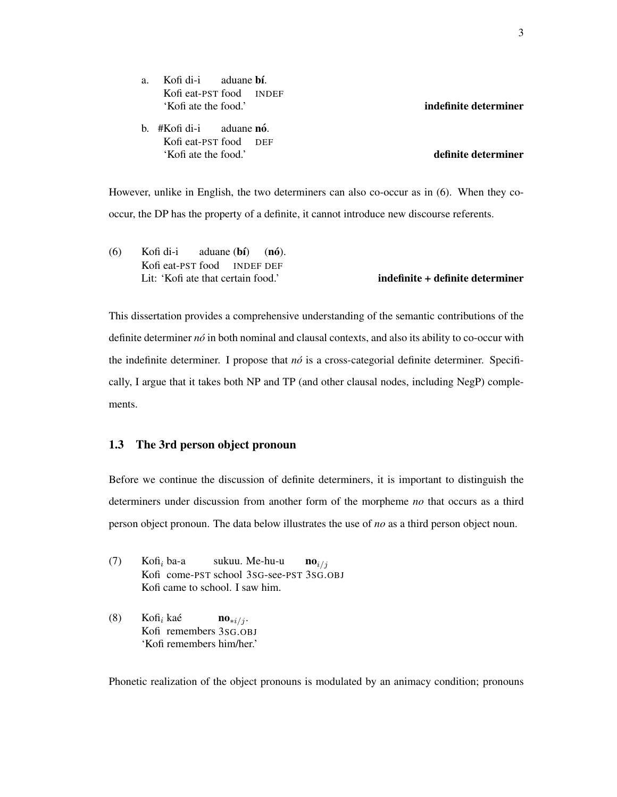a. Kofi di-i Kofi eat-PST food aduane **bí**. INDEF 'Kofi ate the food.' indefinite determiner

b. #Kofi di-i Kofi eat-PST food DEF aduane **nó**. 'Kofi ate the food.' definite determiner

However, unlike in English, the two determiners can also co-occur as in (6). When they cooccur, the DP has the property of a definite, it cannot introduce new discourse referents.

(6) Kofi di-i Kofi eat-PST food INDEF DEF aduane (**bí**)  $(n6)$ . Lit: 'Kofi ate that certain food.' **indefinite + definite determiner** 

This dissertation provides a comprehensive understanding of the semantic contributions of the definite determiner *no´* in both nominal and clausal contexts, and also its ability to co-occur with the indefinite determiner. I propose that *nó* is a cross-categorial definite determiner. Specifically, I argue that it takes both NP and TP (and other clausal nodes, including NegP) complements.

#### <span id="page-12-0"></span>1.3 The 3rd person object pronoun

Before we continue the discussion of definite determiners, it is important to distinguish the determiners under discussion from another form of the morpheme *no* that occurs as a third person object pronoun. The data below illustrates the use of *no* as a third person object noun.

- (7) Kofi*<sup>i</sup>* ba-a Kofi come-PST school 3SG-see-PST 3SG.OBJ sukuu. Me-hu-u  $\mathbf{no}_{i/j}$ Kofi came to school. I saw him.
- (8) Kofi*<sup>i</sup>* kae´ Kofi remembers 3SG.OBJ no*∗i/j* . 'Kofi remembers him/her.'

Phonetic realization of the object pronouns is modulated by an animacy condition; pronouns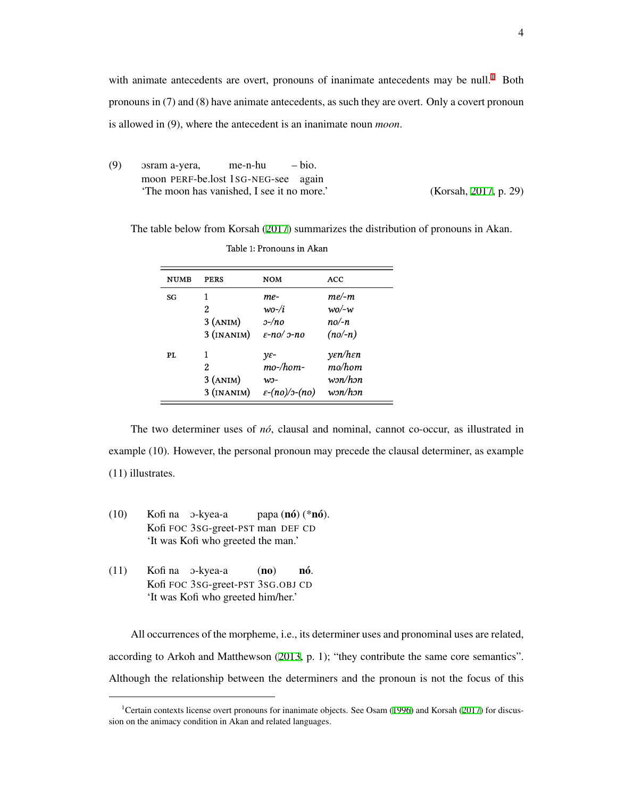with animate antecedents are overt, pronouns of inanimate antecedents may be null.<sup>[1](#page-13-0)</sup> Both pronouns in (7) and (8) have animate antecedents, as such they are overt. Only a covert pronoun is allowed in (9), where the antecedent is an inanimate noun *moon*.

(9) Osram a-yera, moon PERF-be.lost 1SG-NEG-see again me-n-hu – bio. 'The moon has vanished, I see it no more.' (Korsah, [2017](#page-212-0), p. 29)

The table below from Korsah ([2017\)](#page-212-0) summarizes the distribution of pronouns in Akan.

| <b>NUMB</b> | <b>PERS</b>  | <b>NOM</b>                      | <b>ACC</b>                             |
|-------------|--------------|---------------------------------|----------------------------------------|
| SG          | 1            | me-                             | $me\text{-}m$                          |
|             | 2            | $w$ o-/i                        | $w_0$ /-w                              |
|             | $3$ (ANIM)   | $2 - n$ o                       | $no/-n$                                |
|             | $3$ (INANIM) | $\varepsilon$ -no/ $\sigma$ -no | $(no/-n)$                              |
| PL          | 1            | $\nu \varepsilon$ -             | $\gamma \varepsilon n/h \varepsilon n$ |
|             | 2            | $mo-\/hom-$                     | mo/hom                                 |
|             | 3 (ANIM)     | W:                              | w <sub>2</sub> n/h <sub>2</sub> n      |
|             | $3$ (INANIM) | $\varepsilon$ -(no)/ɔ-(no)      | w <sub>2</sub> n/h <sub>2</sub> n      |

Table 1: Pronouns in Akan

The two determiner uses of *no*<sup>*c*</sup>, clausal and nominal, cannot co-occur, as illustrated in example (10). However, the personal pronoun may precede the clausal determiner, as example (11) illustrates.

- (10) Kofi na O-kyea-a Kofi FOC 3SG-greet-PST man DEF CD papa (**nó**) (\***nó**). 'It was Kofi who greeted the man.'
- (11) Kofi na O-kyea-a Kofi FOC 3SG-greet-PST 3SG.OBJ CD (no) no´. 'It was Kofi who greeted him/her.'

All occurrences of the morpheme, i.e., its determiner uses and pronominal uses are related, according to Arkoh and Matthewson [\(2013](#page-205-0), p. 1); "they contribute the same core semantics". Although the relationship between the determiners and the pronoun is not the focus of this

<span id="page-13-0"></span><sup>&</sup>lt;sup>1</sup>Certain contexts license overt pronouns for inanimate objects. See Osam ([1996\)](#page-214-0) and Korsah ([2017\)](#page-212-0) for discussion on the animacy condition in Akan and related languages.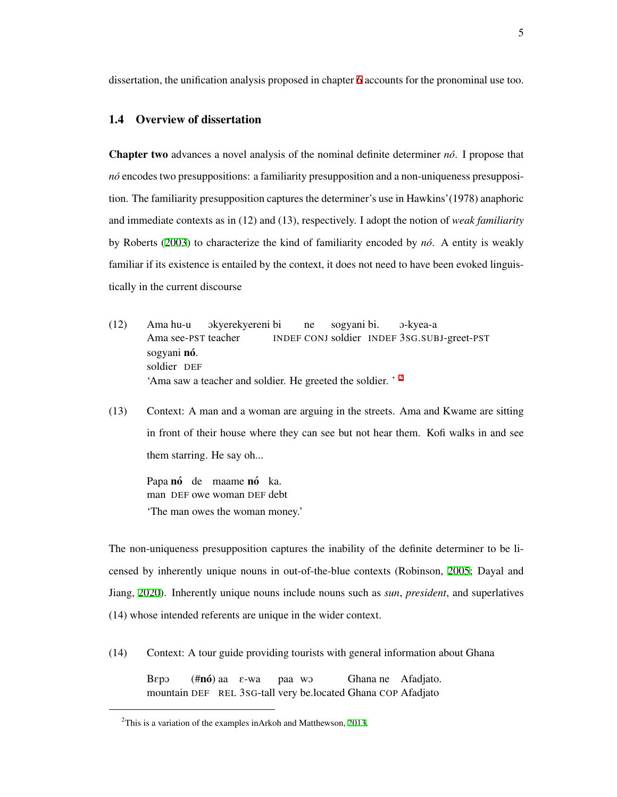dissertation, the unification analysis proposed in chapter [6](#page-182-0) accounts for the pronominal use too.

#### <span id="page-14-0"></span>1.4 Overview of dissertation

Chapter two advances a novel analysis of the nominal definite determiner *no´*. I propose that *nó* encodes two presuppositions: a familiarity presupposition and a non-uniqueness presupposition. The familiarity presupposition captures the determiner's use in Hawkins'(1978) anaphoric and immediate contexts as in (12) and (13), respectively. I adopt the notion of *weak familiarity* by Roberts ([2003\)](#page-216-3) to characterize the kind of familiarity encoded by *no´*. A entity is weakly familiar if its existence is entailed by the context, it does not need to have been evoked linguistically in the current discourse

- (12) Ama hu-u Ama see-PST teacher Okyerekyereni bi INDEF CONJ soldier INDEF 3SG.SUBJ-greet-PST ne sogyani bi. O-kyea-a sogyani nó. soldier DEF 'Ama saw a teacher and soldier. He greeted the soldier. '<sup>[2](#page-14-1)</sup>
- (13) Context: A man and a woman are arguing in the streets. Ama and Kwame are sitting in front of their house where they can see but not hear them. Kofi walks in and see them starring. He say oh...

Papa nó de maame nó ka. man DEF owe woman DEF debt 'The man owes the woman money.'

The non-uniqueness presupposition captures the inability of the definite determiner to be licensed by inherently unique nouns in out-of-the-blue contexts (Robinson, [2005](#page-216-0); Dayal and Jiang, [2020](#page-208-0)). Inherently unique nouns include nouns such as *sun*, *president*, and superlatives (14) whose intended referents are unique in the wider context.

(14) Context: A tour guide providing tourists with general information about Ghana

BEpO mountain DEF REL 3SG-tall very be.located Ghana COP Afadjato (**#nó**) aa ε-wa paa wO Ghana ne Afadjato.

<span id="page-14-1"></span><sup>2</sup>This is a variation of the examples inArkoh and Matthewson, [2013](#page-205-0).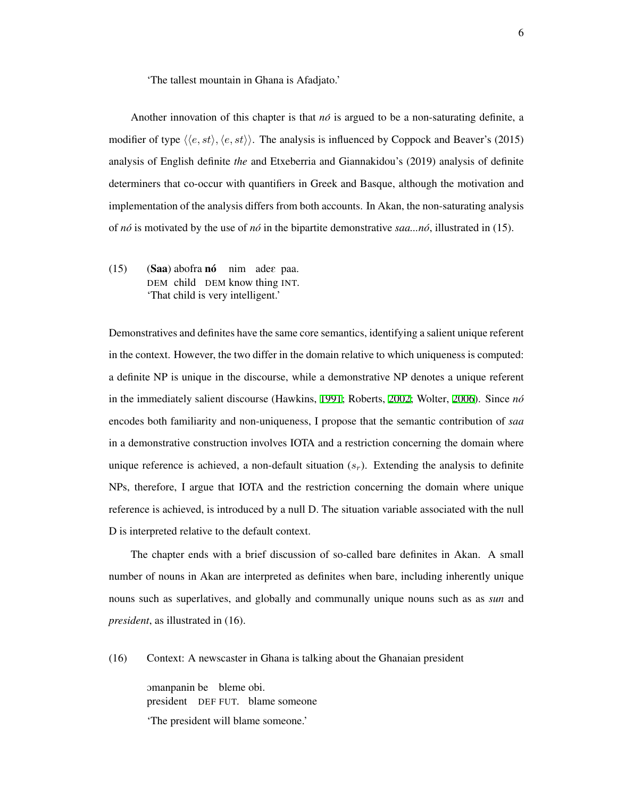'The tallest mountain in Ghana is Afadjato.'

Another innovation of this chapter is that  $n\delta$  is argued to be a non-saturating definite, a modifier of type  $\langle\langle e, st \rangle, \langle e, st \rangle$ . The analysis is influenced by Coppock and Beaver's (2015) analysis of English definite *the* and Etxeberria and Giannakidou's (2019) analysis of definite determiners that co-occur with quantifiers in Greek and Basque, although the motivation and implementation of the analysis differs from both accounts. In Akan, the non-saturating analysis of *no´* is motivated by the use of *no´* in the bipartite demonstrative *saa...no´*, illustrated in (15).

(15) (Saa) abofra nó nim adee paa. DEM child DEM know thing INT. 'That child is very intelligent.'

Demonstratives and definites have the same core semantics, identifying a salient unique referent in the context. However, the two differ in the domain relative to which uniqueness is computed: a definite NP is unique in the discourse, while a demonstrative NP denotes a unique referent in the immediately salient discourse (Hawkins, [1991](#page-210-1); Roberts, [2002](#page-216-4); Wolter, [2006\)](#page-219-0). Since *no´* encodes both familiarity and non-uniqueness, I propose that the semantic contribution of *saa* in a demonstrative construction involves IOTA and a restriction concerning the domain where unique reference is achieved, a non-default situation  $(s_r)$ . Extending the analysis to definite NPs, therefore, I argue that IOTA and the restriction concerning the domain where unique reference is achieved, is introduced by a null D. The situation variable associated with the null D is interpreted relative to the default context.

The chapter ends with a brief discussion of so-called bare definites in Akan. A small number of nouns in Akan are interpreted as definites when bare, including inherently unique nouns such as superlatives, and globally and communally unique nouns such as as *sun* and *president*, as illustrated in (16).

(16) Context: A newscaster in Ghana is talking about the Ghanaian president

omanpanin be bleme obi. president DEF FUT. blame someone 'The president will blame someone.'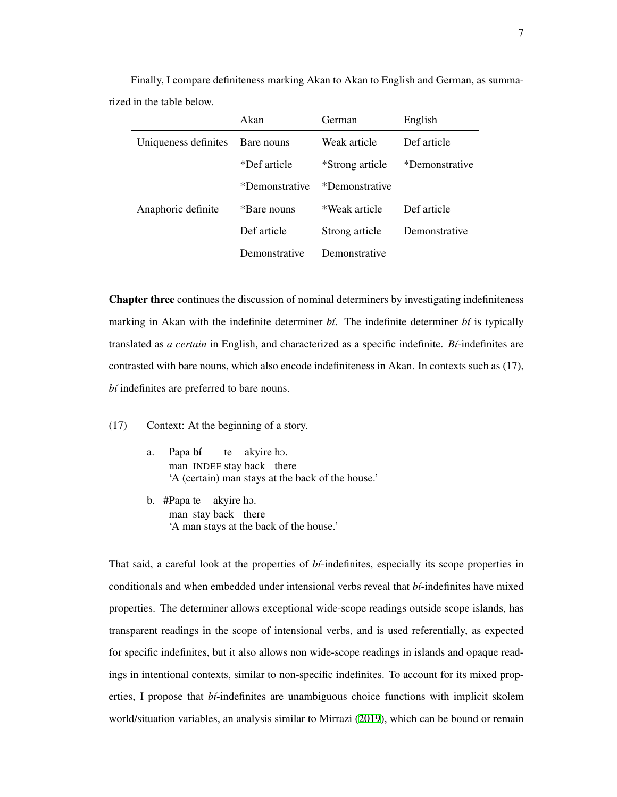|                      | Akan           | German          | English        |  |
|----------------------|----------------|-----------------|----------------|--|
| Uniqueness definites | Bare nouns     | Weak article    | Def article    |  |
|                      | *Def article   | *Strong article | *Demonstrative |  |
|                      | *Demonstrative | *Demonstrative  |                |  |
| Anaphoric definite   | *Bare nouns    | *Weak article   | Def article    |  |
|                      | Def article    | Strong article  | Demonstrative  |  |
|                      | Demonstrative  | Demonstrative   |                |  |

Finally, I compare definiteness marking Akan to Akan to English and German, as summarized in the table below.

Chapter three continues the discussion of nominal determiners by investigating indefiniteness marking in Akan with the indefinite determiner *. The indefinite determiner*  $*b*$  *is typically* translated as *a certain* in English, and characterized as a specific indefinite. *B´ı*-indefinites are contrasted with bare nouns, which also encode indefiniteness in Akan. In contexts such as (17), *bi* indefinites are preferred to bare nouns.

(17) Context: At the beginning of a story.

- a. Papa bí man INDEF stay back there te akyire hO. 'A (certain) man stays at the back of the house.'
- b. #Papa te akyire hO. man stay back there 'A man stays at the back of the house.'

That said, a careful look at the properties of *b´ı*-indefinites, especially its scope properties in conditionals and when embedded under intensional verbs reveal that *b´ı*-indefinites have mixed properties. The determiner allows exceptional wide-scope readings outside scope islands, has transparent readings in the scope of intensional verbs, and is used referentially, as expected for specific indefinites, but it also allows non wide-scope readings in islands and opaque readings in intentional contexts, similar to non-specific indefinites. To account for its mixed properties, I propose that *bt*-indefinites are unambiguous choice functions with implicit skolem world/situation variables, an analysis similar to Mirrazi [\(2019\)](#page-214-1), which can be bound or remain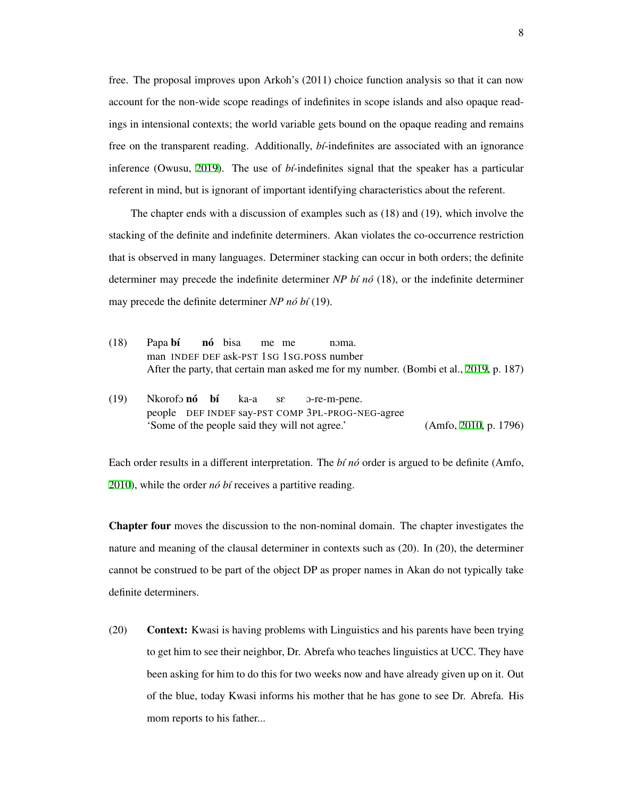free. The proposal improves upon Arkoh's (2011) choice function analysis so that it can now account for the non-wide scope readings of indefinites in scope islands and also opaque readings in intensional contexts; the world variable gets bound on the opaque reading and remains free on the transparent reading. Additionally, *bi*-indefinites are associated with an ignorance inference (Owusu, [2019](#page-214-2)). The use of *b´ı*-indefinites signal that the speaker has a particular referent in mind, but is ignorant of important identifying characteristics about the referent.

The chapter ends with a discussion of examples such as (18) and (19), which involve the stacking of the definite and indefinite determiners. Akan violates the co-occurrence restriction that is observed in many languages. Determiner stacking can occur in both orders; the definite determiner may precede the indefinite determiner *NP b´ı no´* (18), or the indefinite determiner may precede the definite determiner  $NP$  *nó bí* (19).

- (18) Papa bí man INDEF DEF ask-PST 1SG 1SG.POSS number **nó** bisa me me noma After the party, that certain man asked me for my number. (Bombi et al., [2019](#page-206-0), p. 187)
- (19) Nkorofo nó bí people DEF INDEF say-PST COMP 3PL-PROG-NEG-agree ka-a sE O-re-m-pene. 'Some of the people said they will not agree.' (Amfo, [2010](#page-205-1), p. 1796)

Each order results in a different interpretation. The *b´ı no´* order is argued to be definite (Amfo, [2010\)](#page-205-1), while the order *nó bí* receives a partitive reading.

Chapter four moves the discussion to the non-nominal domain. The chapter investigates the nature and meaning of the clausal determiner in contexts such as (20). In (20), the determiner cannot be construed to be part of the object DP as proper names in Akan do not typically take definite determiners.

(20) Context: Kwasi is having problems with Linguistics and his parents have been trying to get him to see their neighbor, Dr. Abrefa who teaches linguistics at UCC. They have been asking for him to do this for two weeks now and have already given up on it. Out of the blue, today Kwasi informs his mother that he has gone to see Dr. Abrefa. His mom reports to his father...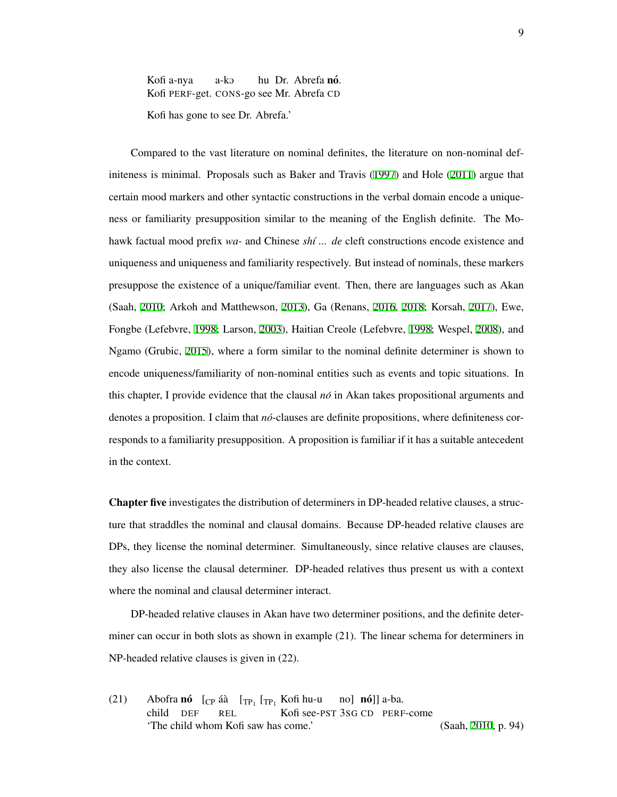Kofi a-nya Kofi PERF-get. CONS-go see Mr. Abrefa CD a-kO hu Dr. Abrefa nó. Kofi has gone to see Dr. Abrefa.'

Compared to the vast literature on nominal definites, the literature on non-nominal definiteness is minimal. Proposals such as Baker and Travis ([1997](#page-206-1)) and Hole [\(2011\)](#page-211-0) argue that certain mood markers and other syntactic constructions in the verbal domain encode a uniqueness or familiarity presupposition similar to the meaning of the English definite. The Mohawk factual mood prefix *wa-* and Chinese *sh´ı ... de* cleft constructions encode existence and uniqueness and uniqueness and familiarity respectively. But instead of nominals, these markers presuppose the existence of a unique/familiar event. Then, there are languages such as Akan (Saah, [2010](#page-216-5); Arkoh and Matthewson, [2013](#page-205-0)), Ga (Renans, [2016](#page-215-0), [2018;](#page-215-1) Korsah, [2017\)](#page-212-0), Ewe, Fongbe (Lefebvre, [1998;](#page-213-0) Larson, [2003\)](#page-213-1), Haitian Creole (Lefebvre, [1998](#page-213-0); Wespel, [2008](#page-218-0)), and Ngamo (Grubic, [2015\)](#page-210-2), where a form similar to the nominal definite determiner is shown to encode uniqueness/familiarity of non-nominal entities such as events and topic situations. In this chapter, I provide evidence that the clausal *no´* in Akan takes propositional arguments and denotes a proposition. I claim that  $n\acute{o}$ -clauses are definite propositions, where definiteness corresponds to a familiarity presupposition. A proposition is familiar if it has a suitable antecedent in the context.

Chapter five investigates the distribution of determiners in DP-headed relative clauses, a structure that straddles the nominal and clausal domains. Because DP-headed relative clauses are DPs, they license the nominal determiner. Simultaneously, since relative clauses are clauses, they also license the clausal determiner. DP-headed relatives thus present us with a context where the nominal and clausal determiner interact.

DP-headed relative clauses in Akan have two determiner positions, and the definite determiner can occur in both slots as shown in example (21). The linear schema for determiners in NP-headed relative clauses is given in (22).

(21) Abofra **nó**  $[\text{CP} \text{ áà } [\text{TP}_1 \text{ [TP}_1 \text{ Kofi hu-u}]]$ child DEF REL Kofi see-PST 3SG CD PERF-come no] **nó**]] a-ba. 'The child whom Kofi saw has come.' (Saah, [2010](#page-216-5), p. 94)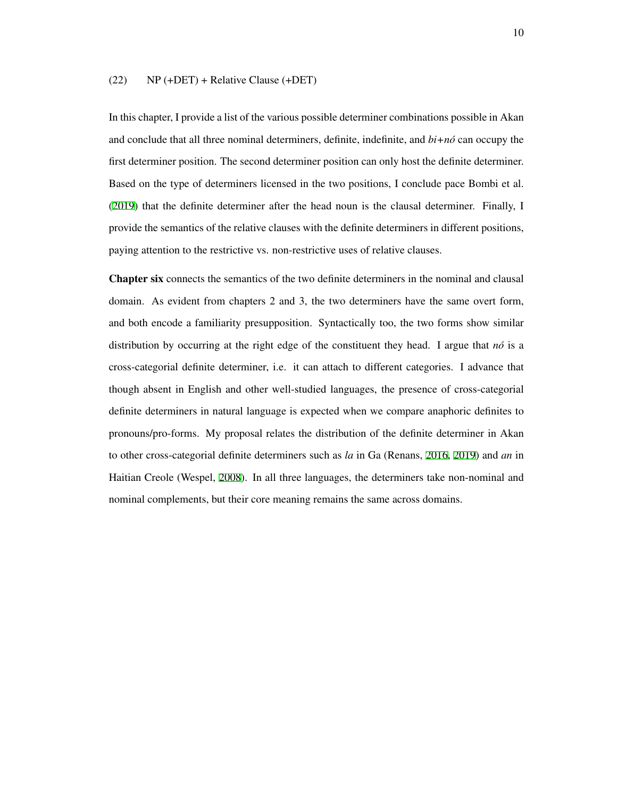#### (22) NP (+DET) + Relative Clause (+DET)

In this chapter, I provide a list of the various possible determiner combinations possible in Akan and conclude that all three nominal determiners, definite, indefinite, and  $bi+n\delta$  can occupy the first determiner position. The second determiner position can only host the definite determiner. Based on the type of determiners licensed in the two positions, I conclude pace Bombi et al. ([2019](#page-206-0)) that the definite determiner after the head noun is the clausal determiner. Finally, I provide the semantics of the relative clauses with the definite determiners in different positions, paying attention to the restrictive vs. non-restrictive uses of relative clauses.

Chapter six connects the semantics of the two definite determiners in the nominal and clausal domain. As evident from chapters 2 and 3, the two determiners have the same overt form, and both encode a familiarity presupposition. Syntactically too, the two forms show similar distribution by occurring at the right edge of the constituent they head. I argue that  $n\delta$  is a cross-categorial definite determiner, i.e. it can attach to different categories. I advance that though absent in English and other well-studied languages, the presence of cross-categorial definite determiners in natural language is expected when we compare anaphoric definites to pronouns/pro-forms. My proposal relates the distribution of the definite determiner in Akan to other cross-categorial definite determiners such as *la* in Ga (Renans, [2016](#page-215-0), [2019](#page-215-3)) and *an* in Haitian Creole (Wespel, [2008](#page-218-0)). In all three languages, the determiners take non-nominal and nominal complements, but their core meaning remains the same across domains.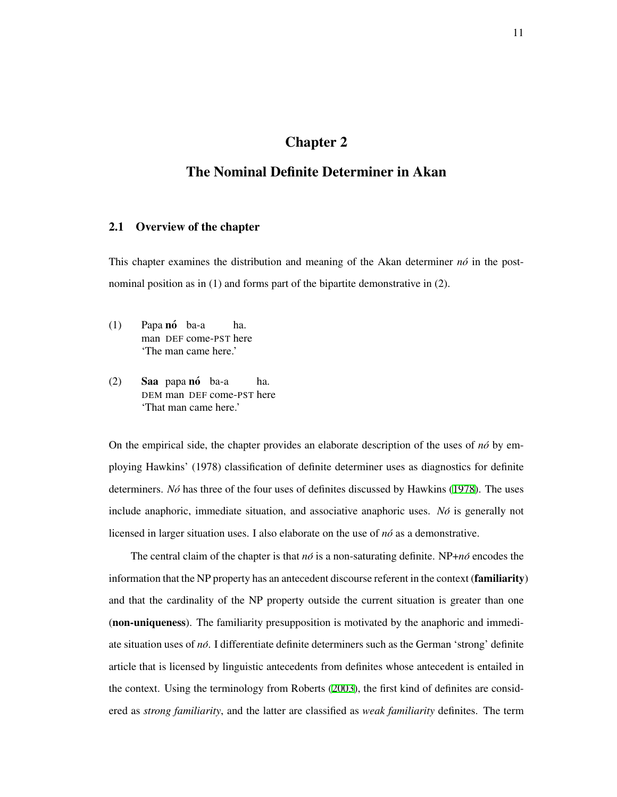# Chapter 2

## <span id="page-20-0"></span>The Nominal Definite Determiner in Akan

#### <span id="page-20-1"></span>2.1 Overview of the chapter

This chapter examines the distribution and meaning of the Akan determiner  $n\delta$  in the postnominal position as in (1) and forms part of the bipartite demonstrative in (2).

- (1) Papa nó ba-a man DEF come-PST here ha. 'The man came here.'
- (2) **Saa** papa nó ba-a DEM man DEF come-PST here ha. 'That man came here.'

On the empirical side, the chapter provides an elaborate description of the uses of *no´* by employing Hawkins' (1978) classification of definite determiner uses as diagnostics for definite determiners. *Nó* has three of the four uses of definites discussed by Hawkins ([1978](#page-210-0)). The uses include anaphoric, immediate situation, and associative anaphoric uses. *No*<sup>*i*</sup> is generally not licensed in larger situation uses. I also elaborate on the use of *no´* as a demonstrative.

The central claim of the chapter is that *no´* is a non-saturating definite. NP+*no´* encodes the information that the NP property has an antecedent discourse referent in the context (**familiarity**) and that the cardinality of the NP property outside the current situation is greater than one (non-uniqueness). The familiarity presupposition is motivated by the anaphoric and immediate situation uses of *no´*. I differentiate definite determiners such as the German 'strong' definite article that is licensed by linguistic antecedents from definites whose antecedent is entailed in the context. Using the terminology from Roberts ([2003](#page-216-3)), the first kind of definites are considered as *strong familiarity*, and the latter are classified as *weak familiarity* definites. The term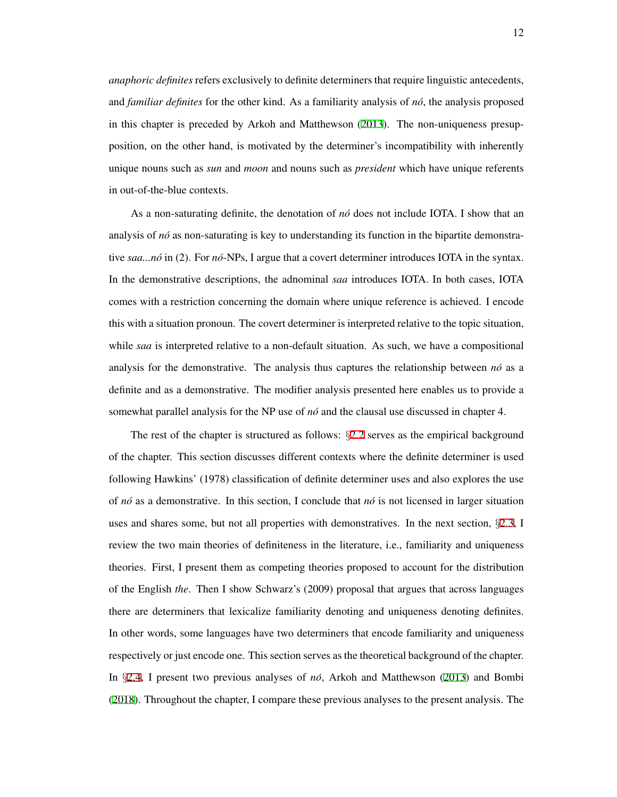*anaphoric definites* refers exclusively to definite determiners that require linguistic antecedents, and *familiar definites* for the other kind. As a familiarity analysis of *no´*, the analysis proposed in this chapter is preceded by Arkoh and Matthewson ([2013](#page-205-0)). The non-uniqueness presupposition, on the other hand, is motivated by the determiner's incompatibility with inherently unique nouns such as *sun* and *moon* and nouns such as *president* which have unique referents in out-of-the-blue contexts.

As a non-saturating definite, the denotation of *no´* does not include IOTA. I show that an analysis of *no*<sup> $i$ </sup> as non-saturating is key to understanding its function in the bipartite demonstrative *saa...no´* in (2). For *no´*-NPs, I argue that a covert determiner introduces IOTA in the syntax. In the demonstrative descriptions, the adnominal *saa* introduces IOTA. In both cases, IOTA comes with a restriction concerning the domain where unique reference is achieved. I encode this with a situation pronoun. The covert determiner is interpreted relative to the topic situation, while *saa* is interpreted relative to a non-default situation. As such, we have a compositional analysis for the demonstrative. The analysis thus captures the relationship between  $n\acute{o}$  as a definite and as a demonstrative. The modifier analysis presented here enables us to provide a somewhat parallel analysis for the NP use of *no´* and the clausal use discussed in chapter 4.

The rest of the chapter is structured as follows: *§*[2.2](#page-22-0) serves as the empirical background of the chapter. This section discusses different contexts where the definite determiner is used following Hawkins' (1978) classification of definite determiner uses and also explores the use of *no´* as a demonstrative. In this section, I conclude that *no´* is not licensed in larger situation uses and shares some, but not all properties with demonstratives. In the next section, *§*[2.3,](#page-33-0) I review the two main theories of definiteness in the literature, i.e., familiarity and uniqueness theories. First, I present them as competing theories proposed to account for the distribution of the English *the*. Then I show Schwarz's (2009) proposal that argues that across languages there are determiners that lexicalize familiarity denoting and uniqueness denoting definites. In other words, some languages have two determiners that encode familiarity and uniqueness respectively or just encode one. This section serves as the theoretical background of the chapter. In *§*[2.4,](#page-42-0) I present two previous analyses of *no´*, Arkoh and Matthewson [\(2013](#page-205-0)) and Bombi ([2018](#page-206-2)). Throughout the chapter, I compare these previous analyses to the present analysis. The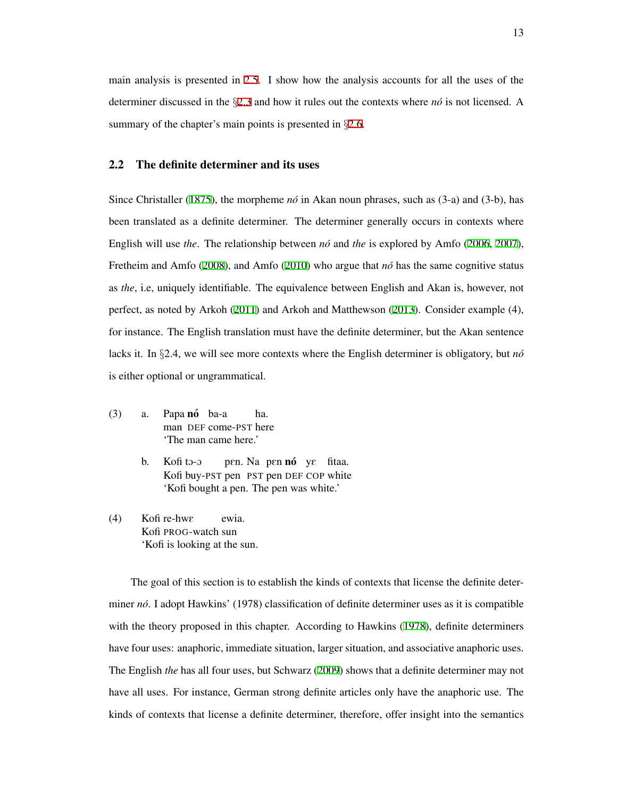main analysis is presented in [2.5](#page-47-0). I show how the analysis accounts for all the uses of the determiner discussed in the *§*[2.3](#page-33-0) and how it rules out the contexts where *no´* is not licensed. A summary of the chapter's main points is presented in *§*[2.6](#page-69-0).

#### <span id="page-22-0"></span>2.2 The definite determiner and its uses

Since Christaller ([1875\)](#page-207-0), the morpheme  $n\delta$  in Akan noun phrases, such as (3-a) and (3-b), has been translated as a definite determiner. The determiner generally occurs in contexts where English will use *the*. The relationship between *no´* and *the* is explored by Amfo [\(2006,](#page-205-2) [2007\)](#page-205-3), Fretheim and Amfo ([2008\)](#page-210-3), and Amfo ([2010\)](#page-205-1) who argue that *no´* has the same cognitive status as *the*, i.e, uniquely identifiable. The equivalence between English and Akan is, however, not perfect, as noted by Arkoh [\(2011\)](#page-205-4) and Arkoh and Matthewson ([2013](#page-205-0)). Consider example (4), for instance. The English translation must have the definite determiner, but the Akan sentence lacks it. In *§*2.4, we will see more contexts where the English determiner is obligatory, but *no´* is either optional or ungrammatical.

- (3) a. Papa **nó** ba-a man DEF come-PST here ha. 'The man came here.'
	- b. Kofi to-o Kofi buy-PST pen PST pen DEF COP white pen. Na pen **nó** ye fitaa. 'Kofi bought a pen. The pen was white.'
- (4) Kofi re-hwE Kofi PROG-watch sun ewia. 'Kofi is looking at the sun.

The goal of this section is to establish the kinds of contexts that license the definite determiner *no´*. I adopt Hawkins' (1978) classification of definite determiner uses as it is compatible with the theory proposed in this chapter. According to Hawkins ([1978](#page-210-0)), definite determiners have four uses: anaphoric, immediate situation, larger situation, and associative anaphoric uses. The English *the* has all four uses, but Schwarz [\(2009](#page-217-0)) shows that a definite determiner may not have all uses. For instance, German strong definite articles only have the anaphoric use. The kinds of contexts that license a definite determiner, therefore, offer insight into the semantics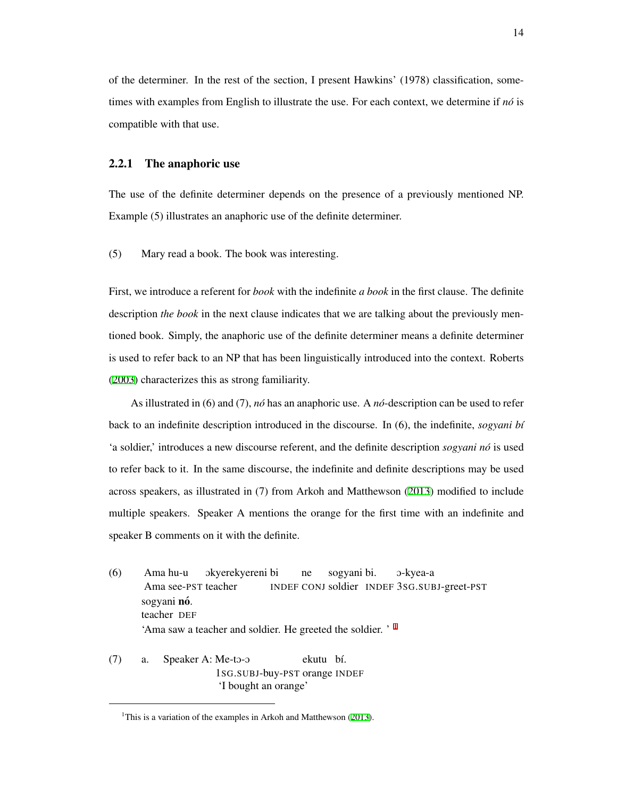of the determiner. In the rest of the section, I present Hawkins' (1978) classification, sometimes with examples from English to illustrate the use. For each context, we determine if  $n\delta$  is compatible with that use.

#### <span id="page-23-0"></span>2.2.1 The anaphoric use

The use of the definite determiner depends on the presence of a previously mentioned NP. Example (5) illustrates an anaphoric use of the definite determiner.

(5) Mary read a book. The book was interesting.

First, we introduce a referent for *book* with the indefinite *a book* in the first clause. The definite description *the book* in the next clause indicates that we are talking about the previously mentioned book. Simply, the anaphoric use of the definite determiner means a definite determiner is used to refer back to an NP that has been linguistically introduced into the context. Roberts ([2003](#page-216-3)) characterizes this as strong familiarity.

As illustrated in (6) and (7), *no´* has an anaphoric use. A *no´*-description can be used to refer back to an indefinite description introduced in the discourse. In (6), the indefinite, *sogyani b´ı* 'a soldier,' introduces a new discourse referent, and the definite description *sogyani no´* is used to refer back to it. In the same discourse, the indefinite and definite descriptions may be used across speakers, as illustrated in (7) from Arkoh and Matthewson [\(2013\)](#page-205-0) modified to include multiple speakers. Speaker A mentions the orange for the first time with an indefinite and speaker B comments on it with the definite.

- (6) Ama hu-u Ama see-PST teacher Okyerekyereni bi INDEF CONJ soldier INDEF 3SG.SUBJ-greet-PST ne sogyani bi. O-kyea-a sogyani **nó**. teacher DEF 'Ama saw a teacher and soldier. He greeted the soldier. ' [1](#page-23-1)
- $(7)$  a. Speaker A: Me-to-o 1SG.SUBJ-buy-PST orange INDEF ekutu bí. 'I bought an orange'

<span id="page-23-1"></span><sup>&</sup>lt;sup>1</sup>This is a variation of the examples in Arkoh and Matthewson [\(2013](#page-205-0)).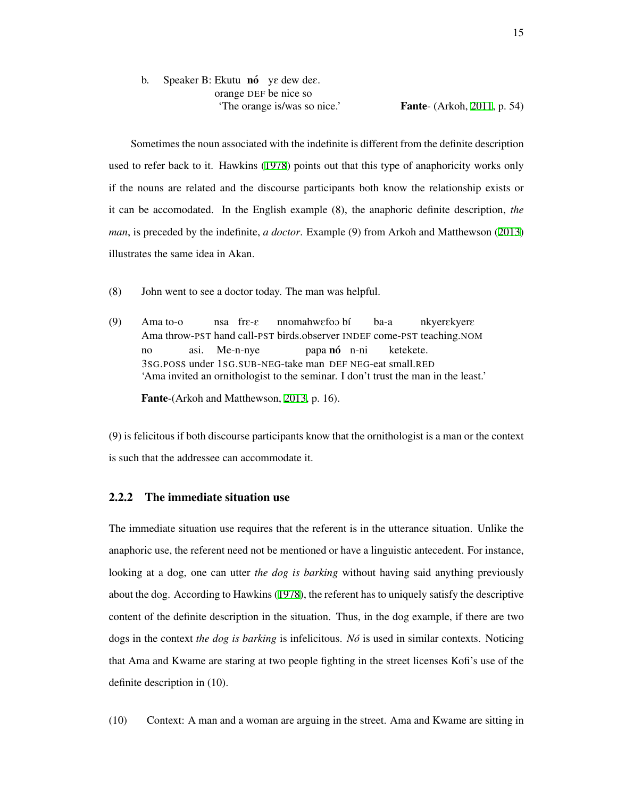b. Speaker B: Ekutu nó ye dew dee. orange DEF be nice so 'The orange is/was so nice.' Fante- (Arkoh, [2011](#page-205-4), p. 54)

Sometimes the noun associated with the indefinite is different from the definite description used to refer back to it. Hawkins ([1978\)](#page-210-0) points out that this type of anaphoricity works only if the nouns are related and the discourse participants both know the relationship exists or it can be accomodated. In the English example (8), the anaphoric definite description, *the man*, is preceded by the indefinite, *a doctor*. Example (9) from Arkoh and Matthewson ([2013](#page-205-0)) illustrates the same idea in Akan.

- (8) John went to see a doctor today. The man was helpful.
- (9) Ama to-o Ama throw-PST hand call-PST birds.observer INDEF come-PST teaching.NOM nsa frE-E nnomahw $\epsilon$ foo bí ba-a nkyerekyere no 3SG.POSS under 1SG.SUB-NEG-take man DEF NEG-eat small.RED asi. Me-n-nye papa **nó** n-ni ketekete. 'Ama invited an ornithologist to the seminar. I don't trust the man in the least.'

Fante-(Arkoh and Matthewson, [2013,](#page-205-0) p. 16).

(9) is felicitous if both discourse participants know that the ornithologist is a man or the context is such that the addressee can accommodate it.

#### <span id="page-24-0"></span>2.2.2 The immediate situation use

The immediate situation use requires that the referent is in the utterance situation. Unlike the anaphoric use, the referent need not be mentioned or have a linguistic antecedent. For instance, looking at a dog, one can utter *the dog is barking* without having said anything previously about the dog. According to Hawkins ([1978\)](#page-210-0), the referent has to uniquely satisfy the descriptive content of the definite description in the situation. Thus, in the dog example, if there are two dogs in the context *the dog is barking* is infelicitous. *No´* is used in similar contexts. Noticing that Ama and Kwame are staring at two people fighting in the street licenses Kofi's use of the definite description in (10).

(10) Context: A man and a woman are arguing in the street. Ama and Kwame are sitting in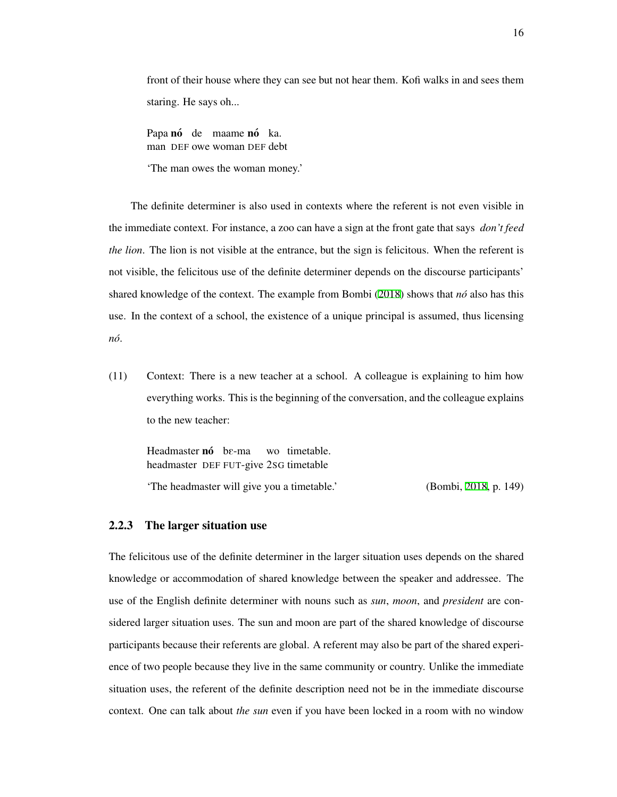front of their house where they can see but not hear them. Kofi walks in and sees them staring. He says oh...

Papa nó de maame nó ka. man DEF owe woman DEF debt

'The man owes the woman money.'

The definite determiner is also used in contexts where the referent is not even visible in the immediate context. For instance, a zoo can have a sign at the front gate that says *don't feed the lion*. The lion is not visible at the entrance, but the sign is felicitous. When the referent is not visible, the felicitous use of the definite determiner depends on the discourse participants' shared knowledge of the context. The example from Bombi ([2018](#page-206-2)) shows that *no´* also has this use. In the context of a school, the existence of a unique principal is assumed, thus licensing *no´*.

(11) Context: There is a new teacher at a school. A colleague is explaining to him how everything works. This is the beginning of the conversation, and the colleague explains to the new teacher:

Headmaster nó be-ma headmaster DEF FUT-give 2SG timetable wo timetable. 'The headmaster will give you a timetable.' (Bombi, [2018,](#page-206-2) p. 149)

#### <span id="page-25-0"></span>2.2.3 The larger situation use

The felicitous use of the definite determiner in the larger situation uses depends on the shared knowledge or accommodation of shared knowledge between the speaker and addressee. The use of the English definite determiner with nouns such as *sun*, *moon*, and *president* are considered larger situation uses. The sun and moon are part of the shared knowledge of discourse participants because their referents are global. A referent may also be part of the shared experience of two people because they live in the same community or country. Unlike the immediate situation uses, the referent of the definite description need not be in the immediate discourse context. One can talk about *the sun* even if you have been locked in a room with no window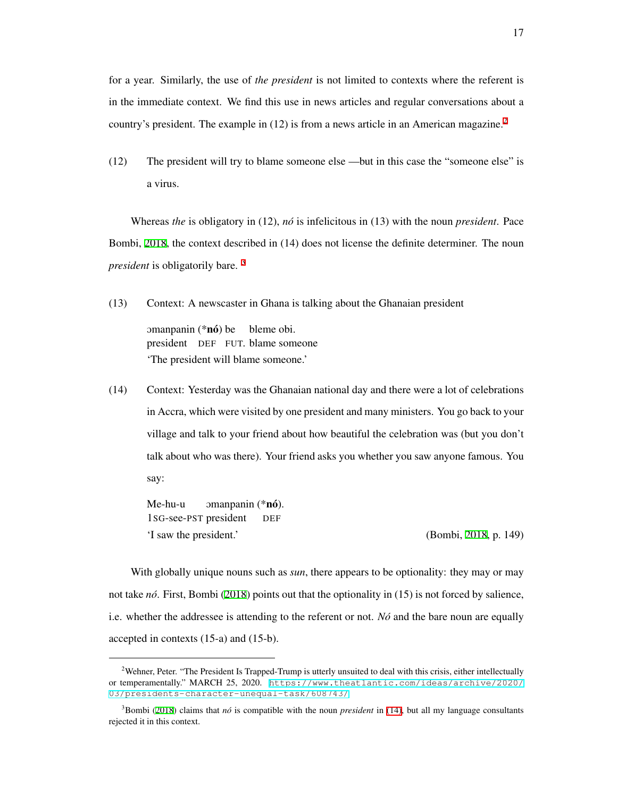for a year. Similarly, the use of *the president* is not limited to contexts where the referent is in the immediate context. We find this use in news articles and regular conversations about a country's president. The example in (1[2](#page-26-0)) is from a news article in an American magazine.<sup>2</sup>

(12) The president will try to blame someone else —but in this case the "someone else" is a virus.

Whereas *the* is obligatory in (12), *no´* is infelicitous in (13) with the noun *president*. Pace Bombi, [2018](#page-206-2), the context described in (14) does not license the definite determiner. The noun *president* is obligatorily bare. [3](#page-26-1)

(13) Context: A newscaster in Ghana is talking about the Ghanaian president

omanpanin (\*nó) be bleme obi. president DEF FUT. blame someone 'The president will blame someone.'

<span id="page-26-2"></span>(14) Context: Yesterday was the Ghanaian national day and there were a lot of celebrations in Accra, which were visited by one president and many ministers. You go back to your village and talk to your friend about how beautiful the celebration was (but you don't talk about who was there). Your friend asks you whether you saw anyone famous. You say:

Me-hu-u 1SG-see-PST president omanpanin (\*nó). DEF 'I saw the president.' (Bombi, [2018,](#page-206-2) p. 149)

With globally unique nouns such as *sun*, there appears to be optionality: they may or may not take *no´*. First, Bombi ([2018\)](#page-206-2) points out that the optionality in (15) is not forced by salience, i.e. whether the addressee is attending to the referent or not. *No´* and the bare noun are equally accepted in contexts (15-a) and (15-b).

<span id="page-26-3"></span><span id="page-26-0"></span><sup>&</sup>lt;sup>2</sup>Wehner, Peter. "The President Is Trapped-Trump is utterly unsuited to deal with this crisis, either intellectually or temperamentally." MARCH 25, 2020. [https://www.theatlantic.com/ideas/archive/2020/](https://www.theatlantic.com/ideas/archive/2020/03/presidents-character-unequal-task/608743/) [03/presidents-character-unequal-task/608743/](https://www.theatlantic.com/ideas/archive/2020/03/presidents-character-unequal-task/608743/)

<span id="page-26-1"></span><sup>3</sup>Bombi [\(2018](#page-206-2)) claims that *no´* is compatible with the noun *president* in [\(14\),](#page-26-2) but all my language consultants rejected it in this context.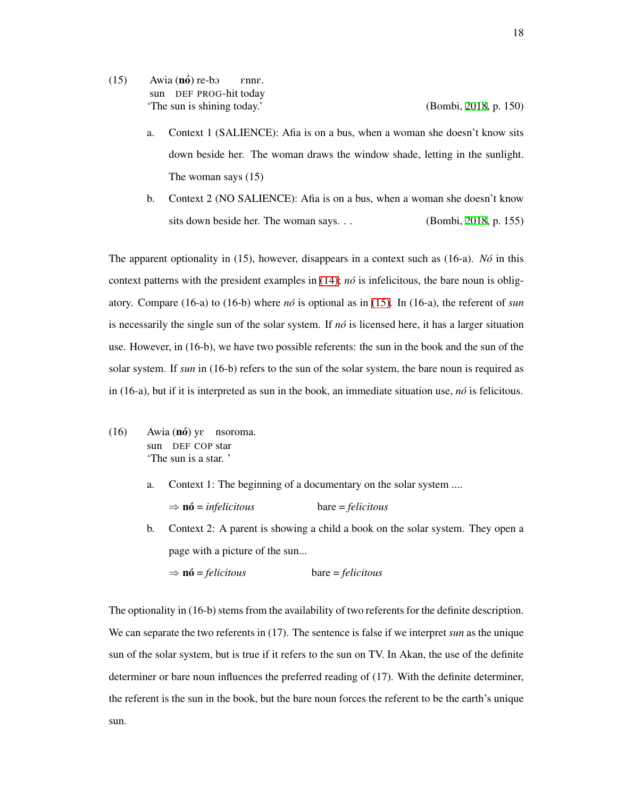- $(15)$  Awia  $(n6)$  re-bo sun DEF PROG-hit today EnnE. 'The sun is shining today.' (Bombi, [2018,](#page-206-2) p. 150)
	-
	- a. Context 1 (SALIENCE): Afia is on a bus, when a woman she doesn't know sits down beside her. The woman draws the window shade, letting in the sunlight. The woman says (15)
	- b. Context 2 (NO SALIENCE): Afia is on a bus, when a woman she doesn't know sits down beside her. The woman says. . . (Bombi, [2018,](#page-206-2) p. 155)

The apparent optionality in (15), however, disappears in a context such as (16-a). *No´* in this context patterns with the president examples in  $(14)$ ;  $n\delta$  is infelicitous, the bare noun is obligatory. Compare (16-a) to (16-b) where *no´* is optional as in [\(15\)](#page-26-3). In (16-a), the referent of *sun* is necessarily the single sun of the solar system. If  $n\acute{o}$  is licensed here, it has a larger situation use. However, in (16-b), we have two possible referents: the sun in the book and the sun of the solar system. If *sun* in (16-b) refers to the sun of the solar system, the bare noun is required as in (16-a), but if it is interpreted as sun in the book, an immediate situation use, *no´* is felicitous.

- (16) Awia  $(n6)$  y $\varepsilon$  nsoroma. sun DEF COP star 'The sun is a star. '
	- a. Context 1: The beginning of a documentary on the solar system ....
	- b. Context 2: A parent is showing a child a book on the solar system. They open a page with a picture of the sun...

$$
\Rightarrow \mathbf{n6} = felicitous \qquad \qquad \text{bare} = felicitous
$$

*⇒* no´ = *infelicitous* bare = *felicitous*

The optionality in (16-b) stems from the availability of two referents for the definite description. We can separate the two referents in (17). The sentence is false if we interpret *sun* as the unique sun of the solar system, but is true if it refers to the sun on TV. In Akan, the use of the definite determiner or bare noun influences the preferred reading of (17). With the definite determiner, the referent is the sun in the book, but the bare noun forces the referent to be the earth's unique sun.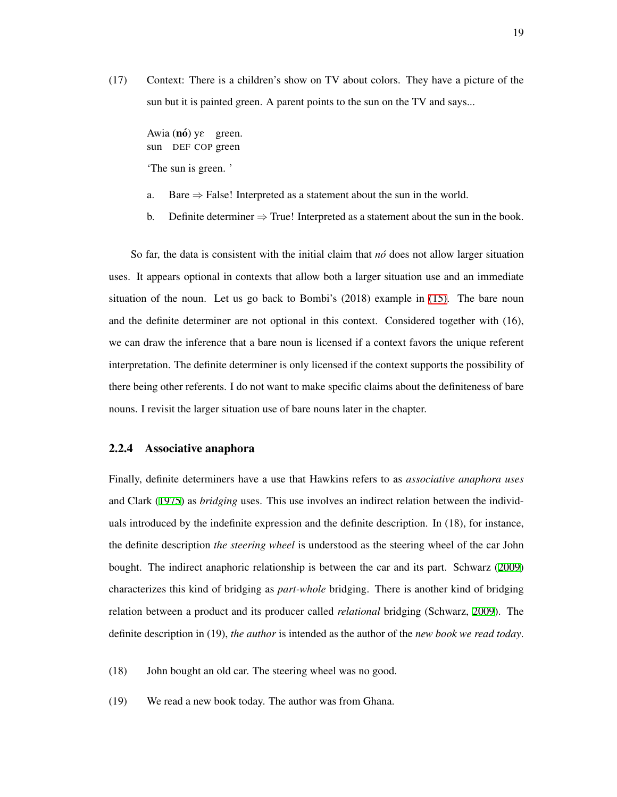(17) Context: There is a children's show on TV about colors. They have a picture of the sun but it is painted green. A parent points to the sun on the TV and says...

Awia (nó) yε green. sun DEF COP green 'The sun is green. '

- a. Bare *⇒* False! Interpreted as a statement about the sun in the world.
- b. Definite determiner  $\Rightarrow$  True! Interpreted as a statement about the sun in the book.

So far, the data is consistent with the initial claim that *no´* does not allow larger situation uses. It appears optional in contexts that allow both a larger situation use and an immediate situation of the noun. Let us go back to Bombi's (2018) example in [\(15\).](#page-26-3) The bare noun and the definite determiner are not optional in this context. Considered together with (16), we can draw the inference that a bare noun is licensed if a context favors the unique referent interpretation. The definite determiner is only licensed if the context supports the possibility of there being other referents. I do not want to make specific claims about the definiteness of bare nouns. I revisit the larger situation use of bare nouns later in the chapter.

#### <span id="page-28-0"></span>2.2.4 Associative anaphora

Finally, definite determiners have a use that Hawkins refers to as *associative anaphora uses* and Clark ([1975\)](#page-207-1) as *bridging* uses. This use involves an indirect relation between the individuals introduced by the indefinite expression and the definite description. In (18), for instance, the definite description *the steering wheel* is understood as the steering wheel of the car John bought. The indirect anaphoric relationship is between the car and its part. Schwarz ([2009](#page-217-0)) characterizes this kind of bridging as *part-whole* bridging. There is another kind of bridging relation between a product and its producer called *relational* bridging (Schwarz, [2009\)](#page-217-0). The definite description in (19), *the author* is intended as the author of the *new book we read today*.

- (18) John bought an old car. The steering wheel was no good.
- (19) We read a new book today. The author was from Ghana.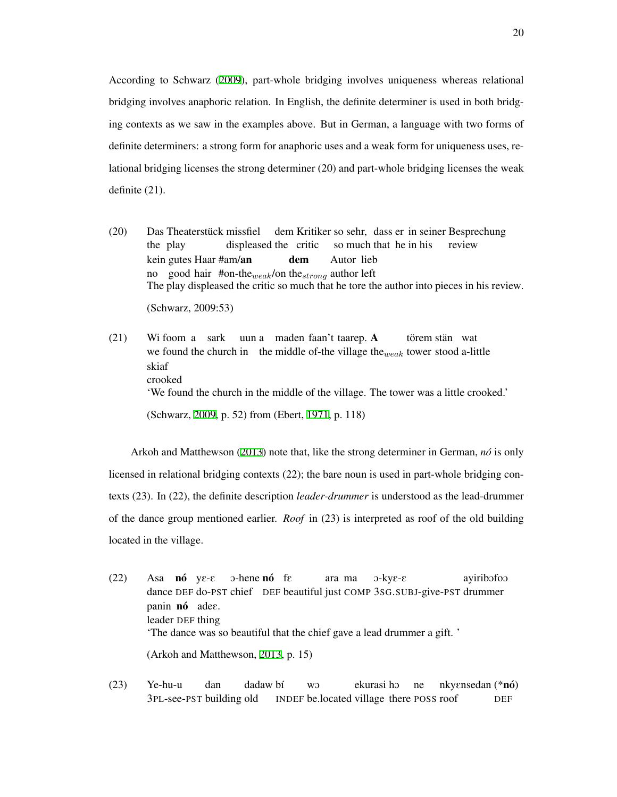According to Schwarz ([2009](#page-217-0)), part-whole bridging involves uniqueness whereas relational bridging involves anaphoric relation. In English, the definite determiner is used in both bridging contexts as we saw in the examples above. But in German, a language with two forms of definite determiners: a strong form for anaphoric uses and a weak form for uniqueness uses, relational bridging licenses the strong determiner (20) and part-whole bridging licenses the weak definite (21).

- $(20)$ the play Theaterstück missfiel displeased the critic dem Kritiker so sehr, dass er in seiner Besprechung so much that he in his review kein gutes Haar #am/**an** no good hair #on-the*weak*/on the*strong* author left dem Autor lieb The play displeased the critic so much that he tore the author into pieces in his review. (Schwarz, 2009:53)
- $(21)$ we found the church in the middle of-the village the<sub>weak</sub> tower stood a-little foom a sark uun a maden faan't taarep. A törem stän wat skiaf crooked 'We found the church in the middle of the village. The tower was a little crooked.' (Schwarz, [2009](#page-217-0), p. 52) from (Ebert, [1971](#page-209-0), p. 118)

Arkoh and Matthewson ([2013\)](#page-205-0) note that, like the strong determiner in German, *nó* is only licensed in relational bridging contexts (22); the bare noun is used in part-whole bridging contexts (23). In (22), the definite description *leader-drummer* is understood as the lead-drummer of the dance group mentioned earlier. *Roof* in (23) is interpreted as roof of the old building located in the village.

- $(22)$ dance DEF do-PST chief DEF beautiful just COMP 3SG.SUBJ-give-PST drummer nó ye-e o-hene **nó** fε ara ma  $3-$ ky $\varepsilon$ - $\varepsilon$ ayiribofoo panin nó ades. leader DEF thing 'The dance was so beautiful that the chief gave a lead drummer a gift. ' (Arkoh and Matthewson, [2013](#page-205-0), p. 15)
- (23) Ye-hu-u 3PL-see-PST building old dan dadaw bí INDEF be.located village there POSS roof wO ekurasi ho ne nky $\epsilon$ nsedan (\***nó**) DEF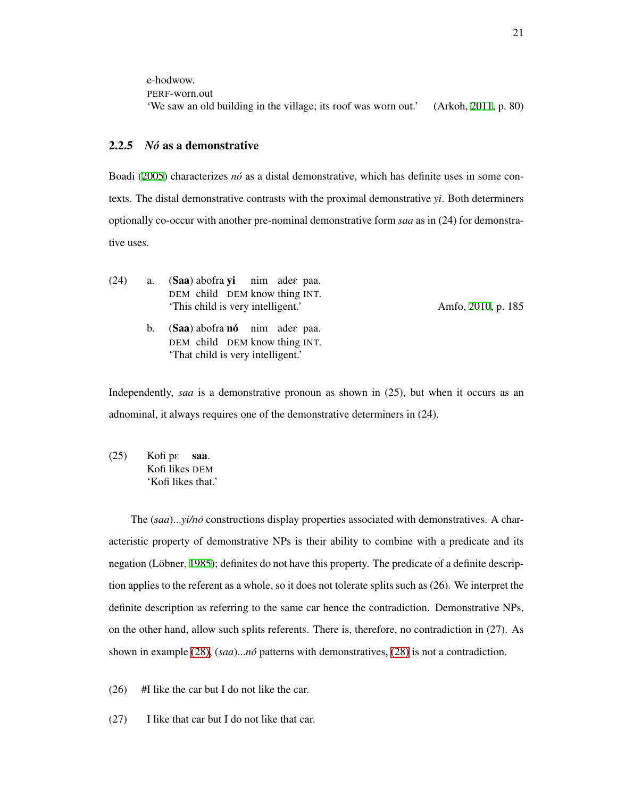e-hodwow. PERF-worn.out 'We saw an old building in the village; its roof was worn out.' (Arkoh, [2011](#page-205-4), p. 80)

#### <span id="page-30-0"></span>2.2.5 *No´* as a demonstrative

Boadi ([2005\)](#page-206-3) characterizes *nó* as a distal demonstrative, which has definite uses in some contexts. The distal demonstrative contrasts with the proximal demonstrative *yi*. Both determiners optionally co-occur with another pre-nominal demonstrative form *saa* as in (24) for demonstrative uses.

| (24) | a. (Saa) abofra yi nim adee paa.  |  |  |
|------|-----------------------------------|--|--|
|      | DEM child DEM know thing INT.     |  |  |
|      | 'This child is very intelligent.' |  |  |

b. (Saa) abofra nó nim adee paa. DEM child DEM know thing INT. 'That child is very intelligent.'

Amfo, [2010](#page-205-1), p. 185

Independently, *saa* is a demonstrative pronoun as shown in (25), but when it occurs as an adnominal, it always requires one of the demonstrative determiners in (24).

 $(25)$ Kofi likes DEM pe saa. 'Kofi likes that.'

The (saa)...*yi/nó* constructions display properties associated with demonstratives. A characteristic property of demonstrative NPs is their ability to combine with a predicate and its negation (Löbner, [1985\)](#page-213-2); definites do not have this property. The predicate of a definite description applies to the referent as a whole, so it does not tolerate splits such as (26). We interpret the definite description as referring to the same car hence the contradiction. Demonstrative NPs, on the other hand, allow such splits referents. There is, therefore, no contradiction in (27). As shown in example [\(28\),](#page-31-0) (*saa*)...*no´* patterns with demonstratives, [\(28\)](#page-31-0) is not a contradiction.

- (26) #I like the car but I do not like the car.
- (27) I like that car but I do not like that car.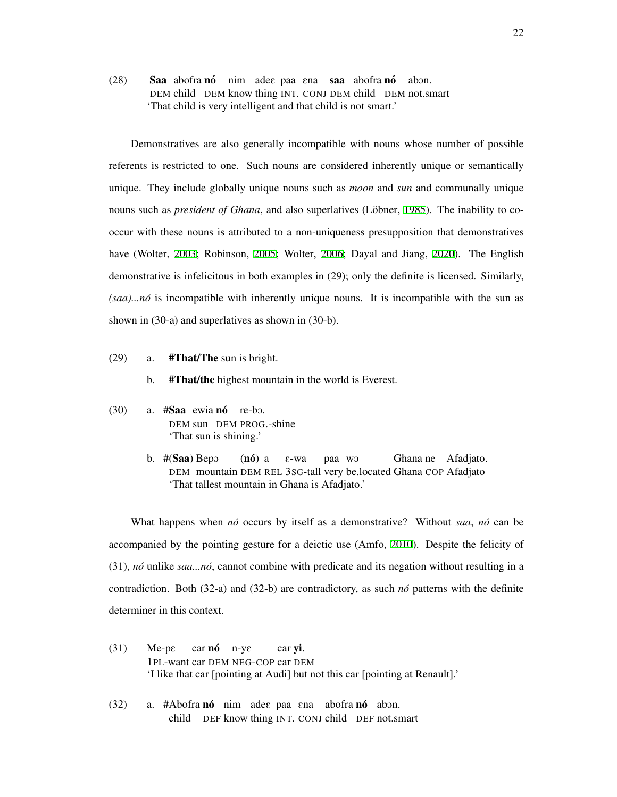<span id="page-31-0"></span>(28) Saa abofra nó nim adee paa ena saa abofra nó DEM child DEM know thing INT. CONJ DEM child DEM not.smart abOn. 'That child is very intelligent and that child is not smart.'

Demonstratives are also generally incompatible with nouns whose number of possible referents is restricted to one. Such nouns are considered inherently unique or semantically unique. They include globally unique nouns such as *moon* and *sun* and communally unique nouns such as *president of Ghana*, and also superlatives (Löbner, [1985\)](#page-213-2). The inability to cooccur with these nouns is attributed to a non-uniqueness presupposition that demonstratives have (Wolter, [2003;](#page-219-1) Robinson, [2005;](#page-216-0) Wolter, [2006](#page-219-0); Dayal and Jiang, [2020](#page-208-0)). The English demonstrative is infelicitous in both examples in (29); only the definite is licensed. Similarly, *(saa)...no´* is incompatible with inherently unique nouns. It is incompatible with the sun as shown in (30-a) and superlatives as shown in (30-b).

- (29) a. #That/The sun is bright.
	- b. #That/the highest mountain in the world is Everest.
- $(30)$  a.  $#$ Saa ewia nó re-bo. DEM sun DEM PROG.-shine 'That sun is shining.'
	- b. #(Saa) Bepo DEM mountain DEM REL 3SG-tall very be.located Ghana COP Afadjato  $(n6)$  a E-wa paa wO Ghana ne Afadjato. 'That tallest mountain in Ghana is Afadjato.'

What happens when *no´* occurs by itself as a demonstrative? Without *saa*, *no´* can be accompanied by the pointing gesture for a deictic use (Amfo, [2010\)](#page-205-1). Despite the felicity of (31), *no´* unlike *saa...no´*, cannot combine with predicate and its negation without resulting in a contradiction. Both (32-a) and (32-b) are contradictory, as such *no´* patterns with the definite determiner in this context.

- (31) Me-pE 1PL-want car DEM NEG-COP car DEM car **nó** n-ye car yi. 'I like that car [pointing at Audi] but not this car [pointing at Renault].'
- (32) a. #Abofra nó nim adee paa ena abofra nó abon. child DEF know thing INT. CONJ child DEF not.smart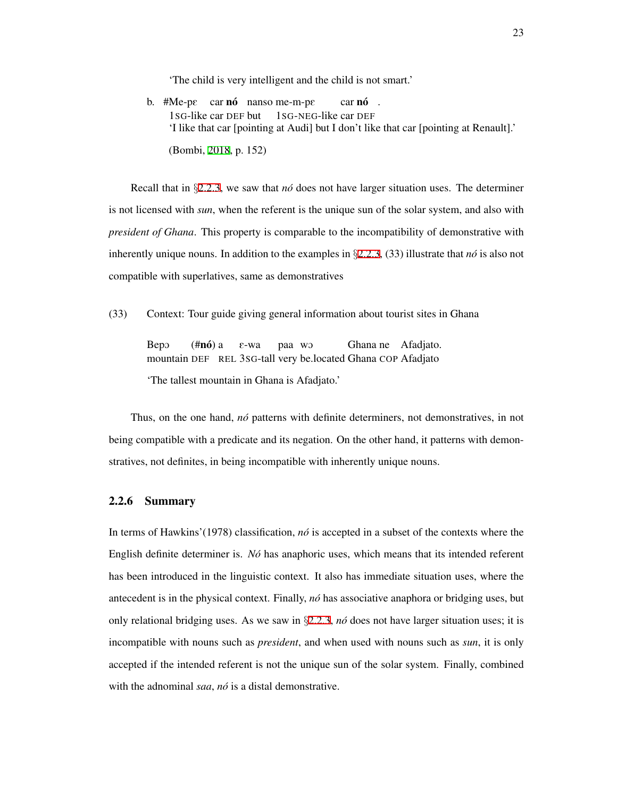'The child is very intelligent and the child is not smart.'

b.  $#Me-pe$  car **nó** nanso me-m-pe 1SG-like car DEF but 1SG-NEG-like car DEF car **nó**. 'I like that car [pointing at Audi] but I don't like that car [pointing at Renault].' (Bombi, [2018](#page-206-2), p. 152)

Recall that in *§*[2.2.3,](#page-25-0) we saw that *no´* does not have larger situation uses. The determiner is not licensed with *sun*, when the referent is the unique sun of the solar system, and also with *president of Ghana*. This property is comparable to the incompatibility of demonstrative with inherently unique nouns. In addition to the examples in *§*[2.2.3](#page-25-0), (33) illustrate that *no´* is also not compatible with superlatives, same as demonstratives

(33) Context: Tour guide giving general information about tourist sites in Ghana

BepO mountain DEF REL 3SG-tall very be.located Ghana COP Afadjato (**#nó**) a E-wa paa wO Ghana ne Afadjato.

'The tallest mountain in Ghana is Afadjato.'

Thus, on the one hand, *no´* patterns with definite determiners, not demonstratives, in not being compatible with a predicate and its negation. On the other hand, it patterns with demonstratives, not definites, in being incompatible with inherently unique nouns.

#### <span id="page-32-0"></span>2.2.6 Summary

In terms of Hawkins'(1978) classification, *no´* is accepted in a subset of the contexts where the English definite determiner is. *No´* has anaphoric uses, which means that its intended referent has been introduced in the linguistic context. It also has immediate situation uses, where the antecedent is in the physical context. Finally, *no´* has associative anaphora or bridging uses, but only relational bridging uses. As we saw in *§*[2.2.3](#page-25-0), *no´* does not have larger situation uses; it is incompatible with nouns such as *president*, and when used with nouns such as *sun*, it is only accepted if the intended referent is not the unique sun of the solar system. Finally, combined with the adnominal *saa*, *nó* is a distal demonstrative.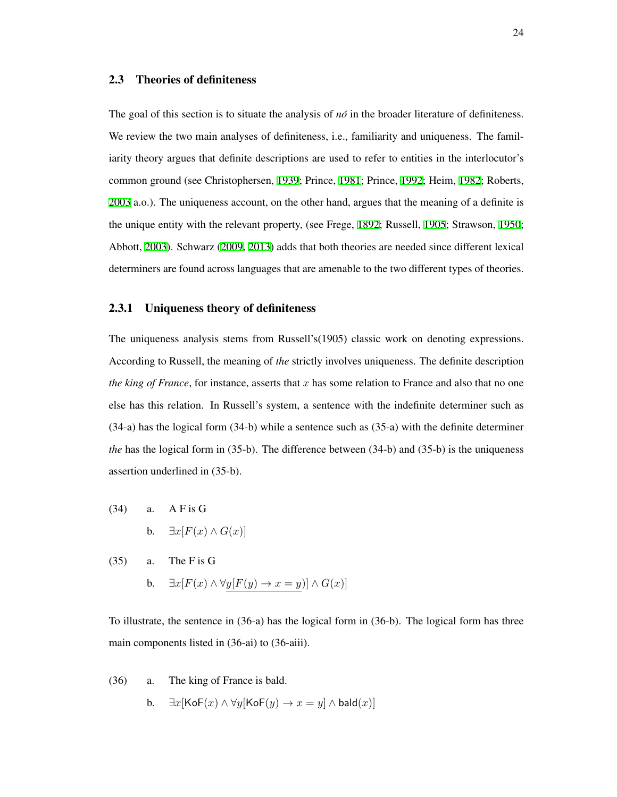#### <span id="page-33-0"></span>2.3 Theories of definiteness

The goal of this section is to situate the analysis of *no´* in the broader literature of definiteness. We review the two main analyses of definiteness, i.e., familiarity and uniqueness. The familiarity theory argues that definite descriptions are used to refer to entities in the interlocutor's common ground (see Christophersen, [1939;](#page-207-2) Prince, [1981](#page-215-4); Prince, [1992;](#page-215-5) Heim, [1982](#page-211-1); Roberts, [2003](#page-216-3) a.o.). The uniqueness account, on the other hand, argues that the meaning of a definite is the unique entity with the relevant property, (see Frege, [1892;](#page-210-4) Russell, [1905;](#page-216-2) Strawson, [1950;](#page-218-1) Abbott, [2003\)](#page-204-0). Schwarz [\(2009](#page-217-0), [2013](#page-217-1)) adds that both theories are needed since different lexical determiners are found across languages that are amenable to the two different types of theories.

#### <span id="page-33-1"></span>2.3.1 Uniqueness theory of definiteness

The uniqueness analysis stems from Russell's(1905) classic work on denoting expressions. According to Russell, the meaning of *the* strictly involves uniqueness. The definite description *the king of France*, for instance, asserts that *x* has some relation to France and also that no one else has this relation. In Russell's system, a sentence with the indefinite determiner such as (34-a) has the logical form (34-b) while a sentence such as (35-a) with the definite determiner *the* has the logical form in (35-b). The difference between (34-b) and (35-b) is the uniqueness assertion underlined in (35-b).

(34) a. A F is G **b.**  $∃x[F(x) ∧ G(x)]$ 

(35) a. The F is G b. *∃x*[*F*(*x*) *∧ ∀y*[*F*(*y*) *→ x* = *y*)] *∧ G*(*x*)]

To illustrate, the sentence in (36-a) has the logical form in (36-b). The logical form has three main components listed in (36-ai) to (36-aiii).

- <span id="page-33-2"></span>(36) a. The king of France is bald.
	- b. *∃x*[KoF(*x*) *∧ ∀y*[KoF(*y*) *→ x* = *y*] *∧* bald(*x*)]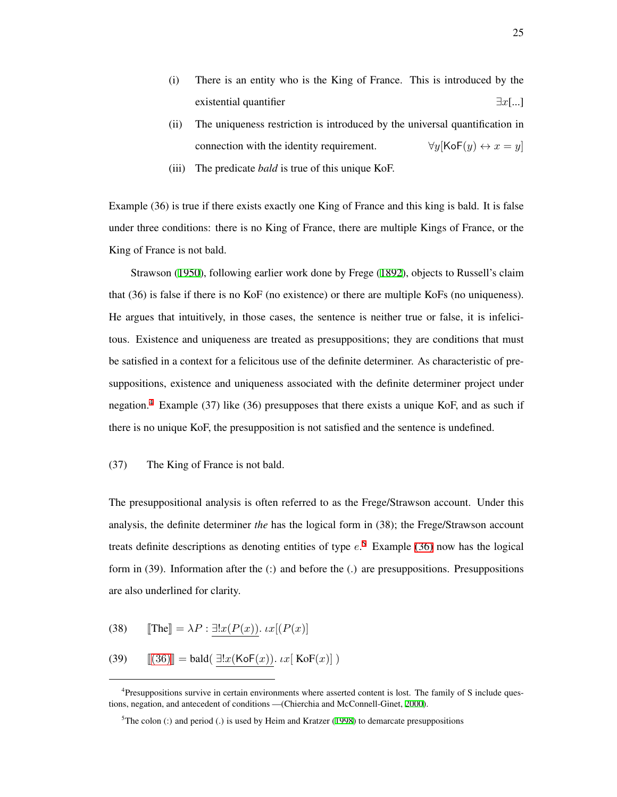- (i) There is an entity who is the King of France. This is introduced by the existential quantifier *∃x*[...]
- (ii) The uniqueness restriction is introduced by the universal quantification in connection with the identity requirement.  $\forall y$ [KoF(*y*)  $\leftrightarrow$  *x* = *y*]
- (iii) The predicate *bald* is true of this unique KoF.

Example (36) is true if there exists exactly one King of France and this king is bald. It is false under three conditions: there is no King of France, there are multiple Kings of France, or the King of France is not bald.

Strawson ([1950\)](#page-218-1), following earlier work done by Frege [\(1892](#page-210-4)), objects to Russell's claim that (36) is false if there is no KoF (no existence) or there are multiple KoFs (no uniqueness). He argues that intuitively, in those cases, the sentence is neither true or false, it is infelicitous. Existence and uniqueness are treated as presuppositions; they are conditions that must be satisfied in a context for a felicitous use of the definite determiner. As characteristic of presuppositions, existence and uniqueness associated with the definite determiner project under negation.<sup>[4](#page-34-0)</sup> Example (37) like (36) presupposes that there exists a unique KoF, and as such if there is no unique KoF, the presupposition is not satisfied and the sentence is undefined.

#### (37) The King of France is not bald.

The presuppositional analysis is often referred to as the Frege/Strawson account. Under this analysis, the definite determiner *the* has the logical form in (38); the Frege/Strawson account treats definite descriptions as denoting entities of type *e*. [5](#page-34-1) Example [\(36\)](#page-33-2) now has the logical form in (39). Information after the (:) and before the (.) are presuppositions. Presuppositions are also underlined for clarity.

(38)  $\[\text{The} \] = \lambda P : \exists! x (P(x)). \, \iota x [(P(x))]$ 

(39) 
$$
\llbracket (36) \rrbracket = \text{bald}(\exists!x(\text{Kof}(x)), \iota x[\text{Kof}(x)])
$$

<span id="page-34-0"></span><sup>&</sup>lt;sup>4</sup>Presuppositions survive in certain environments where asserted content is lost. The family of S include questions, negation, and antecedent of conditions —(Chierchia and McConnell-Ginet, [2000](#page-207-3)).

<span id="page-34-1"></span> $5$ The colon (:) and period (.) is used by Heim and Kratzer ([1998\)](#page-211-2) to demarcate presuppositions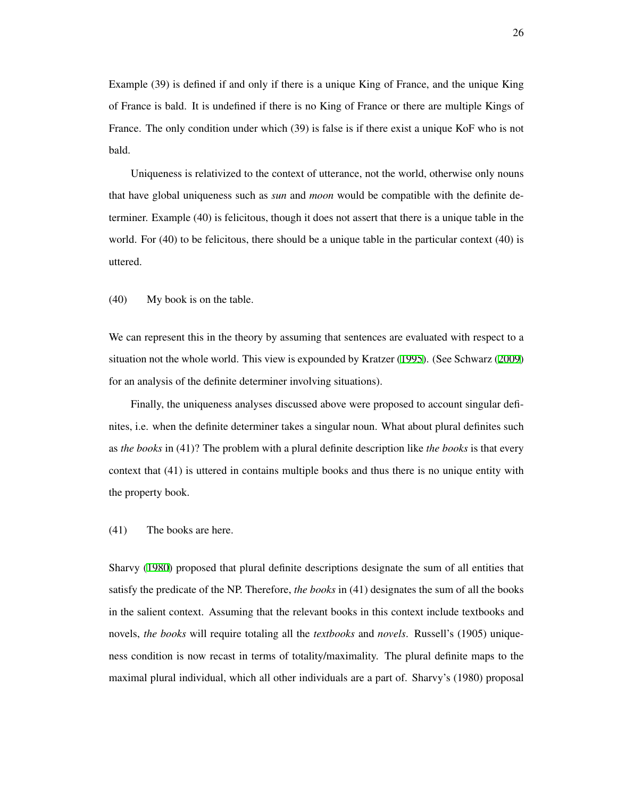Example (39) is defined if and only if there is a unique King of France, and the unique King of France is bald. It is undefined if there is no King of France or there are multiple Kings of France. The only condition under which (39) is false is if there exist a unique KoF who is not bald.

Uniqueness is relativized to the context of utterance, not the world, otherwise only nouns that have global uniqueness such as *sun* and *moon* would be compatible with the definite determiner. Example (40) is felicitous, though it does not assert that there is a unique table in the world. For (40) to be felicitous, there should be a unique table in the particular context (40) is uttered.

(40) My book is on the table.

We can represent this in the theory by assuming that sentences are evaluated with respect to a situation not the whole world. This view is expounded by Kratzer ([1995\)](#page-212-2). (See Schwarz ([2009](#page-217-0)) for an analysis of the definite determiner involving situations).

Finally, the uniqueness analyses discussed above were proposed to account singular definites, i.e. when the definite determiner takes a singular noun. What about plural definites such as *the books* in (41)? The problem with a plural definite description like *the books* is that every context that (41) is uttered in contains multiple books and thus there is no unique entity with the property book.

#### (41) The books are here.

Sharvy ([1980\)](#page-217-2) proposed that plural definite descriptions designate the sum of all entities that satisfy the predicate of the NP. Therefore, *the books* in (41) designates the sum of all the books in the salient context. Assuming that the relevant books in this context include textbooks and novels, *the books* will require totaling all the *textbooks* and *novels*. Russell's (1905) uniqueness condition is now recast in terms of totality/maximality. The plural definite maps to the maximal plural individual, which all other individuals are a part of. Sharvy's (1980) proposal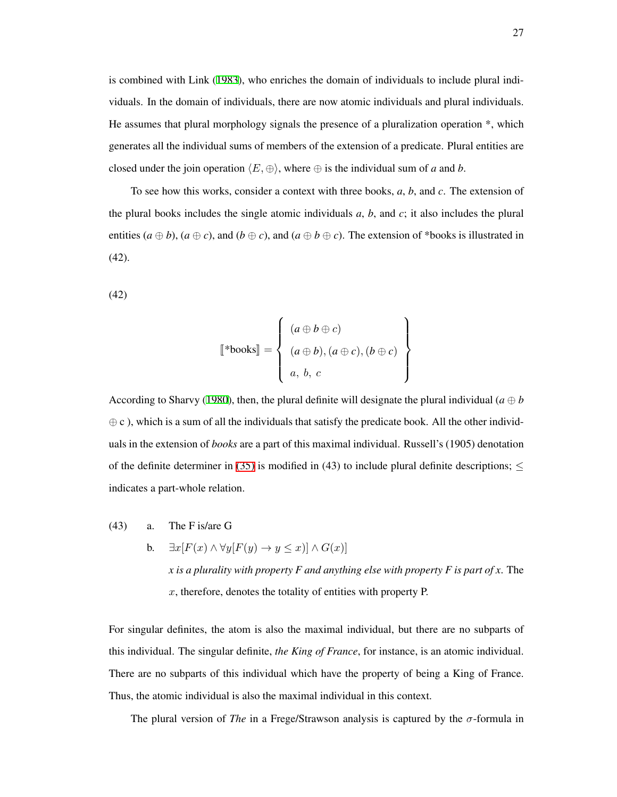is combined with Link ([1983\)](#page-213-0), who enriches the domain of individuals to include plural individuals. In the domain of individuals, there are now atomic individuals and plural individuals. He assumes that plural morphology signals the presence of a pluralization operation \*, which generates all the individual sums of members of the extension of a predicate. Plural entities are closed under the join operation  $\langle E, \oplus \rangle$ , where  $\oplus$  is the individual sum of *a* and *b*.

To see how this works, consider a context with three books, *a*, *b*, and *c*. The extension of the plural books includes the single atomic individuals  $a$ ,  $b$ , and  $c$ ; it also includes the plural entities  $(a \oplus b)$ ,  $(a \oplus c)$ , and  $(b \oplus c)$ , and  $(a \oplus b \oplus c)$ . The extension of \*books is illustrated in  $(42)$ .

(42)

$$
\begin{bmatrix} * \text{books} \end{bmatrix} = \begin{Bmatrix} (a \oplus b \oplus c) \\ (a \oplus b), (a \oplus c), (b \oplus c) \\ a, b, c \end{Bmatrix}
$$

According to Sharvy ([1980](#page-217-0)), then, the plural definite will designate the plural individual ( $a \oplus b$  $oplus$  c), which is a sum of all the individuals that satisfy the predicate book. All the other individuals in the extension of *books* are a part of this maximal individual. Russell's (1905) denotation of the definite determiner in [\(35\)](#page-33-0) is modified in (43) to include plural definite descriptions; *≤* indicates a part-whole relation.

- (43) a. The F is/are G
	- **b.**  $\exists x [F(x) \land \forall y [F(y) \rightarrow y \leq x)] \land G(x)]$ *x is a plurality with property F and anything else with property F is part of x*. The *x*, therefore, denotes the totality of entities with property P.

For singular definites, the atom is also the maximal individual, but there are no subparts of this individual. The singular definite, *the King of France*, for instance, is an atomic individual. There are no subparts of this individual which have the property of being a King of France. Thus, the atomic individual is also the maximal individual in this context.

The plural version of *The* in a Frege/Strawson analysis is captured by the  $\sigma$ -formula in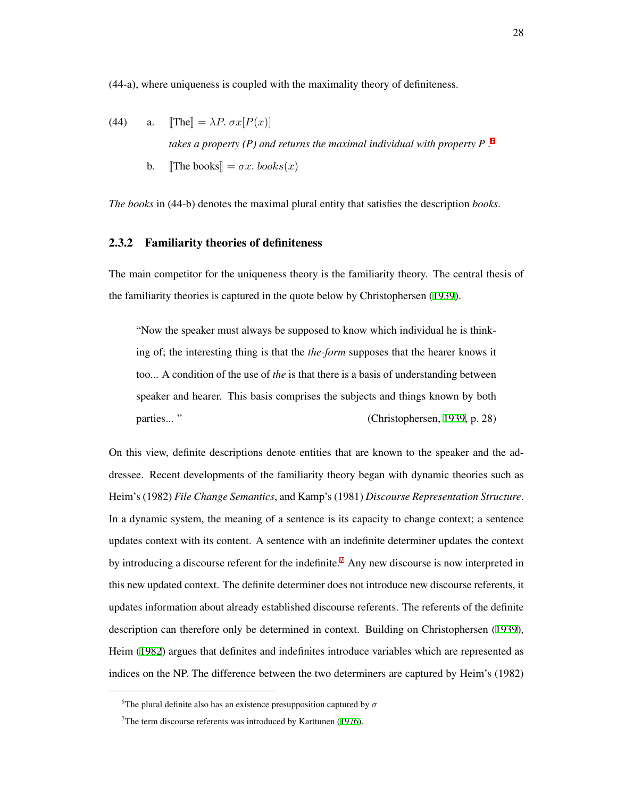(44-a), where uniqueness is coupled with the maximality theory of definiteness.

(44) a. 
$$
[\text{The}] = \lambda P. \sigma x [P(x)]
$$
  
takes a property (P) and returns the maximal individual with property P.<sup>6</sup>

b. The books  $= \sigma x \cdot \text{books}(x)$ 

*The books* in (44-b) denotes the maximal plural entity that satisfies the description *books*.

# 2.3.2 Familiarity theories of definiteness

The main competitor for the uniqueness theory is the familiarity theory. The central thesis of the familiarity theories is captured in the quote below by Christophersen ([1939\)](#page-207-0).

"Now the speaker must always be supposed to know which individual he is thinking of; the interesting thing is that the *the-form* supposes that the hearer knows it too... A condition of the use of *the* is that there is a basis of understanding between speaker and hearer. This basis comprises the subjects and things known by both parties... " (Christophersen, [1939,](#page-207-0) p. 28)

On this view, definite descriptions denote entities that are known to the speaker and the addressee. Recent developments of the familiarity theory began with dynamic theories such as Heim's (1982) *File Change Semantics*, and Kamp's (1981) *Discourse Representation Structure*. In a dynamic system, the meaning of a sentence is its capacity to change context; a sentence updates context with its content. A sentence with an indefinite determiner updates the context by introducing a discourse referent for the indefinite.<sup>[7](#page-37-1)</sup> Any new discourse is now interpreted in this new updated context. The definite determiner does not introduce new discourse referents, it updates information about already established discourse referents. The referents of the definite description can therefore only be determined in context. Building on Christophersen ([1939\)](#page-207-0), Heim ([1982\)](#page-211-0) argues that definites and indefinites introduce variables which are represented as indices on the NP. The difference between the two determiners are captured by Heim's (1982)

<span id="page-37-0"></span><sup>&</sup>lt;sup>6</sup>The plural definite also has an existence presupposition captured by  $\sigma$ 

<span id="page-37-1"></span> $7$ The term discourse referents was introduced by Karttunen ([1976\)](#page-212-0).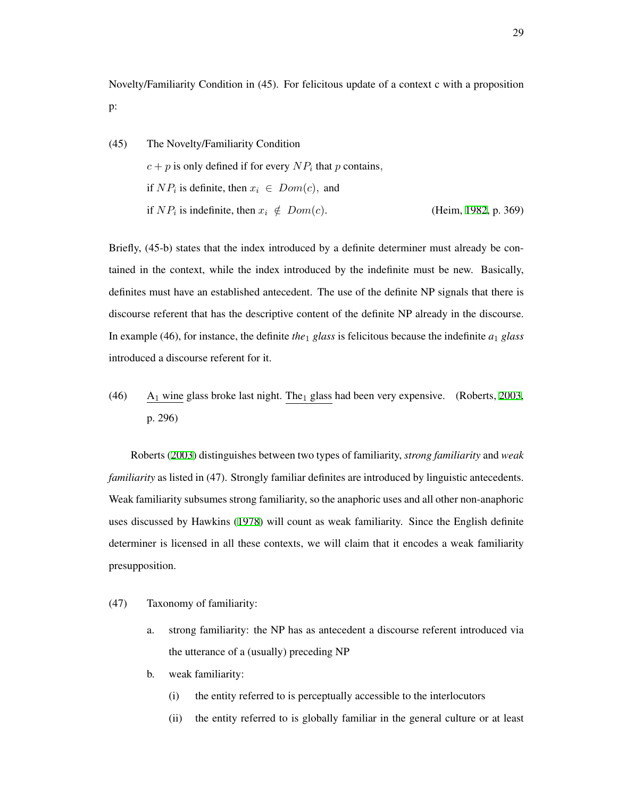Novelty/Familiarity Condition in (45). For felicitous update of a context c with a proposition p:

(45) The Novelty/Familiarity Condition  $c + p$  is only defined if for every  $NP_i$  that *p* contains, if  $NP_i$  is definite, then  $x_i \in Dom(c)$ , and if  $NP_i$  is indefinite, then  $x_i \notin Dom(c)$ . (Heim, [1982,](#page-211-0) p. 369)

Briefly, (45-b) states that the index introduced by a definite determiner must already be contained in the context, while the index introduced by the indefinite must be new. Basically, definites must have an established antecedent. The use of the definite NP signals that there is discourse referent that has the descriptive content of the definite NP already in the discourse. In example (46), for instance, the definite *the*<sup>1</sup> *glass* is felicitous because the indefinite *a*<sup>1</sup> *glass* introduced a discourse referent for it.

(46) A<sub>1</sub> wine glass broke last night. The<sub>1</sub> glass had been very expensive. (Roberts, [2003](#page-216-0), p. 296)

Roberts ([2003\)](#page-216-0) distinguishes between two types of familiarity, *strong familiarity* and *weak familiarity* as listed in (47). Strongly familiar definites are introduced by linguistic antecedents. Weak familiarity subsumes strong familiarity, so the anaphoric uses and all other non-anaphoric uses discussed by Hawkins ([1978\)](#page-210-0) will count as weak familiarity. Since the English definite determiner is licensed in all these contexts, we will claim that it encodes a weak familiarity presupposition.

- (47) Taxonomy of familiarity:
	- a. strong familiarity: the NP has as antecedent a discourse referent introduced via the utterance of a (usually) preceding NP
	- b. weak familiarity:
		- (i) the entity referred to is perceptually accessible to the interlocutors
		- (ii) the entity referred to is globally familiar in the general culture or at least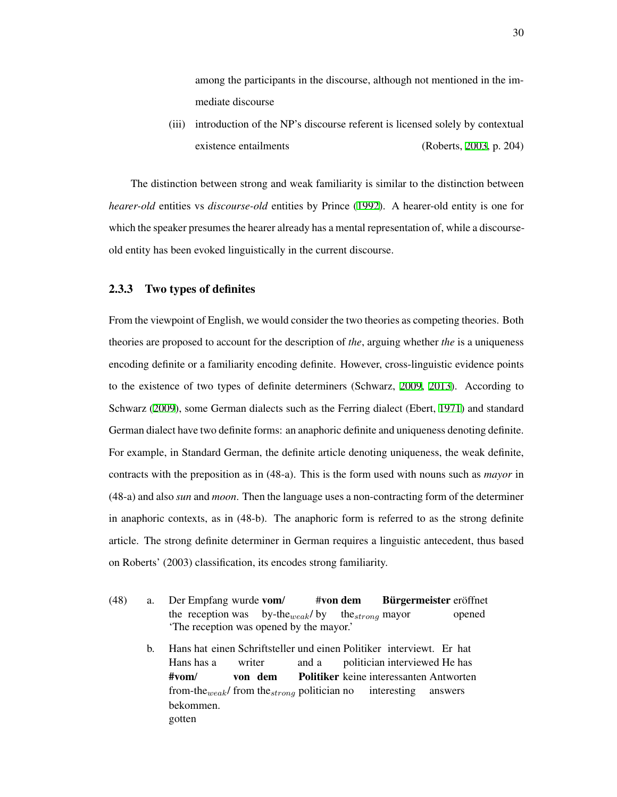among the participants in the discourse, although not mentioned in the immediate discourse

(iii) introduction of the NP's discourse referent is licensed solely by contextual existence entailments (Roberts, [2003,](#page-216-0) p. 204)

The distinction between strong and weak familiarity is similar to the distinction between *hearer-old* entities vs *discourse-old* entities by Prince [\(1992](#page-215-0)). A hearer-old entity is one for which the speaker presumes the hearer already has a mental representation of, while a discourseold entity has been evoked linguistically in the current discourse.

## 2.3.3 Two types of definites

From the viewpoint of English, we would consider the two theories as competing theories. Both theories are proposed to account for the description of *the*, arguing whether *the* is a uniqueness encoding definite or a familiarity encoding definite. However, cross-linguistic evidence points to the existence of two types of definite determiners (Schwarz, [2009,](#page-217-1) [2013\)](#page-217-2). According to Schwarz [\(2009\)](#page-217-1), some German dialects such as the Ferring dialect (Ebert, [1971\)](#page-209-0) and standard German dialect have two definite forms: an anaphoric definite and uniqueness denoting definite. For example, in Standard German, the definite article denoting uniqueness, the weak definite, contracts with the preposition as in (48-a). This is the form used with nouns such as *mayor* in (48-a) and also *sun* and *moon*. Then the language uses a non-contracting form of the determiner in anaphoric contexts, as in (48-b). The anaphoric form is referred to as the strong definite article. The strong definite determiner in German requires a linguistic antecedent, thus based on Roberts' (2003) classification, its encodes strong familiarity.

- <span id="page-39-0"></span>(48) a. Der Empfang wurde vom/ the reception was by-the*weak*/ by #von dem the*strong* mayor Bürgermeister eröffnet opened 'The reception was opened by the mayor.'
	- b. Hans hat einen Schriftsteller und einen Politiker interviewt. Er hat Hans has a writer and a politician interviewed He has #vom/ from-the*weak*/ from the*strong* politician no von dem Politiker keine interessanten Antworten interesting answers bekommen. gotten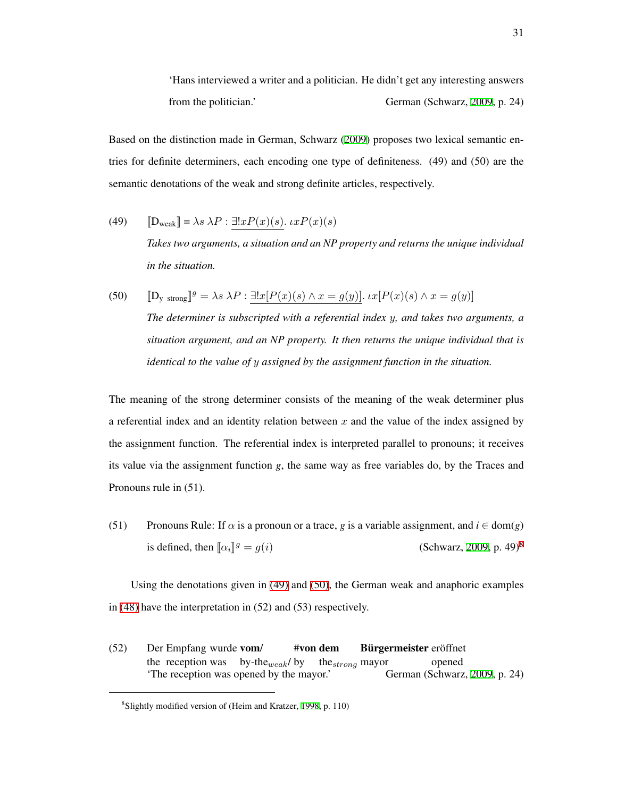'Hans interviewed a writer and a politician. He didn't get any interesting answers from the politician.' German (Schwarz, [2009](#page-217-1), p. 24)

Based on the distinction made in German, Schwarz ([2009\)](#page-217-1) proposes two lexical semantic entries for definite determiners, each encoding one type of definiteness. (49) and (50) are the semantic denotations of the weak and strong definite articles, respectively.

- <span id="page-40-1"></span>(49)  $\mathbb{D}_{\text{weak}}$  =  $\lambda s \lambda P : \exists !x P(x)(s)$ *.*  $\iota x P(x)(s)$ *Takes two arguments, a situation and an NP property and returns the unique individual in the situation.*
- <span id="page-40-2"></span>(50)  $[D_y \text{ strong}]^g = \lambda s \lambda P : \exists! x [P(x)(s) \wedge x = g(y)] \cdot \iota x [P(x)(s) \wedge x = g(y)]$ *The determiner is subscripted with a referential index y, and takes two arguments, a situation argument, and an NP property. It then returns the unique individual that is identical to the value of y assigned by the assignment function in the situation.*

The meaning of the strong determiner consists of the meaning of the weak determiner plus a referential index and an identity relation between *x* and the value of the index assigned by the assignment function. The referential index is interpreted parallel to pronouns; it receives its value via the assignment function *g*, the same way as free variables do, by the Traces and Pronouns rule in (51).

(51) Pronouns Rule: If  $\alpha$  is a pronoun or a trace, *g* is a variable assignment, and  $i \in \text{dom}(g)$ is defined, then  $\lbrack \lbrack \alpha_i \rbrack^g = g(i)$ *(Schwarz, [2009,](#page-217-1) p. 49)<sup>[8](#page-40-0)</sup>* 

Using the denotations given in [\(49\)](#page-40-1) and [\(50\)](#page-40-2), the German weak and anaphoric examples in [\(48\)](#page-39-0) have the interpretation in (52) and (53) respectively.

 $(52)$ the reception was by-the*weak*/ by Empfang wurde vom/ #von dem the*strong* mayor Bürgermeister eröffnet opened The reception was opened by the mayor.' German (Schwarz, [2009](#page-217-1), p. 24)

<span id="page-40-0"></span><sup>8</sup> Slightly modified version of (Heim and Kratzer, [1998,](#page-211-1) p. 110)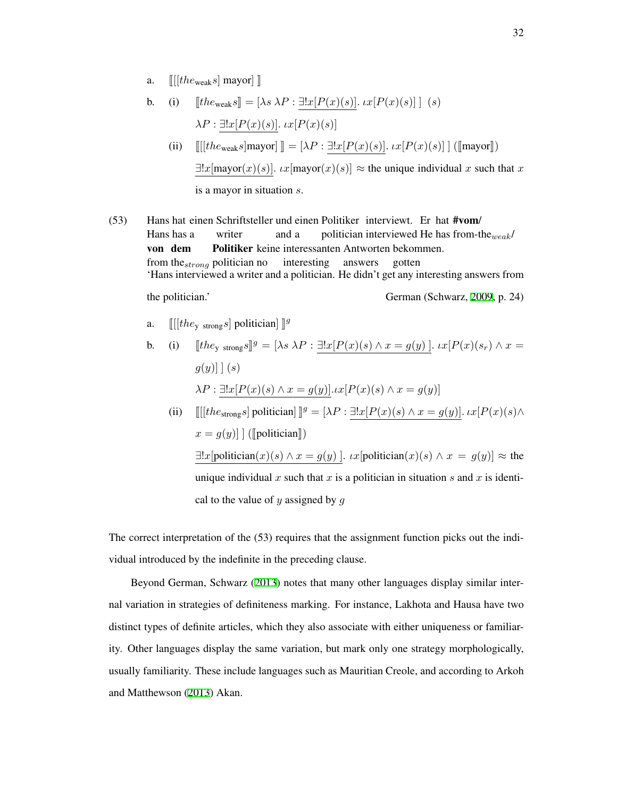a.  $\left[ \left[ \left[ the_{\text{weak}} s \right] \right] \right]$ 

b. (i) 
$$
[the_{\text{weak}}s] = [\lambda s \lambda P : \exists! x [P(x)(s)]. \, tx[P(x)(s)] \mid (s)
$$

$$
\lambda P : \exists! x [P(x)(s)]. \, tx[P(x)(s)]
$$

- (ii)  $\llbracket \text{if} \text{[the_{\text{weak}}} s \text{]} \text{mayor} \rrbracket \rrbracket = [\lambda P : \exists! x [P(x)(s)]. \, \text{if} \, P(x)(s)] \, \text{[[mayor]])}$  $\exists !x$ [mayor(*x*)(*s*)]*. ιx*[mayor(*x*)(*s*)]  $\approx$  the unique individual *x* such that *x* is a mayor in situation *s*.
- (53) Hans hat einen Schriftsteller und einen Politiker interviewt. Er hat #vom/ Hans has a writer and a politician interviewed He has from-the*weak*/ von dem from the*strong* politician no Politiker keine interessanten Antworten bekommen. interesting answers gotten 'Hans interviewed a writer and a politician. He didn't get any interesting answers from

 $\mu$  the politician.' German (Schwarz, [2009](#page-217-1), p. 24)

a.  $\left[\left[\left[the_{y \text{ strong}}s\right] \text{ politician}\right]\right]$ <sup>g</sup>

b. (i) 
$$
[the_{y \text{ strong}}s]^{g} = [\lambda s \lambda P : \exists! x [P(x)(s) \wedge x = g(y)]. \quad \text{or} \quad [P(x)(s_r) \wedge x = g(y)] \text{ (s)}
$$
\n
$$
\lambda P : \exists! x [P(x)(s) \wedge x = g(y)]. \quad \text{or} \quad [P(x)(s) \wedge x = g(y)]
$$
\n(ii) 
$$
[[[the_{\text{strong}}s] \text{ politician}]^{g} = [\lambda P : \exists! x [P(x)(s) \wedge x = g(y)]. \quad \text{or} \quad [P(x)(s) \wedge x = g(y)].
$$

 $x = g(y)$ ] ([politician])  $\exists !x$ [politician(*x*)(*s*)  $\land x = g(y)$ ]*. ιx*[politician(*x*)(*s*)  $\land x = g(y)$ ]  $\approx$  the unique individual x such that x is a politician in situation s and x is identical to the value of *y* assigned by *g*

The correct interpretation of the (53) requires that the assignment function picks out the individual introduced by the indefinite in the preceding clause.

Beyond German, Schwarz ([2013\)](#page-217-2) notes that many other languages display similar internal variation in strategies of definiteness marking. For instance, Lakhota and Hausa have two distinct types of definite articles, which they also associate with either uniqueness or familiarity. Other languages display the same variation, but mark only one strategy morphologically, usually familiarity. These include languages such as Mauritian Creole, and according to Arkoh and Matthewson ([2013](#page-205-0)) Akan.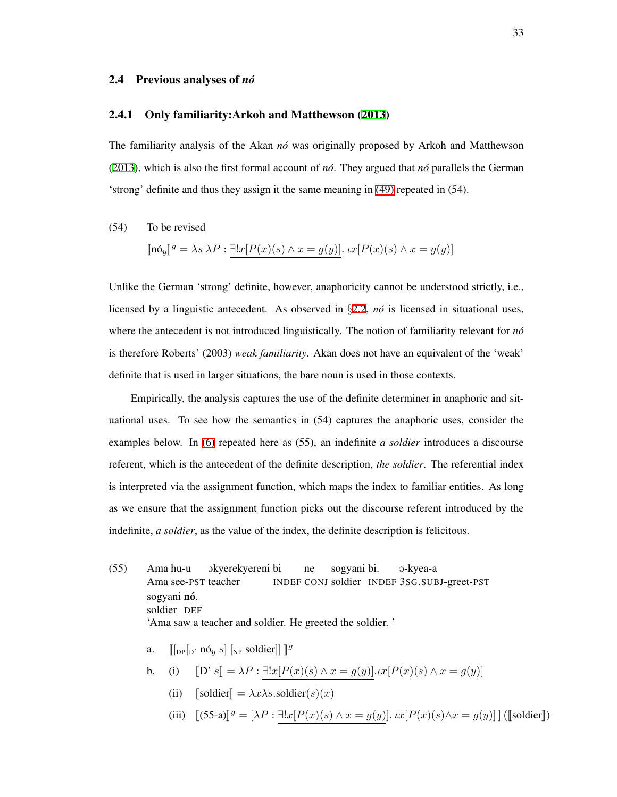#### 2.4 Previous analyses of *no´*

#### 2.4.1 Only familiarity:Arkoh and Matthewson ([2013\)](#page-205-0)

The familiarity analysis of the Akan *no´* was originally proposed by Arkoh and Matthewson ([2013](#page-205-0)), which is also the first formal account of  $n\delta$ . They argued that  $n\delta$  parallels the German 'strong' definite and thus they assign it the same meaning in [\(49\)](#page-40-1) repeated in (54).

## <span id="page-42-0"></span>(54) To be revised

$$
[\![\mathbf{n}\delta_y]\!]^g = \lambda s \lambda P : \exists! x [P(x)(s) \wedge x = g(y)] \cdot \iota x [P(x)(s) \wedge x = g(y)]
$$

Unlike the German 'strong' definite, however, anaphoricity cannot be understood strictly, i.e., licensed by a linguistic antecedent. As observed in *§*[2.2](#page-22-0), *no´* is licensed in situational uses, where the antecedent is not introduced linguistically. The notion of familiarity relevant for *no´* is therefore Roberts' (2003) *weak familiarity*. Akan does not have an equivalent of the 'weak' definite that is used in larger situations, the bare noun is used in those contexts.

Empirically, the analysis captures the use of the definite determiner in anaphoric and situational uses. To see how the semantics in (54) captures the anaphoric uses, consider the examples below. In [\(6\)](#page-23-0) repeated here as (55), an indefinite *a soldier* introduces a discourse referent, which is the antecedent of the definite description, *the soldier*. The referential index is interpreted via the assignment function, which maps the index to familiar entities. As long as we ensure that the assignment function picks out the discourse referent introduced by the indefinite, *a soldier*, as the value of the index, the definite description is felicitous.

- $(55)$ Ama see-PST teacher Ama hu-u okyerekyereni bi INDEF CONJ soldier INDEF 3SG.SUBJ-greet-PST ne sogyani bi. O-kyea-a sogyani nó. soldier DEF 'Ama saw a teacher and soldier. He greeted the soldier. '
	- a.  $[[p]_p [n, n \delta_y s] [np]$  soldier]]  $]^g$

b. (i) 
$$
\llbracket D' s \rrbracket = \lambda P : \exists! x [P(x)(s) \land x = g(y)] \ldots x [P(x)(s) \land x = g(y)]
$$

- (ii)  $\sqrt{\text{soldier}} = \lambda x \lambda s$ .soldier(*s*)(*x*)
- $(iii)$   $[(55-a)]^g = [\lambda P : \exists!x [P(x)(s) \land x = g(y)].$   $\iota x [P(x)(s) \land x = g(y)]$  ([soldier]])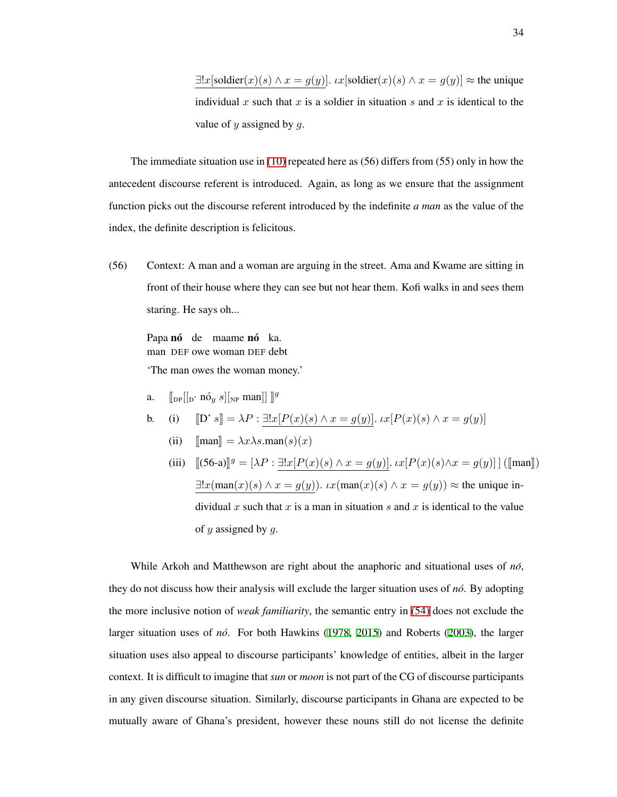*∃*!*x*[soldier(*x*)(*s*) ∧ *x* = *g*(*y*)]*. ιx*[soldier(*x*)(*s*) ∧ *x* = *g*(*y*)] ≈ the unique individual  $x$  such that  $x$  is a soldier in situation  $s$  and  $x$  is identical to the value of *y* assigned by *g*.

The immediate situation use in  $(10)$  repeated here as  $(56)$  differs from  $(55)$  only in how the antecedent discourse referent is introduced. Again, as long as we ensure that the assignment function picks out the discourse referent introduced by the indefinite *a man* as the value of the index, the definite description is felicitous.

(56) Context: A man and a woman are arguing in the street. Ama and Kwame are sitting in front of their house where they can see but not hear them. Kofi walks in and sees them staring. He says oh...

Papa nó de maame nó ka. man DEF owe woman DEF debt 'The man owes the woman money.'

a.  $\left[\begin{bmatrix} \mathbf{p} \end{bmatrix} \begin{bmatrix} \mathbf{p}' & \mathbf{n} \end{bmatrix} \mathbf{q}'\mathbf{p}'\mathbf{n} \end{bmatrix} \right] \left[\begin{bmatrix} \mathbf{p} & \mathbf{m} \\ \mathbf{p} & \mathbf{p}' \end{bmatrix} \begin{bmatrix} \mathbf{p} & \mathbf{p}' \\ \mathbf{p} & \mathbf{p}' \end{bmatrix} \right]$ 

b. (i) 
$$
[D's] = \lambda P : \exists! x [P(x)(s) \land x = g(y)] \cdot x [P(x)(s) \land x = g(y)]
$$

- (ii)  $\lceil \text{man} \rceil = \lambda x \lambda s \cdot \text{man}(s)(x)$
- (iii)  $[(56-a)]^g = [\lambda P : \exists! x [P(x)(s) \land x = g(y)] \cdot \iota x [P(x)(s) \land x = g(y)]$  ( $[\text{man}])$ *∃*!*x*(man(*x*)(*s*) *∧ x* = *g*(*y*))*. ιx*(man(*x*)(*s*) *∧ x* = *g*(*y*)) *≈* the unique individual *x* such that *x* is a man in situation *s* and *x* is identical to the value of *y* assigned by *g*.

While Arkoh and Matthewson are right about the anaphoric and situational uses of *no´*, they do not discuss how their analysis will exclude the larger situation uses of *no´*. By adopting the more inclusive notion of *weak familiarity*, the semantic entry in [\(54\)](#page-42-0) does not exclude the larger situation uses of *no´*. For both Hawkins ([1978,](#page-210-0) [2015\)](#page-210-1) and Roberts ([2003\)](#page-216-0), the larger situation uses also appeal to discourse participants' knowledge of entities, albeit in the larger context. It is difficult to imagine that *sun* or *moon* is not part of the CG of discourse participants in any given discourse situation. Similarly, discourse participants in Ghana are expected to be mutually aware of Ghana's president, however these nouns still do not license the definite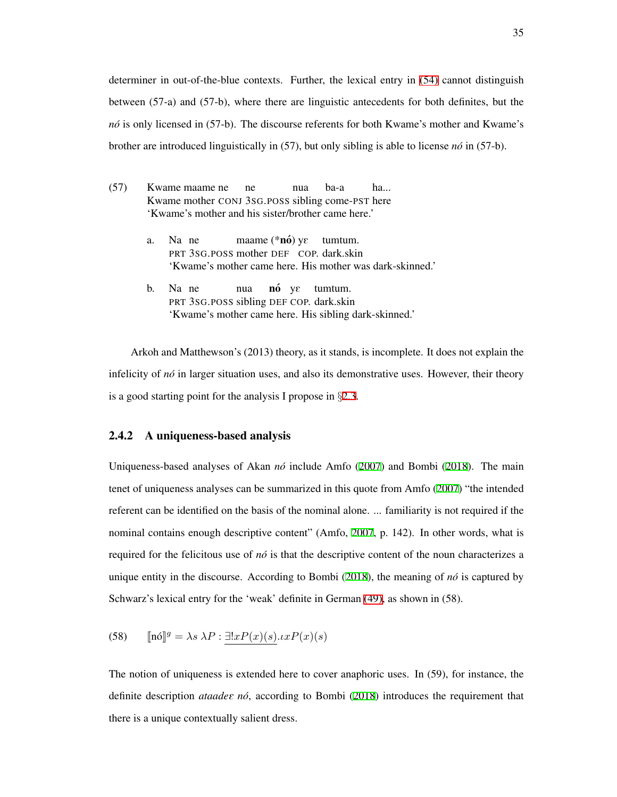determiner in out-of-the-blue contexts. Further, the lexical entry in [\(54\)](#page-42-0) cannot distinguish between (57-a) and (57-b), where there are linguistic antecedents for both definites, but the *nó* is only licensed in (57-b). The discourse referents for both Kwame's mother and Kwame's brother are introduced linguistically in (57), but only sibling is able to license *no´* in (57-b).

| (57) |    | Kwame maame ne me nua ba-a                                                                             |  |  |  | ha                                                       |  |  |
|------|----|--------------------------------------------------------------------------------------------------------|--|--|--|----------------------------------------------------------|--|--|
|      |    | Kwame mother CONJ 3sG.POSS sibling come-PST here<br>'Kwame's mother and his sister/brother came here.' |  |  |  |                                                          |  |  |
|      | a. | Na ne maame $(*n6)$ ye tumtum.<br>PRT 3SG.POSS mother DEF COP. dark.skin                               |  |  |  | 'Kwame's mother came here. His mother was dark-skinned.' |  |  |
|      |    | 1. M. $\blacksquare$                                                                                   |  |  |  |                                                          |  |  |

b. Na ne PRT 3SG.POSS sibling DEF COP. dark.skin nua nó yε tumtum. 'Kwame's mother came here. His sibling dark-skinned.'

Arkoh and Matthewson's (2013) theory, as it stands, is incomplete. It does not explain the infelicity of *no´* in larger situation uses, and also its demonstrative uses. However, their theory is a good starting point for the analysis I propose in *§*[2.3](#page-33-1).

## 2.4.2 A uniqueness-based analysis

Uniqueness-based analyses of Akan *no´* include Amfo [\(2007](#page-205-1)) and Bombi [\(2018](#page-206-0)). The main tenet of uniqueness analyses can be summarized in this quote from Amfo [\(2007](#page-205-1)) "the intended referent can be identified on the basis of the nominal alone. ... familiarity is not required if the nominal contains enough descriptive content" (Amfo, [2007,](#page-205-1) p. 142). In other words, what is required for the felicitous use of *no´* is that the descriptive content of the noun characterizes a unique entity in the discourse. According to Bombi ([2018\)](#page-206-0), the meaning of  $n\delta$  is captured by Schwarz's lexical entry for the 'weak' definite in German [\(49\)](#page-40-1), as shown in (58).

(58) 
$$
[\![\mathbf{n}\delta]\!]^g = \lambda s \lambda P : \exists! x P(x)(s) . x P(x)(s)
$$

The notion of uniqueness is extended here to cover anaphoric uses. In (59), for instance, the definite description *ataadee nó*, according to Bombi ([2018](#page-206-0)) introduces the requirement that there is a unique contextually salient dress.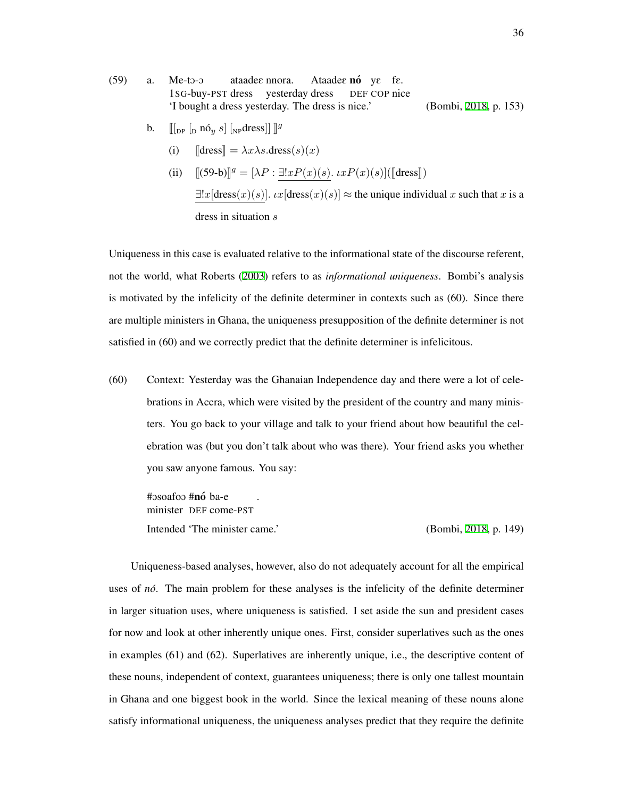- $(59)$  a. Me-to-o 1SG-buy-PST dress yesterday dress ataade $\varepsilon$  nnora. Ataadee nó ye fe. DEF COP nice 'I bought a dress yesterday. The dress is nice.' (Bombi, [2018,](#page-206-0) p. 153)
	- b.  $[[p]$   $[p \text{ no } g]$   $[p \text{ d} \text{ res } g]$   $[g \text{ } g]$ 
		- (i)  $\text{[dress]} = \lambda x \lambda s \cdot \text{dress}(s)(x)$
		- (ii)  $[(59-b)]^g = [\lambda P : \exists! x P(x)(s) \cdot x P(x)(s)]([\text{dress}])$  $\exists !x$ [dress $(x)(s)$ ]*. ιx*[dress $(x)(s)$ ]  $\approx$  the unique individual *x* such that *x* is a dress in situation *s*

Uniqueness in this case is evaluated relative to the informational state of the discourse referent, not the world, what Roberts ([2003](#page-216-0)) refers to as *informational uniqueness*. Bombi's analysis is motivated by the infelicity of the definite determiner in contexts such as (60). Since there are multiple ministers in Ghana, the uniqueness presupposition of the definite determiner is not satisfied in (60) and we correctly predict that the definite determiner is infelicitous.

(60) Context: Yesterday was the Ghanaian Independence day and there were a lot of celebrations in Accra, which were visited by the president of the country and many ministers. You go back to your village and talk to your friend about how beautiful the celebration was (but you don't talk about who was there). Your friend asks you whether you saw anyone famous. You say:

#osoafoo #**nó** ba-e minister DEF come-PST . Intended 'The minister came.' (Bombi, [2018,](#page-206-0) p. 149)

Uniqueness-based analyses, however, also do not adequately account for all the empirical uses of *no´*. The main problem for these analyses is the infelicity of the definite determiner in larger situation uses, where uniqueness is satisfied. I set aside the sun and president cases for now and look at other inherently unique ones. First, consider superlatives such as the ones in examples (61) and (62). Superlatives are inherently unique, i.e., the descriptive content of these nouns, independent of context, guarantees uniqueness; there is only one tallest mountain in Ghana and one biggest book in the world. Since the lexical meaning of these nouns alone satisfy informational uniqueness, the uniqueness analyses predict that they require the definite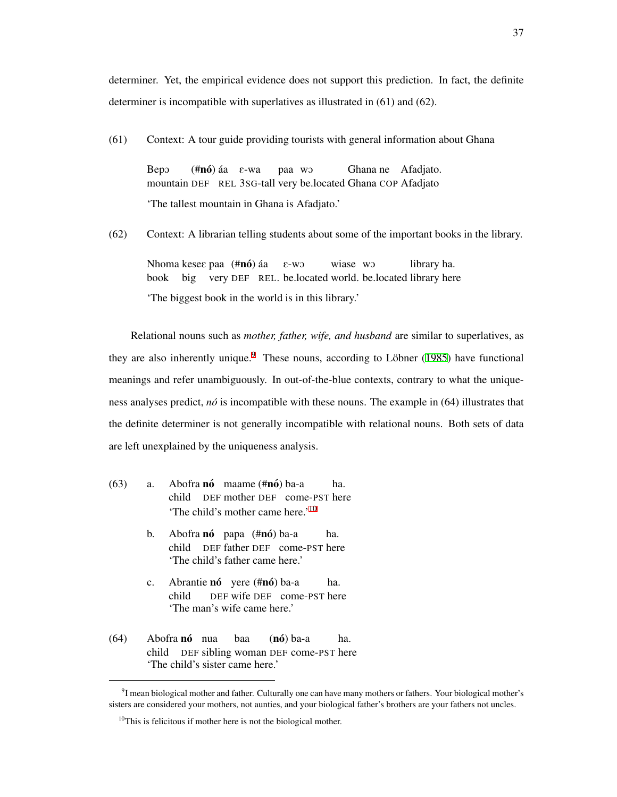determiner. Yet, the empirical evidence does not support this prediction. In fact, the definite determiner is incompatible with superlatives as illustrated in (61) and (62).

(61) Context: A tour guide providing tourists with general information about Ghana

BepO mountain DEF REL 3SG-tall very be.located Ghana COP Afadjato (**#nó**) áa ε-wa paa wO Ghana ne Afadjato. 'The tallest mountain in Ghana is Afadjato.'

(62) Context: A librarian telling students about some of the important books in the library.

Nhoma kese $\varepsilon$  paa (#nó) áa book big very DEF REL. be.located world. be.located library here E-wO wiase wo library ha. 'The biggest book in the world is in this library.'

Relational nouns such as *mother, father, wife, and husband* are similar to superlatives, as they are also inherently unique.<sup>[9](#page-46-0)</sup> These nouns, according to Löbner ([1985](#page-213-1)) have functional meanings and refer unambiguously. In out-of-the-blue contexts, contrary to what the uniqueness analyses predict, *no´* is incompatible with these nouns. The example in (64) illustrates that the definite determiner is not generally incompatible with relational nouns. Both sets of data are left unexplained by the uniqueness analysis.

- (63) a. Abofra nó maame (#nó) ba-a child DEF mother DEF come-PST here ha. 'The child's mother came here.'[10](#page-46-1)
	- b. Abofra nó papa (#nó) ba-a child DEF father DEF come-PST here ha. 'The child's father came here.'
	- c. Abrantie nó yere (#nó) ba-a child DEF wife DEF come-PST here ha. 'The man's wife came here.'
- (64) Abofra nó nua child DEF sibling woman DEF come-PST here baa (**nó**) ba-a ha. 'The child's sister came here.'

<span id="page-46-0"></span><sup>&</sup>lt;sup>9</sup>I mean biological mother and father. Culturally one can have many mothers or fathers. Your biological mother's sisters are considered your mothers, not aunties, and your biological father's brothers are your fathers not uncles.

<span id="page-46-1"></span> $10$ This is felicitous if mother here is not the biological mother.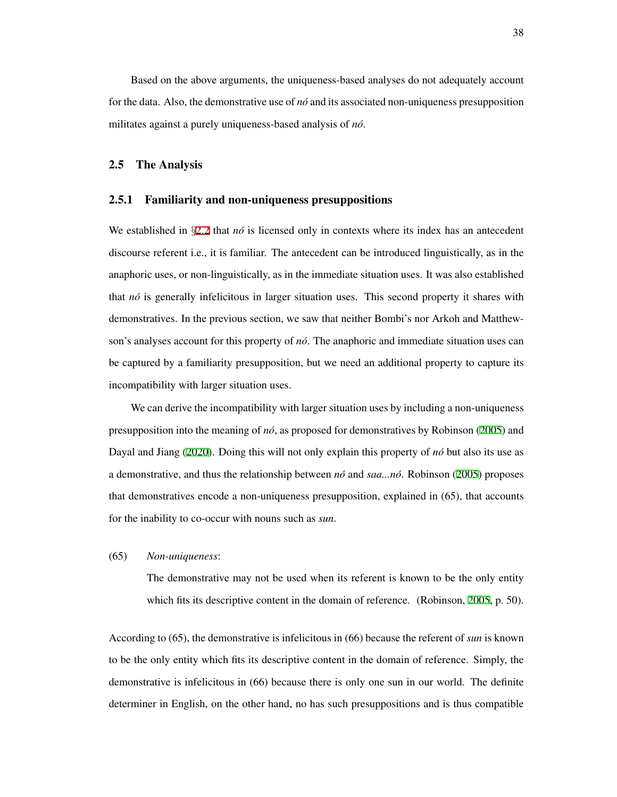Based on the above arguments, the uniqueness-based analyses do not adequately account for the data. Also, the demonstrative use of *no´* and its associated non-uniqueness presupposition militates against a purely uniqueness-based analysis of *no´*.

### 2.5 The Analysis

### 2.5.1 Familiarity and non-uniqueness presuppositions

We established in *§[2.2](#page-22-0)* that *nó* is licensed only in contexts where its index has an antecedent discourse referent i.e., it is familiar. The antecedent can be introduced linguistically, as in the anaphoric uses, or non-linguistically, as in the immediate situation uses. It was also established that *no´* is generally infelicitous in larger situation uses. This second property it shares with demonstratives. In the previous section, we saw that neither Bombi's nor Arkoh and Matthewson's analyses account for this property of *no´*. The anaphoric and immediate situation uses can be captured by a familiarity presupposition, but we need an additional property to capture its incompatibility with larger situation uses.

We can derive the incompatibility with larger situation uses by including a non-uniqueness presupposition into the meaning of *no´*, as proposed for demonstratives by Robinson [\(2005](#page-216-1)) and Dayal and Jiang ([2020\)](#page-208-0). Doing this will not only explain this property of *no´* but also its use as a demonstrative, and thus the relationship between *no´* and *saa...no´*. Robinson ([2005\)](#page-216-1) proposes that demonstratives encode a non-uniqueness presupposition, explained in (65), that accounts for the inability to co-occur with nouns such as *sun*.

## (65) *Non-uniqueness*:

The demonstrative may not be used when its referent is known to be the only entity which fits its descriptive content in the domain of reference. (Robinson, [2005](#page-216-1), p. 50).

According to (65), the demonstrative is infelicitous in (66) because the referent of *sun* is known to be the only entity which fits its descriptive content in the domain of reference. Simply, the demonstrative is infelicitous in (66) because there is only one sun in our world. The definite determiner in English, on the other hand, no has such presuppositions and is thus compatible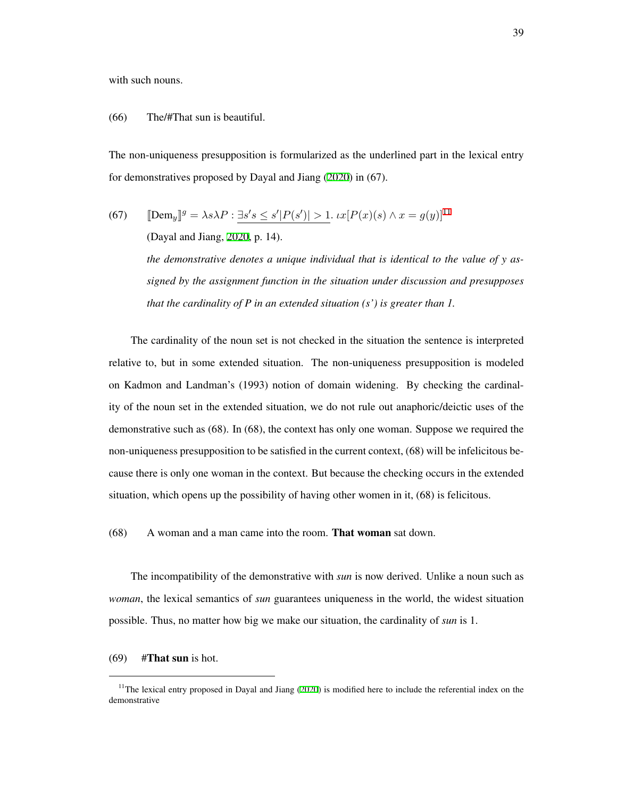with such nouns.

## (66) The/#That sun is beautiful.

The non-uniqueness presupposition is formularized as the underlined part in the lexical entry for demonstratives proposed by Dayal and Jiang ([2020\)](#page-208-0) in (67).

(67) 
$$
\llbracket \text{Dem}_y \rrbracket^g = \lambda s \lambda P : \exists s' s \le s' |P(s')| > 1. \ \iota x [P(x)(s) \land x = g(y)]^{11}
$$

(Dayal and Jiang, [2020](#page-208-0), p. 14).

*the demonstrative denotes a unique individual that is identical to the value of y assigned by the assignment function in the situation under discussion and presupposes that the cardinality of P in an extended situation (s') is greater than 1.*

The cardinality of the noun set is not checked in the situation the sentence is interpreted relative to, but in some extended situation. The non-uniqueness presupposition is modeled on Kadmon and Landman's (1993) notion of domain widening. By checking the cardinality of the noun set in the extended situation, we do not rule out anaphoric/deictic uses of the demonstrative such as (68). In (68), the context has only one woman. Suppose we required the non-uniqueness presupposition to be satisfied in the current context, (68) will be infelicitous because there is only one woman in the context. But because the checking occurs in the extended situation, which opens up the possibility of having other women in it, (68) is felicitous.

(68) A woman and a man came into the room. That woman sat down.

The incompatibility of the demonstrative with *sun* is now derived. Unlike a noun such as *woman*, the lexical semantics of *sun* guarantees uniqueness in the world, the widest situation possible. Thus, no matter how big we make our situation, the cardinality of *sun* is 1.

## $(69)$  #That sun is hot.

<span id="page-48-0"></span><sup>&</sup>lt;sup>11</sup>The lexical entry proposed in Dayal and Jiang ([2020\)](#page-208-0) is modified here to include the referential index on the demonstrative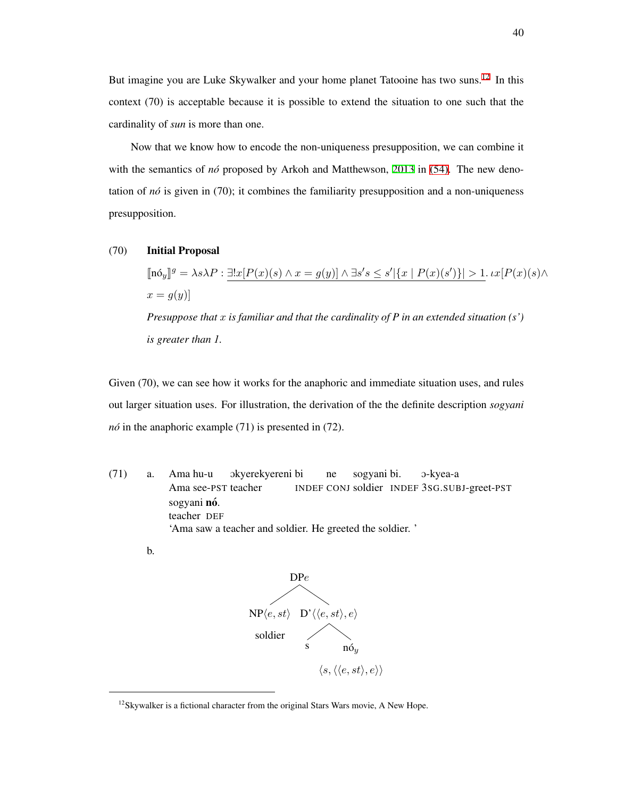But imagine you are Luke Skywalker and your home planet Tatooine has two suns.[12](#page-49-0) In this context (70) is acceptable because it is possible to extend the situation to one such that the cardinality of *sun* is more than one.

Now that we know how to encode the non-uniqueness presupposition, we can combine it with the semantics of *nó* proposed by Arkoh and Matthewson, [2013](#page-205-0) in [\(54\).](#page-42-0) The new denotation of *no´* is given in (70); it combines the familiarity presupposition and a non-uniqueness presupposition.

### (70) Initial Proposal

 $[\![\mathbf{n} \delta_y]\!]^g = \lambda s \lambda P : \underline{\exists! x} [P(x)(s) \wedge x = g(y)] \wedge \exists s' s \leq s' |\{x \mid P(x)(s')\}| > 1. \iota x [P(x)(s) \wedge \iota x]$  $x = g(y)$ *Presuppose that x is familiar and that the cardinality of P in an extended situation (s') is greater than 1.*

Given (70), we can see how it works for the anaphoric and immediate situation uses, and rules out larger situation uses. For illustration, the derivation of the the definite description *sogyani no´* in the anaphoric example (71) is presented in (72).

(71) a. Ama hu-u Ama see-PST teacher Okyerekyereni bi INDEF CONJ soldier INDEF 3SG.SUBJ-greet-PST ne sogyani bi. O-kyea-a sogyani **nó**. teacher DEF 'Ama saw a teacher and soldier. He greeted the soldier. '

b.



<span id="page-49-0"></span><sup>&</sup>lt;sup>12</sup>Skywalker is a fictional character from the original Stars Wars movie, A New Hope.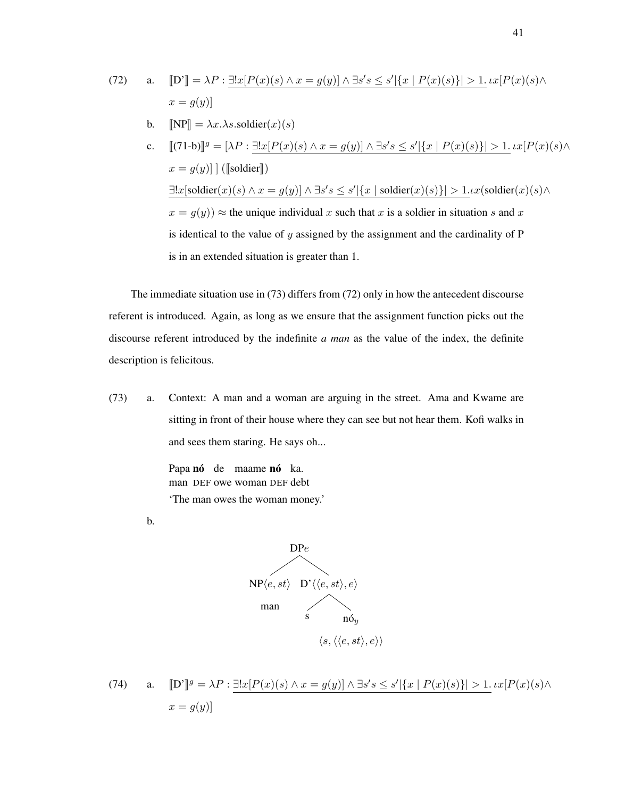\n- \n (72) \n
	\n- a. 
	$$
	[D'] = \lambda P : \exists! x [P(x)(s) \land x = g(y)] \land \exists s's \leq s' | \{x \mid P(x)(s)\} | > 1
	$$
	. \n  $Lx[P(x)(s) \land x = g(y)]$ \n
	\n- b.  $[NP] = \lambda x.\lambda s.\text{soldier}(x)(s)$ \n
	\n- c.  $[(71-b)]^g = [\lambda P : \exists! x [P(x)(s) \land x = g(y)] \land \exists s's \leq s' | \{x \mid P(x)(s)\} | > 1$ . \n  $Lx[P(x)(s) \land x = g(y)] \mid ([\text{soldier}])$ \n
	\n- $\exists! x [\text{soldier}(x)(s) \land x = g(y)] \land \exists s's \leq s' | \{x \mid \text{soldier}(x)(s)\} | > 1$ . \n  $Lx(\text{soldier}(x)(s) \land x = g(y)) \approx \text{the unique individual } x \text{ such that } x \text{ is a soldier in situation } s \text{ and } x \text{ is identical to the value of } y \text{ assigned by the assignment and the cardinality of } P$ \n
	\n

The immediate situation use in (73) differs from (72) only in how the antecedent discourse referent is introduced. Again, as long as we ensure that the assignment function picks out the discourse referent introduced by the indefinite *a man* as the value of the index, the definite description is felicitous.

(73) a. Context: A man and a woman are arguing in the street. Ama and Kwame are sitting in front of their house where they can see but not hear them. Kofi walks in and sees them staring. He says oh...

> Papa nó de maame nó ka. man DEF owe woman DEF debt 'The man owes the woman money.'

is in an extended situation is greater than 1.

b.



(74) a. 
$$
\llbracket D' \rrbracket^g = \lambda P : \exists! x [P(x)(s) \land x = g(y)] \land \exists s's \le s' |\{x | P(x)(s)\}| > 1. \iota x [P(x)(s) \land x = g(y)]
$$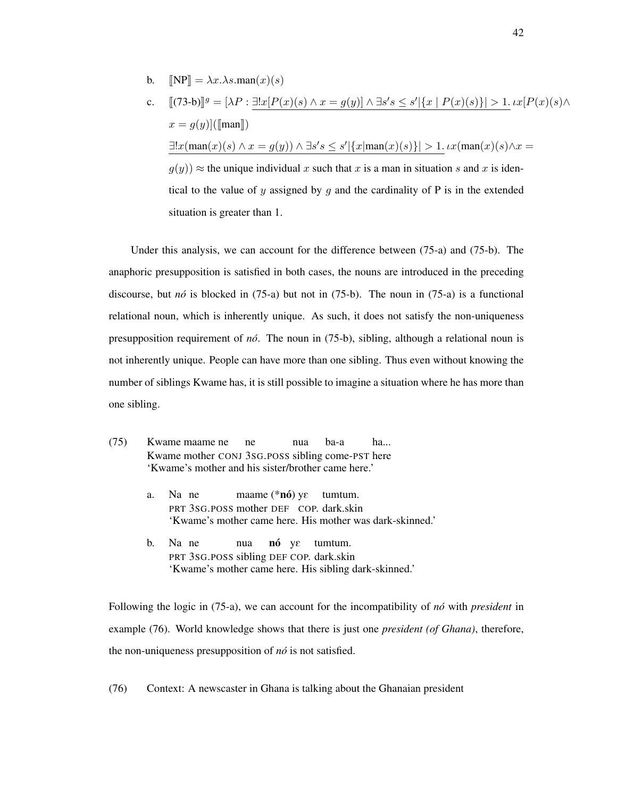b.  $[NP] = \lambda x \cdot \lambda s \cdot \text{man}(x)(s)$ 

c. 
$$
[(73-b)]^g = [\lambda P : \exists!x [P(x)(s) \land x = g(y)] \land \exists s's \le s' | \{x | P(x)(s)\} | > 1. \iota x [P(x)(s) \land x = g(y)] (\text{[man]})
$$

$$
\exists!x (\text{man}(x)(s) \land x = g(y)) \land \exists s's \le s' | \{x | \text{man}(x)(s)\} | > 1. \iota x (\text{man}(x)(s) \land x = g(y)) \approx \text{the unique individual } x \text{ such that } x \text{ is a man in situation } s \text{ and } x \text{ is identical to the value of } y \text{ assigned by } g \text{ and the cardinality of } P \text{ is in the extended situation is greater than 1.}
$$

Under this analysis, we can account for the difference between (75-a) and (75-b). The anaphoric presupposition is satisfied in both cases, the nouns are introduced in the preceding discourse, but *no´* is blocked in (75-a) but not in (75-b). The noun in (75-a) is a functional relational noun, which is inherently unique. As such, it does not satisfy the non-uniqueness presupposition requirement of *no´*. The noun in (75-b), sibling, although a relational noun is not inherently unique. People can have more than one sibling. Thus even without knowing the number of siblings Kwame has, it is still possible to imagine a situation where he has more than one sibling.

- (75) Kwame maame ne Kwame mother CONJ 3SG.POSS sibling come-PST here ne nua ba-a ha... 'Kwame's mother and his sister/brother came here.'
	- a. Na ne PRT 3SG.POSS mother DEF COP. dark.skin maame  $(*n6)$  y $\varepsilon$  tumtum. 'Kwame's mother came here. His mother was dark-skinned.'
	- b. Na ne PRT 3SG.POSS sibling DEF COP. dark.skin nua nó y $\varepsilon$  tumtum. 'Kwame's mother came here. His sibling dark-skinned.'

Following the logic in (75-a), we can account for the incompatibility of *no´* with *president* in example (76). World knowledge shows that there is just one *president (of Ghana)*, therefore, the non-uniqueness presupposition of *no´* is not satisfied.

(76) Context: A newscaster in Ghana is talking about the Ghanaian president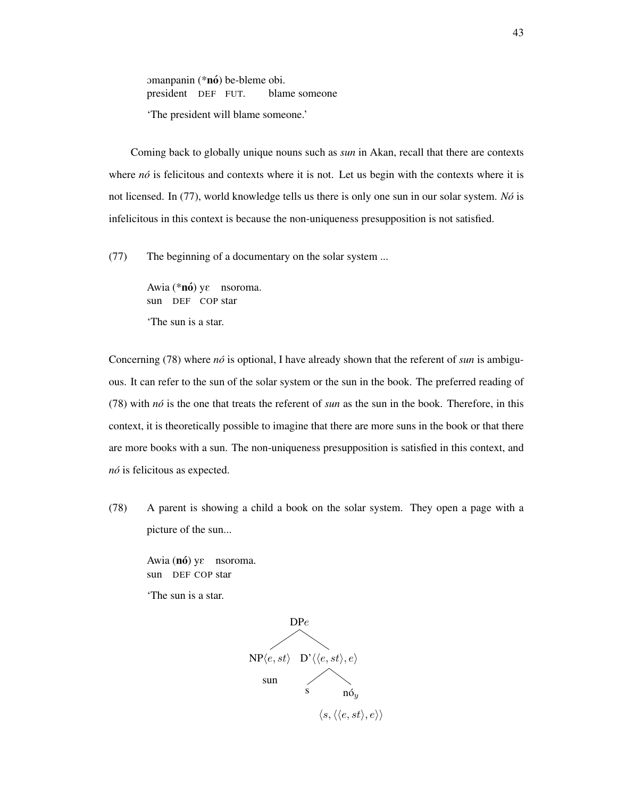omanpanin (\*nó) be-bleme obi. president DEF FUT. blame someone 'The president will blame someone.'

Coming back to globally unique nouns such as *sun* in Akan, recall that there are contexts where *nó* is felicitous and contexts where it is not. Let us begin with the contexts where it is not licensed. In (77), world knowledge tells us there is only one sun in our solar system. *No´* is infelicitous in this context is because the non-uniqueness presupposition is not satisfied.

(77) The beginning of a documentary on the solar system ...

Awia (\*nó) yε nsoroma. sun DEF COP star 'The sun is a star.

Concerning (78) where *nó* is optional, I have already shown that the referent of *sun* is ambiguous. It can refer to the sun of the solar system or the sun in the book. The preferred reading of (78) with *no´* is the one that treats the referent of *sun* as the sun in the book. Therefore, in this context, it is theoretically possible to imagine that there are more suns in the book or that there are more books with a sun. The non-uniqueness presupposition is satisfied in this context, and *no´* is felicitous as expected.

(78) A parent is showing a child a book on the solar system. They open a page with a picture of the sun...

Awia  $(n6)$  y $\varepsilon$  nsoroma. sun DEF COP star

'The sun is a star.

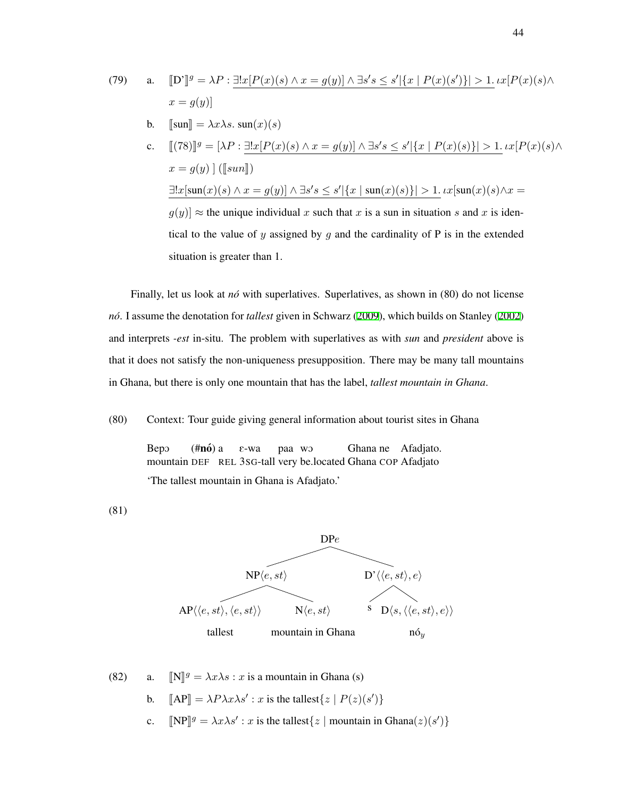(79)

\na. 
$$
\llbracket D^* \rrbracket^g = \lambda P : \exists! x [P(x)(s) \land x = g(y)] \land \exists s's \le s' |\{x \mid P(x)(s')\}| > 1. \operatorname{tr}[P(x)(s) \land x = g(y)]
$$

\nb. 
$$
\llbracket \operatorname{sum} \rrbracket = \lambda x \lambda s. \operatorname{sum}(x)(s)
$$

\nc. 
$$
\llbracket (78) \rrbracket^g = [\lambda P : \exists! x [P(x)(s) \land x = g(y)] \land \exists s's \le s' |\{x \mid P(x)(s)\}| > 1. \operatorname{tr}[P(x)(s) \land x = g(y)] \; (\llbracket \operatorname{sum} \rrbracket)
$$

\n
$$
\exists! x [\operatorname{sum}(x)(s) \land x = g(y)] \land \exists s's \le s' |\{x \mid \operatorname{sum}(x)(s)\}| > 1. \operatorname{tr}[\operatorname{sum}(x)(s) \land x = g(y)]
$$

 $g(y)$   $\approx$  the unique individual *x* such that *x* is a sun in situation *s* and *x* is identical to the value of  $y$  assigned by  $g$  and the cardinality of  $P$  is in the extended situation is greater than 1.

Finally, let us look at *nó* with superlatives. Superlatives, as shown in (80) do not license *no´*. I assume the denotation for *tallest* given in Schwarz [\(2009](#page-217-1)), which builds on Stanley ([2002](#page-218-0)) and interprets *-est* in-situ. The problem with superlatives as with *sun* and *president* above is that it does not satisfy the non-uniqueness presupposition. There may be many tall mountains in Ghana, but there is only one mountain that has the label, *tallest mountain in Ghana*.

(80) Context: Tour guide giving general information about tourist sites in Ghana

BepO mountain DEF REL 3SG-tall very be.located Ghana COP Afadjato (**#nó**) a E-wa paa wO Ghana ne Afadjato. 'The tallest mountain in Ghana is Afadjato.'

(81)



(82) a. 
$$
\llbracket N \rrbracket^g = \lambda x \lambda s : x \text{ is a mountain in Ghana (s)}
$$

- b.  $[AP] = \lambda P \lambda x \lambda s' : x \text{ is the tallest}\lbrace z \mid P(z)(s')\rbrace$
- c.  $[\![NP]\!]^g = \lambda x \lambda s' : x \text{ is the tallest}\{z \mid \text{mountain in Ghana}(z)(s')\}$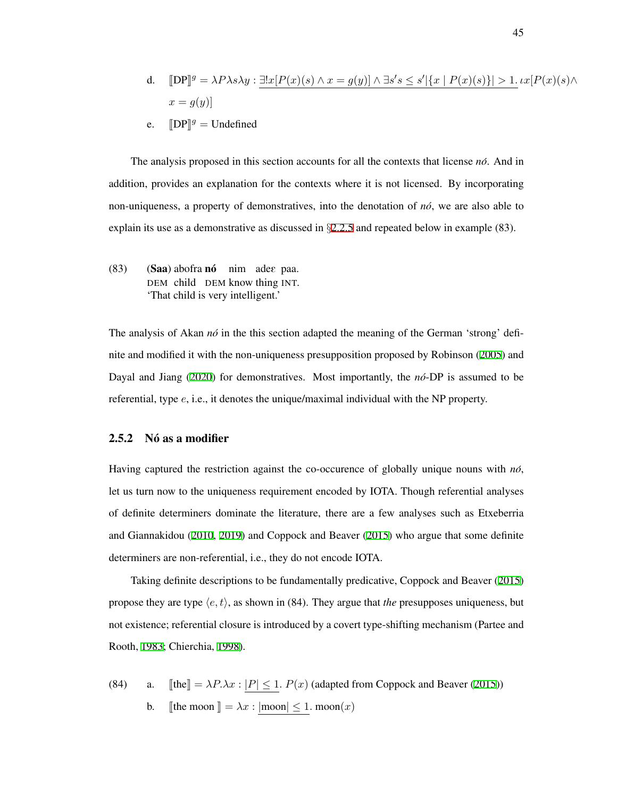d. 
$$
[DP]^g = \lambda P \lambda s \lambda y : \exists! x [P(x)(s) \land x = g(y)] \land \exists s's \le s' |\{x \mid P(x)(s)\}| > 1. \iota x [P(x)(s) \land x = g(y)]
$$

e. 
$$
[DP]^g =
$$
 Undefined

The analysis proposed in this section accounts for all the contexts that license *no´*. And in addition, provides an explanation for the contexts where it is not licensed. By incorporating non-uniqueness, a property of demonstratives, into the denotation of *no´*, we are also able to explain its use as a demonstrative as discussed in *§*[2.2.5](#page-30-0) and repeated below in example (83).

(83) (Saa) abofra nó nim adee paa. DEM child DEM know thing INT. 'That child is very intelligent.'

The analysis of Akan *no*<sup>i</sup> in the this section adapted the meaning of the German 'strong' definite and modified it with the non-uniqueness presupposition proposed by Robinson [\(2005\)](#page-216-1) and Dayal and Jiang ([2020](#page-208-0)) for demonstratives. Most importantly, the *no´*-DP is assumed to be referential, type *e*, i.e., it denotes the unique/maximal individual with the NP property.

# <span id="page-54-0"></span>2.5.2 Nó as a modifier

Having captured the restriction against the co-occurence of globally unique nouns with *no´*, let us turn now to the uniqueness requirement encoded by IOTA. Though referential analyses of definite determiners dominate the literature, there are a few analyses such as Etxeberria and Giannakidou [\(2010,](#page-209-1) [2019\)](#page-209-2) and Coppock and Beaver ([2015\)](#page-207-1) who argue that some definite determiners are non-referential, i.e., they do not encode IOTA.

Taking definite descriptions to be fundamentally predicative, Coppock and Beaver ([2015](#page-207-1)) propose they are type  $\langle e, t \rangle$ , as shown in (84). They argue that *the* presupposes uniqueness, but not existence; referential closure is introduced by a covert type-shifting mechanism (Partee and Rooth, [1983;](#page-214-0) Chierchia, [1998](#page-207-2)).

(84) a.  $[\![\text{the}]\!] = \lambda P \cdot \lambda x : |P| \leq 1$ .  $P(x)$  (adapted from Coppock and Beaver ([2015](#page-207-1))) b. [the moon  $\parallel = \lambda x : |$  moon $| \leq 1$ *.* moon $(x)$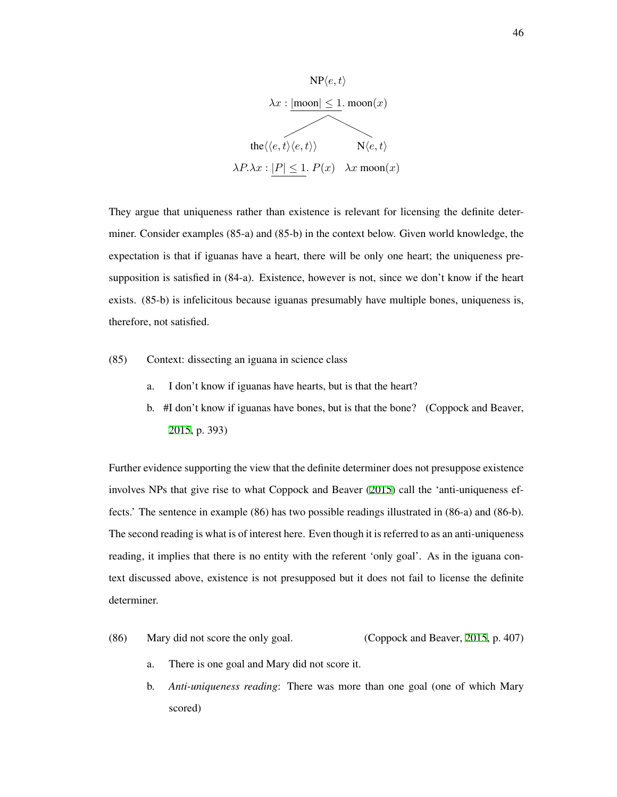

They argue that uniqueness rather than existence is relevant for licensing the definite determiner. Consider examples (85-a) and (85-b) in the context below. Given world knowledge, the expectation is that if iguanas have a heart, there will be only one heart; the uniqueness presupposition is satisfied in (84-a). Existence, however is not, since we don't know if the heart exists. (85-b) is infelicitous because iguanas presumably have multiple bones, uniqueness is, therefore, not satisfied.

- (85) Context: dissecting an iguana in science class
	- a. I don't know if iguanas have hearts, but is that the heart?
	- b. #I don't know if iguanas have bones, but is that the bone? (Coppock and Beaver, [2015](#page-207-1), p. 393)

Further evidence supporting the view that the definite determiner does not presuppose existence involves NPs that give rise to what Coppock and Beaver [\(2015\)](#page-207-1) call the 'anti-uniqueness effects.' The sentence in example (86) has two possible readings illustrated in (86-a) and (86-b). The second reading is what is of interest here. Even though it is referred to as an anti-uniqueness reading, it implies that there is no entity with the referent 'only goal'. As in the iguana context discussed above, existence is not presupposed but it does not fail to license the definite determiner.

- (86) Mary did not score the only goal. (Coppock and Beaver, [2015,](#page-207-1) p. 407)
	- a. There is one goal and Mary did not score it.
	- b. *Anti-uniqueness reading*: There was more than one goal (one of which Mary scored)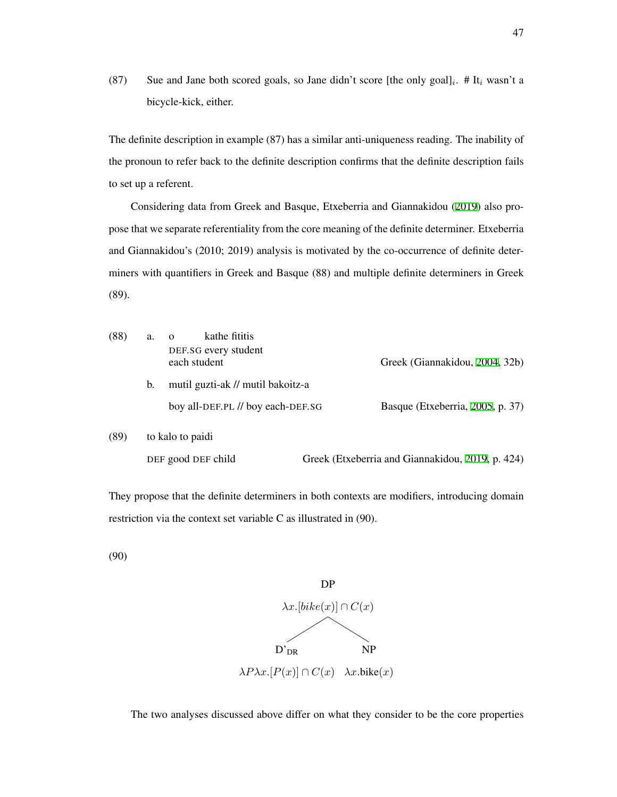(87) Sue and Jane both scored goals, so Jane didn't score [the only goal] $_i$ . # It<sub>i</sub> wasn't a bicycle-kick, either.

The definite description in example (87) has a similar anti-uniqueness reading. The inability of the pronoun to refer back to the definite description confirms that the definite description fails to set up a referent.

Considering data from Greek and Basque, Etxeberria and Giannakidou ([2019\)](#page-209-2) also propose that we separate referentiality from the core meaning of the definite determiner. Etxeberria and Giannakidou's (2010; 2019) analysis is motivated by the co-occurrence of definite determiners with quantifiers in Greek and Basque (88) and multiple definite determiners in Greek (89).

| (88) | a.               | kathe fititis<br>$\Omega$<br>DEF.SG every student<br>each student | Greek (Giannakidou, 2004, 32b)                   |  |  |  |  |
|------|------------------|-------------------------------------------------------------------|--------------------------------------------------|--|--|--|--|
|      | b.               | mutil guzti-ak // mutil bakoitz-a                                 |                                                  |  |  |  |  |
|      |                  | boy all-DEF.PL // boy each-DEF.SG                                 | Basque (Etxeberria, 2005, p. 37)                 |  |  |  |  |
| (89) | to kalo to paidi |                                                                   |                                                  |  |  |  |  |
|      |                  | DEF good DEF child                                                | Greek (Etxeberria and Giannakidou, 2019, p. 424) |  |  |  |  |

They propose that the definite determiners in both contexts are modifiers, introducing domain restriction via the context set variable C as illustrated in (90).

(90)



The two analyses discussed above differ on what they consider to be the core properties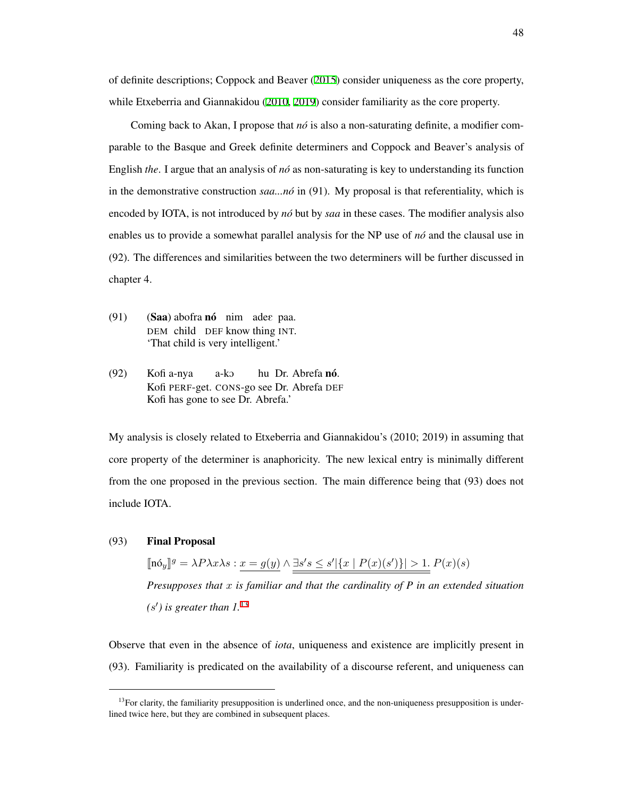of definite descriptions; Coppock and Beaver ([2015\)](#page-207-1) consider uniqueness as the core property, while Etxeberria and Giannakidou [\(2010,](#page-209-1) [2019](#page-209-2)) consider familiarity as the core property.

Coming back to Akan, I propose that *no´* is also a non-saturating definite, a modifier comparable to the Basque and Greek definite determiners and Coppock and Beaver's analysis of English *the*. I argue that an analysis of *no´* as non-saturating is key to understanding its function in the demonstrative construction *saa...no´* in (91). My proposal is that referentiality, which is encoded by IOTA, is not introduced by *no´* but by *saa* in these cases. The modifier analysis also enables us to provide a somewhat parallel analysis for the NP use of *no´* and the clausal use in (92). The differences and similarities between the two determiners will be further discussed in chapter 4.

- (91) (Saa) abofra nó nim adee paa. DEM child DEF know thing INT. 'That child is very intelligent.'
- $(92)$ Kofi PERF-get. CONS-go see Dr. Abrefa DEF Kofi a-nya a-kO hu Dr. Abrefa nó. Kofi has gone to see Dr. Abrefa.'

My analysis is closely related to Etxeberria and Giannakidou's (2010; 2019) in assuming that core property of the determiner is anaphoricity. The new lexical entry is minimally different from the one proposed in the previous section. The main difference being that (93) does not include IOTA.

#### (93) Final Proposal

 $[\![\mathbf{n}\delta_y]\!]^g = \lambda P \lambda x \lambda s: \underline{x = g(y)} \wedge \underline{\exists s' s \leq s' |\{x \mid P(x)(s')\}| > 1}.\!] P(x)(s)$ *Presupposes that x is familiar and that the cardinality of P in an extended situation (s ′ ) is greater than 1.*[13](#page-57-0)

Observe that even in the absence of *iota*, uniqueness and existence are implicitly present in (93). Familiarity is predicated on the availability of a discourse referent, and uniqueness can

<span id="page-57-0"></span> $13$ For clarity, the familiarity presupposition is underlined once, and the non-uniqueness presupposition is underlined twice here, but they are combined in subsequent places.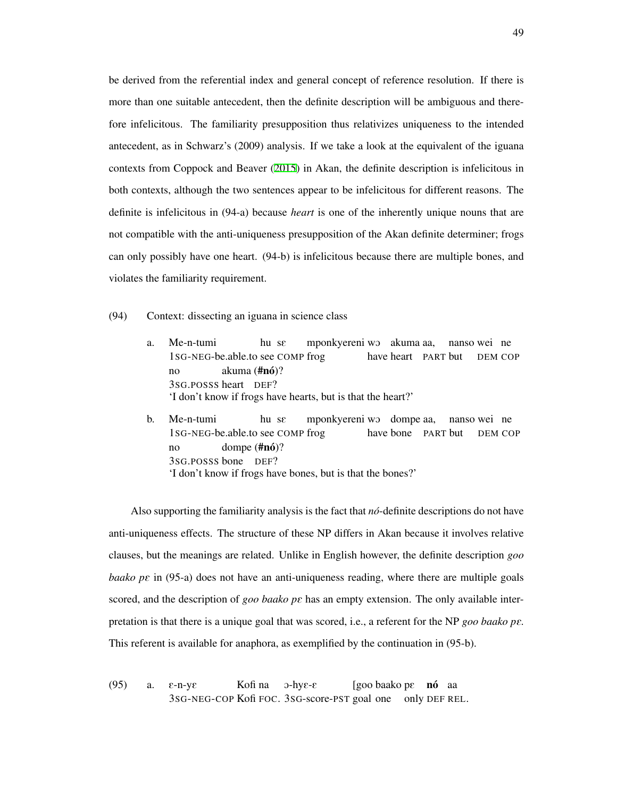be derived from the referential index and general concept of reference resolution. If there is more than one suitable antecedent, then the definite description will be ambiguous and therefore infelicitous. The familiarity presupposition thus relativizes uniqueness to the intended antecedent, as in Schwarz's (2009) analysis. If we take a look at the equivalent of the iguana contexts from Coppock and Beaver [\(2015\)](#page-207-1) in Akan, the definite description is infelicitous in both contexts, although the two sentences appear to be infelicitous for different reasons. The definite is infelicitous in (94-a) because *heart* is one of the inherently unique nouns that are not compatible with the anti-uniqueness presupposition of the Akan definite determiner; frogs can only possibly have one heart. (94-b) is infelicitous because there are multiple bones, and violates the familiarity requirement.

- (94) Context: dissecting an iguana in science class
	- a. Me-n-tumi 1SG-NEG-be.able.to see COMP frog hu sE mponkyereni wO akuma aa, have heart PART but nanso wei ne DEM COP no 3SG.POSSS heart DEF? akuma (**#nó**)? 'I don't know if frogs have hearts, but is that the heart?'
	- b. Me-n-tumi 1SG-NEG-be.able.to see COMP frog hu sE mponkyereni wo dompe aa, have bone PART but nanso wei ne DEM COP  $n<sub>0</sub>$ 3SG.POSSS bone DEF? dompe (**#nó**)? 'I don't know if frogs have bones, but is that the bones?'

Also supporting the familiarity analysis is the fact that *no´*-definite descriptions do not have anti-uniqueness effects. The structure of these NP differs in Akan because it involves relative clauses, but the meanings are related. Unlike in English however, the definite description *goo baako pε* in (95-a) does not have an anti-uniqueness reading, where there are multiple goals scored, and the description of *goo baako pe* has an empty extension. The only available interpretation is that there is a unique goal that was scored, i.e., a referent for the NP *goo baako pe.* This referent is available for anaphora, as exemplified by the continuation in (95-b).

 $(95)$  a.  $\varepsilon$ -n-y $\varepsilon$ 3SG-NEG-COP Kofi FOC. 3SG-score-PST goal one only DEF REL. Kofi na  $3$ -hy $\varepsilon$ - $\varepsilon$ [goo baako pE **nó** aa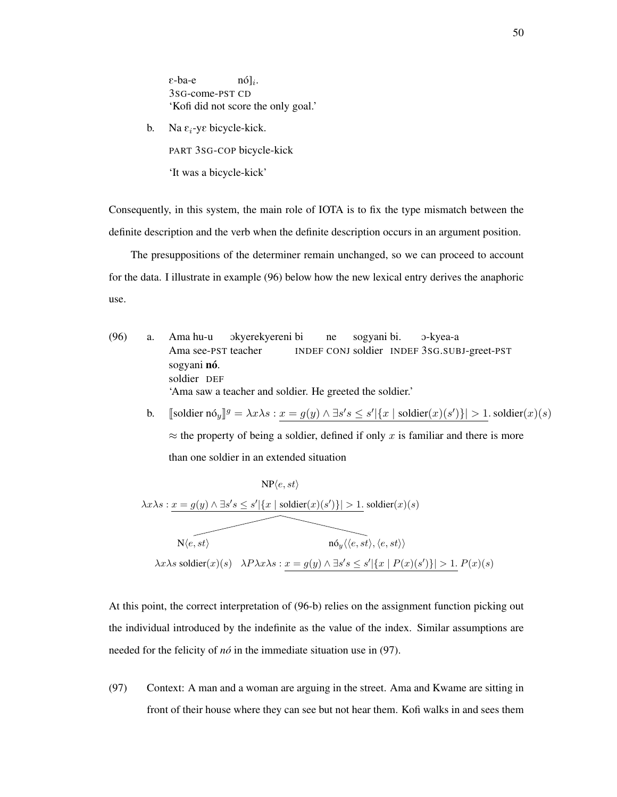E-ba-e 3SG-come-PST CD  $\lfloor n6 \rfloor$ <sub>*i*</sub>. 'Kofi did not score the only goal.'

b. Na  $\varepsilon_i$ -ye bicycle-kick. PART 3SG-COP bicycle-kick

'It was a bicycle-kick'

Consequently, in this system, the main role of IOTA is to fix the type mismatch between the definite description and the verb when the definite description occurs in an argument position.

The presuppositions of the determiner remain unchanged, so we can proceed to account for the data. I illustrate in example (96) below how the new lexical entry derives the anaphoric use.

- (96) a. Ama hu-u Ama see-PST teacher Okyerekyereni bi INDEF CONJ soldier INDEF 3SG.SUBJ-greet-PST ne sogyani bi. O-kyea-a sogyani nó. soldier DEF 'Ama saw a teacher and soldier. He greeted the soldier.'
	- b. [[soldier  $n6y$ ] $g = \lambda x \lambda s : x = g(y) \wedge \exists s' s \le s' |\{x \mid \text{soldier}(x)(s')\}| > 1$ . soldier $(x)(s)$ *≈* the property of being a soldier, defined if only *x* is familiar and there is more than one soldier in an extended situation

$$
\mathsf{NP}\langle e, st \rangle
$$
\n
$$
\lambda x \lambda s : x = g(y) \land \exists s' s \le s' |\{x \mid \text{solder}(x)(s')\}| > 1. \text{ soldier}(x)(s)
$$
\n
$$
\mathsf{N}\langle e, st \rangle
$$
\n
$$
\mathsf{no}_y \langle \langle e, st \rangle, \langle e, st \rangle \rangle
$$
\n
$$
\lambda x \lambda s \text{ soldier}(x)(s) \quad \lambda P \lambda x \lambda s : x = g(y) \land \exists s' s \le s' |\{x \mid P(x)(s')\}| > 1. \ P(x)(s)
$$

At this point, the correct interpretation of (96-b) relies on the assignment function picking out the individual introduced by the indefinite as the value of the index. Similar assumptions are needed for the felicity of *no´* in the immediate situation use in (97).

(97) Context: A man and a woman are arguing in the street. Ama and Kwame are sitting in front of their house where they can see but not hear them. Kofi walks in and sees them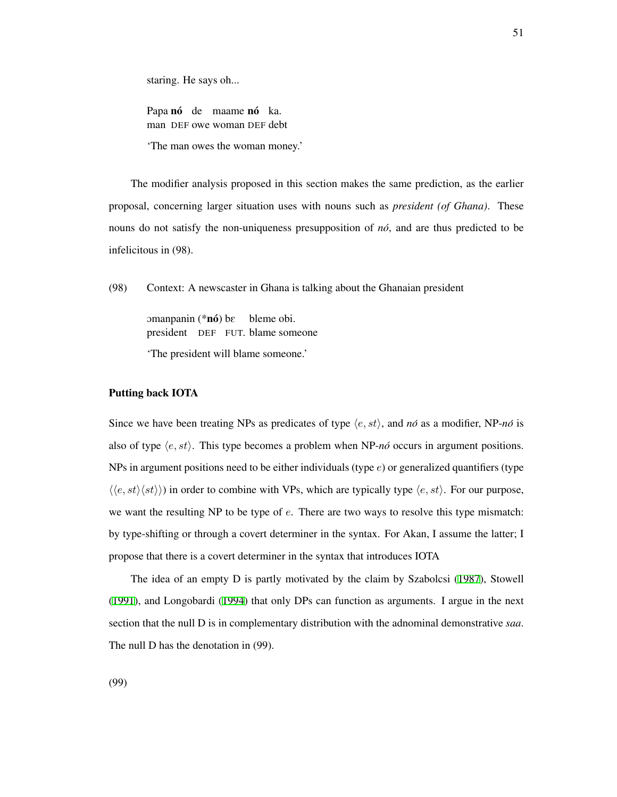staring. He says oh...

Papa nó de maame nó ka. man DEF owe woman DEF debt

'The man owes the woman money.'

The modifier analysis proposed in this section makes the same prediction, as the earlier proposal, concerning larger situation uses with nouns such as *president (of Ghana)*. These nouns do not satisfy the non-uniqueness presupposition of *no´*, and are thus predicted to be infelicitous in (98).

(98) Context: A newscaster in Ghana is talking about the Ghanaian president

omanpanin (\***nó**) bε president DEF FUT. blame someone bleme obi. 'The president will blame someone.'

## Putting back IOTA

Since we have been treating NPs as predicates of type  $\langle e, st \rangle$ , and  $n\acute{o}$  as a modifier, NP- $n\acute{o}$  is also of type *⟨e, st⟩*. This type becomes a problem when NP-*no´* occurs in argument positions. NPs in argument positions need to be either individuals (type *e*) or generalized quantifiers (type *⟨⟨e, st⟩⟨st⟩⟩*) in order to combine with VPs, which are typically type *⟨e, st⟩*. For our purpose, we want the resulting NP to be type of *e*. There are two ways to resolve this type mismatch: by type-shifting or through a covert determiner in the syntax. For Akan, I assume the latter; I propose that there is a covert determiner in the syntax that introduces IOTA

The idea of an empty D is partly motivated by the claim by Szabolcsi ([1987](#page-218-1)), Stowell ([1991](#page-218-2)), and Longobardi ([1994](#page-213-2)) that only DPs can function as arguments. I argue in the next section that the null D is in complementary distribution with the adnominal demonstrative *saa*. The null D has the denotation in (99).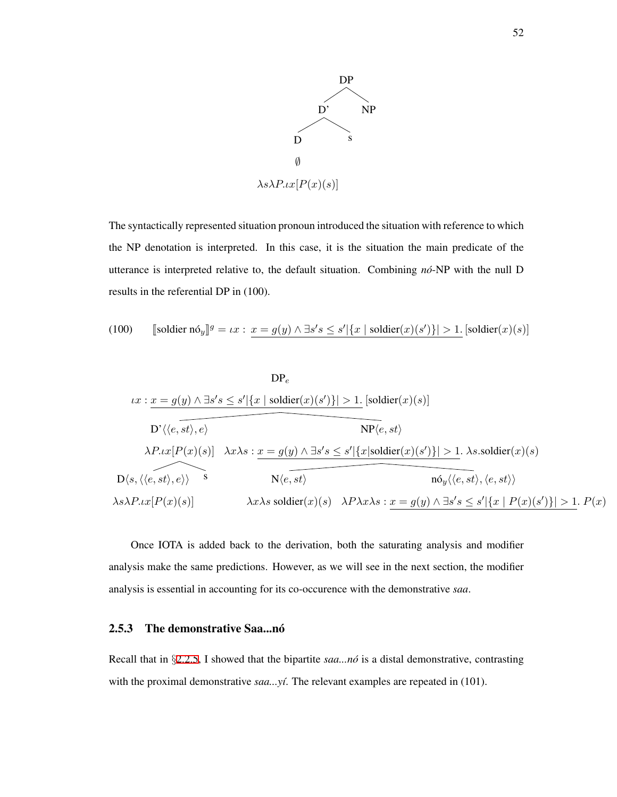

The syntactically represented situation pronoun introduced the situation with reference to which the NP denotation is interpreted. In this case, it is the situation the main predicate of the utterance is interpreted relative to, the default situation. Combining *no´*-NP with the null D results in the referential DP in (100).

(100) 
$$
\text{[soldier } \mathrm{n} \delta_y \mathbb{I}^g = \iota x : \underline{x} = g(y) \land \exists s' s \leq s' |\{x \mid \mathrm{soldier}(x)(s')\}| > 1. \text{[soldier}(x)(s)]
$$

$$
DP_e
$$
\n
$$
ix: x = g(y) \land \exists s's \le s' |\{x \mid soldier(x)(s')\}| > 1. \text{ [solder}(x)(s)]
$$
\n
$$
D' \langle \langle e, st \rangle, e \rangle
$$
\n
$$
\lambda P. \{x \mid P(x)(s)\} \quad \lambda x \lambda s: x = g(y) \land \exists s's \le s' |\{x \mid solidier(x)(s')\}| > 1. \text{ } \lambda s. \text{ soldier}(x)(s)
$$
\n
$$
D\langle s, \langle \langle e, st \rangle, e \rangle \rangle
$$
\n
$$
S
$$
\n
$$
N \langle e, st \rangle
$$
\n
$$
\lambda s \lambda P. \{x \mid P(x)(s)\}
$$
\n
$$
\lambda x \lambda s. \text{ soldier}(x)(s) \quad \lambda P \lambda x \lambda s: x = g(y) \land \exists s's \le s' |\{x \mid P(x)(s')\}| > 1. \text{ } P(x)
$$

Once IOTA is added back to the derivation, both the saturating analysis and modifier analysis make the same predictions. However, as we will see in the next section, the modifier analysis is essential in accounting for its co-occurence with the demonstrative *saa*.

# 2.5.3 The demonstrative Saa...no^

Recall that in *§*[2.2.5,](#page-30-0) I showed that the bipartite *saa...no´* is a distal demonstrative, contrasting with the proximal demonstrative *saa...yí*. The relevant examples are repeated in (101).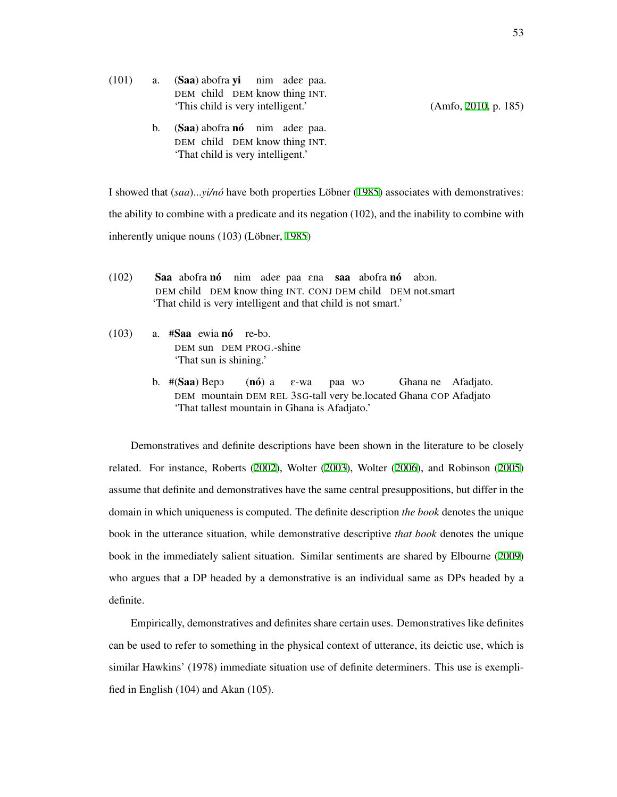$(101)$  a.  $(Saa)$  abofra yi nim adee paa. DEM child DEM know thing INT. 'This child is very intelligent.' (Amfo, [2010,](#page-205-2) p. 185)

b. (Saa) abofra nó nim adee paa. DEM child DEM know thing INT. 'That child is very intelligent.'

I showed that  $(saa) \dots y i/n\delta$  have both properties Löbner ([1985](#page-213-1)) associates with demonstratives: the ability to combine with a predicate and its negation (102), and the inability to combine with inherently unique nouns  $(103)$  (Löbner, [1985\)](#page-213-1)

- $(102)$ DEM child DEM know thing INT. CONJ DEM child DEM not.smart abofra nó nim adee paa ena saa abofra nó abon. 'That child is very intelligent and that child is not smart.'
- $(103)$  a. #Saa ewia nó re-bo. DEM sun DEM PROG.-shine 'That sun is shining.'
	- b. #(Saa) Bepo DEM mountain DEM REL 3SG-tall very be.located Ghana COP Afadjato  $(n6)$  a E-wa paa wO Ghana ne Afadjato. 'That tallest mountain in Ghana is Afadjato.'

Demonstratives and definite descriptions have been shown in the literature to be closely related. For instance, Roberts [\(2002](#page-216-2)), Wolter [\(2003](#page-219-0)), Wolter [\(2006](#page-219-1)), and Robinson ([2005](#page-216-1)) assume that definite and demonstratives have the same central presuppositions, but differ in the domain in which uniqueness is computed. The definite description *the book* denotes the unique book in the utterance situation, while demonstrative descriptive *that book* denotes the unique book in the immediately salient situation. Similar sentiments are shared by Elbourne ([2009](#page-209-4)) who argues that a DP headed by a demonstrative is an individual same as DPs headed by a definite.

Empirically, demonstratives and definites share certain uses. Demonstratives like definites can be used to refer to something in the physical context of utterance, its deictic use, which is similar Hawkins' (1978) immediate situation use of definite determiners. This use is exemplified in English (104) and Akan (105).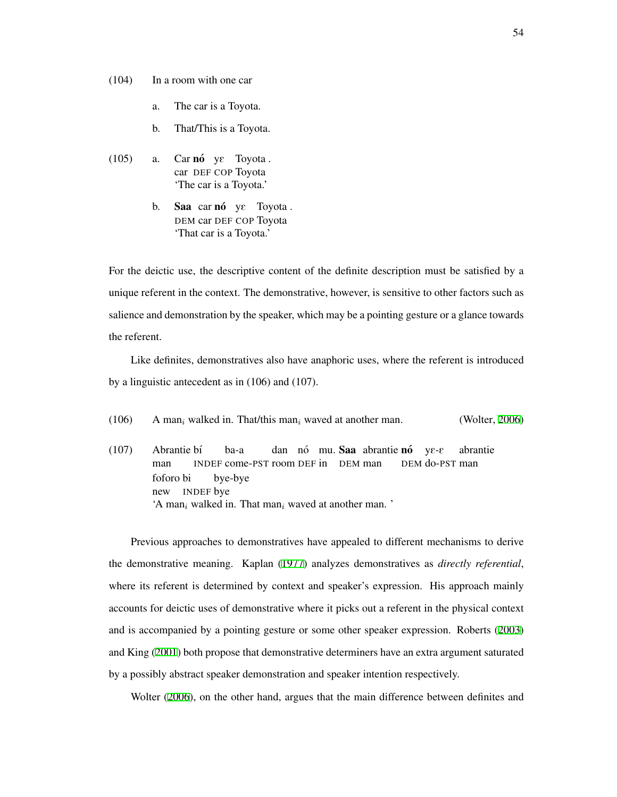- (104) In a room with one car
	- a. The car is a Toyota.
	- b. That/This is a Toyota.
- $(105)$  a. car DEF COP Toyota nó ye Toyota. 'The car is a Toyota.'
	- b. Saa car nó ye Toyota. DEM car DEF COP Toyota 'That car is a Toyota.'

For the deictic use, the descriptive content of the definite description must be satisfied by a unique referent in the context. The demonstrative, however, is sensitive to other factors such as salience and demonstration by the speaker, which may be a pointing gesture or a glance towards the referent.

Like definites, demonstratives also have anaphoric uses, where the referent is introduced by a linguistic antecedent as in (106) and (107).

(106) A man*<sup>i</sup>* walked in. That/this man*<sup>i</sup>* waved at another man. (Wolter, [2006](#page-219-1))

(107) Abrantie bí man INDEF come-PST room DEF in DEM man ba-a dan nó mu. Saa abrantie nó DEM do-PST man  $ye$ - $E$ abrantie foforo bi new INDEF bye bye-bye 'A man*<sup>i</sup>* walked in. That man*<sup>i</sup>* waved at another man. '

Previous approaches to demonstratives have appealed to different mechanisms to derive the demonstrative meaning. Kaplan ([1977](#page-212-1)) analyzes demonstratives as *directly referential*, where its referent is determined by context and speaker's expression. His approach mainly accounts for deictic uses of demonstrative where it picks out a referent in the physical context and is accompanied by a pointing gesture or some other speaker expression. Roberts ([2003](#page-216-0)) and King [\(2001\)](#page-212-2) both propose that demonstrative determiners have an extra argument saturated by a possibly abstract speaker demonstration and speaker intention respectively.

Wolter [\(2006](#page-219-1)), on the other hand, argues that the main difference between definites and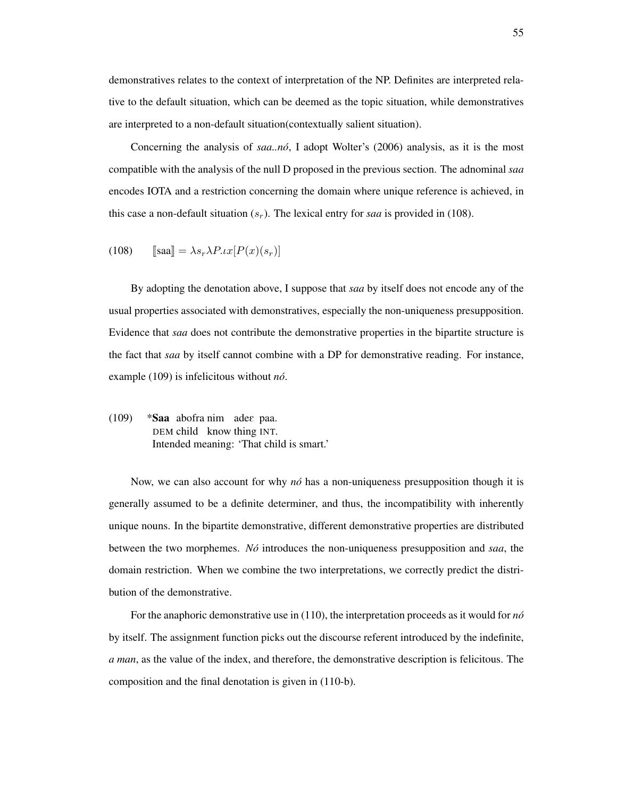demonstratives relates to the context of interpretation of the NP. Definites are interpreted relative to the default situation, which can be deemed as the topic situation, while demonstratives are interpreted to a non-default situation(contextually salient situation).

Concerning the analysis of *saa..no´*, I adopt Wolter's (2006) analysis, as it is the most compatible with the analysis of the null D proposed in the previous section. The adnominal *saa* encodes IOTA and a restriction concerning the domain where unique reference is achieved, in this case a non-default situation  $(s_r)$ . The lexical entry for *saa* is provided in (108).

(108) 
$$
\llbracket \text{saa} \rrbracket = \lambda s_r \lambda P \iota x [P(x)(s_r)]
$$

By adopting the denotation above, I suppose that *saa* by itself does not encode any of the usual properties associated with demonstratives, especially the non-uniqueness presupposition. Evidence that *saa* does not contribute the demonstrative properties in the bipartite structure is the fact that *saa* by itself cannot combine with a DP for demonstrative reading. For instance, example (109) is infelicitous without *no´*.

 $(109)$ DEM child know thing INT. abofra nim adee paa. Intended meaning: 'That child is smart.'

Now, we can also account for why *no*<sup>*no*</sup> has a non-uniqueness presupposition though it is generally assumed to be a definite determiner, and thus, the incompatibility with inherently unique nouns. In the bipartite demonstrative, different demonstrative properties are distributed between the two morphemes. *No´* introduces the non-uniqueness presupposition and *saa*, the domain restriction. When we combine the two interpretations, we correctly predict the distribution of the demonstrative.

For the anaphoric demonstrative use in (110), the interpretation proceeds as it would for *no´* by itself. The assignment function picks out the discourse referent introduced by the indefinite, *a man*, as the value of the index, and therefore, the demonstrative description is felicitous. The composition and the final denotation is given in (110-b).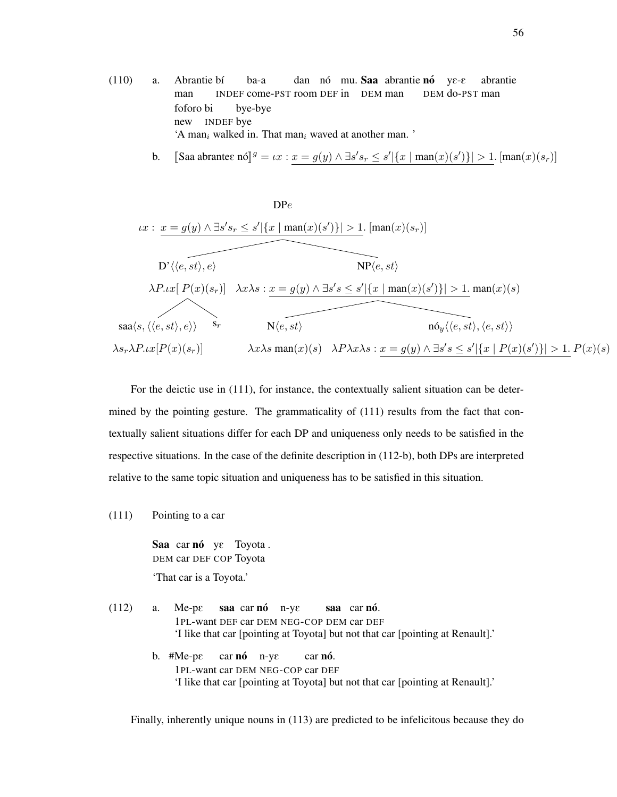- (110) a. Abrantie bí man INDEF come-PST room DEF in DEM man ba-a dan nó mu. Saa abrantie nó ye-e DEM do-PST man abrantie foforo bi new INDEF bye bye-bye 'A man*<sup>i</sup>* walked in. That man*<sup>i</sup>* waved at another man. '
	- b. [Saa abrantee nó] $g = \iota x : \underline{x} = g(y) \wedge \exists s's_r \leq s' |\{x \mid \text{man}(x)(s')\}| > 1$ . [man $(x)(s_r)$ ]



For the deictic use in (111), for instance, the contextually salient situation can be determined by the pointing gesture. The grammaticality of  $(111)$  results from the fact that contextually salient situations differ for each DP and uniqueness only needs to be satisfied in the respective situations. In the case of the definite description in (112-b), both DPs are interpreted relative to the same topic situation and uniqueness has to be satisfied in this situation.

(111) Pointing to a car

Saa car nó ye Toyota. DEM car DEF COP Toyota

'That car is a Toyota.'

(112) a. Me-pE 1PL-want DEF car DEM NEG-COP DEM car DEF saa car nó n-ye saa car nó. 'I like that car [pointing at Toyota] but not that car [pointing at Renault].'

> b.  $#Me-pe$ 1PL-want car DEM NEG-COP car DEF car **nó** n-ye car **nó**. 'I like that car [pointing at Toyota] but not that car [pointing at Renault].'

Finally, inherently unique nouns in (113) are predicted to be infelicitous because they do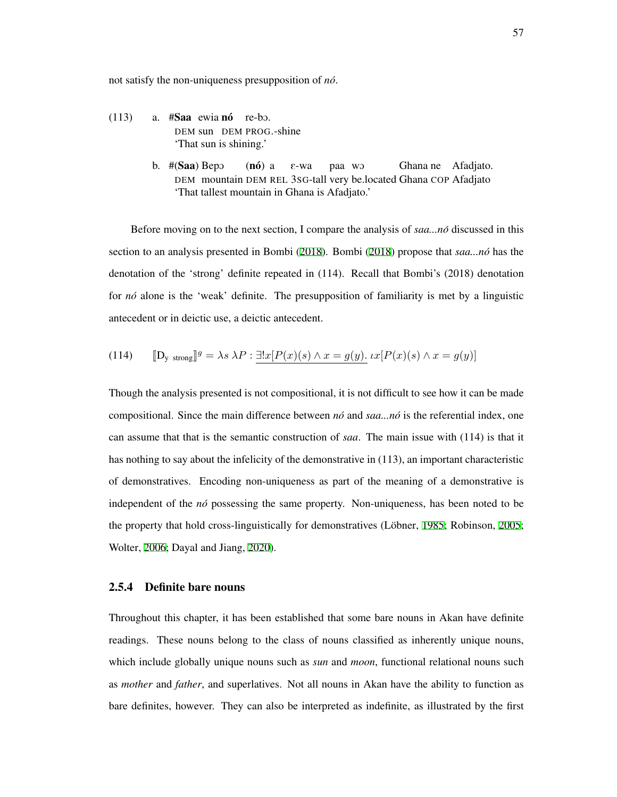not satisfy the non-uniqueness presupposition of *no´*.

- $(113)$  a. #Saa ewia nó re-bo. DEM sun DEM PROG.-shine 'That sun is shining.'
	- b. #(Saa) Bepo DEM mountain DEM REL 3SG-tall very be.located Ghana COP Afadjato  $(n6)$  a E-wa paa wO Ghana ne Afadjato. 'That tallest mountain in Ghana is Afadjato.'

Before moving on to the next section, I compare the analysis of *saa...no´* discussed in this section to an analysis presented in Bombi ([2018](#page-206-0)). Bombi [\(2018](#page-206-0)) propose that *saa...no´* has the denotation of the 'strong' definite repeated in (114). Recall that Bombi's (2018) denotation for *no´* alone is the 'weak' definite. The presupposition of familiarity is met by a linguistic antecedent or in deictic use, a deictic antecedent.

(114) 
$$
\llbracket \mathbf{D}_{\mathbf{y} \text{ strong}} \rrbracket^g = \lambda s \lambda P : \exists! x [P(x)(s) \wedge x = g(y). \mu[x] [P(x)(s) \wedge x = g(y)]
$$

Though the analysis presented is not compositional, it is not difficult to see how it can be made compositional. Since the main difference between *no´* and *saa...no´* is the referential index, one can assume that that is the semantic construction of *saa*. The main issue with (114) is that it has nothing to say about the infelicity of the demonstrative in (113), an important characteristic of demonstratives. Encoding non-uniqueness as part of the meaning of a demonstrative is independent of the *no´* possessing the same property. Non-uniqueness, has been noted to be the property that hold cross-linguistically for demonstratives (Löbner, [1985;](#page-213-1) Robinson, [2005;](#page-216-1) Wolter, [2006;](#page-219-1) Dayal and Jiang, [2020](#page-208-0)).

## 2.5.4 Definite bare nouns

Throughout this chapter, it has been established that some bare nouns in Akan have definite readings. These nouns belong to the class of nouns classified as inherently unique nouns, which include globally unique nouns such as *sun* and *moon*, functional relational nouns such as *mother* and *father*, and superlatives. Not all nouns in Akan have the ability to function as bare definites, however. They can also be interpreted as indefinite, as illustrated by the first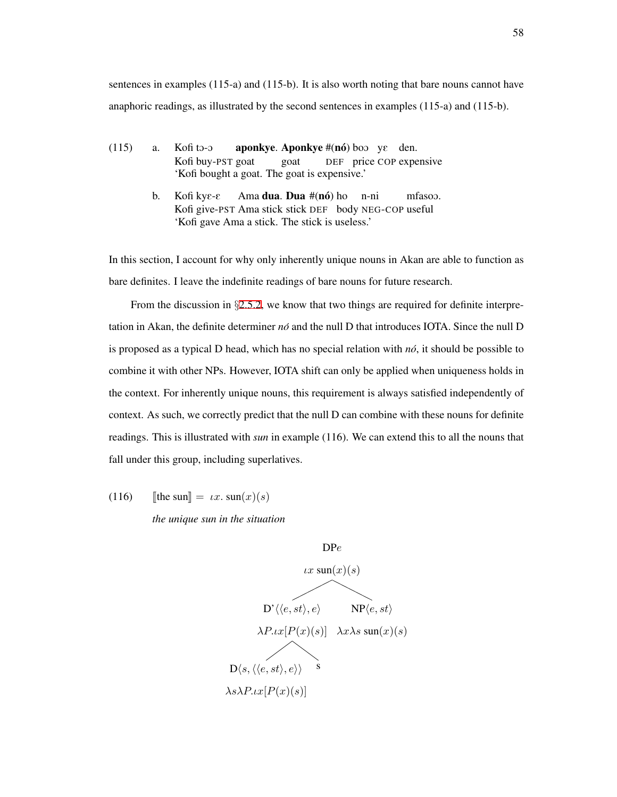sentences in examples (115-a) and (115-b). It is also worth noting that bare nouns cannot have anaphoric readings, as illustrated by the second sentences in examples (115-a) and (115-b).

- $(115)$  a. Kofi buy-PST goat Kofi to-o aponkye. Aponkye  $#(n6)$  boo y $\varepsilon$  den. goat DEF price COP expensive 'Kofi bought a goat. The goat is expensive.'
	- b. Kofi kyE-E Kofi give-PST Ama stick stick DEF body NEG-COP useful Ama **dua. Dua** #(nó) ho n-ni mfasoo. 'Kofi gave Ama a stick. The stick is useless.'

In this section, I account for why only inherently unique nouns in Akan are able to function as bare definites. I leave the indefinite readings of bare nouns for future research.

From the discussion in *§*[2.5.2](#page-54-0), we know that two things are required for definite interpretation in Akan, the definite determiner *no´* and the null D that introduces IOTA. Since the null D is proposed as a typical D head, which has no special relation with  $n\acute{o}$ , it should be possible to combine it with other NPs. However, IOTA shift can only be applied when uniqueness holds in the context. For inherently unique nouns, this requirement is always satisfied independently of context. As such, we correctly predict that the null D can combine with these nouns for definite readings. This is illustrated with *sun* in example (116). We can extend this to all the nouns that fall under this group, including superlatives.

(116) [the sun $\Vert = \iota x$ . sun $(x)(s)$ 

*the unique sun in the situation*

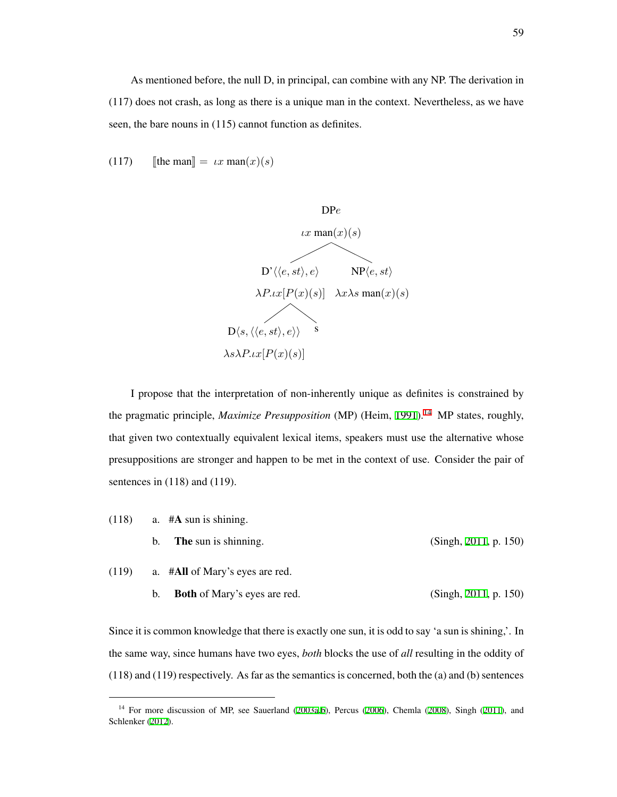(117) [the man  $\Vert = \iota x \text{ man}(x)(s)$ 



I propose that the interpretation of non-inherently unique as definites is constrained by the pragmatic principle, *Maximize Presupposition* (MP) (Heim, [1991](#page-211-2)).<sup>[14](#page-68-0)</sup> MP states, roughly, that given two contextually equivalent lexical items, speakers must use the alternative whose presuppositions are stronger and happen to be met in the context of use. Consider the pair of sentences in  $(118)$  and  $(119)$ .

$$
(118) \qquad a. \quad #A sun is shining.
$$

b. **The** sun is shinning. (Singh, [2011,](#page-218-3) p. 150)

$$
(119) \qquad \text{a. } #All of Mary's eyes are red.
$$

b. Both of Mary's eyes are red. (Singh, [2011,](#page-218-3) p. 150)

Since it is common knowledge that there is exactly one sun, it is odd to say 'a sun is shining,'. In the same way, since humans have two eyes, *both* blocks the use of *all* resulting in the oddity of (118) and (119) respectively. As far as the semantics is concerned, both the (a) and (b) sentences

<span id="page-68-0"></span><sup>&</sup>lt;sup>14</sup> For more discussion of MP, see Sauerland [\(2003a](#page-216-3)[,b\)](#page-217-3), Percus ([2006\)](#page-215-1), Chemla ([2008\)](#page-207-3), Singh ([2011\)](#page-218-3), and Schlenker ([2012\)](#page-217-4).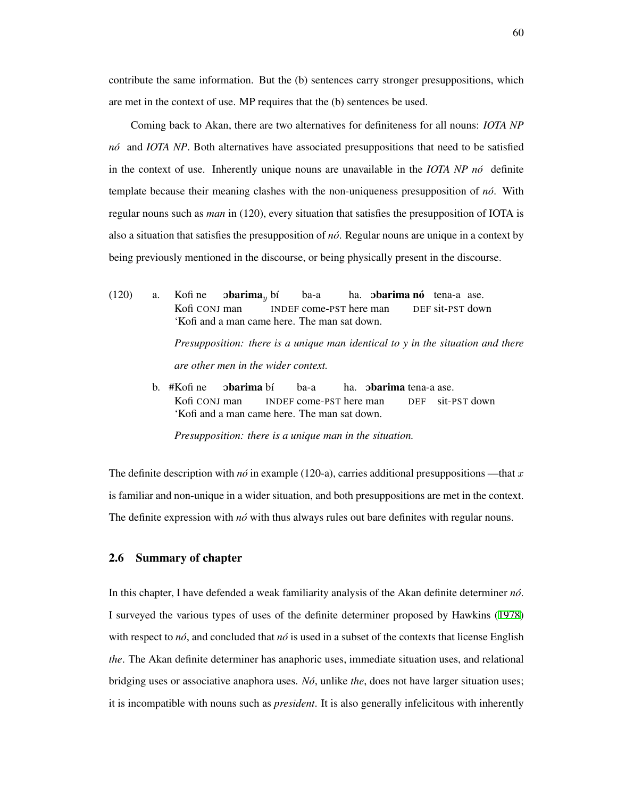contribute the same information. But the (b) sentences carry stronger presuppositions, which are met in the context of use. MP requires that the (b) sentences be used.

Coming back to Akan, there are two alternatives for definiteness for all nouns: *IOTA NP no´* and *IOTA NP*. Both alternatives have associated presuppositions that need to be satisfied in the context of use. Inherently unique nouns are unavailable in the *IOTA NP no´* definite template because their meaning clashes with the non-uniqueness presupposition of *no´*. With regular nouns such as *man* in (120), every situation that satisfies the presupposition of IOTA is also a situation that satisfies the presupposition of *no´*. Regular nouns are unique in a context by being previously mentioned in the discourse, or being physically present in the discourse.

 $(120)$  a. Kofi CONJ man Kofi ne **obarima**<sub>y</sub> bí INDEF come-PST here man ba-a ha. **obarima nó** tena-a ase. DEF sit-PST down 'Kofi and a man came here. The man sat down.

> *Presupposition: there is a unique man identical to y in the situation and there are other men in the wider context.*

b. #Kofi ne Kofi CONJ man **obarima** bí INDEF come-PST here man ba-a ha. **obarima** tena-a ase. DEF sit-PST down 'Kofi and a man came here. The man sat down.

*Presupposition: there is a unique man in the situation.*

The definite description with  $n\acute{o}$  in example (120-a), carries additional presuppositions —that  $x$ is familiar and non-unique in a wider situation, and both presuppositions are met in the context. The definite expression with *no*´ with thus always rules out bare definites with regular nouns.

# 2.6 Summary of chapter

In this chapter, I have defended a weak familiarity analysis of the Akan definite determiner *no´*. I surveyed the various types of uses of the definite determiner proposed by Hawkins ([1978](#page-210-0)) with respect to  $n\delta$ , and concluded that  $n\delta$  is used in a subset of the contexts that license English *the*. The Akan definite determiner has anaphoric uses, immediate situation uses, and relational bridging uses or associative anaphora uses. *No´*, unlike *the*, does not have larger situation uses; it is incompatible with nouns such as *president*. It is also generally infelicitous with inherently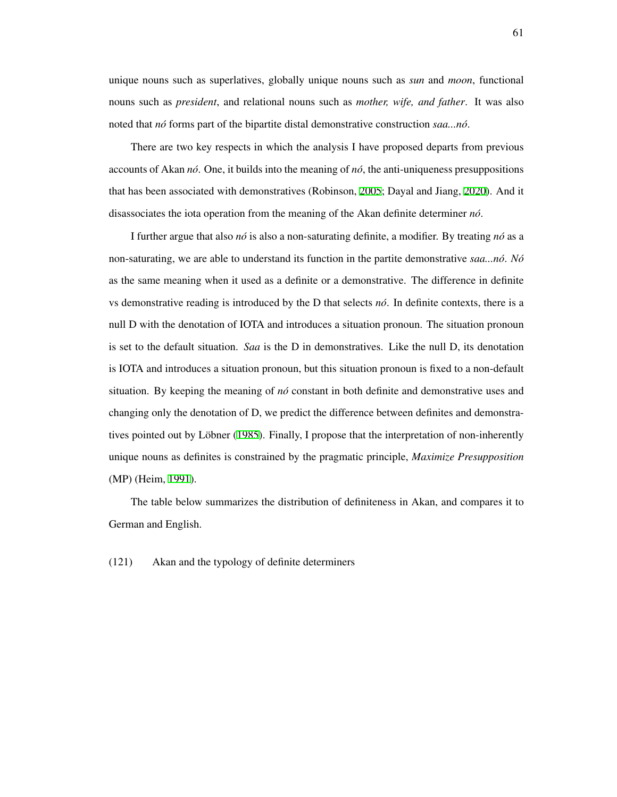unique nouns such as superlatives, globally unique nouns such as *sun* and *moon*, functional nouns such as *president*, and relational nouns such as *mother, wife, and father*. It was also noted that *no´* forms part of the bipartite distal demonstrative construction *saa...no´*.

There are two key respects in which the analysis I have proposed departs from previous accounts of Akan *no´*. One, it builds into the meaning of *no´*, the anti-uniqueness presuppositions that has been associated with demonstratives (Robinson, [2005;](#page-216-1) Dayal and Jiang, [2020](#page-208-0)). And it disassociates the iota operation from the meaning of the Akan definite determiner *no´*.

I further argue that also *no´* is also a non-saturating definite, a modifier. By treating *no´* as a non-saturating, we are able to understand its function in the partite demonstrative *saa...no´*. *No´* as the same meaning when it used as a definite or a demonstrative. The difference in definite vs demonstrative reading is introduced by the D that selects *no´*. In definite contexts, there is a null D with the denotation of IOTA and introduces a situation pronoun. The situation pronoun is set to the default situation. *Saa* is the D in demonstratives. Like the null D, its denotation is IOTA and introduces a situation pronoun, but this situation pronoun is fixed to a non-default situation. By keeping the meaning of *no´* constant in both definite and demonstrative uses and changing only the denotation of D, we predict the difference between definites and demonstra-tives pointed out by Löbner ([1985\)](#page-213-1). Finally, I propose that the interpretation of non-inherently unique nouns as definites is constrained by the pragmatic principle, *Maximize Presupposition* (MP) (Heim, [1991\)](#page-211-2).

The table below summarizes the distribution of definiteness in Akan, and compares it to German and English.

(121) Akan and the typology of definite determiners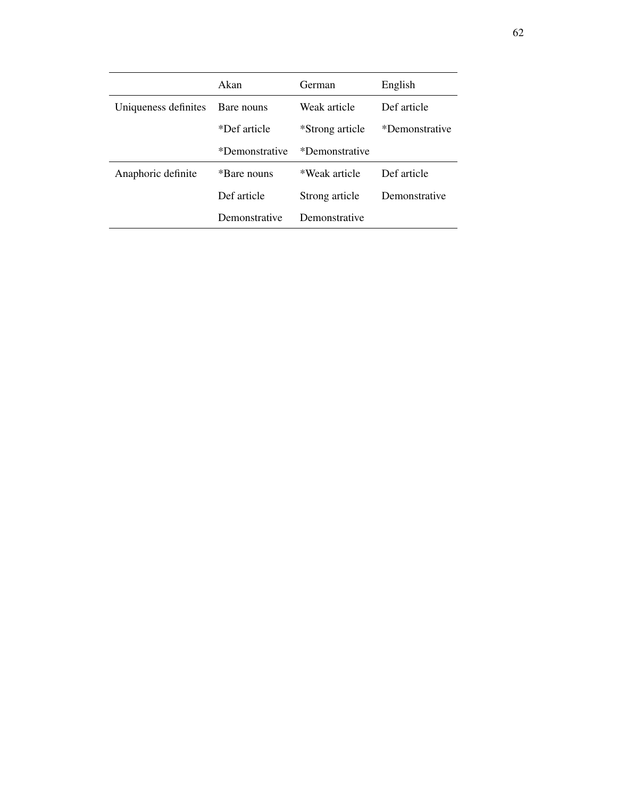|                      | Akan           | German          | English        |
|----------------------|----------------|-----------------|----------------|
| Uniqueness definites | Bare nouns     | Weak article    | Def article    |
|                      | *Def article   | *Strong article | *Demonstrative |
|                      | *Demonstrative | *Demonstrative  |                |
| Anaphoric definite   | *Bare nouns    | *Weak article   | Def article    |
|                      | Def article    | Strong article  | Demonstrative  |
|                      | Demonstrative  | Demonstrative   |                |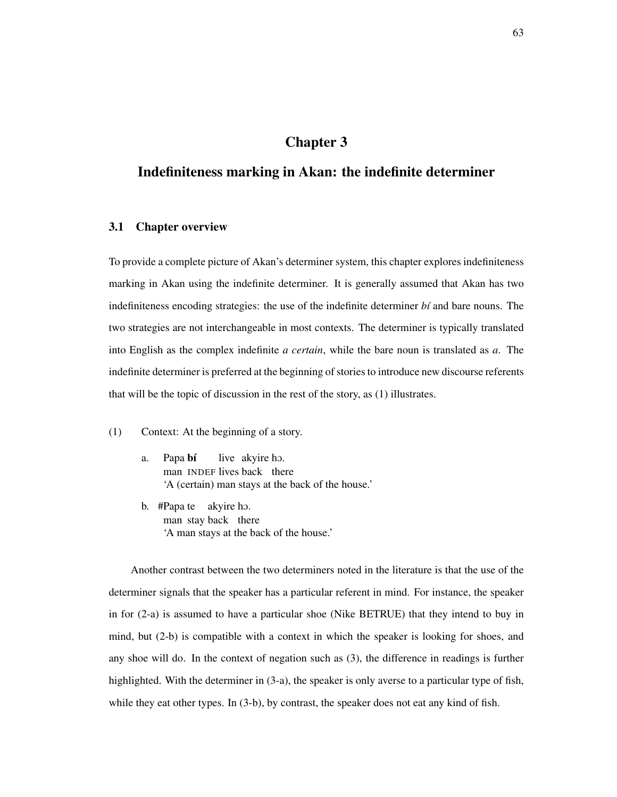# Chapter 3

# Indefiniteness marking in Akan: the indefinite determiner

# 3.1 Chapter overview

To provide a complete picture of Akan's determiner system, this chapter explores indefiniteness marking in Akan using the indefinite determiner. It is generally assumed that Akan has two indefiniteness encoding strategies: the use of the indefinite determiner *bi* and bare nouns. The two strategies are not interchangeable in most contexts. The determiner is typically translated into English as the complex indefinite *a certain*, while the bare noun is translated as *a*. The indefinite determiner is preferred at the beginning of stories to introduce new discourse referents that will be the topic of discussion in the rest of the story, as (1) illustrates.

- (1) Context: At the beginning of a story.
	- a. Papa bí man INDEF lives back there live akyire ho. 'A (certain) man stays at the back of the house.'
	- b. #Papa te akyire hO. man stay back there 'A man stays at the back of the house.'

Another contrast between the two determiners noted in the literature is that the use of the determiner signals that the speaker has a particular referent in mind. For instance, the speaker in for (2-a) is assumed to have a particular shoe (Nike BETRUE) that they intend to buy in mind, but (2-b) is compatible with a context in which the speaker is looking for shoes, and any shoe will do. In the context of negation such as (3), the difference in readings is further highlighted. With the determiner in (3-a), the speaker is only averse to a particular type of fish, while they eat other types. In (3-b), by contrast, the speaker does not eat any kind of fish.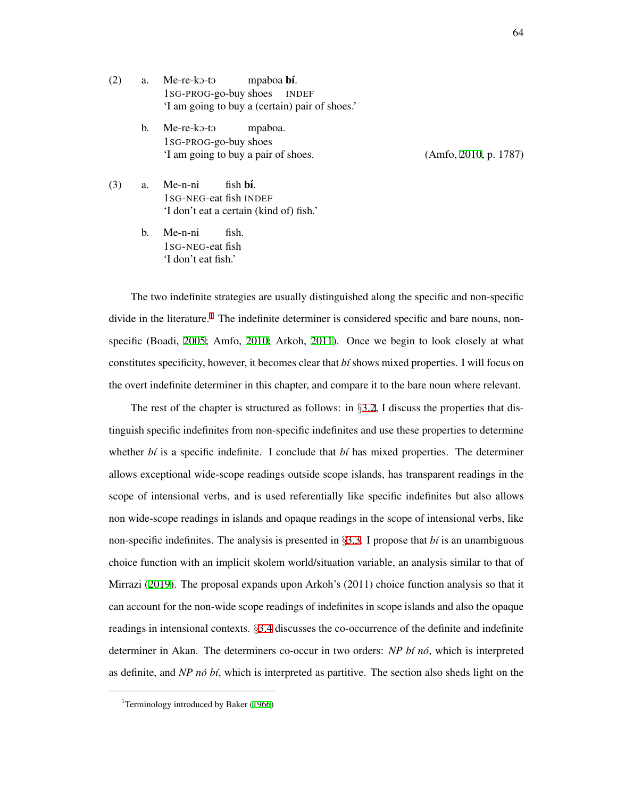$(2)$  a. Me-re-ko-to 1SG-PROG-go-buy shoes mpaboa **bí**. INDEF 'I am going to buy a (certain) pair of shoes.'

> b. Me-re-ko-to 1SG-PROG-go-buy shoes mpaboa. 'I am going to buy a pair of shoes. (Amfo, [2010](#page-205-0), p. 1787)

(3) a. Me-n-ni 1SG-NEG-eat fish INDEF fish **bí**. 'I don't eat a certain (kind of) fish.'

> b. Me-n-ni 1SG-NEG-eat fish fish. 'I don't eat fish.'

The two indefinite strategies are usually distinguished along the specific and non-specific divide in the literature.<sup>[1](#page-73-0)</sup> The indefinite determiner is considered specific and bare nouns, nonspecific (Boadi, [2005;](#page-206-0) Amfo, [2010](#page-205-0); Arkoh, [2011](#page-205-1)). Once we begin to look closely at what constitutes specificity, however, it becomes clear that *b´ı* shows mixed properties. I will focus on the overt indefinite determiner in this chapter, and compare it to the bare noun where relevant.

The rest of the chapter is structured as follows: in *§*[3.2,](#page-74-0) I discuss the properties that distinguish specific indefinites from non-specific indefinites and use these properties to determine whether  $bf$  is a specific indefinite. I conclude that  $bf$  has mixed properties. The determiner allows exceptional wide-scope readings outside scope islands, has transparent readings in the scope of intensional verbs, and is used referentially like specific indefinites but also allows non wide-scope readings in islands and opaque readings in the scope of intensional verbs, like non-specific indefinites. The analysis is presented in *§*[3.3.](#page-84-0) I propose that *b´ı* is an unambiguous choice function with an implicit skolem world/situation variable, an analysis similar to that of Mirrazi [\(2019](#page-214-0)). The proposal expands upon Arkoh's (2011) choice function analysis so that it can account for the non-wide scope readings of indefinites in scope islands and also the opaque readings in intensional contexts. *§*[3.4](#page-102-0) discusses the co-occurrence of the definite and indefinite determiner in Akan. The determiners co-occur in two orders: *NP b´ı no´*, which is interpreted as definite, and *NP nó bí*, which is interpreted as partitive. The section also sheds light on the

<span id="page-73-0"></span><sup>&</sup>lt;sup>1</sup>Terminology introduced by Baker ([1966\)](#page-205-2)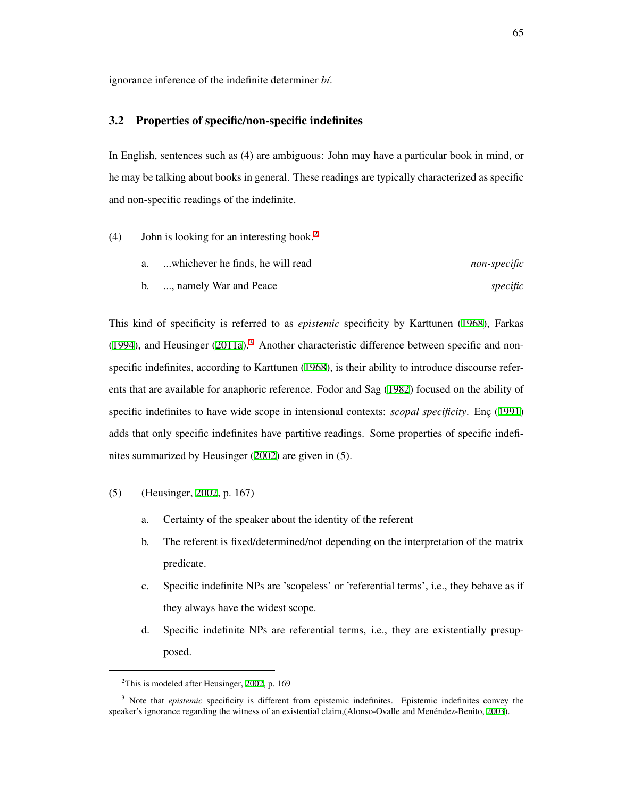ignorance inference of the indefinite determiner *b´ı*.

## <span id="page-74-0"></span>3.2 Properties of specific/non-specific indefinites

In English, sentences such as (4) are ambiguous: John may have a particular book in mind, or he may be talking about books in general. These readings are typically characterized as specific and non-specific readings of the indefinite.

- <span id="page-74-3"></span>(4) John is looking for an interesting book.<sup>[2](#page-74-1)</sup>
	- a. ...whichever he finds, he will read *non-specific* b. ..., namely War and Peace *specific*

This kind of specificity is referred to as *epistemic* specificity by Karttunen ([1968\)](#page-212-0), Farkas ([1994](#page-209-0)), and Heusinger  $(2011a)$ .<sup>[3](#page-74-2)</sup> Another characteristic difference between specific and nonspecific indefinites, according to Karttunen [\(1968](#page-212-0)), is their ability to introduce discourse referents that are available for anaphoric reference. Fodor and Sag ([1982\)](#page-209-1) focused on the ability of specific indefinites to have wide scope in intensional contexts: *scopal specificity*. Enc ([1991](#page-209-2)) adds that only specific indefinites have partitive readings. Some properties of specific indefinites summarized by Heusinger [\(2002](#page-211-1)) are given in (5).

- (5) (Heusinger, [2002](#page-211-1), p. 167)
	- a. Certainty of the speaker about the identity of the referent
	- b. The referent is fixed/determined/not depending on the interpretation of the matrix predicate.
	- c. Specific indefinite NPs are 'scopeless' or 'referential terms', i.e., they behave as if they always have the widest scope.
	- d. Specific indefinite NPs are referential terms, i.e., they are existentially presupposed.

<span id="page-74-2"></span><span id="page-74-1"></span> $2$ This is modeled after Heusinger, [2002,](#page-211-1) p. 169

<sup>&</sup>lt;sup>3</sup> Note that *epistemic* specificity is different from epistemic indefinites. Epistemic indefinites convey the speaker's ignorance regarding the witness of an existential claim,(Alonso-Ovalle and Menéndez-Benito, [2003](#page-205-3)).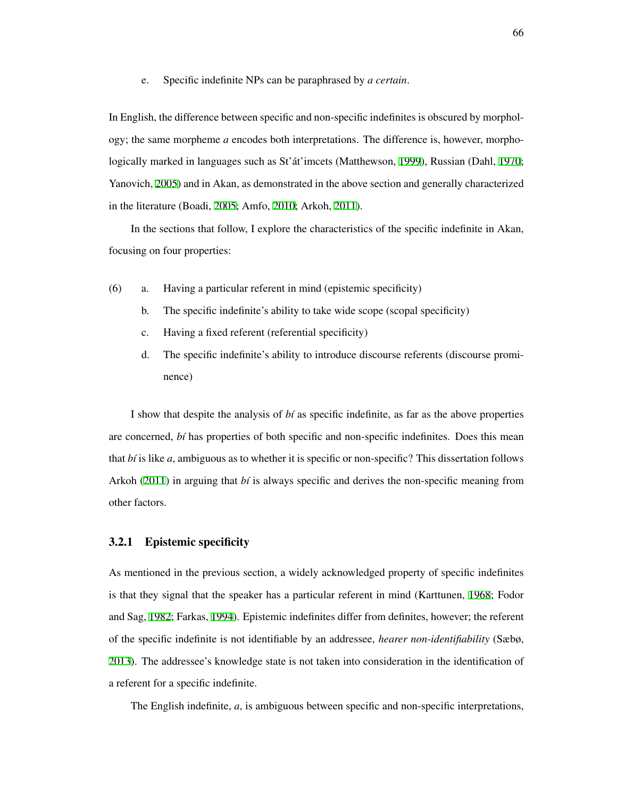e. Specific indefinite NPs can be paraphrased by *a certain*.

In English, the difference between specific and non-specific indefinites is obscured by morphology; the same morpheme *a* encodes both interpretations. The difference is, however, morpho-logically marked in languages such as St'at'imcets (Matthewson, [1999\)](#page-213-0), Russian (Dahl, [1970;](#page-207-0) Yanovich, [2005](#page-219-0)) and in Akan, as demonstrated in the above section and generally characterized in the literature (Boadi, [2005](#page-206-0); Amfo, [2010;](#page-205-0) Arkoh, [2011\)](#page-205-1).

In the sections that follow, I explore the characteristics of the specific indefinite in Akan, focusing on four properties:

- (6) a. Having a particular referent in mind (epistemic specificity)
	- b. The specific indefinite's ability to take wide scope (scopal specificity)
	- c. Having a fixed referent (referential specificity)
	- d. The specific indefinite's ability to introduce discourse referents (discourse prominence)

I show that despite the analysis of *b´ı* as specific indefinite, as far as the above properties are concerned, *b´ı* has properties of both specific and non-specific indefinites. Does this mean that *b´ı* is like *a*, ambiguous as to whether it is specific or non-specific? This dissertation follows Arkoh ([2011](#page-205-1)) in arguing that *bi* is always specific and derives the non-specific meaning from other factors.

# 3.2.1 Epistemic specificity

As mentioned in the previous section, a widely acknowledged property of specific indefinites is that they signal that the speaker has a particular referent in mind (Karttunen, [1968](#page-212-0); Fodor and Sag, [1982;](#page-209-1) Farkas, [1994](#page-209-0)). Epistemic indefinites differ from definites, however; the referent of the specific indefinite is not identifiable by an addressee, *hearer non-identifiability* (Sæbø, [2013\)](#page-216-0). The addressee's knowledge state is not taken into consideration in the identification of a referent for a specific indefinite.

The English indefinite, *a*, is ambiguous between specific and non-specific interpretations,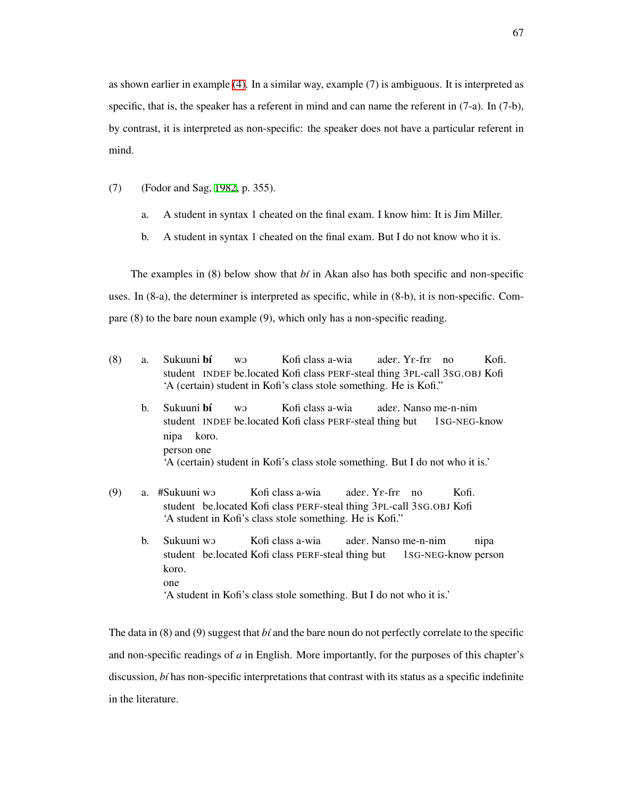as shown earlier in example [\(4\).](#page-74-3) In a similar way, example (7) is ambiguous. It is interpreted as specific, that is, the speaker has a referent in mind and can name the referent in (7-a). In (7-b), by contrast, it is interpreted as non-specific: the speaker does not have a particular referent in mind.

- (7) (Fodor and Sag, [1982,](#page-209-1) p. 355).
	- a. A student in syntax 1 cheated on the final exam. I know him: It is Jim Miller.
	- b. A student in syntax 1 cheated on the final exam. But I do not know who it is.

The examples in  $(8)$  below show that  $b\hat{i}$  in Akan also has both specific and non-specific uses. In (8-a), the determiner is interpreted as specific, while in (8-b), it is non-specific. Compare (8) to the bare noun example (9), which only has a non-specific reading.

- (8) a. Sukuuni bí student INDEF be.located Kofi class PERF-steal thing 3PL-call 3SG.OBJ Kofi w. Kofi class a-wia adeE. YE-frE no Kofi. 'A (certain) student in Kofi's class stole something. He is Kofi."
	- b. Sukuuni **bí** student INDEF be.located Kofi class PERF-steal thing but **WO** Kofi class a-wia adeE. Nanso me-n-nim 1SG-NEG-know nipa koro. person one 'A (certain) student in Kofi's class stole something. But I do not who it is.'
- (9) a. #Sukuuni wO student be.located Kofi class PERF-steal thing 3PL-call 3SG.OBJ Kofi Kofi class a-wia adeE. YE-frE no Kofi. 'A student in Kofi's class stole something. He is Kofi."
	- b. Sukuuni wO student be.located Kofi class PERF-steal thing but Kofi class a-wia adeE. Nanso me-n-nim 1SG-NEG-know person nipa koro. one 'A student in Kofi's class stole something. But I do not who it is.'

The data in (8) and (9) suggest that *b´ı* and the bare noun do not perfectly correlate to the specific and non-specific readings of *a* in English. More importantly, for the purposes of this chapter's discussion, *bi* has non-specific interpretations that contrast with its status as a specific indefinite in the literature.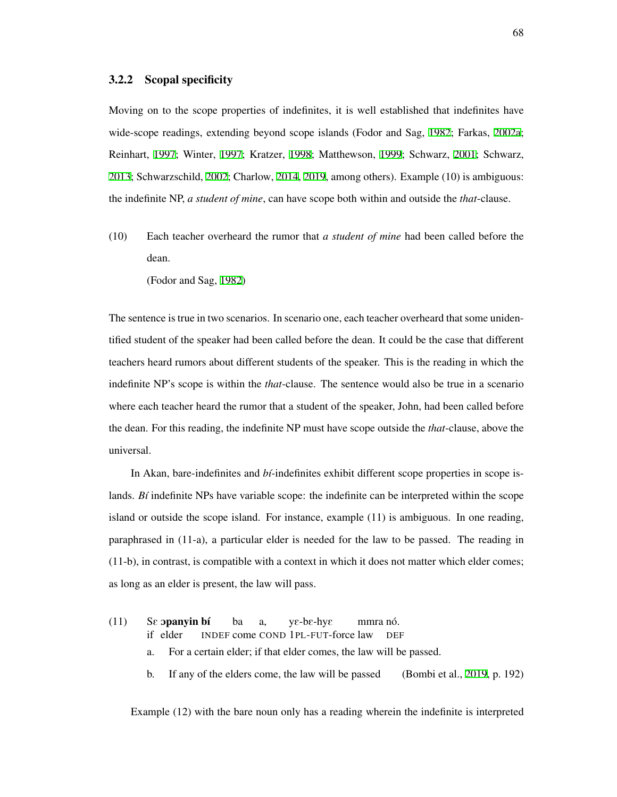#### <span id="page-77-0"></span>3.2.2 Scopal specificity

Moving on to the scope properties of indefinites, it is well established that indefinites have wide-scope readings, extending beyond scope islands (Fodor and Sag, [1982](#page-209-1); Farkas, [2002a;](#page-209-3) Reinhart, [1997](#page-215-0); Winter, [1997](#page-218-0); Kratzer, [1998](#page-212-1); Matthewson, [1999;](#page-213-0) Schwarz, [2001](#page-217-0); Schwarz, [2013;](#page-217-1) Schwarzschild, [2002](#page-217-2); Charlow, [2014](#page-206-1), [2019](#page-206-2), among others). Example (10) is ambiguous: the indefinite NP, *a student of mine*, can have scope both within and outside the *that*-clause.

(10) Each teacher overheard the rumor that *a student of mine* had been called before the dean.

(Fodor and Sag, [1982](#page-209-1))

The sentence is true in two scenarios. In scenario one, each teacher overheard that some unidentified student of the speaker had been called before the dean. It could be the case that different teachers heard rumors about different students of the speaker. This is the reading in which the indefinite NP's scope is within the *that*-clause. The sentence would also be true in a scenario where each teacher heard the rumor that a student of the speaker, John, had been called before the dean. For this reading, the indefinite NP must have scope outside the *that*-clause, above the universal.

In Akan, bare-indefinites and *bi*-indefinites exhibit different scope properties in scope islands. *Bi* indefinite NPs have variable scope: the indefinite can be interpreted within the scope island or outside the scope island. For instance, example (11) is ambiguous. In one reading, paraphrased in (11-a), a particular elder is needed for the law to be passed. The reading in (11-b), in contrast, is compatible with a context in which it does not matter which elder comes; as long as an elder is present, the law will pass.

 $(11)$ if elder opanyin bí INDEF come COND 1PL-FUT-force law ba a, yE-bE-hyE mmra nó. DEF a. For a certain elder; if that elder comes, the law will be passed. b. If any of the elders come, the law will be passed (Bombi et al., [2019,](#page-206-3) p. 192)

Example (12) with the bare noun only has a reading wherein the indefinite is interpreted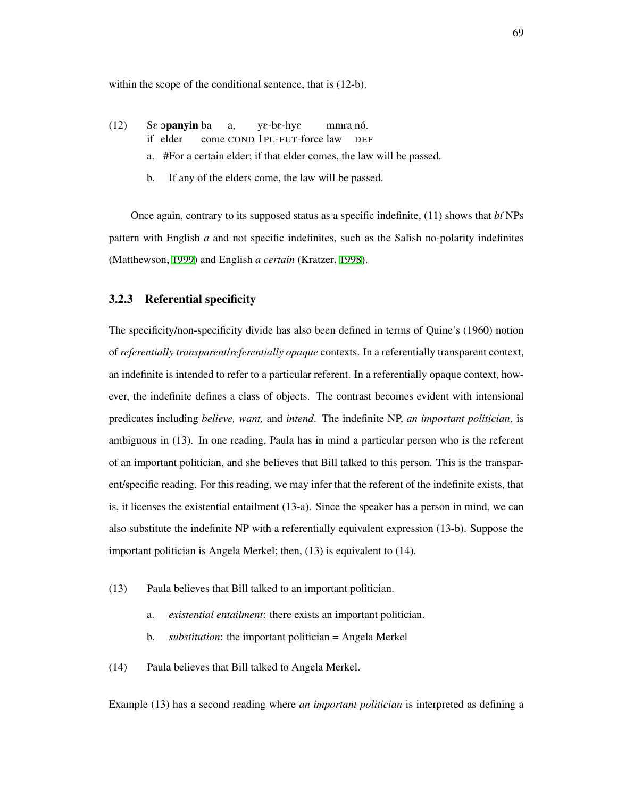within the scope of the conditional sentence, that is  $(12-b)$ .

- $(12)$ if elder **opanyin** ba come COND 1PL-FUT-force law a,  $ye$ -b $e$ -hy $\varepsilon$ mmra nó. DEF
	- a. #For a certain elder; if that elder comes, the law will be passed.
	- b. If any of the elders come, the law will be passed.

Once again, contrary to its supposed status as a specific indefinite, (11) shows that *b´ı* NPs pattern with English *a* and not specific indefinites, such as the Salish no-polarity indefinites (Matthewson, [1999\)](#page-213-0) and English *a certain* (Kratzer, [1998\)](#page-212-1).

### 3.2.3 Referential specificity

The specificity/non-specificity divide has also been defined in terms of Quine's (1960) notion of *referentially transparent*/*referentially opaque* contexts. In a referentially transparent context, an indefinite is intended to refer to a particular referent. In a referentially opaque context, however, the indefinite defines a class of objects. The contrast becomes evident with intensional predicates including *believe, want,* and *intend*. The indefinite NP, *an important politician*, is ambiguous in (13). In one reading, Paula has in mind a particular person who is the referent of an important politician, and she believes that Bill talked to this person. This is the transparent/specific reading. For this reading, we may infer that the referent of the indefinite exists, that is, it licenses the existential entailment (13-a). Since the speaker has a person in mind, we can also substitute the indefinite NP with a referentially equivalent expression (13-b). Suppose the important politician is Angela Merkel; then, (13) is equivalent to (14).

- (13) Paula believes that Bill talked to an important politician.
	- a. *existential entailment*: there exists an important politician.
	- b. *substitution*: the important politician = Angela Merkel
- (14) Paula believes that Bill talked to Angela Merkel.

Example (13) has a second reading where *an important politician* is interpreted as defining a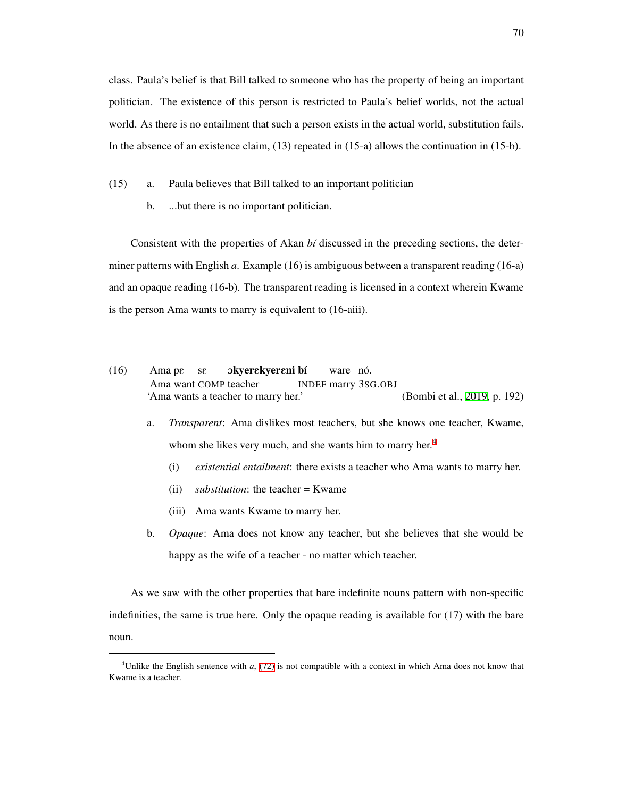class. Paula's belief is that Bill talked to someone who has the property of being an important politician. The existence of this person is restricted to Paula's belief worlds, not the actual world. As there is no entailment that such a person exists in the actual world, substitution fails. In the absence of an existence claim, (13) repeated in (15-a) allows the continuation in (15-b).

- (15) a. Paula believes that Bill talked to an important politician
	- b. ...but there is no important politician.

Consistent with the properties of Akan *b´ı* discussed in the preceding sections, the determiner patterns with English *a*. Example (16) is ambiguous between a transparent reading (16-a) and an opaque reading (16-b). The transparent reading is licensed in a context wherein Kwame is the person Ama wants to marry is equivalent to (16-aiii).

- (16) Ama pE Ama want COMP teacher sE okyerɛkyerɛni bí INDEF marry 3SG.OBJ ware nó. 'Ama wants a teacher to marry her.' (Bombi et al., [2019,](#page-206-3) p. 192)
	- a. *Transparent*: Ama dislikes most teachers, but she knows one teacher, Kwame, whom she likes very much, and she wants him to marry her.<sup>[4](#page-79-0)</sup>
		- (i) *existential entailment*: there exists a teacher who Ama wants to marry her.
		- (ii) *substitution*: the teacher = Kwame
		- (iii) Ama wants Kwame to marry her.
	- b. *Opaque*: Ama does not know any teacher, but she believes that she would be happy as the wife of a teacher - no matter which teacher.

As we saw with the other properties that bare indefinite nouns pattern with non-specific indefinities, the same is true here. Only the opaque reading is available for (17) with the bare noun.

<span id="page-79-0"></span><sup>4</sup>Unlike the English sentence with *a*, [\(72\)](#page-103-0) is not compatible with a context in which Ama does not know that Kwame is a teacher.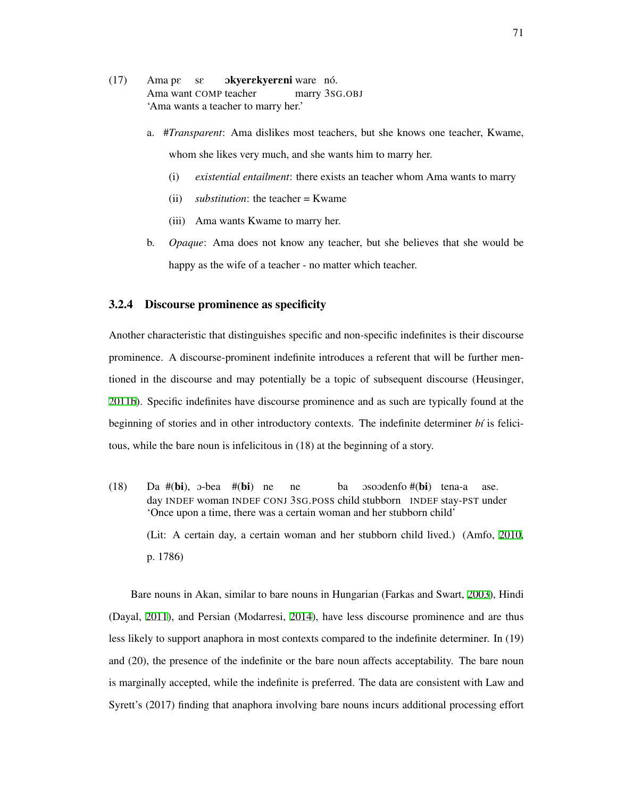- (17) Ama pE sE Ama want COMP teacher **okyerekyereni** ware nó. marry 3SG.OBJ 'Ama wants a teacher to marry her.'
	- a. #*Transparent*: Ama dislikes most teachers, but she knows one teacher, Kwame, whom she likes very much, and she wants him to marry her.
		- (i) *existential entailment*: there exists an teacher whom Ama wants to marry
		- (ii) *substitution*: the teacher = Kwame
		- (iii) Ama wants Kwame to marry her.
	- b. *Opaque*: Ama does not know any teacher, but she believes that she would be happy as the wife of a teacher - no matter which teacher.

# 3.2.4 Discourse prominence as specificity

Another characteristic that distinguishes specific and non-specific indefinites is their discourse prominence. A discourse-prominent indefinite introduces a referent that will be further mentioned in the discourse and may potentially be a topic of subsequent discourse (Heusinger, [2011b](#page-211-2)). Specific indefinites have discourse prominence and as such are typically found at the beginning of stories and in other introductory contexts. The indefinite determiner *bt* is felicitous, while the bare noun is infelicitous in (18) at the beginning of a story.

 $(18)$ day INDEF woman INDEF CONJ 3SG.POSS child stubborn INDEF stay-PST under #(bi), O-bea #(bi) ne ne ba osoodenfo #(**bi**) tena-a ase. 'Once upon a time, there was a certain woman and her stubborn child' (Lit: A certain day, a certain woman and her stubborn child lived.) (Amfo, [2010](#page-205-0), p. 1786)

Bare nouns in Akan, similar to bare nouns in Hungarian (Farkas and Swart, [2003\)](#page-209-4), Hindi (Dayal, [2011](#page-207-1)), and Persian (Modarresi, [2014\)](#page-214-1), have less discourse prominence and are thus less likely to support anaphora in most contexts compared to the indefinite determiner. In (19) and (20), the presence of the indefinite or the bare noun affects acceptability. The bare noun is marginally accepted, while the indefinite is preferred. The data are consistent with Law and Syrett's (2017) finding that anaphora involving bare nouns incurs additional processing effort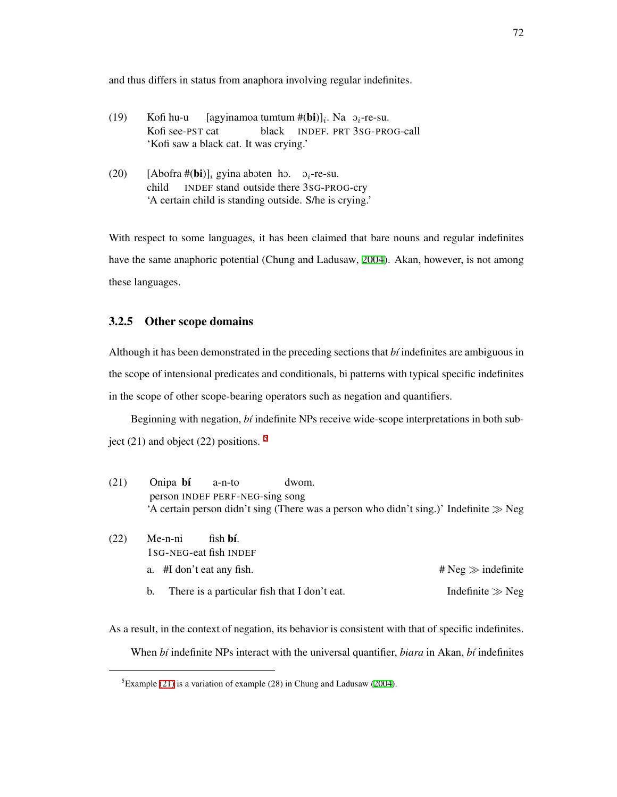and thus differs in status from anaphora involving regular indefinites.

- $(19)$ Kofi see-PST cat Kofi hu-u [agyinamoa tumtum #(bi)]*<sup>i</sup>* . Na O*i*-re-su. black INDEF. PRT 3SG-PROG-call 'Kofi saw a black cat. It was crying.'
- (20) [Abofra #(**bi**)]<sub>*i*</sub> gyina aboten ho.  $\sigma_i$ -re-su. child INDEF stand outside there 3SG-PROG-cry 'A certain child is standing outside. S/he is crying.'

With respect to some languages, it has been claimed that bare nouns and regular indefinites have the same anaphoric potential (Chung and Ladusaw, [2004](#page-207-2)). Akan, however, is not among these languages.

## <span id="page-81-2"></span>3.2.5 Other scope domains

Although it has been demonstrated in the preceding sections that *b´ı* indefinites are ambiguous in the scope of intensional predicates and conditionals, bi patterns with typical specific indefinites in the scope of other scope-bearing operators such as negation and quantifiers.

Beginning with negation, *b´ı* indefinite NPs receive wide-scope interpretations in both subject (21) and object (22) positions.  $5$ 

<span id="page-81-1"></span>

| (21) | Onipa bí                        | a-n-to                    | dwom.                                        |                                                                                           |  |  |
|------|---------------------------------|---------------------------|----------------------------------------------|-------------------------------------------------------------------------------------------|--|--|
|      | person INDEF PERF-NEG-sing song |                           |                                              |                                                                                           |  |  |
|      |                                 |                           |                                              | 'A certain person didn't sing (There was a person who didn't sing.)' Indefinite $\gg$ Neg |  |  |
|      |                                 |                           |                                              |                                                                                           |  |  |
| (22) | Me-n-ni                         | fish <b>bí</b> .          |                                              |                                                                                           |  |  |
|      |                                 | 1sG-NEG-eat fish INDEF    |                                              |                                                                                           |  |  |
|      |                                 | a. #I don't eat any fish. |                                              | # Neg $\gg$ indefinite                                                                    |  |  |
|      | b.                              |                           | There is a particular fish that I don't eat. | Indefinite $\gg$ Neg                                                                      |  |  |
|      |                                 |                           |                                              |                                                                                           |  |  |

As a result, in the context of negation, its behavior is consistent with that of specific indefinites. When *b´ı* indefinite NPs interact with the universal quantifier, *biara* in Akan, *b´ı* indefinites

<span id="page-81-0"></span><sup>&</sup>lt;sup>5</sup>Example [\(21\)](#page-81-1) is a variation of example (28) in Chung and Ladusaw [\(2004](#page-207-2)).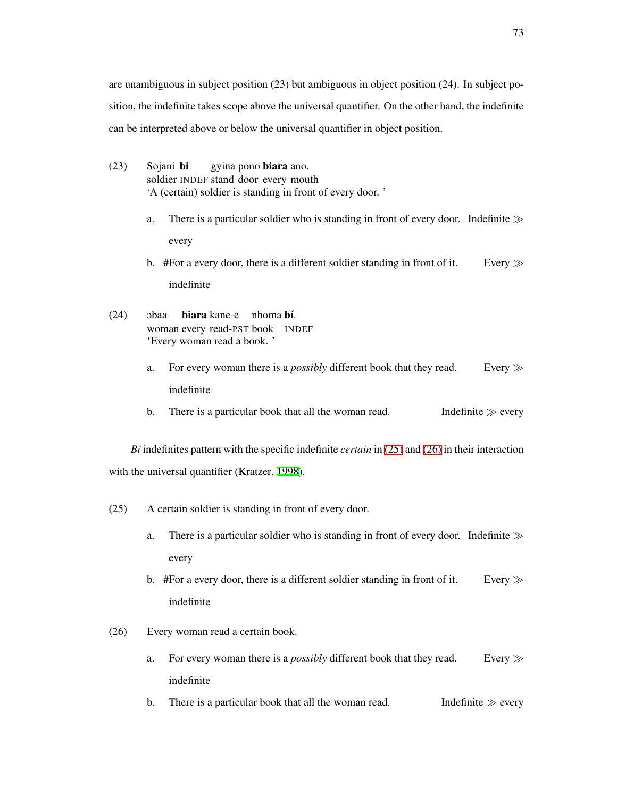are unambiguous in subject position (23) but ambiguous in object position (24). In subject position, the indefinite takes scope above the universal quantifier. On the other hand, the indefinite can be interpreted above or below the universal quantifier in object position.

- (23) Sojani bi soldier INDEF stand door every mouth gyina pono biara ano. 'A (certain) soldier is standing in front of every door. '
	- a. There is a particular soldier who is standing in front of every door. Indefinite *≫* every
	- b. #For a every door, there is a different soldier standing in front of it. Every *≫* indefinite
- $(24)$  obaa woman every read-PST book INDEF biara kane-e nhoma bí. 'Every woman read a book. '
	- a. For every woman there is a *possibly* different book that they read. Every *≫* indefinite
	- b. There is a particular book that all the woman read. Indefinite  $\gg$  every

*B´ı* indefinites pattern with the specific indefinite *certain* in [\(25\)](#page-82-0) and [\(26\)](#page-82-1) in their interaction with the universal quantifier (Kratzer, [1998\)](#page-212-1).

- <span id="page-82-0"></span>(25) A certain soldier is standing in front of every door.
	- a. There is a particular soldier who is standing in front of every door. Indefinite *≫* every
	- b. #For a every door, there is a different soldier standing in front of it. Every *≫* indefinite
- <span id="page-82-1"></span>(26) Every woman read a certain book.
	- a. For every woman there is a *possibly* different book that they read. Every *≫* indefinite
	- b. There is a particular book that all the woman read. Indefinite  $\gg$  every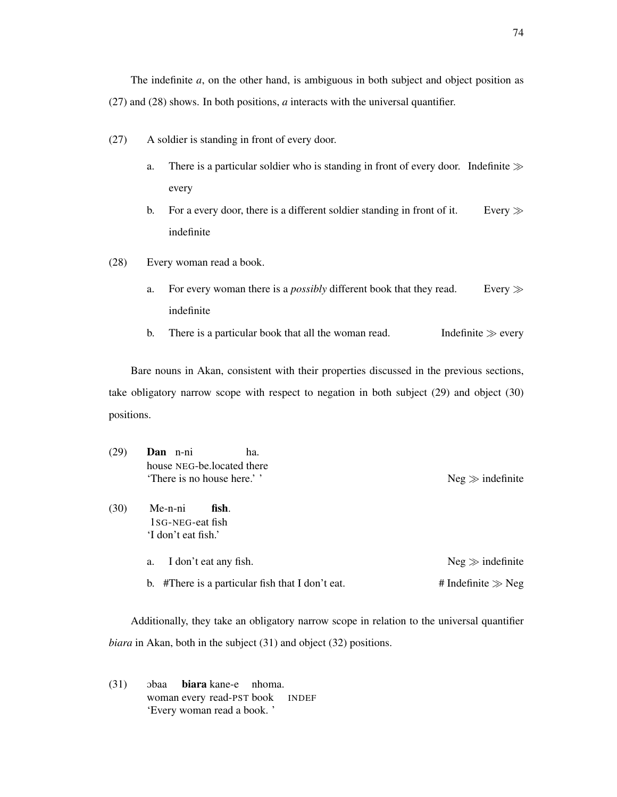The indefinite *a*, on the other hand, is ambiguous in both subject and object position as (27) and (28) shows. In both positions, *a* interacts with the universal quantifier.

- (27) A soldier is standing in front of every door.
	- a. There is a particular soldier who is standing in front of every door. Indefinite *≫* every
	- b. For a every door, there is a different soldier standing in front of it. Every *≫* indefinite
- (28) Every woman read a book.
	- a. For every woman there is a *possibly* different book that they read. Every *≫* indefinite
	- b. There is a particular book that all the woman read. Indefinite  $\gg$  every

Bare nouns in Akan, consistent with their properties discussed in the previous sections, take obligatory narrow scope with respect to negation in both subject (29) and object (30) positions.

| (29) | Dan n-ni<br>ha.<br>house NEG-be.located there<br>'There is no house here.'' | $Neg \gg$ indefinite   |
|------|-----------------------------------------------------------------------------|------------------------|
| (30) | Me-n-ni<br>fish.<br>1 <sub>SG</sub> -NEG-eat fish<br>'I don't eat fish.'    |                        |
|      | I don't eat any fish.<br>a.                                                 | $Neg \gg$ indefinite   |
|      | #There is a particular fish that I don't eat.<br>b.                         | # Indefinite $\gg$ Neg |

Additionally, they take an obligatory narrow scope in relation to the universal quantifier *biara* in Akan, both in the subject (31) and object (32) positions.

 $(31)$  obaa woman every read-PST biara kane-e nhoma. **INDEF** 'Every woman read a book. '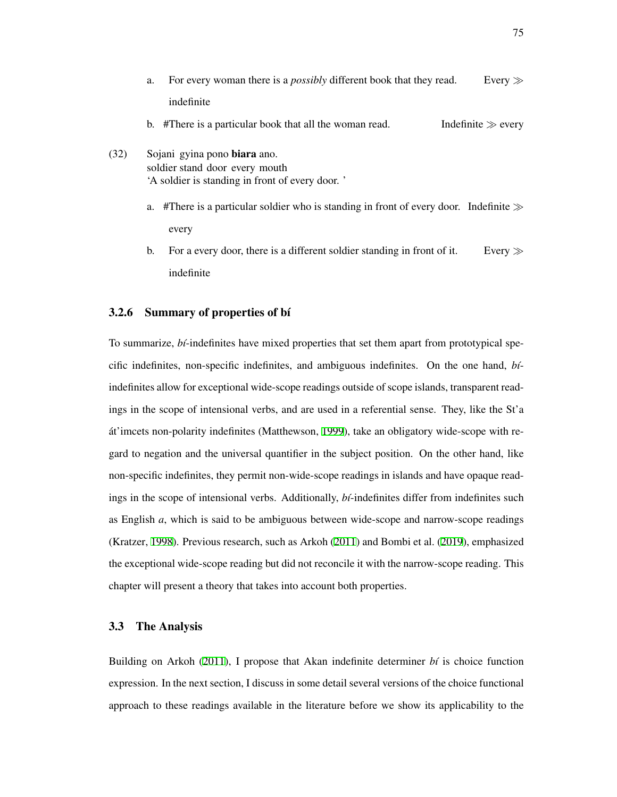- a. For every woman there is a *possibly* different book that they read. Every *≫* indefinite
- b.  $#$ There is a particular book that all the woman read. Indefinite  $\gg$  every
- (32) Sojani gyina pono biara ano. soldier stand door every mouth 'A soldier is standing in front of every door. '
	- a. #There is a particular soldier who is standing in front of every door. Indefinite *≫* every
	- b. For a every door, there is a different soldier standing in front of it. Every *≫* indefinite

## 3.2.6 Summary of properties of bi

To summarize, *bi*-indefinites have mixed properties that set them apart from prototypical specific indefinites, non-specific indefinites, and ambiguous indefinites. On the one hand, *b´ı*indefinites allow for exceptional wide-scope readings outside of scope islands, transparent readings in the scope of intensional verbs, and are used in a referential sense. They, like the St'a át'imcets non-polarity indefinites (Matthewson, [1999](#page-213-0)), take an obligatory wide-scope with regard to negation and the universal quantifier in the subject position. On the other hand, like non-specific indefinites, they permit non-wide-scope readings in islands and have opaque readings in the scope of intensional verbs. Additionally, *bt*-indefinites differ from indefinites such as English *a*, which is said to be ambiguous between wide-scope and narrow-scope readings (Kratzer, [1998\)](#page-212-1). Previous research, such as Arkoh ([2011](#page-205-1)) and Bombi et al. ([2019\)](#page-206-3), emphasized the exceptional wide-scope reading but did not reconcile it with the narrow-scope reading. This chapter will present a theory that takes into account both properties.

#### <span id="page-84-0"></span>3.3 The Analysis

Building on Arkoh [\(2011](#page-205-1)), I propose that Akan indefinite determiner  $b\ell$  is choice function expression. In the next section, I discuss in some detail several versions of the choice functional approach to these readings available in the literature before we show its applicability to the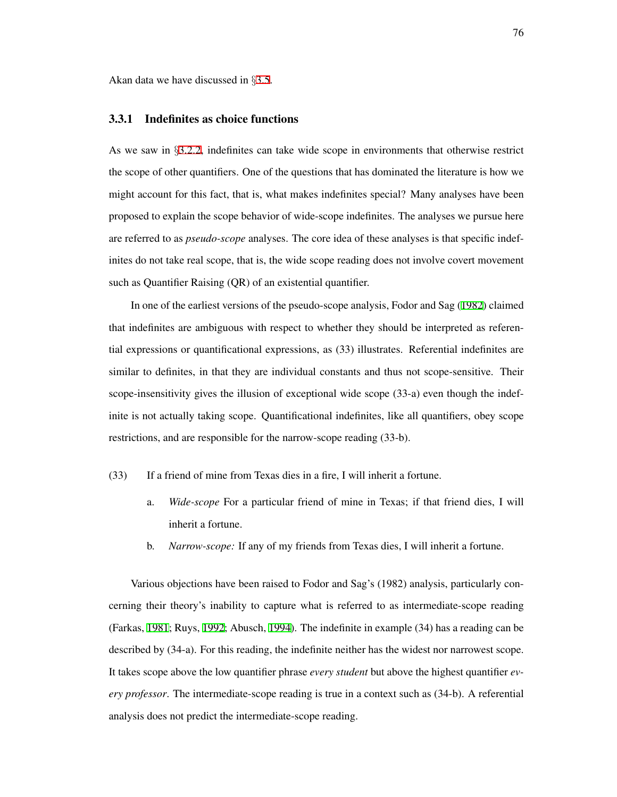Akan data we have discussed in *§*[3.5.](#page-120-0)

## 3.3.1 Indefinites as choice functions

As we saw in *§*[3.2.2](#page-77-0), indefinites can take wide scope in environments that otherwise restrict the scope of other quantifiers. One of the questions that has dominated the literature is how we might account for this fact, that is, what makes indefinites special? Many analyses have been proposed to explain the scope behavior of wide-scope indefinites. The analyses we pursue here are referred to as *pseudo-scope* analyses. The core idea of these analyses is that specific indefinites do not take real scope, that is, the wide scope reading does not involve covert movement such as Quantifier Raising (QR) of an existential quantifier.

In one of the earliest versions of the pseudo-scope analysis, Fodor and Sag ([1982](#page-209-1)) claimed that indefinites are ambiguous with respect to whether they should be interpreted as referential expressions or quantificational expressions, as (33) illustrates. Referential indefinites are similar to definites, in that they are individual constants and thus not scope-sensitive. Their scope-insensitivity gives the illusion of exceptional wide scope (33-a) even though the indefinite is not actually taking scope. Quantificational indefinites, like all quantifiers, obey scope restrictions, and are responsible for the narrow-scope reading (33-b).

- (33) If a friend of mine from Texas dies in a fire, I will inherit a fortune.
	- a. *Wide-scope* For a particular friend of mine in Texas; if that friend dies, I will inherit a fortune.
	- b. *Narrow-scope:* If any of my friends from Texas dies, I will inherit a fortune.

Various objections have been raised to Fodor and Sag's (1982) analysis, particularly concerning their theory's inability to capture what is referred to as intermediate-scope reading (Farkas, [1981;](#page-209-5) Ruys, [1992;](#page-216-1) Abusch, [1994\)](#page-204-0). The indefinite in example (34) has a reading can be described by (34-a). For this reading, the indefinite neither has the widest nor narrowest scope. It takes scope above the low quantifier phrase *every student* but above the highest quantifier *every professor*. The intermediate-scope reading is true in a context such as (34-b). A referential analysis does not predict the intermediate-scope reading.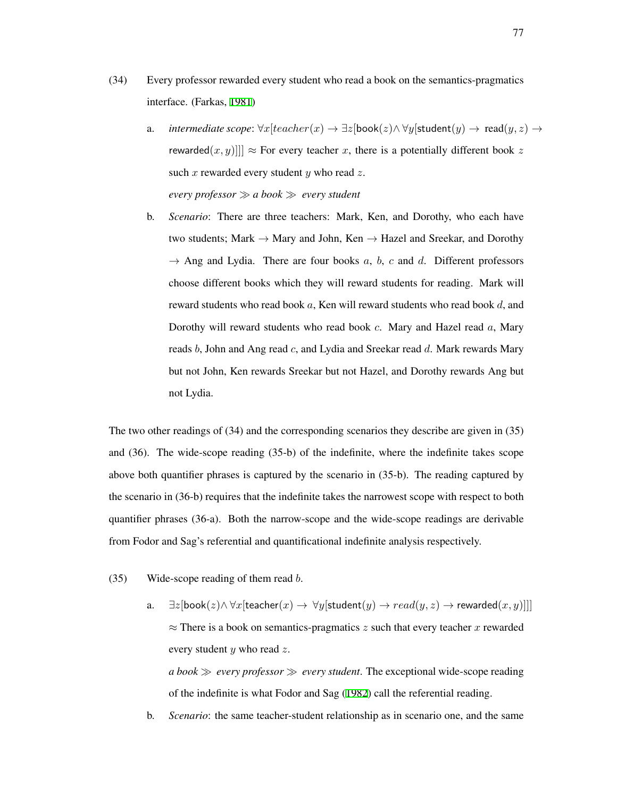- (34) Every professor rewarded every student who read a book on the semantics-pragmatics interface. (Farkas, [1981\)](#page-209-5)
	- a. *intermediate scope*:  $\forall x$ [*teacher*(*x*)  $\rightarrow \exists z$ [book(*z*) $\land \forall y$ [student(*y*)  $\rightarrow$  read(*y*, *z*)  $\rightarrow$ rewarded $(x, y)$ ]]  $\approx$  For every teacher *x*, there is a potentially different book *z* such *x* rewarded every student *y* who read *z*. *every professor ≫ a book ≫ every student*
	- b. *Scenario*: There are three teachers: Mark, Ken, and Dorothy, who each have two students; Mark *→* Mary and John, Ken *→* Hazel and Sreekar, and Dorothy *→* Ang and Lydia. There are four books *a*, *b*, *c* and *d*. Different professors choose different books which they will reward students for reading. Mark will reward students who read book *a*, Ken will reward students who read book *d*, and Dorothy will reward students who read book *c*. Mary and Hazel read *a*, Mary reads *b*, John and Ang read *c*, and Lydia and Sreekar read *d*. Mark rewards Mary but not John, Ken rewards Sreekar but not Hazel, and Dorothy rewards Ang but not Lydia.

The two other readings of (34) and the corresponding scenarios they describe are given in (35) and (36). The wide-scope reading (35-b) of the indefinite, where the indefinite takes scope above both quantifier phrases is captured by the scenario in (35-b). The reading captured by the scenario in (36-b) requires that the indefinite takes the narrowest scope with respect to both quantifier phrases (36-a). Both the narrow-scope and the wide-scope readings are derivable from Fodor and Sag's referential and quantificational indefinite analysis respectively.

(35) Wide-scope reading of them read *b*.

a.  $\exists z$ [book(*z*) $\land \forall x$ [teacher(*x*)  $\rightarrow \forall y$ [student(*y*)  $\rightarrow read(y, z) \rightarrow$  rewarded(*x*, *y*)]]] *≈* There is a book on semantics-pragmatics *z* such that every teacher *x* rewarded every student *y* who read *z*.

*a book ≫ every professor ≫ every student*. The exceptional wide-scope reading of the indefinite is what Fodor and Sag [\(1982](#page-209-1)) call the referential reading.

b. *Scenario*: the same teacher-student relationship as in scenario one, and the same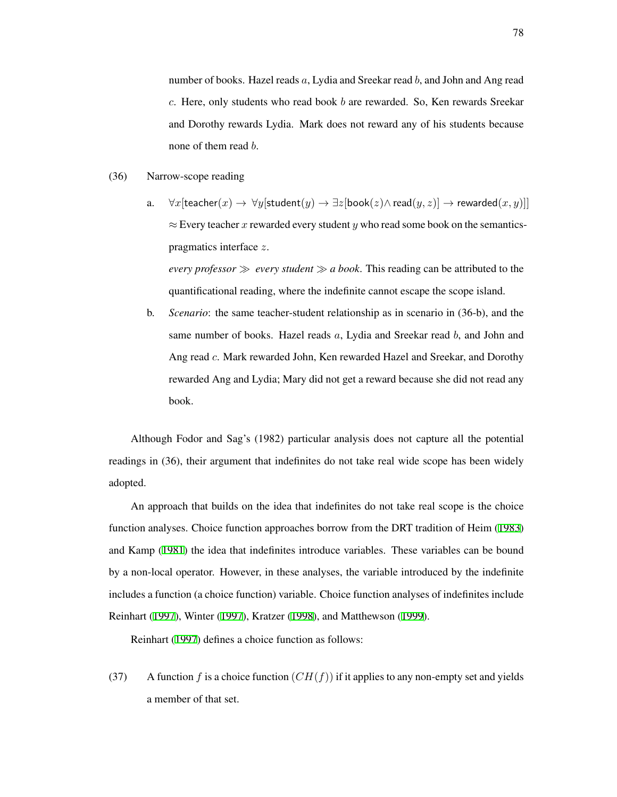number of books. Hazel reads *a*, Lydia and Sreekar read *b*, and John and Ang read *c*. Here, only students who read book *b* are rewarded. So, Ken rewards Sreekar and Dorothy rewards Lydia. Mark does not reward any of his students because none of them read *b*.

- (36) Narrow-scope reading
	- a.  $\forall x$ [teacher(*x*)  $\rightarrow \forall y$ [student(*y*)  $\rightarrow \exists z$ [book(*z*) $\land$  read(*y*, *z*)]  $\rightarrow$  rewarded(*x*, *y*)]] *≈* Every teacher *x* rewarded every student *y* who read some book on the semanticspragmatics interface *z*.

*every professor ≫ every student ≫ a book*. This reading can be attributed to the quantificational reading, where the indefinite cannot escape the scope island.

b. *Scenario*: the same teacher-student relationship as in scenario in (36-b), and the same number of books. Hazel reads *a*, Lydia and Sreekar read *b*, and John and Ang read *c*. Mark rewarded John, Ken rewarded Hazel and Sreekar, and Dorothy rewarded Ang and Lydia; Mary did not get a reward because she did not read any book.

Although Fodor and Sag's (1982) particular analysis does not capture all the potential readings in (36), their argument that indefinites do not take real wide scope has been widely adopted.

An approach that builds on the idea that indefinites do not take real scope is the choice function analyses. Choice function approaches borrow from the DRT tradition of Heim ([1983](#page-211-3)) and Kamp ([1981\)](#page-212-2) the idea that indefinites introduce variables. These variables can be bound by a non-local operator. However, in these analyses, the variable introduced by the indefinite includes a function (a choice function) variable. Choice function analyses of indefinites include Reinhart ([1997\)](#page-215-0), Winter [\(1997\)](#page-218-0), Kratzer [\(1998\)](#page-212-1), and Matthewson [\(1999](#page-213-0)).

Reinhart ([1997\)](#page-215-0) defines a choice function as follows:

(37) A function *f* is a choice function  $(CH(f))$  if it applies to any non-empty set and yields a member of that set.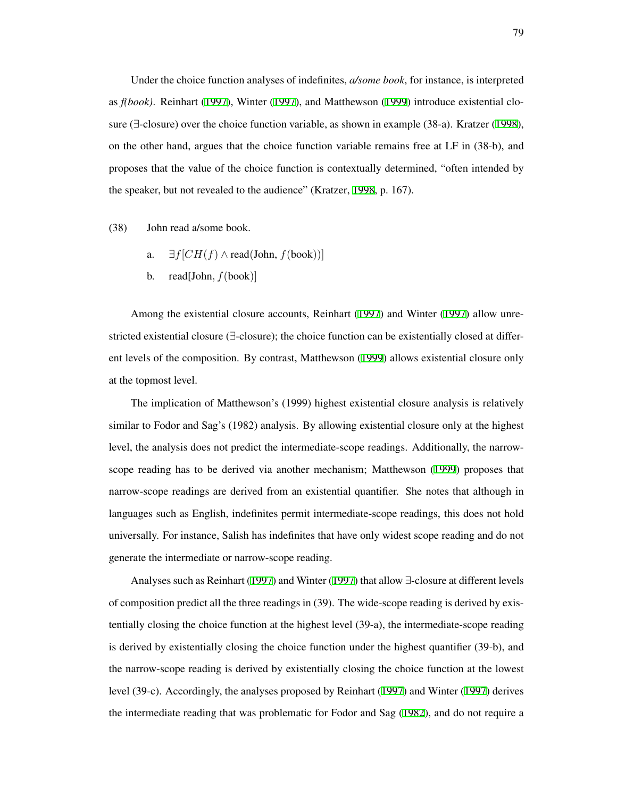Under the choice function analyses of indefinites, *a/some book*, for instance, is interpreted as *f(book)*. Reinhart [\(1997](#page-215-0)), Winter ([1997](#page-218-0)), and Matthewson [\(1999](#page-213-0)) introduce existential closure (*∃*-closure) over the choice function variable, as shown in example (38-a). Kratzer ([1998\)](#page-212-1), on the other hand, argues that the choice function variable remains free at LF in (38-b), and proposes that the value of the choice function is contextually determined, "often intended by the speaker, but not revealed to the audience" (Kratzer, [1998,](#page-212-1) p. 167).

(38) John read a/some book.

- a.  $∃f[CH(f) ∧ read(John, f(book))]$
- b. read[John*, f*(book)]

Among the existential closure accounts, Reinhart [\(1997](#page-215-0)) and Winter ([1997](#page-218-0)) allow unrestricted existential closure (*∃*-closure); the choice function can be existentially closed at different levels of the composition. By contrast, Matthewson ([1999](#page-213-0)) allows existential closure only at the topmost level.

The implication of Matthewson's (1999) highest existential closure analysis is relatively similar to Fodor and Sag's (1982) analysis. By allowing existential closure only at the highest level, the analysis does not predict the intermediate-scope readings. Additionally, the narrowscope reading has to be derived via another mechanism; Matthewson ([1999\)](#page-213-0) proposes that narrow-scope readings are derived from an existential quantifier. She notes that although in languages such as English, indefinites permit intermediate-scope readings, this does not hold universally. For instance, Salish has indefinites that have only widest scope reading and do not generate the intermediate or narrow-scope reading.

Analyses such as Reinhart ([1997\)](#page-215-0) and Winter ([1997\)](#page-218-0) that allow *∃*-closure at different levels of composition predict all the three readings in (39). The wide-scope reading is derived by existentially closing the choice function at the highest level (39-a), the intermediate-scope reading is derived by existentially closing the choice function under the highest quantifier (39-b), and the narrow-scope reading is derived by existentially closing the choice function at the lowest level (39-c). Accordingly, the analyses proposed by Reinhart [\(1997](#page-215-0)) and Winter ([1997\)](#page-218-0) derives the intermediate reading that was problematic for Fodor and Sag ([1982](#page-209-1)), and do not require a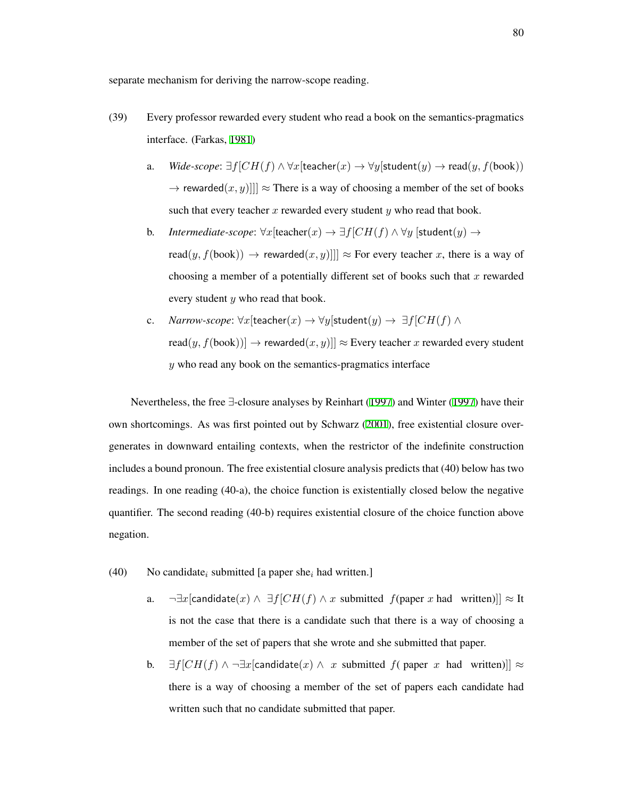separate mechanism for deriving the narrow-scope reading.

- (39) Every professor rewarded every student who read a book on the semantics-pragmatics interface. (Farkas, [1981\)](#page-209-5)
	- a. *Wide-scope*: *∃f*[*CH*(*f*) *∧ ∀x*[teacher(*x*) *→ ∀y*[student(*y*) *→* read(*y, f*(book))  $\rightarrow$  rewarded $(x, y)$ ]]  $\approx$  There is a way of choosing a member of the set of books such that every teacher *x* rewarded every student *y* who read that book.
	- b. *Intermediate-scope*:  $\forall x$ [teacher $(x) \rightarrow \exists f$ [ $CH(f) \land \forall y$  [student $(y) \rightarrow$ read $(y, f(book)) \rightarrow rewarded(x, y)$ ]]  $\approx$  For every teacher *x*, there is a way of choosing a member of a potentially different set of books such that *x* rewarded every student *y* who read that book.
	- c. *Narrow-scope*: *∀x*[teacher(*x*) *→ ∀y*[student(*y*) *→ ∃f*[*CH*(*f*) *∧* read $(y, f(book))] \rightarrow$  rewarded $(x, y)] \approx$  Every teacher *x* rewarded every student *y* who read any book on the semantics-pragmatics interface

Nevertheless, the free *∃*-closure analyses by Reinhart ([1997\)](#page-215-0) and Winter [\(1997](#page-218-0)) have their own shortcomings. As was first pointed out by Schwarz [\(2001](#page-217-0)), free existential closure overgenerates in downward entailing contexts, when the restrictor of the indefinite construction includes a bound pronoun. The free existential closure analysis predicts that (40) below has two readings. In one reading (40-a), the choice function is existentially closed below the negative quantifier. The second reading (40-b) requires existential closure of the choice function above negation.

- (40) No candidate*<sup>i</sup>* submitted [a paper she*<sup>i</sup>* had written.]
	- a.  $\neg \exists x$ [candidate(*x*)  $\land \exists f$ [*CH*(*f*)  $\land$  *x* submitted *f*(paper *x* had written)]]  $\approx$  It is not the case that there is a candidate such that there is a way of choosing a member of the set of papers that she wrote and she submitted that paper.
	- **b.**  $\exists f$ [*CH*(*f*) ∧  $\neg \exists x$ [candidate(*x*) ∧ *x* submitted *f*( paper *x* had written)]] ≈ there is a way of choosing a member of the set of papers each candidate had written such that no candidate submitted that paper.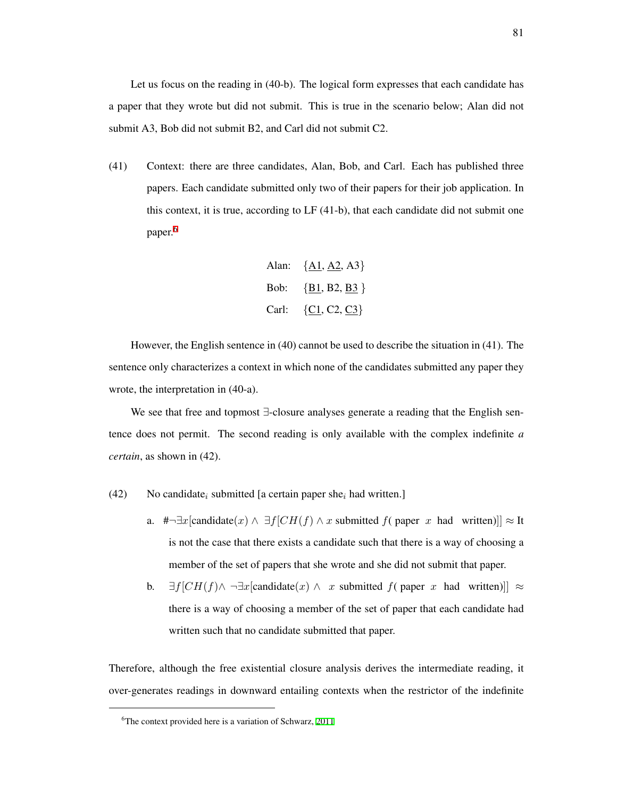Let us focus on the reading in (40-b). The logical form expresses that each candidate has a paper that they wrote but did not submit. This is true in the scenario below; Alan did not submit A3, Bob did not submit B2, and Carl did not submit C2.

(41) Context: there are three candidates, Alan, Bob, and Carl. Each has published three papers. Each candidate submitted only two of their papers for their job application. In this context, it is true, according to LF (41-b), that each candidate did not submit one paper.<sup>[6](#page-90-0)</sup>

Alan: {
$$
\underline{A1}, \underline{A2}, A3
$$
}  
Bob: { $\underline{B1}, B2, \underline{B3}$ }  
Carl: { $\underline{C1}, C2, \underline{C3}$ }

However, the English sentence in (40) cannot be used to describe the situation in (41). The sentence only characterizes a context in which none of the candidates submitted any paper they wrote, the interpretation in (40-a).

We see that free and topmost *∃*-closure analyses generate a reading that the English sentence does not permit. The second reading is only available with the complex indefinite *a certain*, as shown in (42).

- (42) No candidate*<sup>i</sup>* submitted [a certain paper she*<sup>i</sup>* had written.]
	- a. # $\neg \exists x$ [candidate(*x*)  $\land \exists f$ [*CH*(*f*)  $\land x$  submitted *f*( paper *x* had written)]]  $\approx$  It is not the case that there exists a candidate such that there is a way of choosing a member of the set of papers that she wrote and she did not submit that paper.
	- **b.**  $\exists f$ [*CH*(*f*)∧  $\neg \exists x$ [candidate(*x*) ∧ *x* submitted *f*( paper *x* had written)]]  $\approx$ there is a way of choosing a member of the set of paper that each candidate had written such that no candidate submitted that paper.

Therefore, although the free existential closure analysis derives the intermediate reading, it over-generates readings in downward entailing contexts when the restrictor of the indefinite

<span id="page-90-0"></span><sup>&</sup>lt;sup>6</sup>The context provided here is a variation of Schwarz, [2011](#page-217-3)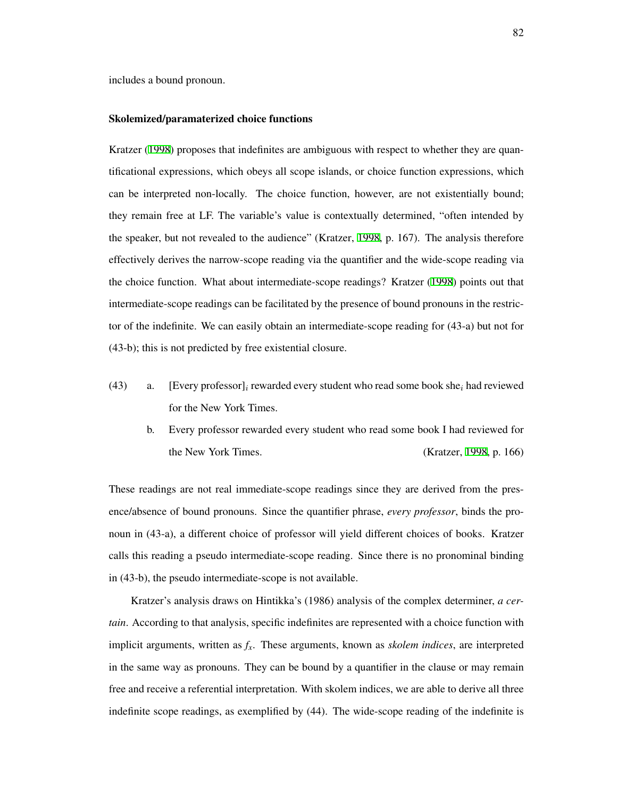includes a bound pronoun.

#### Skolemized/paramaterized choice functions

Kratzer [\(1998](#page-212-1)) proposes that indefinites are ambiguous with respect to whether they are quantificational expressions, which obeys all scope islands, or choice function expressions, which can be interpreted non-locally. The choice function, however, are not existentially bound; they remain free at LF. The variable's value is contextually determined, "often intended by the speaker, but not revealed to the audience" (Kratzer, [1998,](#page-212-1) p. 167). The analysis therefore effectively derives the narrow-scope reading via the quantifier and the wide-scope reading via the choice function. What about intermediate-scope readings? Kratzer ([1998\)](#page-212-1) points out that intermediate-scope readings can be facilitated by the presence of bound pronouns in the restrictor of the indefinite. We can easily obtain an intermediate-scope reading for (43-a) but not for (43-b); this is not predicted by free existential closure.

- (43) a. [Every professor]*<sup>i</sup>* rewarded every student who read some book she*<sup>i</sup>* had reviewed for the New York Times.
	- b. Every professor rewarded every student who read some book I had reviewed for the New York Times. (Kratzer, [1998,](#page-212-1) p. 166)

These readings are not real immediate-scope readings since they are derived from the presence/absence of bound pronouns. Since the quantifier phrase, *every professor*, binds the pronoun in (43-a), a different choice of professor will yield different choices of books. Kratzer calls this reading a pseudo intermediate-scope reading. Since there is no pronominal binding in (43-b), the pseudo intermediate-scope is not available.

Kratzer's analysis draws on Hintikka's (1986) analysis of the complex determiner, *a certain*. According to that analysis, specific indefinites are represented with a choice function with implicit arguments, written as *fx*. These arguments, known as *skolem indices*, are interpreted in the same way as pronouns. They can be bound by a quantifier in the clause or may remain free and receive a referential interpretation. With skolem indices, we are able to derive all three indefinite scope readings, as exemplified by (44). The wide-scope reading of the indefinite is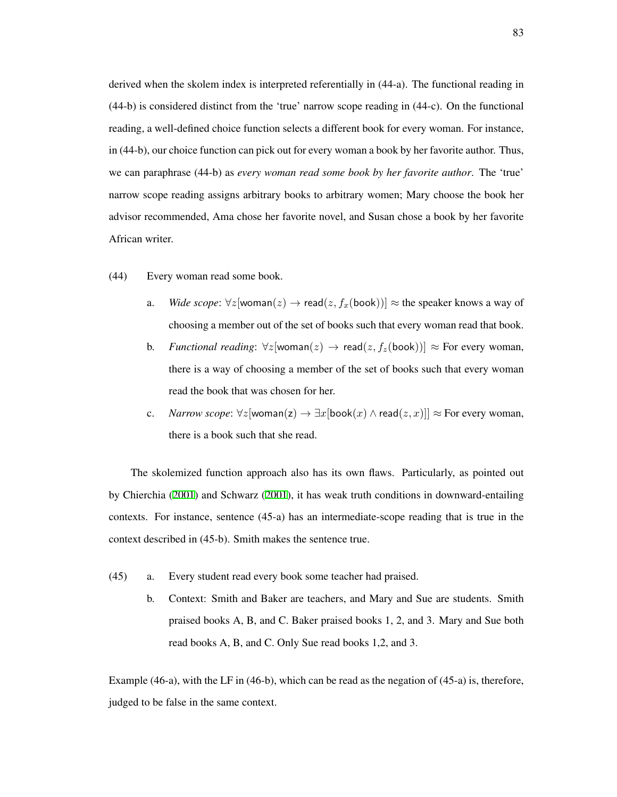derived when the skolem index is interpreted referentially in (44-a). The functional reading in (44-b) is considered distinct from the 'true' narrow scope reading in (44-c). On the functional reading, a well-defined choice function selects a different book for every woman. For instance, in (44-b), our choice function can pick out for every woman a book by her favorite author. Thus, we can paraphrase (44-b) as *every woman read some book by her favorite author*. The 'true' narrow scope reading assigns arbitrary books to arbitrary women; Mary choose the book her advisor recommended, Ama chose her favorite novel, and Susan chose a book by her favorite African writer.

- (44) Every woman read some book.
	- a. *Wide scope*:  $\forall z$ [woman(*z*)  $\rightarrow$  read(*z*,  $f_x$ (book))]  $\approx$  the speaker knows a way of choosing a member out of the set of books such that every woman read that book.
	- b. *Functional reading*:  $\forall z$ [woman(*z*) → read(*z*, *f<sub>z</sub>*(book))] ≈ For every woman, there is a way of choosing a member of the set of books such that every woman read the book that was chosen for her.
	- c. *Narrow scope*:  $\forall z$ [woman(z) →  $\exists x$ [book(x) ∧ read( $z, x$ )]] ≈ For every woman, there is a book such that she read.

The skolemized function approach also has its own flaws. Particularly, as pointed out by Chierchia [\(2001](#page-207-3)) and Schwarz [\(2001](#page-217-0)), it has weak truth conditions in downward-entailing contexts. For instance, sentence (45-a) has an intermediate-scope reading that is true in the context described in (45-b). Smith makes the sentence true.

- (45) a. Every student read every book some teacher had praised.
	- b. Context: Smith and Baker are teachers, and Mary and Sue are students. Smith praised books A, B, and C. Baker praised books 1, 2, and 3. Mary and Sue both read books A, B, and C. Only Sue read books 1,2, and 3.

Example (46-a), with the LF in (46-b), which can be read as the negation of (45-a) is, therefore, judged to be false in the same context.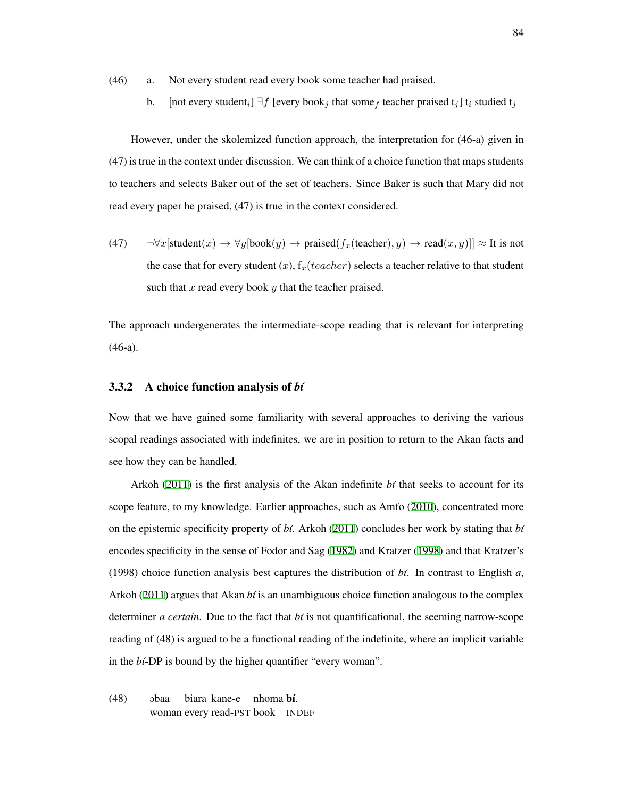(46) a. Not every student read every book some teacher had praised.

b. [not every student<sub>*i*</sub>] *∃f* [every book<sub>*j*</sub> that some<sub>f</sub> teacher praised t<sub>*j*</sub>] t<sub>*i*</sub> studied t<sub>*j*</sub>

However, under the skolemized function approach, the interpretation for (46-a) given in (47) is true in the context under discussion. We can think of a choice function that maps students to teachers and selects Baker out of the set of teachers. Since Baker is such that Mary did not read every paper he praised, (47) is true in the context considered.

(47) *¬∀x*[student(*x*) *→ ∀y*[book(*y*) *→* praised(*fx*(teacher)*, y*) *→* read(*x, y*)]] *≈* It is not the case that for every student  $(x)$ ,  $f_x(teacher)$  selects a teacher relative to that student such that *x* read every book *y* that the teacher praised.

The approach undergenerates the intermediate-scope reading that is relevant for interpreting (46-a).

#### 3.3.2 A choice function analysis of *b´ı*

Now that we have gained some familiarity with several approaches to deriving the various scopal readings associated with indefinites, we are in position to return to the Akan facts and see how they can be handled.

Arkoh ([2011\)](#page-205-1) is the first analysis of the Akan indefinite *bi* that seeks to account for its scope feature, to my knowledge. Earlier approaches, such as Amfo ([2010\)](#page-205-0), concentrated more on the epistemic specificity property of *b´ı*. Arkoh [\(2011](#page-205-1)) concludes her work by stating that *b´ı* encodes specificity in the sense of Fodor and Sag ([1982](#page-209-1)) and Kratzer [\(1998](#page-212-1)) and that Kratzer's (1998) choice function analysis best captures the distribution of  $b\ell$ . In contrast to English  $a$ , Arkoh ([2011\)](#page-205-1) argues that Akan *bi* is an unambiguous choice function analogous to the complex determiner *a certain*. Due to the fact that *b´ı* is not quantificational, the seeming narrow-scope reading of (48) is argued to be a functional reading of the indefinite, where an implicit variable in the *bt*-DP is bound by the higher quantifier "every woman".

 $(48)$  obaa woman every read-PST book INDEFbiara kane-e nhoma bí.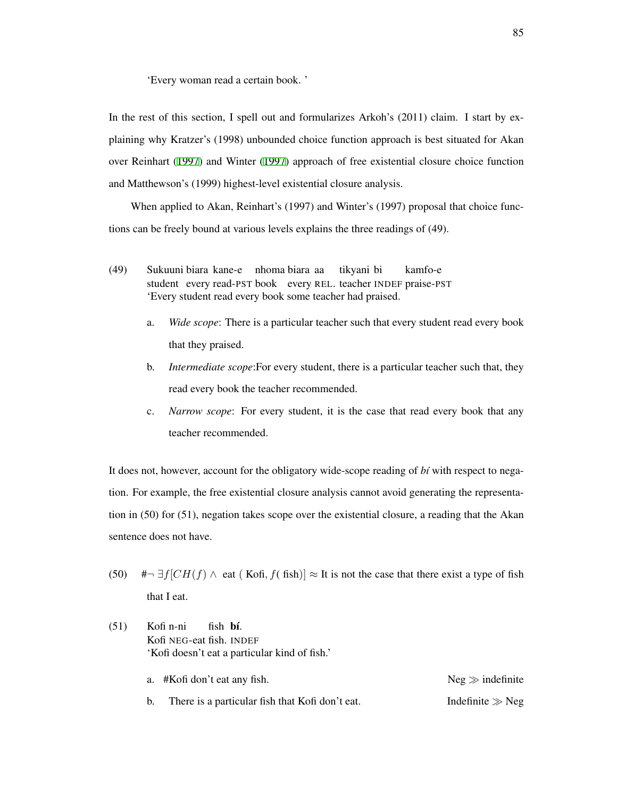'Every woman read a certain book. '

In the rest of this section, I spell out and formularizes Arkoh's (2011) claim. I start by explaining why Kratzer's (1998) unbounded choice function approach is best situated for Akan over Reinhart ([1997\)](#page-215-0) and Winter ([1997](#page-218-0)) approach of free existential closure choice function and Matthewson's (1999) highest-level existential closure analysis.

When applied to Akan, Reinhart's (1997) and Winter's (1997) proposal that choice functions can be freely bound at various levels explains the three readings of (49).

- (49) Sukuuni biara kane-e nhoma biara aa student every read-PST book every REL. teacher INDEF praise-PST tikyani bi kamfo-e 'Every student read every book some teacher had praised.
	- a. *Wide scope*: There is a particular teacher such that every student read every book that they praised.
	- b. *Intermediate scope*:For every student, there is a particular teacher such that, they read every book the teacher recommended.
	- c. *Narrow scope*: For every student, it is the case that read every book that any teacher recommended.

It does not, however, account for the obligatory wide-scope reading of *bt* with respect to negation. For example, the free existential closure analysis cannot avoid generating the representation in (50) for (51), negation takes scope over the existential closure, a reading that the Akan sentence does not have.

- (50) # $\rightarrow$  *∃f*[*CH*(*f*)  $\land$  eat (Kofi, *f*( fish)]  $\approx$  It is not the case that there exist a type of fish that I eat.
- $(51)$ Kofi NEG-eat fish. INDEF Kofi n-ni fish **bí**. 'Kofi doesn't eat a particular kind of fish.'

| a. #Kofi don't eat any fish.                    | $Neg \gg$ indefinite |
|-------------------------------------------------|----------------------|
| There is a particular fish that Kofi don't eat. | Indefinite $\gg$ Neg |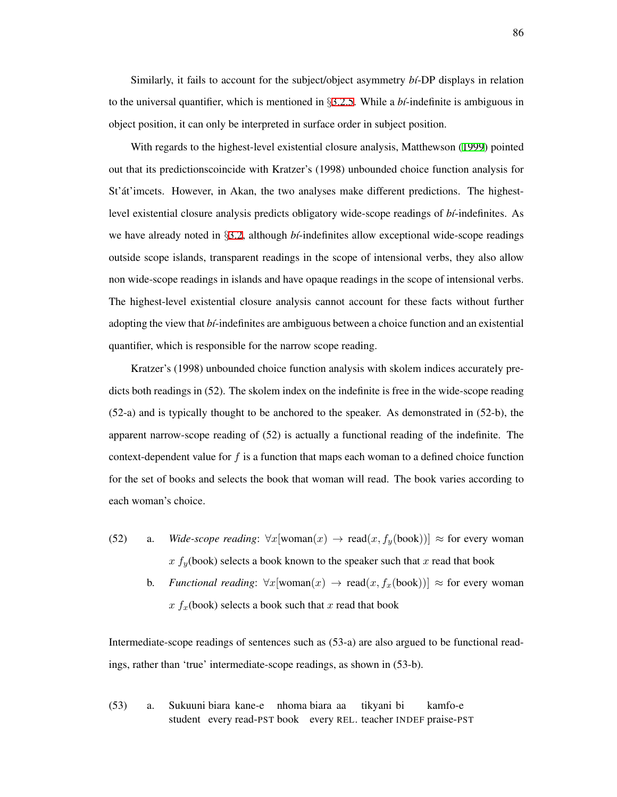Similarly, it fails to account for the subject/object asymmetry *b´ı*-DP displays in relation to the universal quantifier, which is mentioned in *§*[3.2.5](#page-81-2). While a *b´ı*-indefinite is ambiguous in object position, it can only be interpreted in surface order in subject position.

With regards to the highest-level existential closure analysis, Matthewson ([1999\)](#page-213-0) pointed out that its predictionscoincide with Kratzer's (1998) unbounded choice function analysis for St' at 'imcets. However, in Akan, the two analyses make different predictions. The highestlevel existential closure analysis predicts obligatory wide-scope readings of *b´ı*-indefinites. As we have already noted in §[3.2,](#page-74-0) although *bi*-indefinites allow exceptional wide-scope readings outside scope islands, transparent readings in the scope of intensional verbs, they also allow non wide-scope readings in islands and have opaque readings in the scope of intensional verbs. The highest-level existential closure analysis cannot account for these facts without further adopting the view that *b´ı*-indefinites are ambiguous between a choice function and an existential quantifier, which is responsible for the narrow scope reading.

Kratzer's (1998) unbounded choice function analysis with skolem indices accurately predicts both readings in (52). The skolem index on the indefinite is free in the wide-scope reading (52-a) and is typically thought to be anchored to the speaker. As demonstrated in (52-b), the apparent narrow-scope reading of (52) is actually a functional reading of the indefinite. The context-dependent value for *f* is a function that maps each woman to a defined choice function for the set of books and selects the book that woman will read. The book varies according to each woman's choice.

- (52) a. *Wide-scope reading*:  $\forall x$ [woman(*x*) → read(*x*,  $f_y$ (book))] ≈ for every woman  $x f_y$ (book) selects a book known to the speaker such that *x* read that book
	- b. *Functional reading*:  $\forall x$ [woman(*x*)  $\rightarrow$  read(*x*,  $f_x$ (book))]  $\approx$  for every woman  $x f_x$ (book) selects a book such that *x* read that book

Intermediate-scope readings of sentences such as (53-a) are also argued to be functional readings, rather than 'true' intermediate-scope readings, as shown in (53-b).

(53) a. Sukuuni biara kane-e student every read-PST book every REL. teacher INDEF praise-PSTnhoma biara aa tikyani bi kamfo-e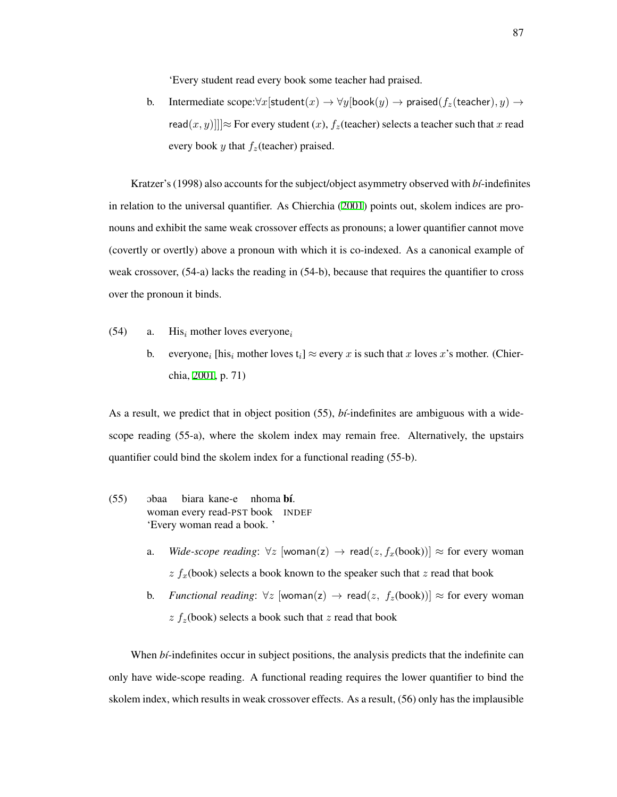'Every student read every book some teacher had praised.

b. Intermediate  $\text{scope}:\forall x$ [student $(x) \rightarrow \forall y$ [book $(y) \rightarrow \text{prained}(f_z(\text{teacher}), y) \rightarrow$ read $(x, y)$ ]] $\approx$  For every student  $(x)$ ,  $f_z$ (teacher) selects a teacher such that *x* read every book  $\psi$  that  $f_{\gamma}$ (teacher) praised.

Kratzer's (1998) also accounts for the subject/object asymmetry observed with *b´ı*-indefinites in relation to the universal quantifier. As Chierchia [\(2001\)](#page-207-3) points out, skolem indices are pronouns and exhibit the same weak crossover effects as pronouns; a lower quantifier cannot move (covertly or overtly) above a pronoun with which it is co-indexed. As a canonical example of weak crossover, (54-a) lacks the reading in (54-b), because that requires the quantifier to cross over the pronoun it binds.

- (54) a. His*<sup>i</sup>* mother loves everyone*<sup>i</sup>*
	- b. everyone<sub>*i*</sub> [his<sub>*i*</sub> mother loves  $t_i$ ]  $\approx$  every *x* is such that *x* loves *x*'s mother. (Chierchia, [2001](#page-207-3), p. 71)

As a result, we predict that in object position (55), *b´ı*-indefinites are ambiguous with a widescope reading (55-a), where the skolem index may remain free. Alternatively, the upstairs quantifier could bind the skolem index for a functional reading (55-b).

- $(55)$  obaa woman every read-PST book INDEF biara kane-e nhoma bí. 'Every woman read a book. '
	- a. *Wide-scope reading*:  $∀z$  [woman(z)  $→$  read( $z, f_x$ (book))]  $≈$  for every woman *z fx*(book) selects a book known to the speaker such that *z* read that book
	- b. *Functional reading*:  $\forall z$  [woman(z) → read(*z*,  $f_z$ (book))] ≈ for every woman  $z f_z$ (book) selects a book such that  $z$  read that book

When *bi*-indefinites occur in subject positions, the analysis predicts that the indefinite can only have wide-scope reading. A functional reading requires the lower quantifier to bind the skolem index, which results in weak crossover effects. As a result, (56) only has the implausible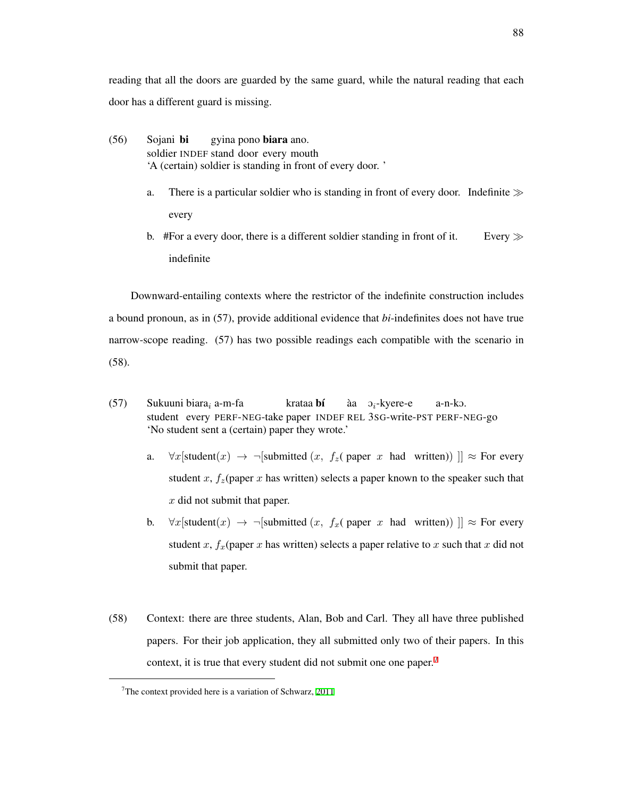reading that all the doors are guarded by the same guard, while the natural reading that each door has a different guard is missing.

- (56) Sojani bi soldier INDEF stand door every mouth gyina pono **biara** ano. 'A (certain) soldier is standing in front of every door. '
	- a. There is a particular soldier who is standing in front of every door. Indefinite *≫* every
	- b. #For a every door, there is a different soldier standing in front of it. Every *≫* indefinite

Downward-entailing contexts where the restrictor of the indefinite construction includes a bound pronoun, as in (57), provide additional evidence that *bi*-indefinites does not have true narrow-scope reading. (57) has two possible readings each compatible with the scenario in (58).

- (57) Sukuuni biara*<sup>i</sup>* a-m-fa student every PERF-NEG-take paper INDEF REL 3SG-write-PST PERF-NEG-go krataa **bí** aa` O*i*-kyere-e a-n-kO. 'No student sent a (certain) paper they wrote.'
	- a. *∀x*[student(*x*)  $\rightarrow$  ¬[submitted (*x, f<sub>z</sub>*( paper *x* had written))  $\| \approx$  For every student *x*,  $f_z$ (paper *x* has written) selects a paper known to the speaker such that *x* did not submit that paper.
	- b.  $\forall x$ [student(*x*)  $\rightarrow$   $\neg$ [submitted (*x, f<sub>x</sub>*( paper *x* had written)) ]]  $\approx$  For every student *x*,  $f_x$ (paper *x* has written) selects a paper relative to *x* such that *x* did not submit that paper.
- (58) Context: there are three students, Alan, Bob and Carl. They all have three published papers. For their job application, they all submitted only two of their papers. In this context, it is true that every student did not submit one one paper.<sup>[7](#page-97-0)</sup>

<span id="page-97-0"></span><sup>7</sup>The context provided here is a variation of Schwarz, [2011](#page-217-3)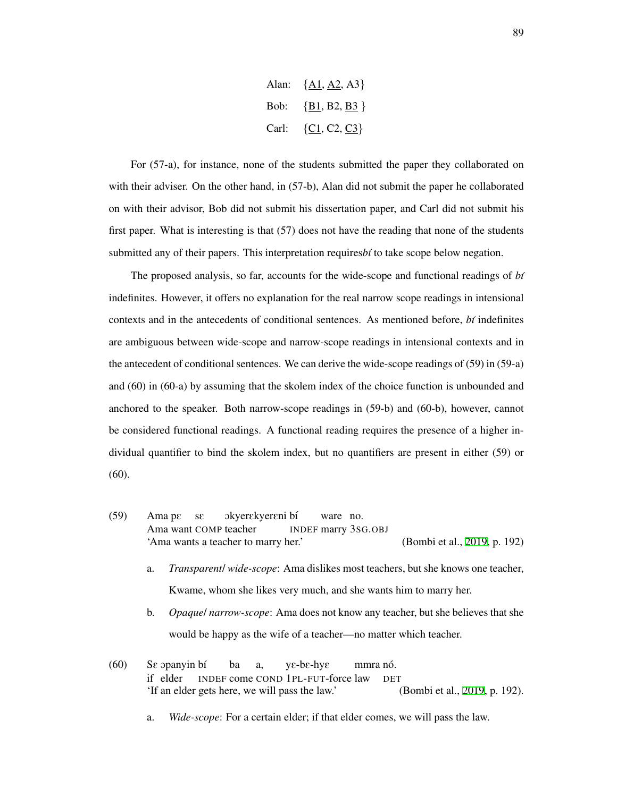

For (57-a), for instance, none of the students submitted the paper they collaborated on with their adviser. On the other hand, in (57-b), Alan did not submit the paper he collaborated on with their advisor, Bob did not submit his dissertation paper, and Carl did not submit his first paper. What is interesting is that (57) does not have the reading that none of the students submitted any of their papers. This interpretation requires *bt* to take scope below negation.

The proposed analysis, so far, accounts for the wide-scope and functional readings of *b´ı* indefinites. However, it offers no explanation for the real narrow scope readings in intensional contexts and in the antecedents of conditional sentences. As mentioned before, *b´ı* indefinites are ambiguous between wide-scope and narrow-scope readings in intensional contexts and in the antecedent of conditional sentences. We can derive the wide-scope readings of (59) in (59-a) and (60) in (60-a) by assuming that the skolem index of the choice function is unbounded and anchored to the speaker. Both narrow-scope readings in (59-b) and (60-b), however, cannot be considered functional readings. A functional reading requires the presence of a higher individual quantifier to bind the skolem index, but no quantifiers are present in either (59) or (60).

- (59) Ama pE Ama want COMP teacher sE okyer $\epsilon$ kyer $\epsilon$ ni bí INDEF marry 3SG.OBJ ware no. 'Ama wants a teacher to marry her.' (Bombi et al., [2019,](#page-206-3) p. 192)
	- a. *Transparent*/ *wide-scope*: Ama dislikes most teachers, but she knows one teacher, Kwame, whom she likes very much, and she wants him to marry her.
	- b. *Opaque*/ *narrow-scope*: Ama does not know any teacher, but she believes that she would be happy as the wife of a teacher—no matter which teacher.
- $(60)$ if elder əpanyin bí INDEF come COND 1PL-FUT-force law ba a, yE-bE-hyE mmra nó. **DET** 'If an elder gets here, we will pass the law.' (Bombi et al., [2019,](#page-206-3) p. 192).

a. *Wide-scope*: For a certain elder; if that elder comes, we will pass the law.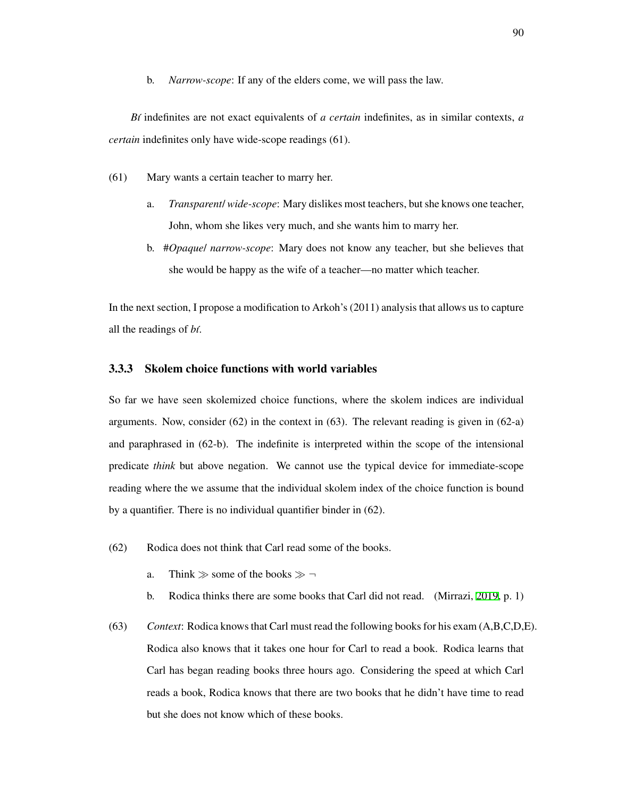b. *Narrow-scope*: If any of the elders come, we will pass the law.

*B´ı* indefinites are not exact equivalents of *a certain* indefinites, as in similar contexts, *a certain* indefinites only have wide-scope readings (61).

- (61) Mary wants a certain teacher to marry her.
	- a. *Transparent*/ *wide-scope*: Mary dislikes most teachers, but she knows one teacher, John, whom she likes very much, and she wants him to marry her.
	- b. #*Opaque*/ *narrow-scope*: Mary does not know any teacher, but she believes that she would be happy as the wife of a teacher—no matter which teacher.

In the next section, I propose a modification to Arkoh's (2011) analysis that allows us to capture all the readings of *b´ı*.

### 3.3.3 Skolem choice functions with world variables

So far we have seen skolemized choice functions, where the skolem indices are individual arguments. Now, consider  $(62)$  in the context in  $(63)$ . The relevant reading is given in  $(62-a)$ and paraphrased in (62-b). The indefinite is interpreted within the scope of the intensional predicate *think* but above negation. We cannot use the typical device for immediate-scope reading where the we assume that the individual skolem index of the choice function is bound by a quantifier. There is no individual quantifier binder in (62).

- <span id="page-99-0"></span>(62) Rodica does not think that Carl read some of the books.
	- a. Think *≫* some of the books *≫ ¬*
	- b. Rodica thinks there are some books that Carl did not read. (Mirrazi, [2019,](#page-214-0) p. 1)
- (63) *Context*: Rodica knows that Carl must read the following books for his exam (A,B,C,D,E). Rodica also knows that it takes one hour for Carl to read a book. Rodica learns that Carl has began reading books three hours ago. Considering the speed at which Carl reads a book, Rodica knows that there are two books that he didn't have time to read but she does not know which of these books.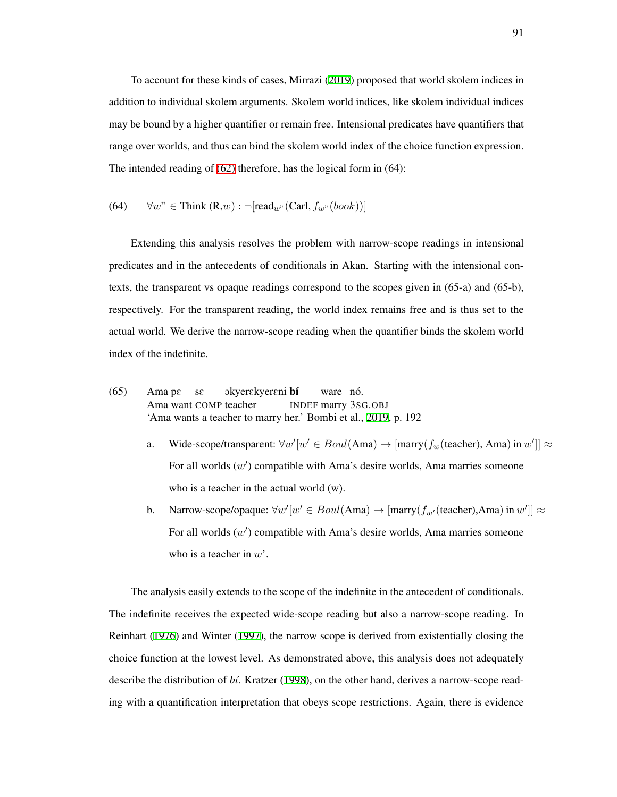To account for these kinds of cases, Mirrazi [\(2019\)](#page-214-0) proposed that world skolem indices in addition to individual skolem arguments. Skolem world indices, like skolem individual indices may be bound by a higher quantifier or remain free. Intensional predicates have quantifiers that range over worlds, and thus can bind the skolem world index of the choice function expression. The intended reading of [\(62\)](#page-99-0) therefore, has the logical form in (64):

(64) 
$$
\forall w'' \in \text{Think } (\mathbf{R}, w) : \neg[\text{read}_{w''}(\text{Carl}, f_{w''}(book))]
$$

Extending this analysis resolves the problem with narrow-scope readings in intensional predicates and in the antecedents of conditionals in Akan. Starting with the intensional contexts, the transparent vs opaque readings correspond to the scopes given in (65-a) and (65-b), respectively. For the transparent reading, the world index remains free and is thus set to the actual world. We derive the narrow-scope reading when the quantifier binds the skolem world index of the indefinite.

(65) Ama Ama pE want sE COMP OkyerEkyerEni teacher b´ı INDEF ware marry no. ´ 3SG.OBJ 'Ama wants a teacher to marry her.' Bombi et al., [2019,](#page-206-3) p. 192

- a. Wide-scope/transparent:  $\forall w'[w' \in Boul(Ama) \rightarrow [marry(f_w(teacher), Ama) in w']] \approx$ For all worlds  $(w')$  compatible with Ama's desire worlds, Ama marries someone who is a teacher in the actual world (w).
- b. Narrow-scope/opaque:  $\forall w'[w' \in Boul(\text{Ama}) \rightarrow [\text{marry}(f_{w'}(\text{teacher}), \text{Ama}) \text{ in } w']$ ]  $\approx$ For all worlds (*w ′* ) compatible with Ama's desire worlds, Ama marries someone who is a teacher in *w*'.

The analysis easily extends to the scope of the indefinite in the antecedent of conditionals. The indefinite receives the expected wide-scope reading but also a narrow-scope reading. In Reinhart [\(1976](#page-215-1)) and Winter [\(1997](#page-218-0)), the narrow scope is derived from existentially closing the choice function at the lowest level. As demonstrated above, this analysis does not adequately describe the distribution of *b´ı*. Kratzer ([1998\)](#page-212-1), on the other hand, derives a narrow-scope reading with a quantification interpretation that obeys scope restrictions. Again, there is evidence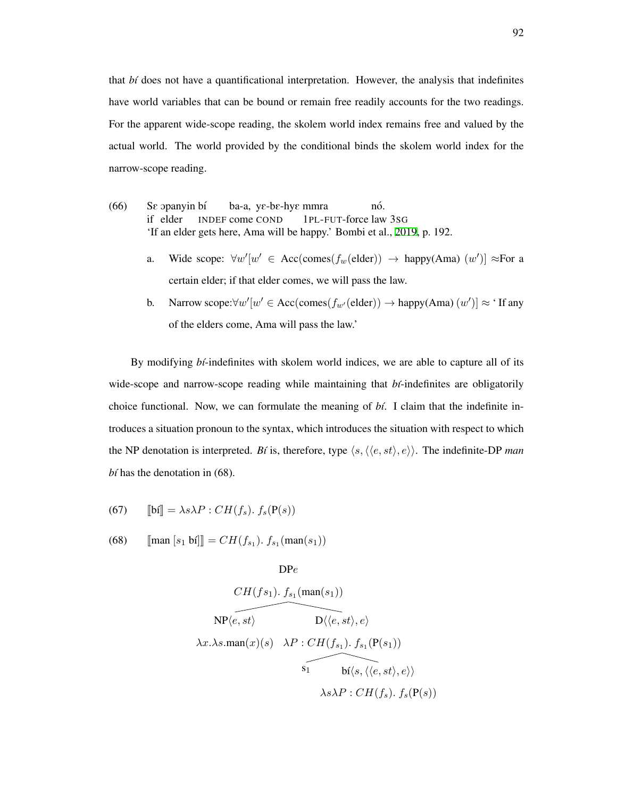that *b´ı* does not have a quantificational interpretation. However, the analysis that indefinites have world variables that can be bound or remain free readily accounts for the two readings. For the apparent wide-scope reading, the skolem world index remains free and valued by the actual world. The world provided by the conditional binds the skolem world index for the narrow-scope reading.

- $(66)$ if elder opanyin bí INDEF come COND ba-a, yE-bE-hyE mmra 1PL-FUT-force law 3SG nó. 'If an elder gets here, Ama will be happy.' Bombi et al., [2019,](#page-206-3) p. 192.
	- a. Wide scope:  $\forall w'[w' \in Acc(comes(f_w(\text{elder})) \rightarrow happy(Ama) (w')] \approx For a$ certain elder; if that elder comes, we will pass the law.
	- b. Narrow scope: $\forall w'[w' \in Acc(comes(f_{w'}(elder)) \rightarrow happy(Ama) (w')] \approx 'If any$ of the elders come, Ama will pass the law.'

By modifying *bt*-indefinites with skolem world indices, we are able to capture all of its wide-scope and narrow-scope reading while maintaining that *bi*-indefinites are obligatorily choice functional. Now, we can formulate the meaning of *b´ı*. I claim that the indefinite introduces a situation pronoun to the syntax, which introduces the situation with respect to which the NP denotation is interpreted. *Bí* is, therefore, type  $\langle s, \langle \langle e, st \rangle, e \rangle \rangle$ . The indefinite-DP *man*  $b$ *i* has the denotation in (68).

(67) 
$$
\llbracket \mathbf{b} \mathbf{i} \rrbracket = \lambda s \lambda P : CH(f_s). \ f_s(\mathbf{P}(s))
$$

(68)  $[\text{man } [s_1 \text{ bf}]] = CH(f_{s_1}). f_{s_1}(\text{man}(s_1))$ 

DP*e*

$$
CH(f s_1). f_{s_1}(\text{man}(s_1))
$$
\n
$$
\overbrace{\text{NP}\langle e, st \rangle} \qquad D \langle \langle e, st \rangle, e \rangle
$$
\n
$$
\lambda x. \lambda s. \text{man}(x)(s) \quad \lambda P : CH(f_{s_1}). f_{s_1}(\text{P}(s_1))
$$
\n
$$
\overbrace{\text{S}_1 \qquad \text{bi}\langle s, \langle \langle e, st \rangle, e \rangle}^{\text{S}_1} \rangle}
$$
\n
$$
\lambda s \lambda P : CH(f_s). f_s(\text{P}(s))
$$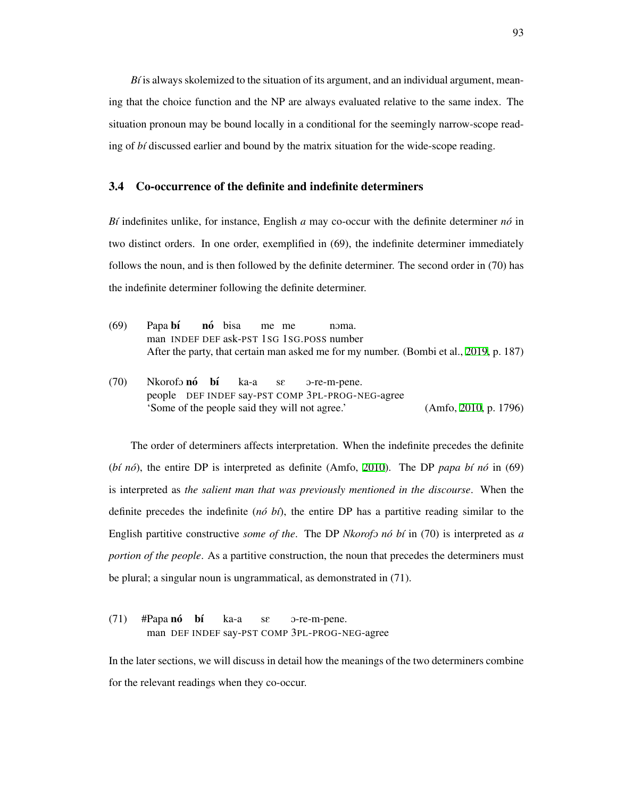$B\ell$  is always skolemized to the situation of its argument, and an individual argument, meaning that the choice function and the NP are always evaluated relative to the same index. The situation pronoun may be bound locally in a conditional for the seemingly narrow-scope reading of *bi* discussed earlier and bound by the matrix situation for the wide-scope reading.

#### <span id="page-102-0"></span>3.4 Co-occurrence of the definite and indefinite determiners

*B* $i$  indefinites unlike, for instance, English *a* may co-occur with the definite determiner *no*<sup> $i$ </sup> in two distinct orders. In one order, exemplified in (69), the indefinite determiner immediately follows the noun, and is then followed by the definite determiner. The second order in (70) has the indefinite determiner following the definite determiner.

- (69) Papa b**í** man INDEF DEF ask-PST 1SG 1SG.POSS number nó bisa me me noma After the party, that certain man asked me for my number. (Bombi et al., [2019](#page-206-3), p. 187)
- (70) Nkorofo nó bí people DEF INDEF say-PST COMP 3PL-PROG-NEG-agree ka-a sE O-re-m-pene. 'Some of the people said they will not agree.' (Amfo, [2010](#page-205-0), p. 1796)

The order of determiners affects interpretation. When the indefinite precedes the definite (*bi nó*), the entire DP is interpreted as definite (Amfo, [2010](#page-205-0)). The DP *papa bi nó* in (69) is interpreted as *the salient man that was previously mentioned in the discourse*. When the definite precedes the indefinite ( $n\acute{o}$   $\acute{o}t$ ), the entire DP has a partitive reading similar to the English partitive constructive *some of the*. The DP *Nkorofo nó bí* in (70) is interpreted as *a portion of the people.* As a partitive construction, the noun that precedes the determiners must be plural; a singular noun is ungrammatical, as demonstrated in (71).

(71) #Papa nó man DEF INDEF say-PST COMP 3PL-PROG-NEG-agree b´ı ka-a sE O-re-m-pene.

In the later sections, we will discuss in detail how the meanings of the two determiners combine for the relevant readings when they co-occur.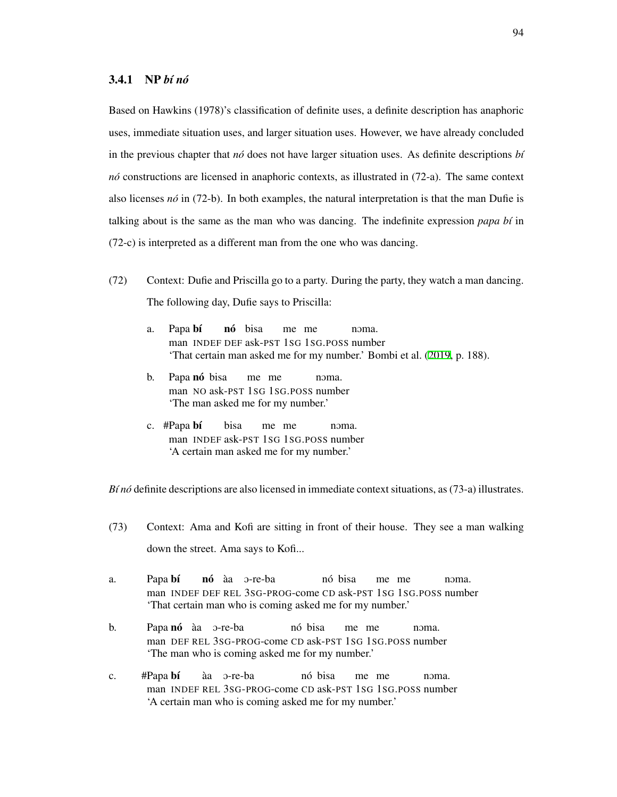Based on Hawkins (1978)'s classification of definite uses, a definite description has anaphoric uses, immediate situation uses, and larger situation uses. However, we have already concluded in the previous chapter that  $n\acute{o}$  does not have larger situation uses. As definite descriptions  $b\acute{i}$ *no´* constructions are licensed in anaphoric contexts, as illustrated in (72-a). The same context also licenses  $n\delta$  in (72-b). In both examples, the natural interpretation is that the man Dufie is talking about is the same as the man who was dancing. The indefinite expression  $papa b<sup>i</sup>$  in (72-c) is interpreted as a different man from the one who was dancing.

- <span id="page-103-0"></span>(72) Context: Dufie and Priscilla go to a party. During the party, they watch a man dancing. The following day, Dufie says to Priscilla:
	- a. Papa bí man INDEF DEF ask-PST 1SG 1SG.POSS number nó bisa me me noma 'That certain man asked me for my number.' Bombi et al. [\(2019](#page-206-3), p. 188).
	- b. Papa nó bisa man NO ask-PST 1SG 1SG.POSS number me me noma. 'The man asked me for my number.'
	- c. #Papa bí man INDEF ask-PST 1SG 1SG.POSS number bisa me me noma 'A certain man asked me for my number.'

*B´ı no´* definite descriptions are also licensed in immediate context situations, as (73-a) illustrates.

- (73) Context: Ama and Kofi are sitting in front of their house. They see a man walking down the street. Ama says to Kofi...
- a. Papa bí man INDEF DEF REL 3SG-PROG-come CD ask-PST 1SG 1SG.POSS number **nó** àa o-re-ba nó bisa me me noma. 'That certain man who is coming asked me for my number.'
- b. Papa nó àa o-re-ba man DEF REL 3SG-PROG-come CD ask-PST 1SG 1SG.POSS number nó bisa me me noma. 'The man who is coming asked me for my number.'
- c. #Papa bí man INDEF REL 3SG-PROG-come CD ask-PST 1SG 1SG.POSS number aa` O-re-ba nó bisa me me noma 'A certain man who is coming asked me for my number.'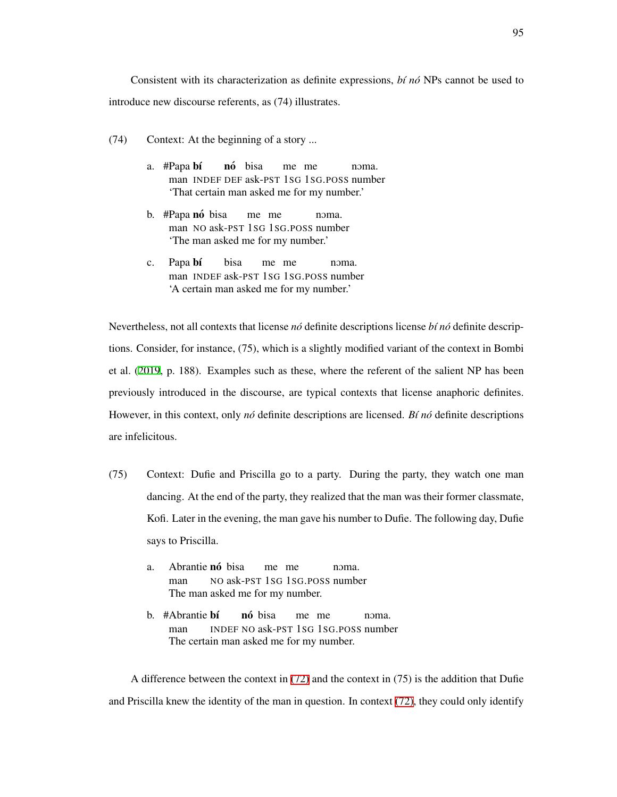Consistent with its characterization as definite expressions, *b´ı no´* NPs cannot be used to introduce new discourse referents, as (74) illustrates.

- (74) Context: At the beginning of a story ...
	- a. #Papa bí man INDEF DEF ask-PST 1SG 1SG.POSS number **nó** bisa me me noma. 'That certain man asked me for my number.'
	- b. #Papa nó bisa man NO ask-PST 1SG 1SG.POSS number me me noma. 'The man asked me for my number.'
	- c. Papa bí man INDEF ask-PST 1SG 1SG.POSS number bisa me me noma. 'A certain man asked me for my number.'

Nevertheless, not all contexts that license *no´* definite descriptions license *b´ı no´* definite descriptions. Consider, for instance, (75), which is a slightly modified variant of the context in Bombi et al. [\(2019](#page-206-3), p. 188). Examples such as these, where the referent of the salient NP has been previously introduced in the discourse, are typical contexts that license anaphoric definites. However, in this context, only *nó* definite descriptions are licensed. *Bí nó* definite descriptions are infelicitous.

- (75) Context: Dufie and Priscilla go to a party. During the party, they watch one man dancing. At the end of the party, they realized that the man was their former classmate, Kofi. Later in the evening, the man gave his number to Dufie. The following day, Dufie says to Priscilla.
	- a. Abrantie nó bisa man NO ask-PST 1SG 1SG.POSS number me me noma The man asked me for my number.
	- b. #Abrantie **bí** man INDEF NO ask-PST 1SG 1SG.POSS number nó bisa me me noma. The certain man asked me for my number.

A difference between the context in [\(72\)](#page-103-0) and the context in (75) is the addition that Dufie and Priscilla knew the identity of the man in question. In context [\(72\),](#page-103-0) they could only identify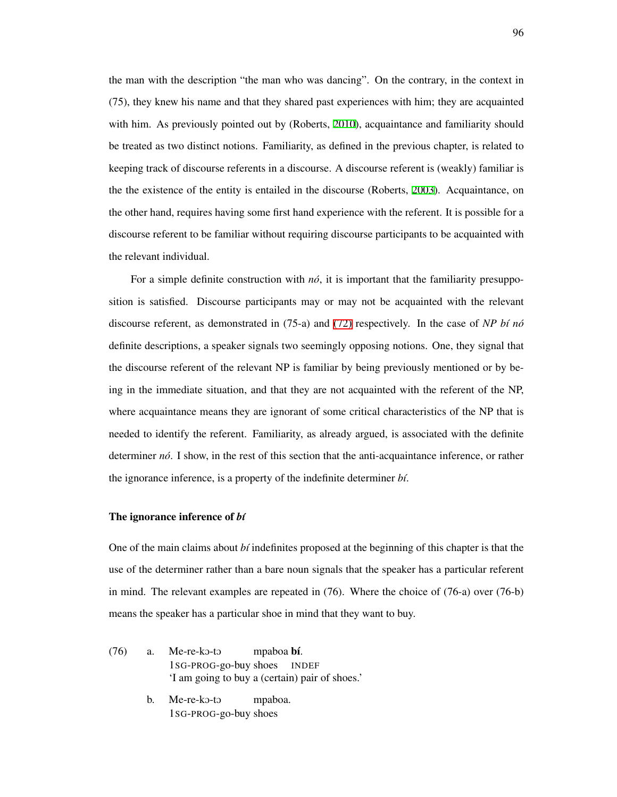the man with the description "the man who was dancing". On the contrary, in the context in (75), they knew his name and that they shared past experiences with him; they are acquainted with him. As previously pointed out by (Roberts, [2010\)](#page-216-2), acquaintance and familiarity should be treated as two distinct notions. Familiarity, as defined in the previous chapter, is related to keeping track of discourse referents in a discourse. A discourse referent is (weakly) familiar is the the existence of the entity is entailed in the discourse (Roberts, [2003\)](#page-216-3). Acquaintance, on the other hand, requires having some first hand experience with the referent. It is possible for a discourse referent to be familiar without requiring discourse participants to be acquainted with the relevant individual.

For a simple definite construction with  $n\delta$ , it is important that the familiarity presupposition is satisfied. Discourse participants may or may not be acquainted with the relevant discourse referent, as demonstrated in (75-a) and [\(72\)](#page-103-0) respectively. In the case of *NP b´ı no´* definite descriptions, a speaker signals two seemingly opposing notions. One, they signal that the discourse referent of the relevant NP is familiar by being previously mentioned or by being in the immediate situation, and that they are not acquainted with the referent of the NP, where acquaintance means they are ignorant of some critical characteristics of the NP that is needed to identify the referent. Familiarity, as already argued, is associated with the definite determiner *no*<sup> $\delta$ </sup>. I show, in the rest of this section that the anti-acquaintance inference, or rather the ignorance inference, is a property of the indefinite determiner *b´ı*.

#### The ignorance inference of *b´ı*

One of the main claims about *b´ı* indefinites proposed at the beginning of this chapter is that the use of the determiner rather than a bare noun signals that the speaker has a particular referent in mind. The relevant examples are repeated in (76). Where the choice of (76-a) over (76-b) means the speaker has a particular shoe in mind that they want to buy.

- $(76)$  a. Me-re-ko-to 1SG-PROG-go-buy shoes mpaboa bí. INDEF 'I am going to buy a (certain) pair of shoes.'
	- b. Me-re-ko-to 1SG-PROG-go-buy shoesmpaboa.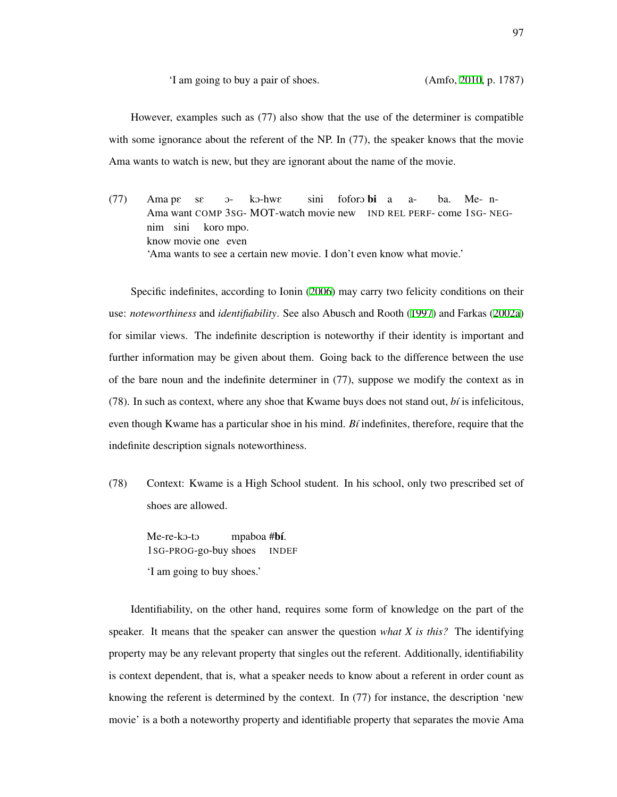'I am going to buy a pair of shoes. (Amfo, [2010](#page-205-0), p. 1787)

However, examples such as (77) also show that the use of the determiner is compatible with some ignorance about the referent of the NP. In (77), the speaker knows that the movie Ama wants to watch is new, but they are ignorant about the name of the movie.

(77) Ama pE Ama want COMP 3SG-MOT-watch movie new IND REL PERF-come 1SG-NEGsE  $O$  $k$ o-hw $\varepsilon$ sini foforo **bi** a aba. Me-nnim sini know movie one even koro mpo. 'Ama wants to see a certain new movie. I don't even know what movie.'

Specific indefinites, according to Ionin [\(2006](#page-211-4)) may carry two felicity conditions on their use: *noteworthiness* and *identifiability*. See also Abusch and Rooth ([1997](#page-204-1)) and Farkas ([2002a](#page-209-3)) for similar views. The indefinite description is noteworthy if their identity is important and further information may be given about them. Going back to the difference between the use of the bare noun and the indefinite determiner in (77), suppose we modify the context as in (78). In such as context, where any shoe that Kwame buys does not stand out, *b´ı* is infelicitous, even though Kwame has a particular shoe in his mind. *B´ı* indefinites, therefore, require that the indefinite description signals noteworthiness.

(78) Context: Kwame is a High School student. In his school, only two prescribed set of shoes are allowed.

Me-re-ko-to 1SG-PROG-go-buy shoes mpaboa #bí. INDEF 'I am going to buy shoes.'

Identifiability, on the other hand, requires some form of knowledge on the part of the speaker. It means that the speaker can answer the question *what X is this?* The identifying property may be any relevant property that singles out the referent. Additionally, identifiability is context dependent, that is, what a speaker needs to know about a referent in order count as knowing the referent is determined by the context. In (77) for instance, the description 'new movie' is a both a noteworthy property and identifiable property that separates the movie Ama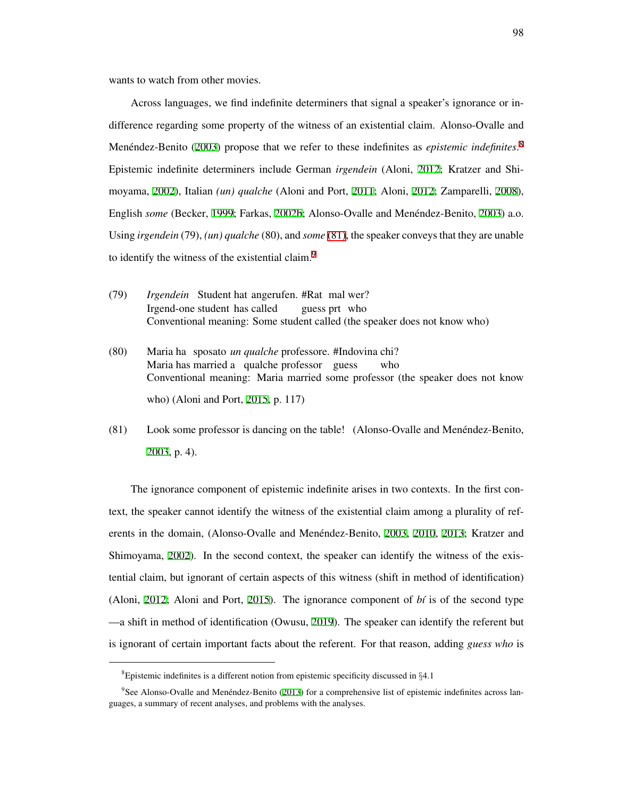wants to watch from other movies.

Across languages, we find indefinite determiners that signal a speaker's ignorance or indifference regarding some property of the witness of an existential claim. Alonso-Ovalle and Menéndez-Benito ([2003](#page-205-3)) propose that we refer to these indefinites as *epistemic indefinites*.<sup>[8](#page-107-0)</sup> Epistemic indefinite determiners include German *irgendein* (Aloni, [2012;](#page-204-2) Kratzer and Shimoyama, [2002\)](#page-213-1), Italian *(un) qualche* (Aloni and Port, [2011](#page-204-3); Aloni, [2012;](#page-204-2) Zamparelli, [2008\)](#page-219-1), English *some* (Becker, [1999;](#page-206-4) Farkas, [2002b;](#page-209-6) Alonso-Ovalle and Menéndez-Benito, [2003\)](#page-205-3) a.o. Using *irgendein* (79), *(un) qualche* (80), and *some* [\(81\)](#page-107-1), the speaker conveys that they are unable to identify the witness of the existential claim.<sup>[9](#page-107-2)</sup>

- (79) *Irgendein* Student hat angerufen. #Rat mal wer? Irgend-one student has called guess prt who Conventional meaning: Some student called (the speaker does not know who)
- (80) Maria ha sposato *un qualche* professore. #Indovina chi? Maria has married a qualche professor guess who Conventional meaning: Maria married some professor (the speaker does not know who) (Aloni and Port, [2015](#page-204-4), p. 117)
- <span id="page-107-1"></span>(81) Look some professor is dancing on the table! (Alonso-Ovalle and Menéndez-Benito, [2003,](#page-205-3) p. 4).

The ignorance component of epistemic indefinite arises in two contexts. In the first context, the speaker cannot identify the witness of the existential claim among a plurality of ref-erents in the domain, (Alonso-Ovalle and Menéndez-Benito, [2003,](#page-205-3) [2010](#page-205-4), [2013;](#page-205-5) Kratzer and Shimoyama, [2002\)](#page-213-1). In the second context, the speaker can identify the witness of the existential claim, but ignorant of certain aspects of this witness (shift in method of identification) (Aloni, [2012](#page-204-2); Aloni and Port, [2015\)](#page-204-4). The ignorance component of  $b\ell$  is of the second type —a shift in method of identification (Owusu, [2019](#page-214-2)). The speaker can identify the referent but is ignorant of certain important facts about the referent. For that reason, adding *guess who* is

<span id="page-107-2"></span><span id="page-107-0"></span><sup>8</sup>Epistemic indefinites is a different notion from epistemic specificity discussed in *§*4.1

<sup>&</sup>lt;sup>9</sup>See Alonso-Ovalle and Menéndez-Benito ([2013](#page-205-5)) for a comprehensive list of epistemic indefinites across languages, a summary of recent analyses, and problems with the analyses.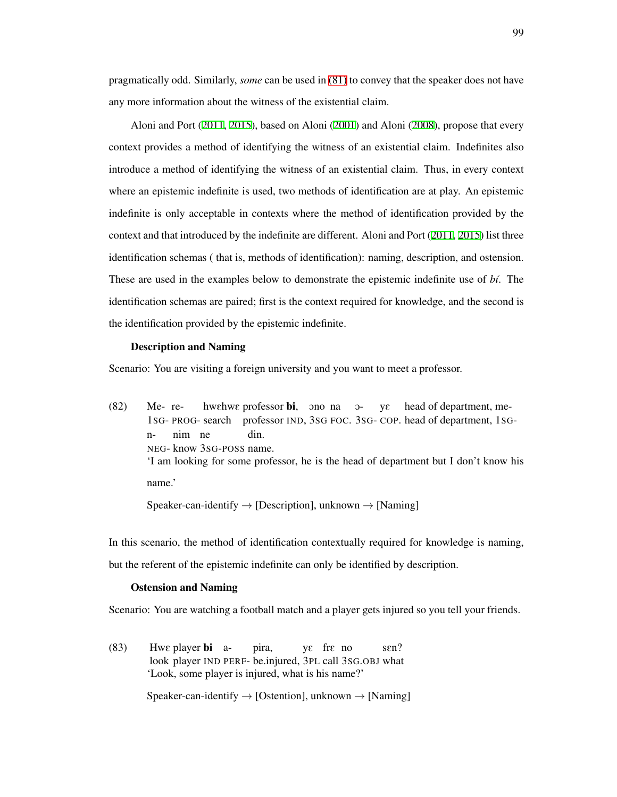pragmatically odd. Similarly, *some* can be used in [\(81\)](#page-107-0) to convey that the speaker does not have any more information about the witness of the existential claim.

Aloni and Port [\(2011](#page-204-0), [2015\)](#page-204-1), based on Aloni [\(2001\)](#page-205-0) and Aloni ([2008\)](#page-204-2), propose that every context provides a method of identifying the witness of an existential claim. Indefinites also introduce a method of identifying the witness of an existential claim. Thus, in every context where an epistemic indefinite is used, two methods of identification are at play. An epistemic indefinite is only acceptable in contexts where the method of identification provided by the context and that introduced by the indefinite are different. Aloni and Port ([2011,](#page-204-0) [2015\)](#page-204-1) list three identification schemas ( that is, methods of identification): naming, description, and ostension. These are used in the examples below to demonstrate the epistemic indefinite use of *b´ı*. The identification schemas are paired; first is the context required for knowledge, and the second is the identification provided by the epistemic indefinite.

#### Description and Naming

Scenario: You are visiting a foreign university and you want to meet a professor.

 $(82)$ 1SG-PROG-search Me-rehwehwe professor bi, ono na oprofessor IND, 3SG FOC. 3SG-COP. head of department, 1SGyE head of department, men-NEG-know 3SG-POSS name. nim ne din. 'I am looking for some professor, he is the head of department but I don't know his name.'

Speaker-can-identify *→* [Description], unknown *→* [Naming]

In this scenario, the method of identification contextually required for knowledge is naming, but the referent of the epistemic indefinite can only be identified by description.

### Ostension and Naming

Scenario: You are watching a football match and a player gets injured so you tell your friends.

(83) Hwe player bi alook player IND PERF-be.injured, 3PL call 3SG.OBJ what pira, yE frE no sen? 'Look, some player is injured, what is his name?'

Speaker-can-identify *→* [Ostention], unknown *→* [Naming]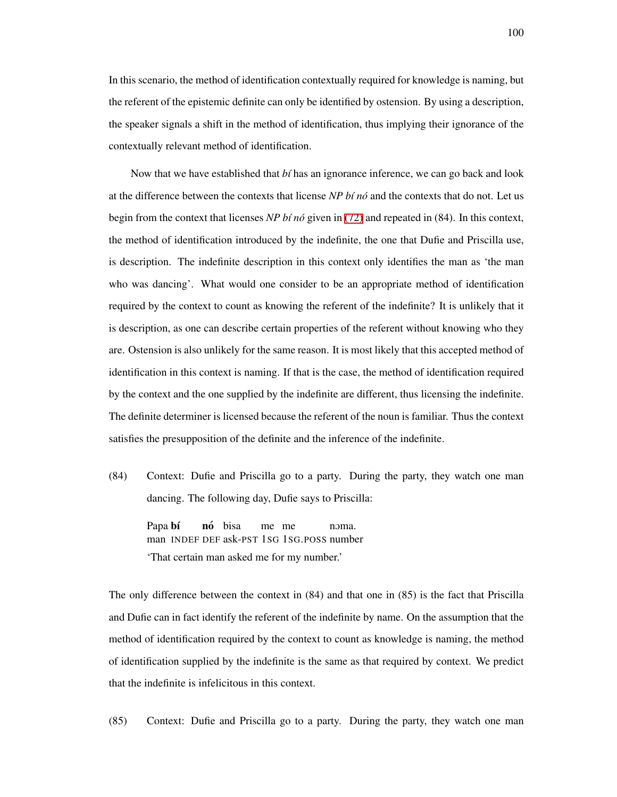In this scenario, the method of identification contextually required for knowledge is naming, but the referent of the epistemic definite can only be identified by ostension. By using a description, the speaker signals a shift in the method of identification, thus implying their ignorance of the contextually relevant method of identification.

Now that we have established that *b´ı* has an ignorance inference, we can go back and look at the difference between the contexts that license *NP b´ı no´* and the contexts that do not. Let us begin from the context that licenses *NP b´ı no´* given in [\(72\)](#page-103-0) and repeated in (84). In this context, the method of identification introduced by the indefinite, the one that Dufie and Priscilla use, is description. The indefinite description in this context only identifies the man as 'the man who was dancing'. What would one consider to be an appropriate method of identification required by the context to count as knowing the referent of the indefinite? It is unlikely that it is description, as one can describe certain properties of the referent without knowing who they are. Ostension is also unlikely for the same reason. It is most likely that this accepted method of identification in this context is naming. If that is the case, the method of identification required by the context and the one supplied by the indefinite are different, thus licensing the indefinite. The definite determiner is licensed because the referent of the noun is familiar. Thus the context satisfies the presupposition of the definite and the inference of the indefinite.

(84) Context: Dufie and Priscilla go to a party. During the party, they watch one man dancing. The following day, Dufie says to Priscilla:

Papa bí man INDEF DEF ask-PST 1SG 1SG.POSS number **nó** bisa me me noma 'That certain man asked me for my number.'

The only difference between the context in (84) and that one in (85) is the fact that Priscilla and Dufie can in fact identify the referent of the indefinite by name. On the assumption that the method of identification required by the context to count as knowledge is naming, the method of identification supplied by the indefinite is the same as that required by context. We predict that the indefinite is infelicitous in this context.

(85) Context: Dufie and Priscilla go to a party. During the party, they watch one man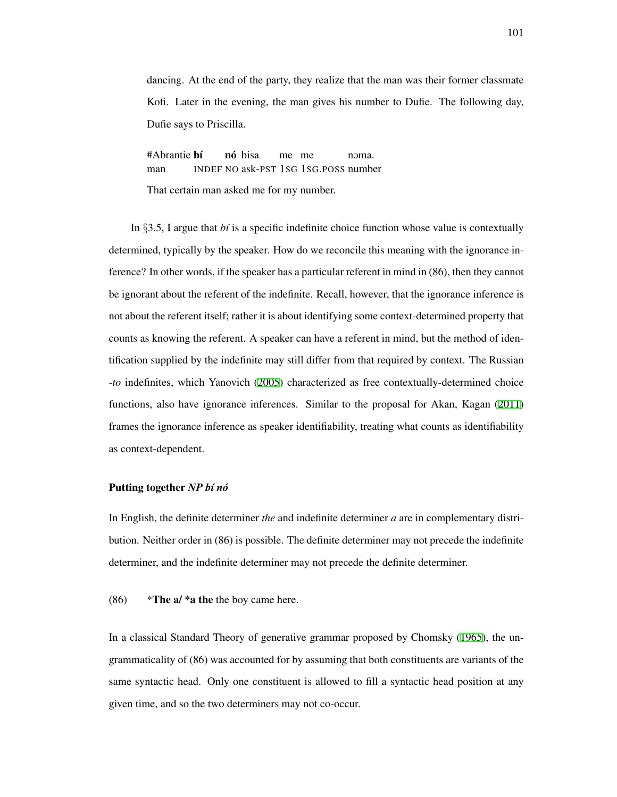dancing. At the end of the party, they realize that the man was their former classmate Kofi. Later in the evening, the man gives his number to Dufie. The following day, Dufie says to Priscilla.

#Abrantie **bí** man INDEF NO ask-PST 1SG 1SG.POSS number nó bisa me me noma That certain man asked me for my number.

In *§*3.5, I argue that *b´ı* is a specific indefinite choice function whose value is contextually determined, typically by the speaker. How do we reconcile this meaning with the ignorance inference? In other words, if the speaker has a particular referent in mind in (86), then they cannot be ignorant about the referent of the indefinite. Recall, however, that the ignorance inference is not about the referent itself; rather it is about identifying some context-determined property that counts as knowing the referent. A speaker can have a referent in mind, but the method of identification supplied by the indefinite may still differ from that required by context. The Russian *-to* indefinites, which Yanovich ([2005\)](#page-219-0) characterized as free contextually-determined choice functions, also have ignorance inferences. Similar to the proposal for Akan, Kagan ([2011](#page-212-0)) frames the ignorance inference as speaker identifiability, treating what counts as identifiability as context-dependent.

### Putting together *NP* bi nó

In English, the definite determiner *the* and indefinite determiner *a* are in complementary distribution. Neither order in (86) is possible. The definite determiner may not precede the indefinite determiner, and the indefinite determiner may not precede the definite determiner.

<span id="page-110-0"></span>(86)  $*$ The a/  $*$ a the the boy came here.

In a classical Standard Theory of generative grammar proposed by Chomsky ([1965\)](#page-207-0), the ungrammaticality of (86) was accounted for by assuming that both constituents are variants of the same syntactic head. Only one constituent is allowed to fill a syntactic head position at any given time, and so the two determiners may not co-occur.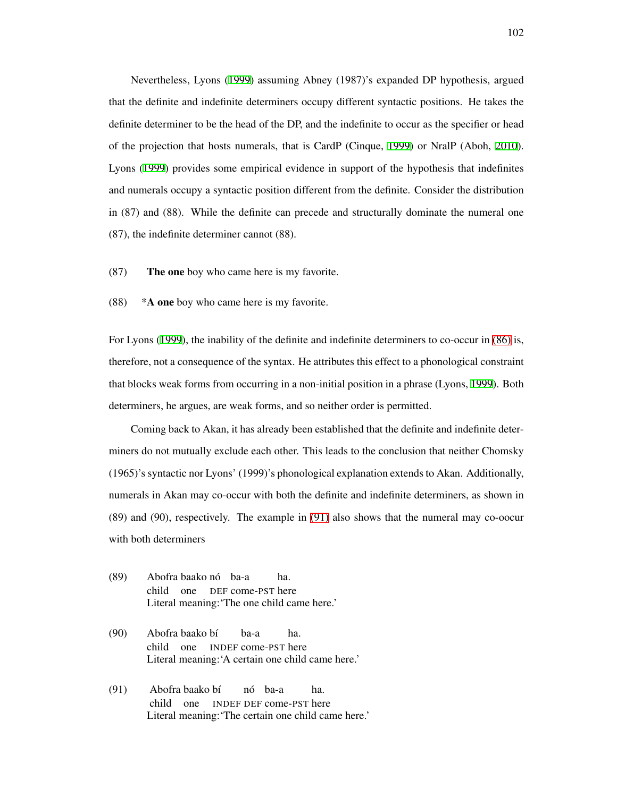Nevertheless, Lyons ([1999](#page-213-0)) assuming Abney (1987)'s expanded DP hypothesis, argued that the definite and indefinite determiners occupy different syntactic positions. He takes the definite determiner to be the head of the DP, and the indefinite to occur as the specifier or head of the projection that hosts numerals, that is CardP (Cinque, [1999\)](#page-207-1) or NralP (Aboh, [2010\)](#page-204-3). Lyons ([1999\)](#page-213-0) provides some empirical evidence in support of the hypothesis that indefinites and numerals occupy a syntactic position different from the definite. Consider the distribution in (87) and (88). While the definite can precede and structurally dominate the numeral one (87), the indefinite determiner cannot (88).

- (87) The one boy who came here is my favorite.
- $(88)$  \*A one boy who came here is my favorite.

For Lyons ([1999\)](#page-213-0), the inability of the definite and indefinite determiners to co-occur in [\(86\)](#page-110-0) is, therefore, not a consequence of the syntax. He attributes this effect to a phonological constraint that blocks weak forms from occurring in a non-initial position in a phrase (Lyons, [1999](#page-213-0)). Both determiners, he argues, are weak forms, and so neither order is permitted.

Coming back to Akan, it has already been established that the definite and indefinite determiners do not mutually exclude each other. This leads to the conclusion that neither Chomsky (1965)'s syntactic nor Lyons' (1999)'s phonological explanation extends to Akan. Additionally, numerals in Akan may co-occur with both the definite and indefinite determiners, as shown in (89) and (90), respectively. The example in [\(91\)](#page-111-0) also shows that the numeral may co-oocur with both determiners

- (89) Abofra baako no´ ba-a child one DEF come-PST here ha. Literal meaning:'The one child came here.'
- (90) Abofra baako bí child one INDEF come-PST here ba-a ha. Literal meaning:'A certain one child came here.'
- <span id="page-111-0"></span>(91) Abofra baako bí child one INDEF DEF come-PST here nó ba-a ha. Literal meaning:'The certain one child came here.'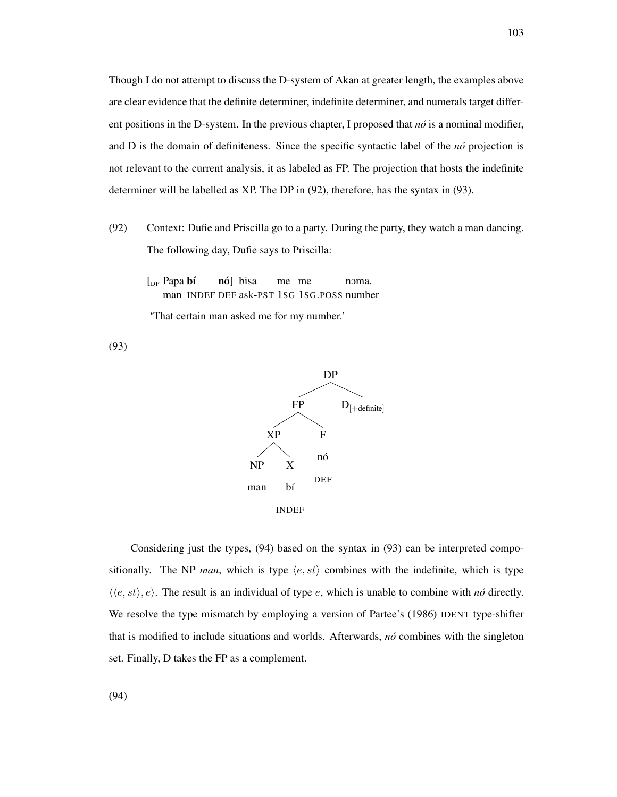Though I do not attempt to discuss the D-system of Akan at greater length, the examples above are clear evidence that the definite determiner, indefinite determiner, and numerals target different positions in the D-system. In the previous chapter, I proposed that  $n\delta$  is a nominal modifier, and D is the domain of definiteness. Since the specific syntactic label of the *no´* projection is not relevant to the current analysis, it as labeled as FP. The projection that hosts the indefinite determiner will be labelled as XP. The DP in (92), therefore, has the syntax in (93).

- <span id="page-112-0"></span>(92) Context: Dufie and Priscilla go to a party. During the party, they watch a man dancing. The following day, Dufie says to Priscilla:
	- [<sub>DP</sub> Papa bí man INDEF DEF ask-PST 1SG 1SG.POSS number **nó**] bisa me me noma.

'That certain man asked me for my number.'

(93)



Considering just the types, (94) based on the syntax in (93) can be interpreted compositionally. The NP *man*, which is type  $\langle e, st \rangle$  combines with the indefinite, which is type *⟨⟨e, st⟩, e⟩*. The result is an individual of type *e*, which is unable to combine with *no´* directly. We resolve the type mismatch by employing a version of Partee's (1986) IDENT type-shifter that is modified to include situations and worlds. Afterwards, *no´* combines with the singleton set. Finally, D takes the FP as a complement.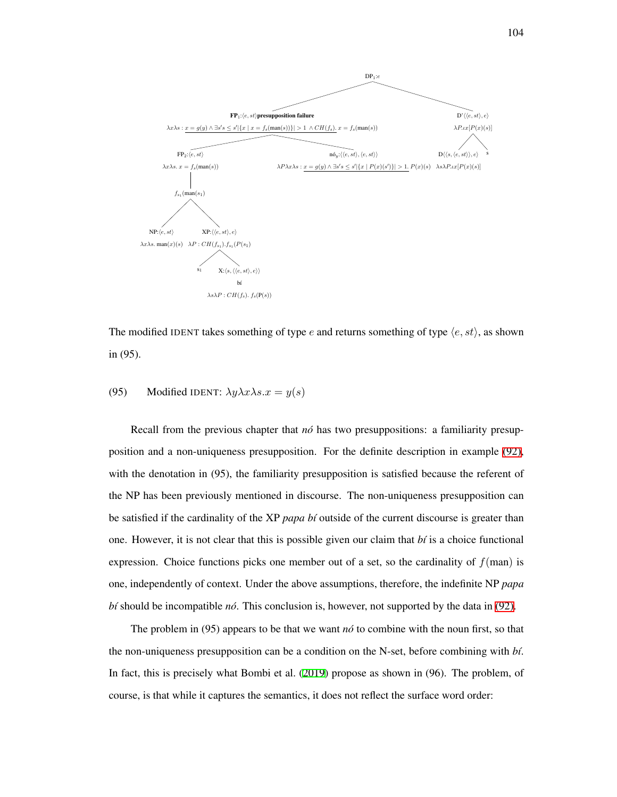

The modified IDENT takes something of type *e* and returns something of type  $\langle e, st \rangle$ , as shown in (95).

# (95) Modified IDENT:  $\lambda y \lambda x \lambda s.x = y(s)$

Recall from the previous chapter that *nó* has two presuppositions: a familiarity presupposition and a non-uniqueness presupposition. For the definite description in example [\(92\)](#page-112-0), with the denotation in (95), the familiarity presupposition is satisfied because the referent of the NP has been previously mentioned in discourse. The non-uniqueness presupposition can be satisfied if the cardinality of the XP *papa b´ı* outside of the current discourse is greater than one. However, it is not clear that this is possible given our claim that *b´ı* is a choice functional expression. Choice functions picks one member out of a set, so the cardinality of  $f(\text{man})$  is one, independently of context. Under the above assumptions, therefore, the indefinite NP *papa b´ı* should be incompatible *no´*. This conclusion is, however, not supported by the data in [\(92\).](#page-112-0)

The problem in (95) appears to be that we want *no*<sup> $\delta$ </sup> to combine with the noun first, so that the non-uniqueness presupposition can be a condition on the N-set, before combining with *b´ı*. In fact, this is precisely what Bombi et al. ([2019](#page-206-0)) propose as shown in (96). The problem, of course, is that while it captures the semantics, it does not reflect the surface word order: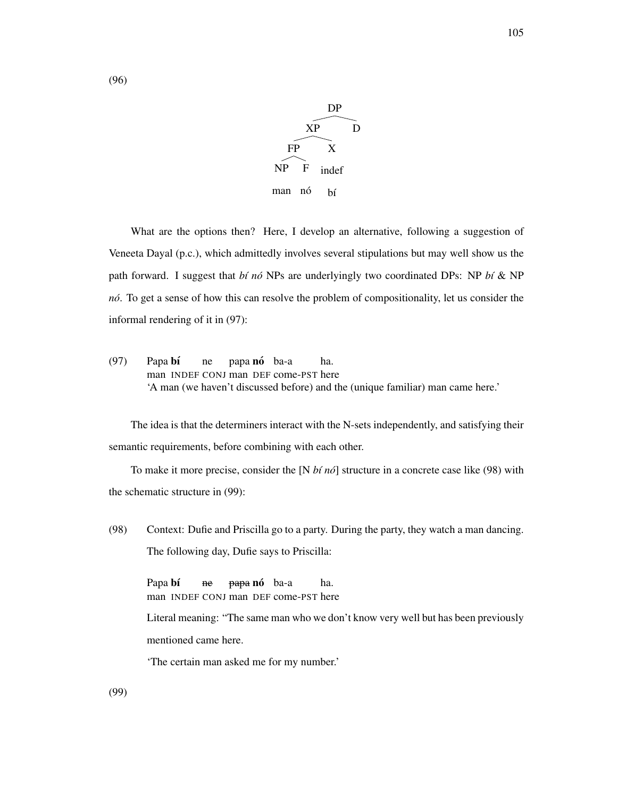

What are the options then? Here, I develop an alternative, following a suggestion of Veneeta Dayal (p.c.), which admittedly involves several stipulations but may well show us the path forward. I suggest that *b´ı no´* NPs are underlyingly two coordinated DPs: NP *b´ı* & NP *no´*. To get a sense of how this can resolve the problem of compositionality, let us consider the informal rendering of it in (97):

(97) Papa bí man INDEF CONJ man DEF come-PST here ne papa **nó** ba-a ha. 'A man (we haven't discussed before) and the (unique familiar) man came here.'

The idea is that the determiners interact with the N-sets independently, and satisfying their semantic requirements, before combining with each other.

To make it more precise, consider the [N *bi no*<sup> $\delta$ </sup>] structure in a concrete case like (98) with the schematic structure in (99):

(98) Context: Dufie and Priscilla go to a party. During the party, they watch a man dancing. The following day, Dufie says to Priscilla:

Papa **bí** man INDEF CONJ man DEF come-PST here ne <del>papa</del> **nó** ba-a ha.

Literal meaning: "The same man who we don't know very well but has been previously mentioned came here.

'The certain man asked me for my number.'

(99)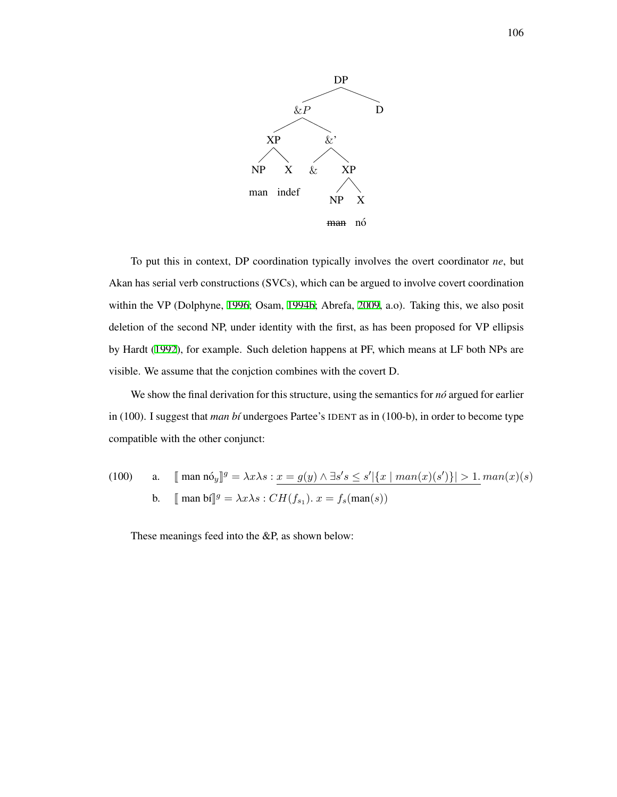

To put this in context, DP coordination typically involves the overt coordinator *ne*, but Akan has serial verb constructions (SVCs), which can be argued to involve covert coordination within the VP (Dolphyne, [1996](#page-208-0); Osam, [1994b](#page-214-0); Abrefa, [2009,](#page-204-4) a.o). Taking this, we also posit deletion of the second NP, under identity with the first, as has been proposed for VP ellipsis by Hardt ([1992](#page-210-0)), for example. Such deletion happens at PF, which means at LF both NPs are visible. We assume that the conjction combines with the covert D.

We show the final derivation for this structure, using the semantics for *no*<sup> $\alpha$ </sup> argued for earlier in (100). I suggest that *man bt* undergoes Partee's IDENT as in (100-b), in order to become type compatible with the other conjunct:

(100) a. 
$$
\[\text{man no } y\]^g = \lambda x \lambda s : x = g(y) \wedge \exists s's \le s' |\{x \mid man(x)(s')\}| > 1. man(x)(s)
$$
  
b.  $\[\text{man bo } y\]^g = \lambda x \lambda s : CH(f_{s_1}). x = f_s(\text{man}(s))$ 

These meanings feed into the &P, as shown below: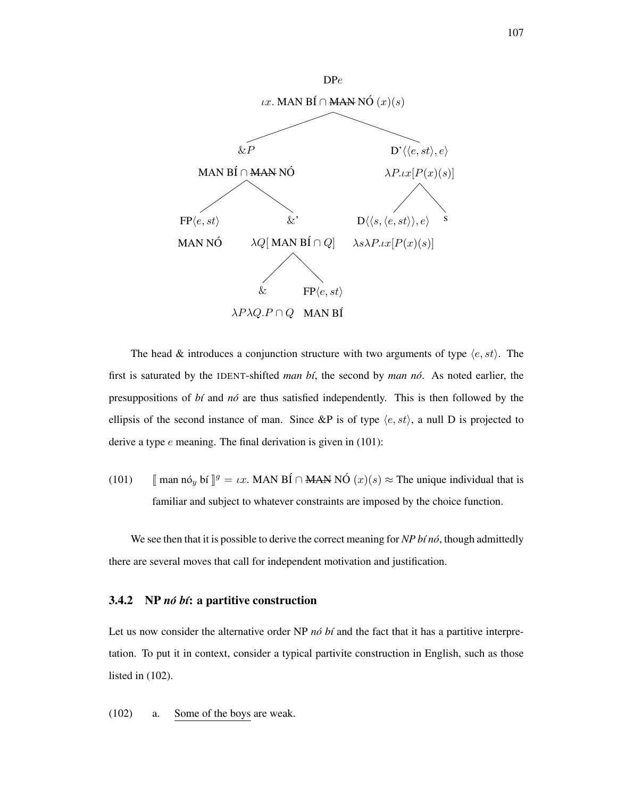

The head & introduces a conjunction structure with two arguments of type *⟨e, st⟩*. The first is saturated by the IDENT-shifted *man bí*, the second by *man nó*. As noted earlier, the presuppositions of *b´ı* and *no´* are thus satisfied independently. This is then followed by the ellipsis of the second instance of man. Since &P is of type  $\langle e, st \rangle$ , a null D is projected to derive a type *e* meaning. The final derivation is given in (101):

(101)  $\llbracket$  man nó<sub>*y*</sub> bí  $\rrbracket^g = \iota x$ . MAN BÍ  $\cap$  MAN NÓ  $(x)(s) \approx$  The unique individual that is familiar and subject to whatever constraints are imposed by the choice function.

We see then that it is possible to derive the correct meaning for *NP b(n6*, though admittedly there are several moves that call for independent motivation and justification.

### 3.4.2 NP *nó bí*: a partitive construction

Let us now consider the alternative order NP *nó bí* and the fact that it has a partitive interpretation. To put it in context, consider a typical partivite construction in English, such as those listed in (102).

(102) a. Some of the boys are weak.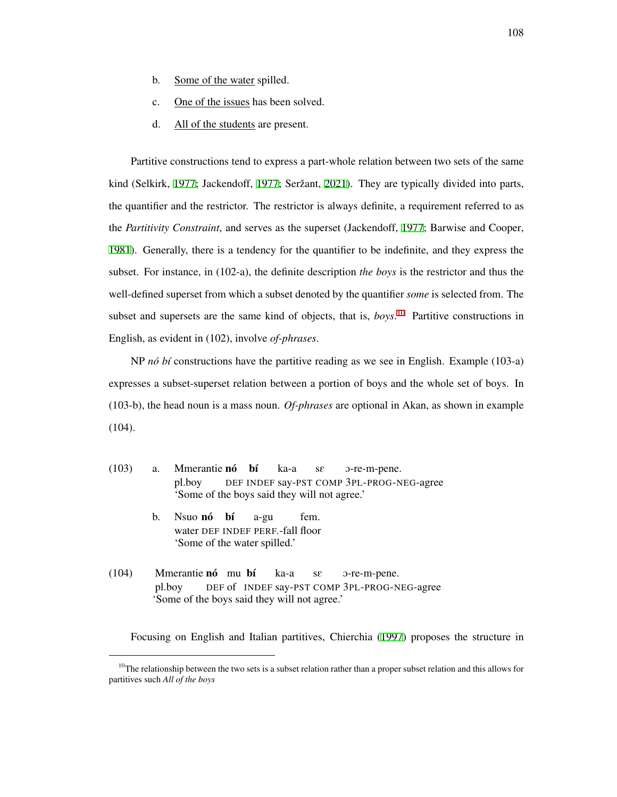- b. Some of the water spilled.
- c. One of the issues has been solved.
- d. All of the students are present.

Partitive constructions tend to express a part-whole relation between two sets of the same kind (Selkirk, [1977](#page-211-0); Jackendoff, 1977; Seržant, [2021](#page-217-1)). They are typically divided into parts, the quantifier and the restrictor. The restrictor is always definite, a requirement referred to as the *Partitivity Constraint*, and serves as the superset (Jackendoff, [1977](#page-211-0); Barwise and Cooper, [1981\)](#page-206-1). Generally, there is a tendency for the quantifier to be indefinite, and they express the subset. For instance, in (102-a), the definite description *the boys* is the restrictor and thus the well-defined superset from which a subset denoted by the quantifier *some* is selected from. The subset and supersets are the same kind of objects, that is, *boys*. [10](#page-117-0) Partitive constructions in English, as evident in (102), involve *of-phrases*.

NP *nó bí* constructions have the partitive reading as we see in English. Example (103-a) expresses a subset-superset relation between a portion of boys and the whole set of boys. In (103-b), the head noun is a mass noun. *Of-phrases* are optional in Akan, as shown in example (104).

- (103) a. Mmerantie nó bí pl.boy DEF INDEF say-PST COMP 3PL-PROG-NEG-agree ka-a sE O-re-m-pene. 'Some of the boys said they will not agree.'
	- b. Nsuo **nó** bí water DEF INDEF PERF.-fall floor a-gu fem. 'Some of the water spilled.'
- (104) Mmerantie nó mu bí pl.boy DEF of INDEF say-PST COMP 3PL-PROG-NEG-agree ka-a sE O-re-m-pene. 'Some of the boys said they will not agree.'

Focusing on English and Italian partitives, Chierchia ([1997\)](#page-207-2) proposes the structure in

<span id="page-117-0"></span> $10$ The relationship between the two sets is a subset relation rather than a proper subset relation and this allows for partitives such *All of the boys*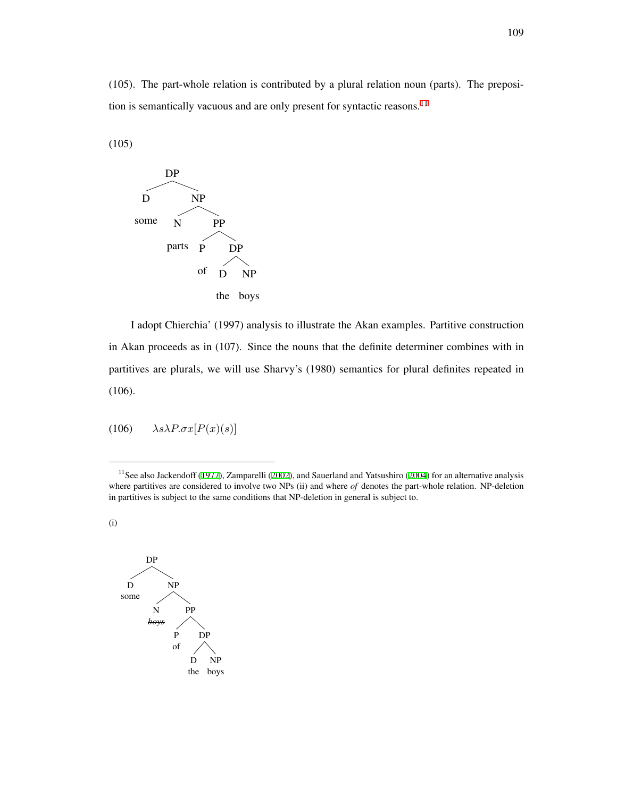(105). The part-whole relation is contributed by a plural relation noun (parts). The preposi-tion is semantically vacuous and are only present for syntactic reasons.<sup>[11](#page-118-0)</sup>

(105)



I adopt Chierchia' (1997) analysis to illustrate the Akan examples. Partitive construction in Akan proceeds as in (107). Since the nouns that the definite determiner combines with in partitives are plurals, we will use Sharvy's (1980) semantics for plural definites repeated in (106).

$$
(106) \qquad \lambda s \lambda P. \sigma x [P(x)(s)]
$$

<span id="page-118-0"></span> $11$ See also Jackendoff ([1977\)](#page-211-0), Zamparelli [\(2002](#page-219-1)), and Sauerland and Yatsushiro ([2004](#page-217-2)) for an alternative analysis where partitives are considered to involve two NPs (ii) and where *of* denotes the part-whole relation. NP-deletion in partitives is subject to the same conditions that NP-deletion in general is subject to.

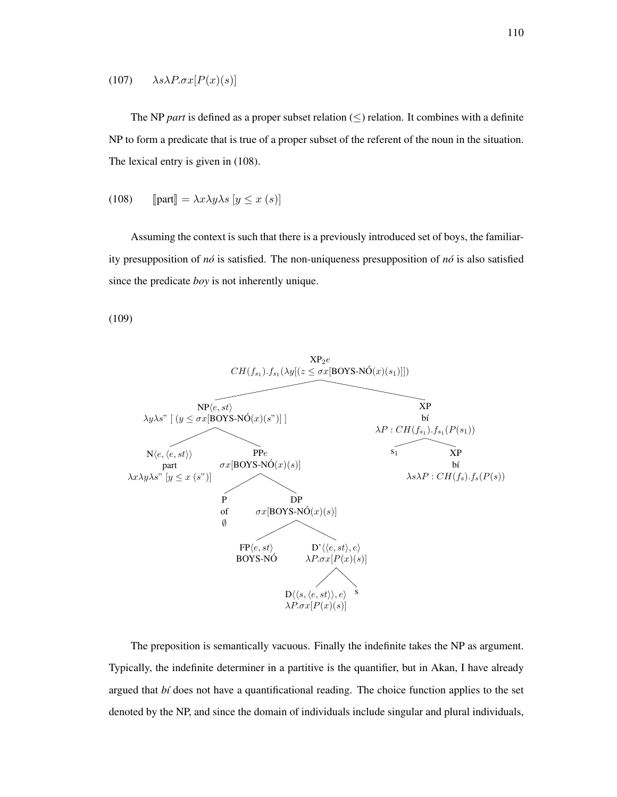# (107)  $\lambda s \lambda P. \sigma x [P(x)(s)]$

The NP *part* is defined as a proper subset relation (*≤*) relation. It combines with a definite NP to form a predicate that is true of a proper subset of the referent of the noun in the situation. The lexical entry is given in (108).

(108) 
$$
\text{[part]} = \lambda x \lambda y \lambda s \ [y \leq x \ (s)]
$$

Assuming the context is such that there is a previously introduced set of boys, the familiarity presupposition of *no´* is satisfied. The non-uniqueness presupposition of *no´* is also satisfied since the predicate *boy* is not inherently unique.

(109)



The preposition is semantically vacuous. Finally the indefinite takes the NP as argument. Typically, the indefinite determiner in a partitive is the quantifier, but in Akan, I have already argued that *b´ı* does not have a quantificational reading. The choice function applies to the set denoted by the NP, and since the domain of individuals include singular and plural individuals,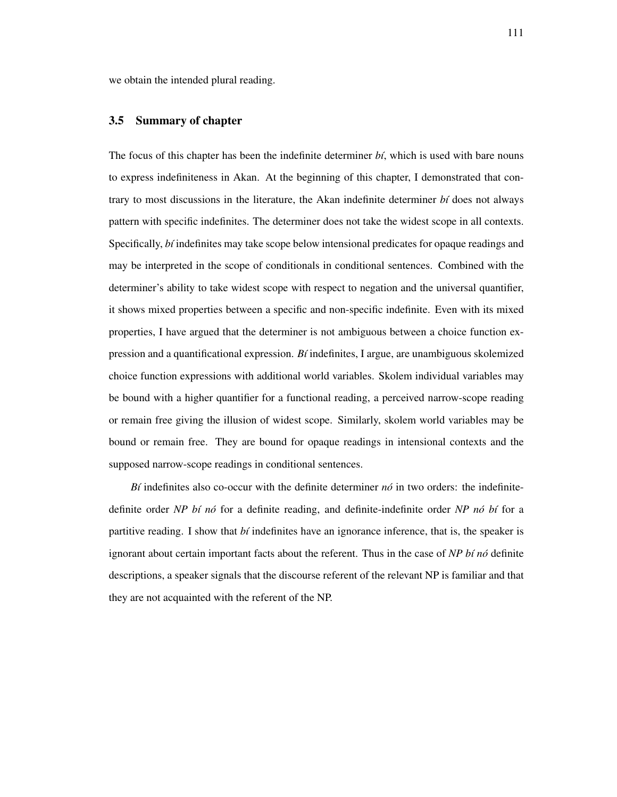we obtain the intended plural reading.

### 3.5 Summary of chapter

The focus of this chapter has been the indefinite determiner *bi*, which is used with bare nouns to express indefiniteness in Akan. At the beginning of this chapter, I demonstrated that contrary to most discussions in the literature, the Akan indefinite determiner *b´ı* does not always pattern with specific indefinites. The determiner does not take the widest scope in all contexts. Specifically, *bi* indefinites may take scope below intensional predicates for opaque readings and may be interpreted in the scope of conditionals in conditional sentences. Combined with the determiner's ability to take widest scope with respect to negation and the universal quantifier, it shows mixed properties between a specific and non-specific indefinite. Even with its mixed properties, I have argued that the determiner is not ambiguous between a choice function expression and a quantificational expression. *B´ı* indefinites, I argue, are unambiguous skolemized choice function expressions with additional world variables. Skolem individual variables may be bound with a higher quantifier for a functional reading, a perceived narrow-scope reading or remain free giving the illusion of widest scope. Similarly, skolem world variables may be bound or remain free. They are bound for opaque readings in intensional contexts and the supposed narrow-scope readings in conditional sentences.

*B* $i$  **indefinites** also co-occur with the definite determiner  $n\acute{o}$  in two orders: the indefinitedefinite order *NP bí nó* for a definite reading, and definite-indefinite order *NP nó bí* for a partitive reading. I show that *bi* indefinites have an ignorance inference, that is, the speaker is ignorant about certain important facts about the referent. Thus in the case of *NP b´ı no´* definite descriptions, a speaker signals that the discourse referent of the relevant NP is familiar and that they are not acquainted with the referent of the NP.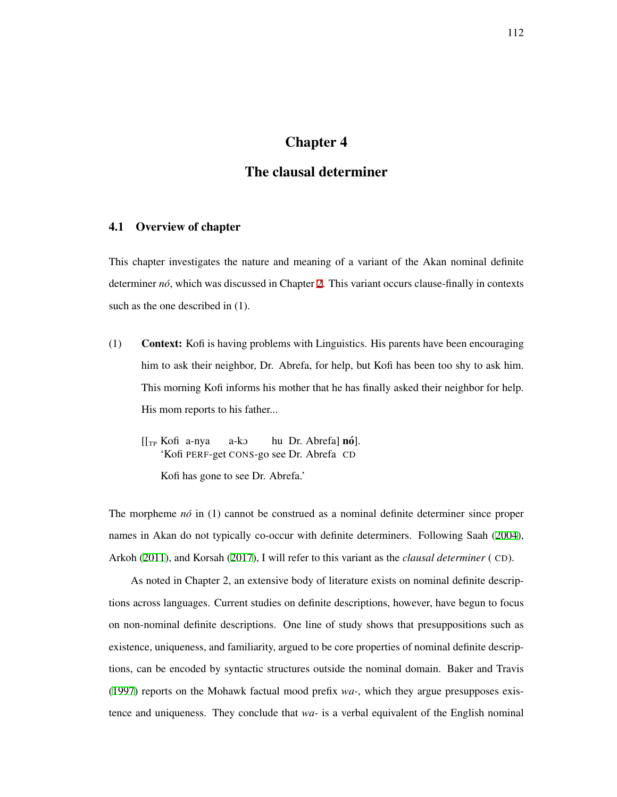# Chapter 4

# The clausal determiner

# 4.1 Overview of chapter

This chapter investigates the nature and meaning of a variant of the Akan nominal definite determiner *no*, which was discussed in Chapter [2](#page-20-0). This variant occurs clause-finally in contexts such as the one described in (1).

- <span id="page-121-0"></span>(1) Context: Kofi is having problems with Linguistics. His parents have been encouraging him to ask their neighbor, Dr. Abrefa, for help, but Kofi has been too shy to ask him. This morning Kofi informs his mother that he has finally asked their neighbor for help. His mom reports to his father...
	- [[<sub>TP</sub> Kofi a-nya 'Kofi PERF-get CONS-go see Dr. Abrefa CD a-kO hu Dr. Abrefa] **nó**]. Kofi has gone to see Dr. Abrefa.'

The morpheme *no*<sup>i</sup> in (1) cannot be construed as a nominal definite determiner since proper names in Akan do not typically co-occur with definite determiners. Following Saah ([2004\)](#page-216-0), Arkoh [\(2011\)](#page-205-1), and Korsah ([2017\)](#page-212-1), I will refer to this variant as the *clausal determiner* ( CD).

As noted in Chapter 2, an extensive body of literature exists on nominal definite descriptions across languages. Current studies on definite descriptions, however, have begun to focus on non-nominal definite descriptions. One line of study shows that presuppositions such as existence, uniqueness, and familiarity, argued to be core properties of nominal definite descriptions, can be encoded by syntactic structures outside the nominal domain. Baker and Travis ([1997](#page-206-2)) reports on the Mohawk factual mood prefix *wa-*, which they argue presupposes existence and uniqueness. They conclude that *wa-* is a verbal equivalent of the English nominal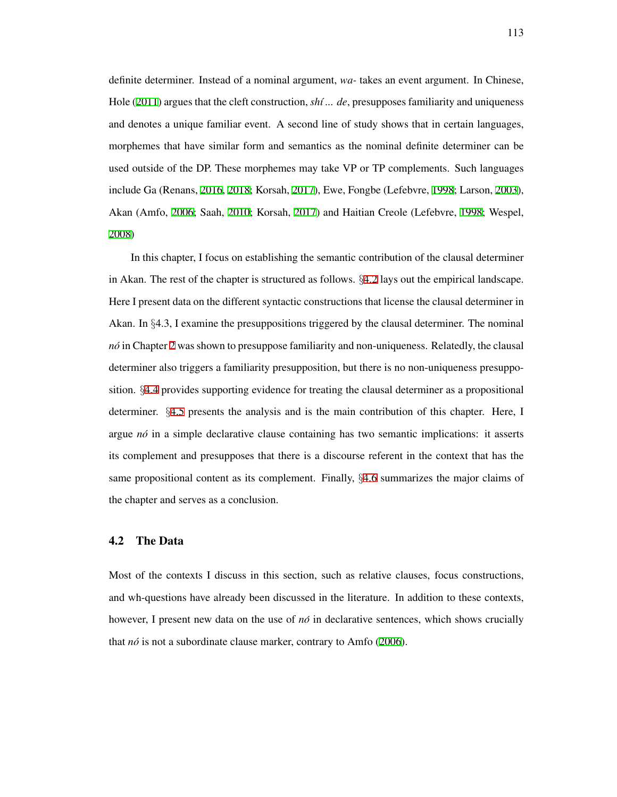definite determiner. Instead of a nominal argument, *wa-* takes an event argument. In Chinese, Hole [\(2011\)](#page-211-1) argues that the cleft construction, *sh´ı ... de*, presupposes familiarity and uniqueness and denotes a unique familiar event. A second line of study shows that in certain languages, morphemes that have similar form and semantics as the nominal definite determiner can be used outside of the DP. These morphemes may take VP or TP complements. Such languages include Ga (Renans, [2016,](#page-215-0) [2018;](#page-215-1) Korsah, [2017\)](#page-212-1), Ewe, Fongbe (Lefebvre, [1998;](#page-213-1) Larson, [2003\)](#page-213-2), Akan (Amfo, [2006](#page-205-2); Saah, [2010](#page-216-1); Korsah, [2017\)](#page-212-1) and Haitian Creole (Lefebvre, [1998;](#page-213-1) Wespel, [2008\)](#page-218-0)

In this chapter, I focus on establishing the semantic contribution of the clausal determiner in Akan. The rest of the chapter is structured as follows. *§*[4.2](#page-122-0) lays out the empirical landscape. Here I present data on the different syntactic constructions that license the clausal determiner in Akan. In *§*4.3, I examine the presuppositions triggered by the clausal determiner. The nominal *no´* in Chapter [2](#page-20-0) was shown to presuppose familiarity and non-uniqueness. Relatedly, the clausal determiner also triggers a familiarity presupposition, but there is no non-uniqueness presupposition. *§*[4.4](#page-136-0) provides supporting evidence for treating the clausal determiner as a propositional determiner. *§*[4.5](#page-145-0) presents the analysis and is the main contribution of this chapter. Here, I argue *no´* in a simple declarative clause containing has two semantic implications: it asserts its complement and presupposes that there is a discourse referent in the context that has the same propositional content as its complement. Finally, *§*[4.6](#page-155-0) summarizes the major claims of the chapter and serves as a conclusion.

#### <span id="page-122-0"></span>4.2 The Data

Most of the contexts I discuss in this section, such as relative clauses, focus constructions, and wh-questions have already been discussed in the literature. In addition to these contexts, however, I present new data on the use of  $n\delta$  in declarative sentences, which shows crucially that *nó* is not a subordinate clause marker, contrary to Amfo [\(2006](#page-205-2)).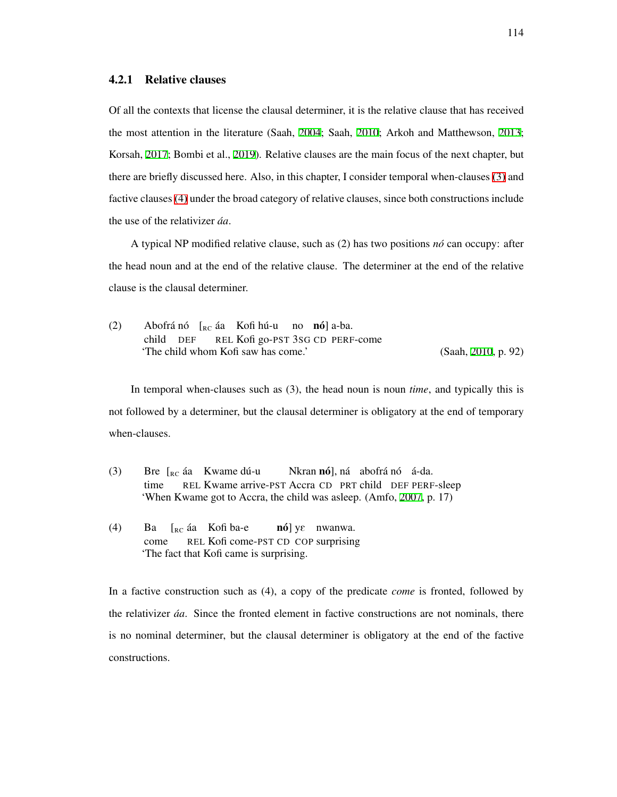## 4.2.1 Relative clauses

Of all the contexts that license the clausal determiner, it is the relative clause that has received the most attention in the literature (Saah, [2004;](#page-216-0) Saah, [2010;](#page-216-1) Arkoh and Matthewson, [2013;](#page-205-3) Korsah, [2017](#page-212-1); Bombi et al., [2019](#page-206-0)). Relative clauses are the main focus of the next chapter, but there are briefly discussed here. Also, in this chapter, I consider temporal when-clauses [\(3\)](#page-123-0) and factive clauses [\(4\)](#page-123-1) under the broad category of relative clauses, since both constructions include the use of the relativizer *áa*.

A typical NP modified relative clause, such as (2) has two positions *no´* can occupy: after the head noun and at the end of the relative clause. The determiner at the end of the relative clause is the clausal determiner.

(2) Abofrá nó [<sub>RC</sub> áa Kofi hú-u no **nó**] a-ba. child DEF REL Kofi go-PST 3SG CD PERF-come 'The child whom Kofi saw has come.' (Saah, [2010](#page-216-1), p. 92)

In temporal when-clauses such as (3), the head noun is noun *time*, and typically this is not followed by a determiner, but the clausal determiner is obligatory at the end of temporary when-clauses.

- <span id="page-123-0"></span>(3) Bre  $\left[_{RC}\right]$ áa Kwame dú-u time REL Kwame arrive-PST Accra CD PRT child DEF PERF-sleep Nkran **nó**], ná abofrá nó á-da. 'When Kwame got to Accra, the child was asleep. (Amfo, [2007,](#page-205-4) p. 17)
- <span id="page-123-1"></span>(4) Ba come  $\begin{bmatrix}$ <sub>RC</sub> áa Kofi ba-e REL Kofi come-PST CD COP surprising nó] yε nwanwa. 'The fact that Kofi came is surprising.

In a factive construction such as (4), a copy of the predicate *come* is fronted, followed by the relativizer *aa´* . Since the fronted element in factive constructions are not nominals, there is no nominal determiner, but the clausal determiner is obligatory at the end of the factive constructions.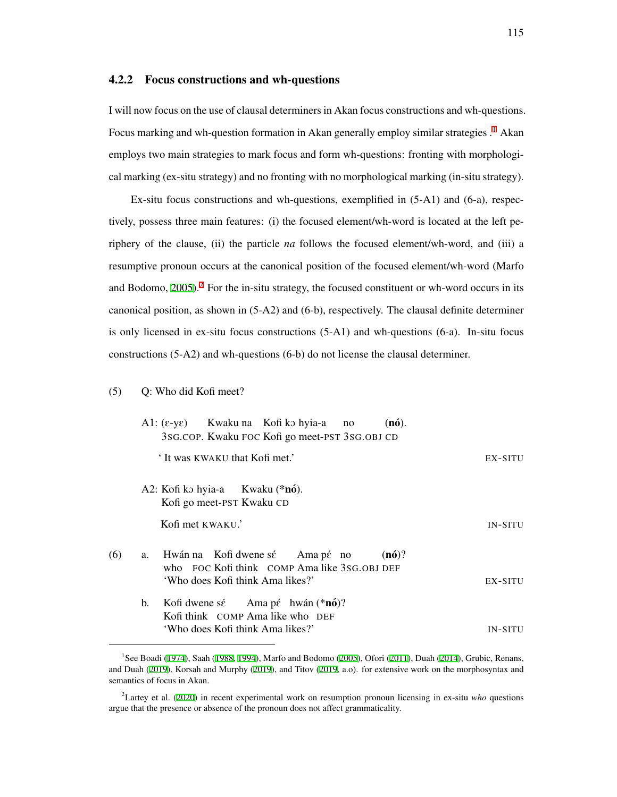# 4.2.2 Focus constructions and wh-questions

I will now focus on the use of clausal determiners in Akan focus constructions and wh-questions. Focus marking and wh-question formation in Akan generally employ similar strategies .<sup>[1](#page-124-0)</sup> Akan employs two main strategies to mark focus and form wh-questions: fronting with morphological marking (ex-situ strategy) and no fronting with no morphological marking (in-situ strategy).

Ex-situ focus constructions and wh-questions, exemplified in (5-A1) and (6-a), respectively, possess three main features: (i) the focused element/wh-word is located at the left periphery of the clause, (ii) the particle *na* follows the focused element/wh-word, and (iii) a resumptive pronoun occurs at the canonical position of the focused element/wh-word (Marfo and Bodomo,  $2005$ ).<sup>[2](#page-124-1)</sup> For the in-situ strategy, the focused constituent or wh-word occurs in its canonical position, as shown in (5-A2) and (6-b), respectively. The clausal definite determiner is only licensed in ex-situ focus constructions (5-A1) and wh-questions (6-a). In-situ focus constructions (5-A2) and wh-questions (6-b) do not license the clausal determiner.

#### (5) Q: Who did Kofi meet?

|     |    |                                                              | $A1: (\varepsilon - y\varepsilon)$ Kwaku na Kofi ko hyia-a no<br>3sG.COP. Kwaku FOC Kofi go meet-PST 3sG.OBJ CD     | $(n6)$ . |                |
|-----|----|--------------------------------------------------------------|---------------------------------------------------------------------------------------------------------------------|----------|----------------|
|     |    | 'It was KWAKU that Kofi met.'                                |                                                                                                                     |          | EX-SITU        |
|     |    | A2: Kofi ko hyia-a Kwaku (*nó).<br>Kofi go meet-PST Kwaku CD |                                                                                                                     |          |                |
|     |    | Kofi met KWAKU.'                                             |                                                                                                                     |          | <b>IN-SITU</b> |
| (6) | a. |                                                              | Hwán na Kofi dwene sé Ama pé no<br>who FOC Kofi think COMP Ama like 3SG.OBJ DEF<br>'Who does Kofi think Ama likes?' | (n6)?    | EX-SITU        |
|     | b. |                                                              | Kofi dwene sé Ama pé hwán $(*n6)$ ?<br>Kofi think COMP Ama like who DEF                                             |          |                |
|     |    |                                                              | 'Who does Kofi think Ama likes?'                                                                                    |          | <b>IN-SITU</b> |

<span id="page-124-0"></span><sup>&</sup>lt;sup>1</sup>See Boadi ([1974\)](#page-206-3), Saah ([1988,](#page-216-2) [1994\)](#page-216-3), Marfo and Bodomo ([2005\)](#page-213-3), Ofori ([2011\)](#page-214-1), Duah ([2014\)](#page-208-1), Grubic, Renans, and Duah [\(2019](#page-210-1)), Korsah and Murphy ([2019\)](#page-212-2), and Titov [\(2019,](#page-218-1) a.o). for extensive work on the morphosyntax and semantics of focus in Akan.

<span id="page-124-1"></span><sup>2</sup>Lartey et al. [\(2020](#page-213-4)) in recent experimental work on resumption pronoun licensing in ex-situ *who* questions argue that the presence or absence of the pronoun does not affect grammaticality.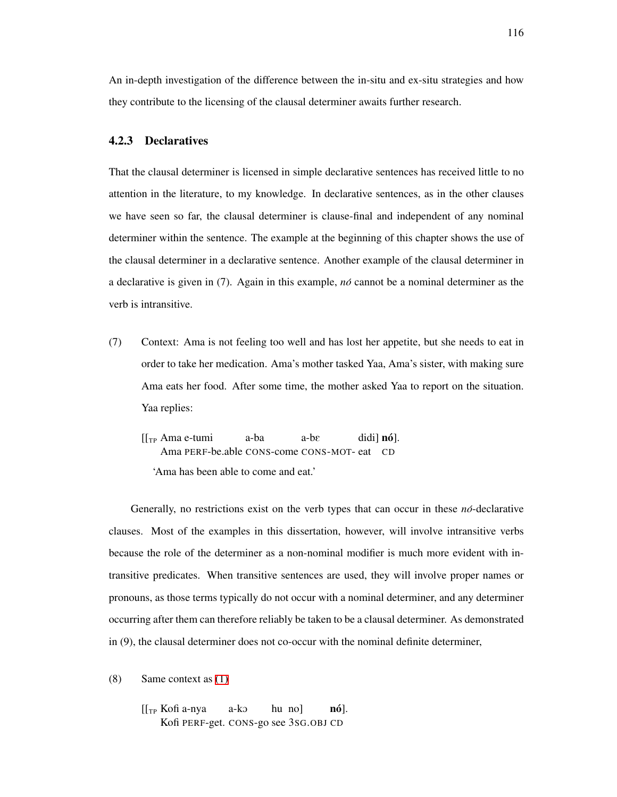An in-depth investigation of the difference between the in-situ and ex-situ strategies and how they contribute to the licensing of the clausal determiner awaits further research.

## 4.2.3 Declaratives

That the clausal determiner is licensed in simple declarative sentences has received little to no attention in the literature, to my knowledge. In declarative sentences, as in the other clauses we have seen so far, the clausal determiner is clause-final and independent of any nominal determiner within the sentence. The example at the beginning of this chapter shows the use of the clausal determiner in a declarative sentence. Another example of the clausal determiner in a declarative is given in (7). Again in this example, *no´* cannot be a nominal determiner as the verb is intransitive.

<span id="page-125-0"></span>(7) Context: Ama is not feeling too well and has lost her appetite, but she needs to eat in order to take her medication. Ama's mother tasked Yaa, Ama's sister, with making sure Ama eats her food. After some time, the mother asked Yaa to report on the situation. Yaa replies:

$$
[[TP Ama e-tumi a-ba a-be didi] nó].
$$
  
Ama PERF-be.able CONS-come CONS-MOT- eat CD  
'Ama has been able to come and eat.'

Generally, no restrictions exist on the verb types that can occur in these *no´*-declarative clauses. Most of the examples in this dissertation, however, will involve intransitive verbs because the role of the determiner as a non-nominal modifier is much more evident with intransitive predicates. When transitive sentences are used, they will involve proper names or pronouns, as those terms typically do not occur with a nominal determiner, and any determiner occurring after them can therefore reliably be taken to be a clausal determiner. As demonstrated in (9), the clausal determiner does not co-occur with the nominal definite determiner,

(8) Same context as [\(1\)](#page-121-0)

[[TP Kofi a-nya Kofi PERF-get. CONS-go see 3SG.OBJ CDa-kO hu no]  $\bf{no}$ ].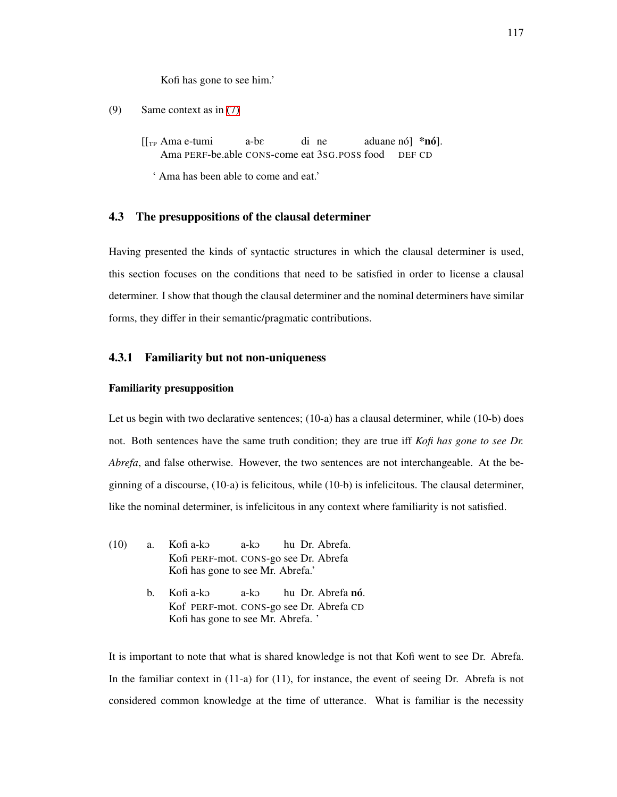Kofi has gone to see him.'

```
(9) Same context as in (7)
```
[[TP Ama e-tumi Ama PERF-be.able CONS-come eat 3SG.POSS food a-bE di ne aduane nó] \***nó**]. DEF CD

' Ama has been able to come and eat.'

# 4.3 The presuppositions of the clausal determiner

Having presented the kinds of syntactic structures in which the clausal determiner is used, this section focuses on the conditions that need to be satisfied in order to license a clausal determiner. I show that though the clausal determiner and the nominal determiners have similar forms, they differ in their semantic/pragmatic contributions.

## 4.3.1 Familiarity but not non-uniqueness

#### Familiarity presupposition

Let us begin with two declarative sentences; (10-a) has a clausal determiner, while (10-b) does not. Both sentences have the same truth condition; they are true iff *Kofi has gone to see Dr. Abrefa*, and false otherwise. However, the two sentences are not interchangeable. At the beginning of a discourse, (10-a) is felicitous, while (10-b) is infelicitous. The clausal determiner, like the nominal determiner, is infelicitous in any context where familiarity is not satisfied.

- (10) a. Kofi a-kO Kofi PERF-mot. CONS-go see Dr. Abrefa a-kO hu Dr. Abrefa. Kofi has gone to see Mr. Abrefa.'
	- b. Kofi a-kO Kof PERF-mot. CONS-go see Dr. Abrefa CD a-kO hu Dr. Abrefa **nó**. Kofi has gone to see Mr. Abrefa. '

It is important to note that what is shared knowledge is not that Kofi went to see Dr. Abrefa. In the familiar context in (11-a) for (11), for instance, the event of seeing Dr. Abrefa is not considered common knowledge at the time of utterance. What is familiar is the necessity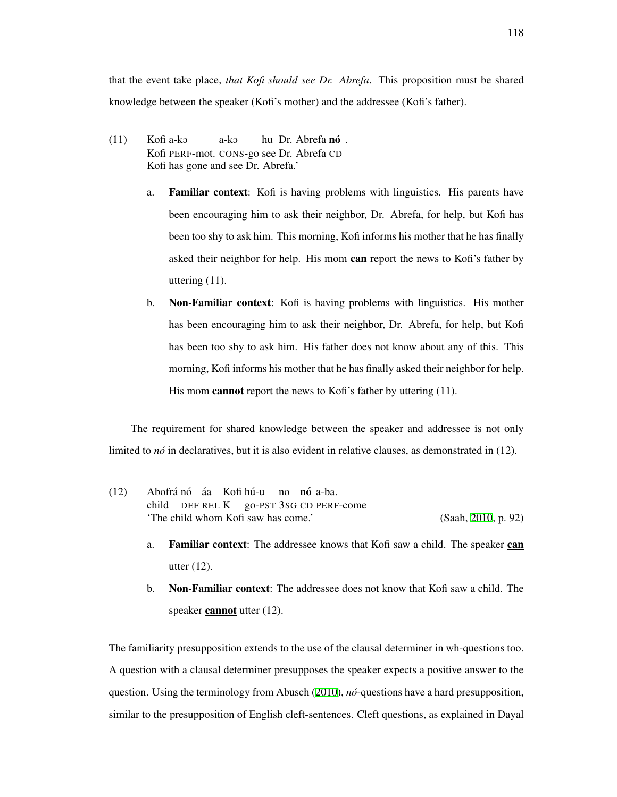- $(11)$ Kofi PERF-mot. CONS-go see Dr. Abrefa CD Kofi a-ko a-kO hu Dr. Abrefa **nó** . Kofi has gone and see Dr. Abrefa.'
	- a. Familiar context: Kofi is having problems with linguistics. His parents have been encouraging him to ask their neighbor, Dr. Abrefa, for help, but Kofi has been too shy to ask him. This morning, Kofi informs his mother that he has finally asked their neighbor for help. His mom can report the news to Kofi's father by uttering (11).
	- b. Non-Familiar context: Kofi is having problems with linguistics. His mother has been encouraging him to ask their neighbor, Dr. Abrefa, for help, but Kofi has been too shy to ask him. His father does not know about any of this. This morning, Kofi informs his mother that he has finally asked their neighbor for help. His mom **cannot** report the news to Kofi's father by uttering (11).

The requirement for shared knowledge between the speaker and addressee is not only limited to *no´* in declaratives, but it is also evident in relative clauses, as demonstrated in (12).

- (12) Abofrá nó áa Kofi hú-u child DEF REL K go-PST 3SG CD PERF-come no **nó** a-ba. 'The child whom Kofi saw has come.' (Saah, [2010](#page-216-1), p. 92)
	- a. Familiar context: The addressee knows that Kofi saw a child. The speaker can utter (12).
	- b. Non-Familiar context: The addressee does not know that Kofi saw a child. The speaker **cannot** utter (12).

The familiarity presupposition extends to the use of the clausal determiner in wh-questions too. A question with a clausal determiner presupposes the speaker expects a positive answer to the question. Using the terminology from Abusch [\(2010\)](#page-204-5), *no´*-questions have a hard presupposition, similar to the presupposition of English cleft-sentences. Cleft questions, as explained in Dayal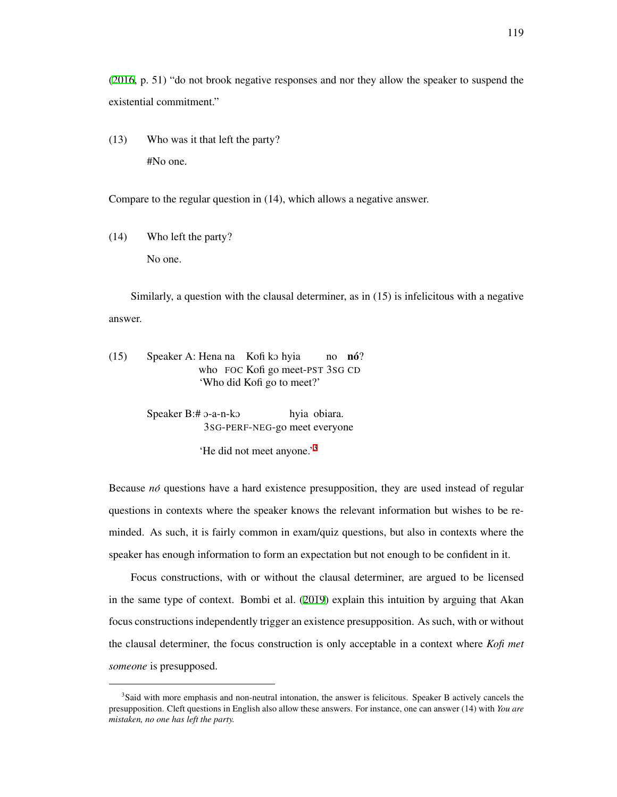([2016](#page-207-3), p. 51) "do not brook negative responses and nor they allow the speaker to suspend the existential commitment."

(13) Who was it that left the party? #No one.

Compare to the regular question in (14), which allows a negative answer.

(14) Who left the party? No one.

Similarly, a question with the clausal determiner, as in (15) is infelicitous with a negative answer.

(15) Speaker A: Hena na Kofi ko hyia who FOC Kofi go meet-PST 3SG CD no **nó**? 'Who did Kofi go to meet?'

> Speaker B:# 0-a-n-ko 3SG-PERF-NEG-go meet everyone hyia obiara.

> > 'He did not meet anyone.'[3](#page-128-0)

Because *nó* questions have a hard existence presupposition, they are used instead of regular questions in contexts where the speaker knows the relevant information but wishes to be reminded. As such, it is fairly common in exam/quiz questions, but also in contexts where the speaker has enough information to form an expectation but not enough to be confident in it.

Focus constructions, with or without the clausal determiner, are argued to be licensed in the same type of context. Bombi et al. ([2019\)](#page-206-0) explain this intuition by arguing that Akan focus constructions independently trigger an existence presupposition. As such, with or without the clausal determiner, the focus construction is only acceptable in a context where *Kofi met someone* is presupposed.

<span id="page-128-0"></span><sup>&</sup>lt;sup>3</sup>Said with more emphasis and non-neutral intonation, the answer is felicitous. Speaker B actively cancels the presupposition. Cleft questions in English also allow these answers. For instance, one can answer (14) with *You are mistaken, no one has left the party.*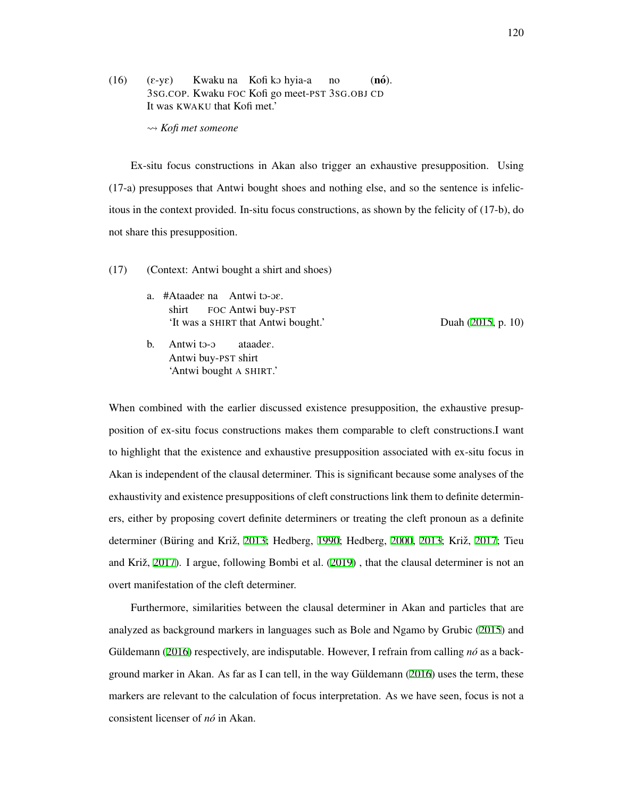- $(16)$   $(\epsilon$ -y $\epsilon)$ 3SG.COP. Kwaku FOC Kofi go meet-PST 3SG.OBJ CD Kwaku na Kofi ko hyia-a no  $(n6)$ . It was KWAKU that Kofi met.'
	- ⇝ *Kofi met someone*

Ex-situ focus constructions in Akan also trigger an exhaustive presupposition. Using (17-a) presupposes that Antwi bought shoes and nothing else, and so the sentence is infelicitous in the context provided. In-situ focus constructions, as shown by the felicity of (17-b), do not share this presupposition.

- (17) (Context: Antwi bought a shirt and shoes)
	- a. #Ataadee na Antwi to-oe. shirt FOC Antwi buy-PST 'It was a SHIRT that Antwi bought.' Duah [\(2015](#page-208-2), p. 10)

b. Antwi to-o Antwi buy-PST shirt ataadeE. 'Antwi bought A SHIRT.'

When combined with the earlier discussed existence presupposition, the exhaustive presupposition of ex-situ focus constructions makes them comparable to cleft constructions.I want to highlight that the existence and exhaustive presupposition associated with ex-situ focus in Akan is independent of the clausal determiner. This is significant because some analyses of the exhaustivity and existence presuppositions of cleft constructions link them to definite determiners, either by proposing covert definite determiners or treating the cleft pronoun as a definite determiner (Büring and Križ, [2013;](#page-206-4) Hedberg, [1990;](#page-211-2) Hedberg, [2000,](#page-211-3) [2013](#page-211-4); Križ, [2017](#page-213-5); Tieu and Križ, [2017](#page-218-2)). I argue, following Bombi et al. [\(2019\)](#page-206-0), that the clausal determiner is not an overt manifestation of the cleft determiner.

Furthermore, similarities between the clausal determiner in Akan and particles that are analyzed as background markers in languages such as Bole and Ngamo by Grubic ([2015\)](#page-210-2) and Güldemann ([2016\)](#page-210-3) respectively, are indisputable. However, I refrain from calling *nó* as a background marker in Akan. As far as I can tell, in the way Güldemann  $(2016)$  $(2016)$  $(2016)$  uses the term, these markers are relevant to the calculation of focus interpretation. As we have seen, focus is not a consistent licenser of *no´* in Akan.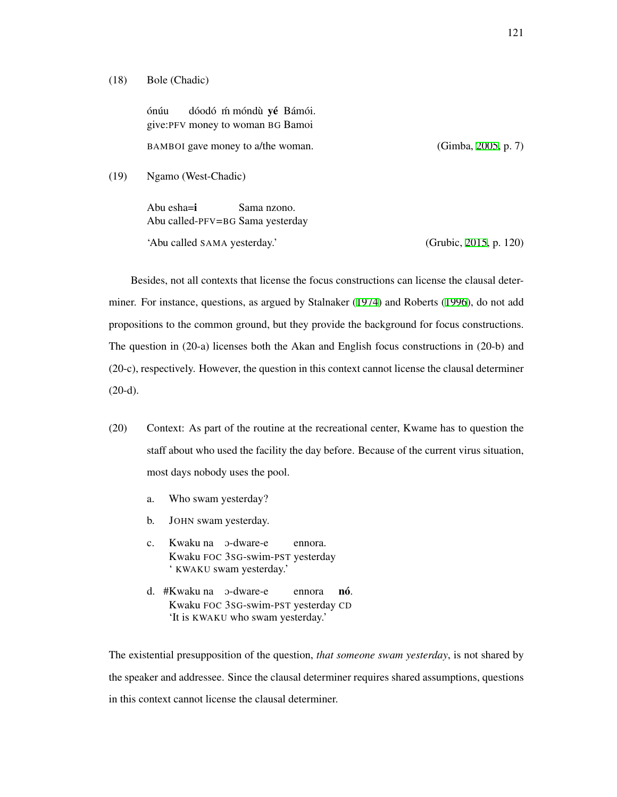#### (18) Bole (Chadic)

ónúu give:PFV money to woman BG Bamoi dóodó m móndù yé Bámói. BAMBOI gave money to a/the woman. (Gimba, [2005,](#page-210-4) p. 7)

(19) Ngamo (West-Chadic)

Abu esha=i Abu called-PFV=BG Sama yesterday Sama nzono.

'Abu called SAMA yesterday.' (Grubic, [2015,](#page-210-2) p. 120)

Besides, not all contexts that license the focus constructions can license the clausal determiner. For instance, questions, as argued by Stalnaker ([1974\)](#page-218-3) and Roberts ([1996\)](#page-215-2), do not add propositions to the common ground, but they provide the background for focus constructions. The question in (20-a) licenses both the Akan and English focus constructions in (20-b) and (20-c), respectively. However, the question in this context cannot license the clausal determiner  $(20-d).$ 

- (20) Context: As part of the routine at the recreational center, Kwame has to question the staff about who used the facility the day before. Because of the current virus situation, most days nobody uses the pool.
	- a. Who swam yesterday?
	- b. JOHN swam yesterday.
	- c. Kwaku na O-dware-e Kwaku FOC 3SG-swim-PST yesterday ennora. ' KWAKU swam yesterday.'
	- d. #Kwaku na O-dware-e Kwaku FOC 3SG-swim-PST yesterday CD ennora nó. 'It is KWAKU who swam yesterday.'

The existential presupposition of the question, *that someone swam yesterday*, is not shared by the speaker and addressee. Since the clausal determiner requires shared assumptions, questions in this context cannot license the clausal determiner.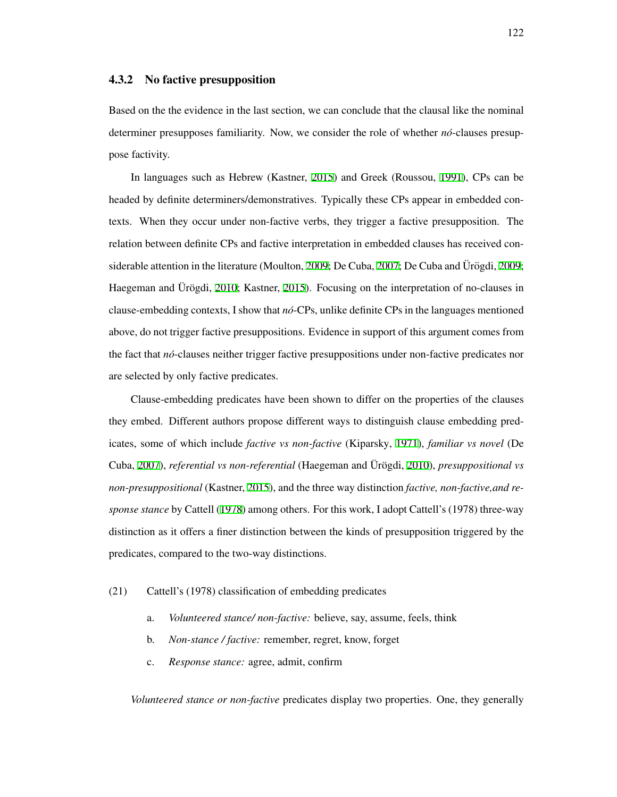#### 4.3.2 No factive presupposition

Based on the the evidence in the last section, we can conclude that the clausal like the nominal determiner presupposes familiarity. Now, we consider the role of whether  $n\delta$ -clauses presuppose factivity.

In languages such as Hebrew (Kastner, [2015](#page-212-3)) and Greek (Roussou, [1991\)](#page-216-4), CPs can be headed by definite determiners/demonstratives. Typically these CPs appear in embedded contexts. When they occur under non-factive verbs, they trigger a factive presupposition. The relation between definite CPs and factive interpretation in embedded clauses has received con-siderable attention in the literature (Moulton, [2009;](#page-208-4) De Cuba, [2007;](#page-208-3) De Cuba and Urögdi, 2009; Haegeman and Ürögdi, [2010](#page-210-5); Kastner, [2015](#page-212-3)). Focusing on the interpretation of no-clauses in clause-embedding contexts, I show that *no´*-CPs, unlike definite CPs in the languages mentioned above, do not trigger factive presuppositions. Evidence in support of this argument comes from the fact that *no´*-clauses neither trigger factive presuppositions under non-factive predicates nor are selected by only factive predicates.

Clause-embedding predicates have been shown to differ on the properties of the clauses they embed. Different authors propose different ways to distinguish clause embedding predicates, some of which include *factive vs non-factive* (Kiparsky, [1971\)](#page-212-4), *familiar vs novel* (De Cuba, [2007](#page-208-3)), *referential vs non-referential* (Haegeman and Ürögdi, [2010\)](#page-210-5), *presuppositional vs non-presuppositional* (Kastner, [2015](#page-212-3)), and the three way distinction *factive, non-factive,and response stance* by Cattell ([1978](#page-206-5)) among others. For this work, I adopt Cattell's (1978) three-way distinction as it offers a finer distinction between the kinds of presupposition triggered by the predicates, compared to the two-way distinctions.

#### (21) Cattell's (1978) classification of embedding predicates

- a. *Volunteered stance/ non-factive:* believe, say, assume, feels, think
- b. *Non-stance / factive:* remember, regret, know, forget
- c. *Response stance:* agree, admit, confirm

*Volunteered stance or non-factive* predicates display two properties. One, they generally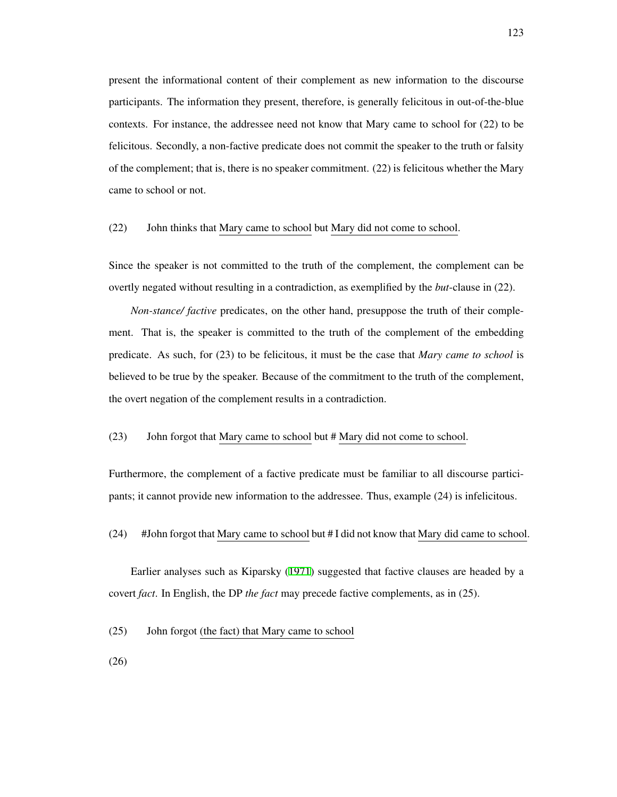present the informational content of their complement as new information to the discourse participants. The information they present, therefore, is generally felicitous in out-of-the-blue contexts. For instance, the addressee need not know that Mary came to school for (22) to be felicitous. Secondly, a non-factive predicate does not commit the speaker to the truth or falsity of the complement; that is, there is no speaker commitment. (22) is felicitous whether the Mary came to school or not.

## (22) John thinks that Mary came to school but Mary did not come to school.

Since the speaker is not committed to the truth of the complement, the complement can be overtly negated without resulting in a contradiction, as exemplified by the *but*-clause in (22).

*Non-stance/ factive* predicates, on the other hand, presuppose the truth of their complement. That is, the speaker is committed to the truth of the complement of the embedding predicate. As such, for (23) to be felicitous, it must be the case that *Mary came to school* is believed to be true by the speaker. Because of the commitment to the truth of the complement, the overt negation of the complement results in a contradiction.

# (23) John forgot that Mary came to school but # Mary did not come to school.

Furthermore, the complement of a factive predicate must be familiar to all discourse participants; it cannot provide new information to the addressee. Thus, example (24) is infelicitous.

#### (24) #John forgot that Mary came to school but # I did not know that Mary did came to school.

Earlier analyses such as Kiparsky ([1971](#page-212-4)) suggested that factive clauses are headed by a covert *fact*. In English, the DP *the fact* may precede factive complements, as in (25).

(25) John forgot (the fact) that Mary came to school

(26)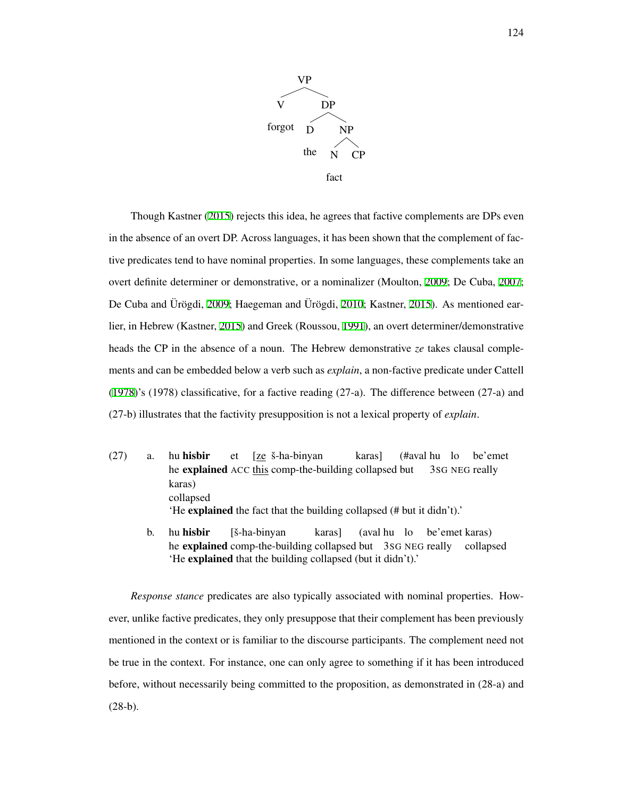

Though Kastner ([2015](#page-212-3)) rejects this idea, he agrees that factive complements are DPs even in the absence of an overt DP. Across languages, it has been shown that the complement of factive predicates tend to have nominal properties. In some languages, these complements take an overt definite determiner or demonstrative, or a nominalizer (Moulton, [2009;](#page-214-2) De Cuba, [2007;](#page-208-3) De Cuba and Ürögdi, [2009](#page-208-4); Haegeman and Ürögdi, [2010;](#page-210-5) Kastner, [2015](#page-212-3)). As mentioned earlier, in Hebrew (Kastner, [2015\)](#page-212-3) and Greek (Roussou, [1991\)](#page-216-4), an overt determiner/demonstrative heads the CP in the absence of a noun. The Hebrew demonstrative *ze* takes clausal complements and can be embedded below a verb such as *explain*, a non-factive predicate under Cattell ([1978](#page-206-5))'s (1978) classificative, for a factive reading (27-a). The difference between (27-a) and (27-b) illustrates that the factivity presupposition is not a lexical property of *explain*.

- $(27)$  a. he explained ACC this comp-the-building collapsed but hu hisbir et [ze š-ha-binyan karas] (#aval hu lo 3SG NEG really be'emet karas) collapsed 'He explained the fact that the building collapsed (# but it didn't).'
	- b. hu hisbir he explained comp-the-building collapsed but 3sG NEG really collapsed [š-ha-binyan] karas] (aval hu lo be'emet karas) 'He explained that the building collapsed (but it didn't).'

*Response stance* predicates are also typically associated with nominal properties. However, unlike factive predicates, they only presuppose that their complement has been previously mentioned in the context or is familiar to the discourse participants. The complement need not be true in the context. For instance, one can only agree to something if it has been introduced before, without necessarily being committed to the proposition, as demonstrated in (28-a) and  $(28-b).$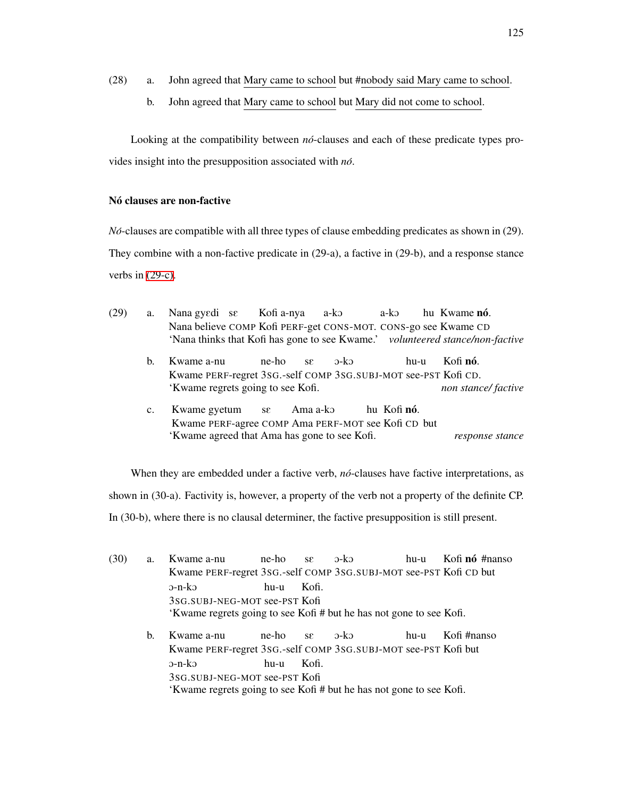- (28) a. John agreed that Mary came to school but #nobody said Mary came to school.
	- b. John agreed that Mary came to school but Mary did not come to school.

Looking at the compatibility between *nó*-clauses and each of these predicate types provides insight into the presupposition associated with *no´*.

# Nó clauses are non-factive

*No´*-clauses are compatible with all three types of clause embedding predicates as shown in (29). They combine with a non-factive predicate in (29-a), a factive in (29-b), and a response stance verbs in [\(29-c\)](#page-134-0).

| (29) | a.             | Nana gyedi se Kofia-nya a-ko                                                  |                           |        | a-ko | hu Kwame nó. |
|------|----------------|-------------------------------------------------------------------------------|---------------------------|--------|------|--------------|
|      |                | Nana believe COMP Kofi PERF-get CONS-MOT. CONS-go see Kwame CD                |                           |        |      |              |
|      |                | 'Nana thinks that Kofi has gone to see Kwame.' volunteered stance/non-factive |                           |        |      |              |
|      | $\mathbf{b}$ . | Kwame a-nu                                                                    | ne-ho<br>SE               | $5-k2$ | hu-u | Kofi nó.     |
|      |                | Kwame PERF-regret 3sG.-self COMP 3sG.SUBJ-MOT see-PST Kofi CD.                |                           |        |      |              |
|      |                | 'Kwame regrets going to see Kofi.                                             | non stance/factive        |        |      |              |
|      | $\mathbf{c}$ . | Kwame gyetum                                                                  | $se$ Ama a-ko hu Kofi nó. |        |      |              |
|      |                | Kwame PERF-agree COMP Ama PERF-MOT see Kofi CD but                            |                           |        |      |              |
|      |                | 'Kwame agreed that Ama has gone to see Kofi.                                  | response stance           |        |      |              |

<span id="page-134-0"></span>When they are embedded under a factive verb, *nó*-clauses have factive interpretations, as shown in (30-a). Factivity is, however, a property of the verb not a property of the definite CP. In (30-b), where there is no clausal determiner, the factive presupposition is still present.

| (30) | a. | Kwame a-nu                                                          | ne-ho | $\mathbf{S} \mathcal{E}$ | $o-k$                    |      | hu-u Kofi nó #nanso |  |
|------|----|---------------------------------------------------------------------|-------|--------------------------|--------------------------|------|---------------------|--|
|      |    | Kwame PERF-regret 3sG.-self COMP 3sG.SUBJ-MOT see-PST Kofi CD but   |       |                          |                          |      |                     |  |
|      |    | $\mathbf{D}$ -n-k $\mathbf{D}$                                      | hu-u  | Kofi.                    |                          |      |                     |  |
|      |    | 3SG.SUBJ-NEG-MOT see-PST Kofi                                       |       |                          |                          |      |                     |  |
|      |    | 'Kwame regrets going to see Kofi # but he has not gone to see Kofi. |       |                          |                          |      |                     |  |
|      | b. | Kwame a-nu                                                          | ne-ho | SE                       | $\partial$ -k $\partial$ | hu-u | Kofi #nanso         |  |
|      |    | Kwame PERF-regret 3sG.-self COMP 3sG.SUBJ-MOT see-PST Kofi but      |       |                          |                          |      |                     |  |
|      |    | $\mathbf{D}$ -n-k $\mathbf{D}$                                      | hu-u  | Kofi.                    |                          |      |                     |  |
|      |    | 3SG.SUBJ-NEG-MOT see-PST Kofi                                       |       |                          |                          |      |                     |  |
|      |    | 'Kwame regrets going to see Kofi # but he has not gone to see Kofi. |       |                          |                          |      |                     |  |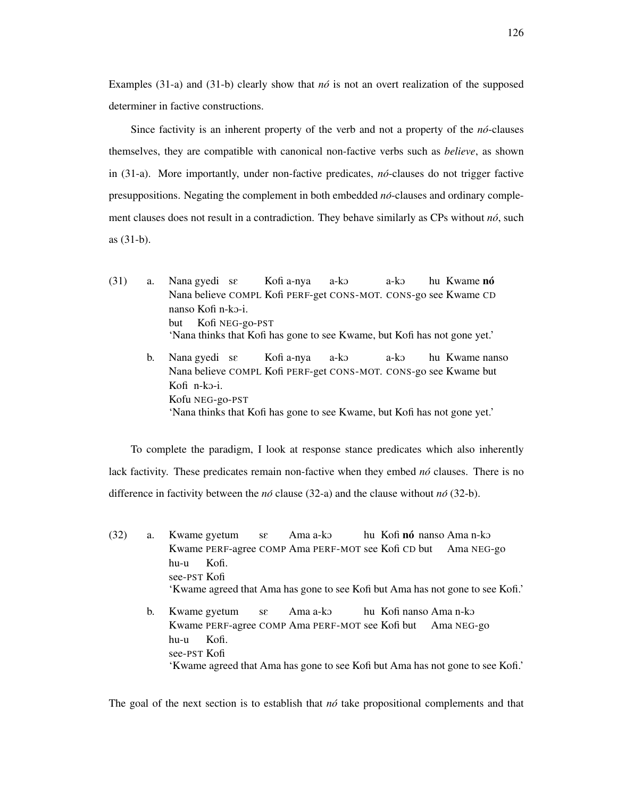Examples  $(31-a)$  and  $(31-b)$  clearly show that *no*<sup> $i$ </sup> is not an overt realization of the supposed determiner in factive constructions.

Since factivity is an inherent property of the verb and not a property of the *no´*-clauses themselves, they are compatible with canonical non-factive verbs such as *believe*, as shown in (31-a). More importantly, under non-factive predicates, *no´*-clauses do not trigger factive presuppositions. Negating the complement in both embedded *no´*-clauses and ordinary complement clauses does not result in a contradiction. They behave similarly as CPs without *no´*, such as (31-b).

(31) a. Nana gyedi sE Nana believe COMPL Kofi PERF-get CONS-MOT. CONS-go see Kwame CD Kofi a-nya a-kO a-kO hu Kwame **nó** nanso Kofi n-kO-i. but Kofi NEG-go-PST 'Nana thinks that Kofi has gone to see Kwame, but Kofi has not gone yet.'

b. Nana gyedi se Nana believe COMPL Kofi PERF-get CONS-MOT. CONS-go see Kwame but Kofi a-nya a-kO a-ko hu Kwame nanso Kofi n-kO-i. Kofu NEG-go-PST 'Nana thinks that Kofi has gone to see Kwame, but Kofi has not gone yet.'

To complete the paradigm, I look at response stance predicates which also inherently lack factivity. These predicates remain non-factive when they embed *nó* clauses. There is no difference in factivity between the  $n\acute{o}$  clause (32-a) and the clause without  $n\acute{o}$  (32-b).

(32) a. Kwame gyetum Kwame PERF-agree COMP Ama PERF-MOT see Kofi CD but sE Ama a-kO hu Kofi **nó** nanso Ama n-ko Ama NEG-go hu-u see-PST Kofi Kofi. 'Kwame agreed that Ama has gone to see Kofi but Ama has not gone to see Kofi.' b. Kwame gyetum Kwame PERF-agree COMP Ama PERF-MOT see Kofi but sE Ama a-kO hu Kofi nanso Ama n-kO Ama NEG-go

hu-u see-PST Kofi Kofi. 'Kwame agreed that Ama has gone to see Kofi but Ama has not gone to see Kofi.'

The goal of the next section is to establish that  $n\acute{o}$  take propositional complements and that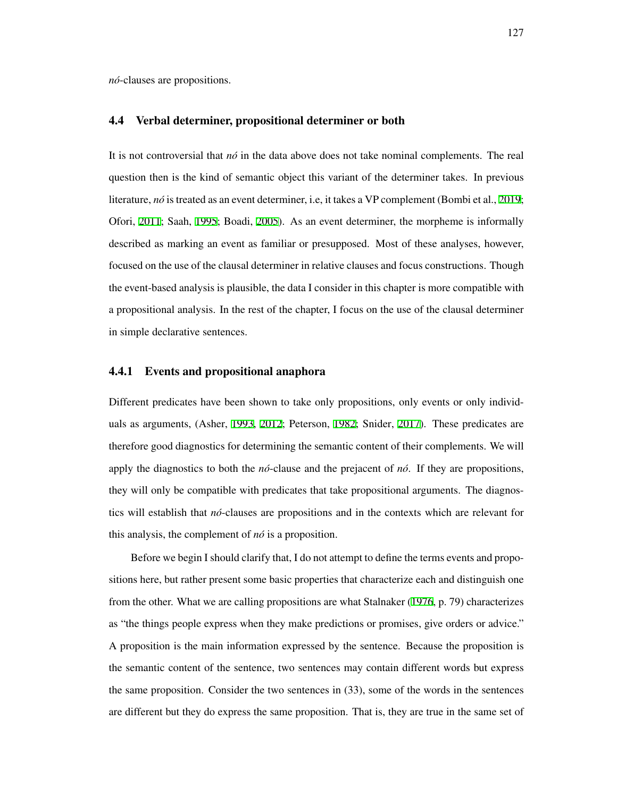*no´*-clauses are propositions.

#### <span id="page-136-0"></span>4.4 Verbal determiner, propositional determiner or both

It is not controversial that *no´* in the data above does not take nominal complements. The real question then is the kind of semantic object this variant of the determiner takes. In previous literature, *no´* is treated as an event determiner, i.e, it takes a VP complement (Bombi et al., [2019;](#page-206-0) Ofori, [2011;](#page-214-1) Saah, [1995;](#page-216-5) Boadi, [2005](#page-206-6)). As an event determiner, the morpheme is informally described as marking an event as familiar or presupposed. Most of these analyses, however, focused on the use of the clausal determiner in relative clauses and focus constructions. Though the event-based analysis is plausible, the data I consider in this chapter is more compatible with a propositional analysis. In the rest of the chapter, I focus on the use of the clausal determiner in simple declarative sentences.

#### 4.4.1 Events and propositional anaphora

Different predicates have been shown to take only propositions, only events or only individuals as arguments, (Asher, [1993,](#page-205-5) [2012](#page-205-6); Peterson, [1982](#page-215-3); Snider, [2017\)](#page-218-4). These predicates are therefore good diagnostics for determining the semantic content of their complements. We will apply the diagnostics to both the *no´*-clause and the prejacent of *no´*. If they are propositions, they will only be compatible with predicates that take propositional arguments. The diagnostics will establish that *no´*-clauses are propositions and in the contexts which are relevant for this analysis, the complement of *no´* is a proposition.

Before we begin I should clarify that, I do not attempt to define the terms events and propositions here, but rather present some basic properties that characterize each and distinguish one from the other. What we are calling propositions are what Stalnaker [\(1976](#page-218-5), p. 79) characterizes as "the things people express when they make predictions or promises, give orders or advice." A proposition is the main information expressed by the sentence. Because the proposition is the semantic content of the sentence, two sentences may contain different words but express the same proposition. Consider the two sentences in (33), some of the words in the sentences are different but they do express the same proposition. That is, they are true in the same set of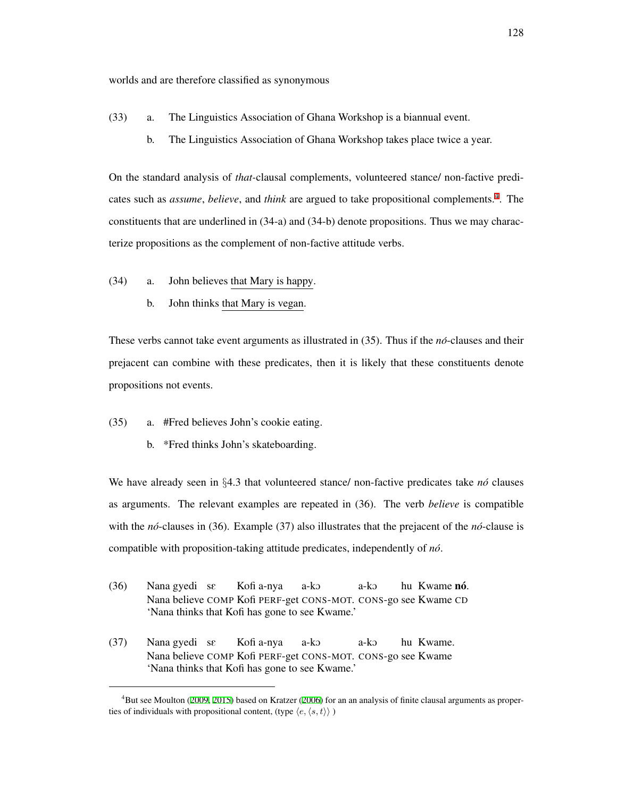worlds and are therefore classified as synonymous

- (33) a. The Linguistics Association of Ghana Workshop is a biannual event.
	- b. The Linguistics Association of Ghana Workshop takes place twice a year.

On the standard analysis of *that-*clausal complements, volunteered stance/ non-factive predicates such as *assume*, *believe*, and *think* are argued to take propositional complements.<sup>[4](#page-137-0)</sup>. The constituents that are underlined in (34-a) and (34-b) denote propositions. Thus we may characterize propositions as the complement of non-factive attitude verbs.

- (34) a. John believes that Mary is happy.
	- b. John thinks that Mary is vegan.

These verbs cannot take event arguments as illustrated in (35). Thus if the *no´*-clauses and their prejacent can combine with these predicates, then it is likely that these constituents denote propositions not events.

- (35) a. #Fred believes John's cookie eating.
	- b. \*Fred thinks John's skateboarding.

We have already seen in *§*4.3 that volunteered stance/ non-factive predicates take *no´* clauses as arguments. The relevant examples are repeated in (36). The verb *believe* is compatible with the *nó*-clauses in (36). Example (37) also illustrates that the prejacent of the *nó*-clause is compatible with proposition-taking attitude predicates, independently of *no´*.

- (36) Nana gyedi sE Nana believe COMP Kofi PERF-get CONS-MOT. CONS-go see Kwame CD Kofi a-nya a-kO a-kO hu Kwame **nó**. 'Nana thinks that Kofi has gone to see Kwame.'
- (37) Nana gyedi sE Nana believe COMP Kofi PERF-get CONS-MOT. CONS-go see Kwame Kofi a-nya a-kO a-kO hu Kwame. 'Nana thinks that Kofi has gone to see Kwame.'

<span id="page-137-0"></span><sup>4</sup>But see Moulton ([2009,](#page-214-2) [2015](#page-214-3)) based on Kratzer ([2006\)](#page-212-5) for an an analysis of finite clausal arguments as properties of individuals with propositional content, (type  $\langle e, \langle s, t \rangle \rangle$ )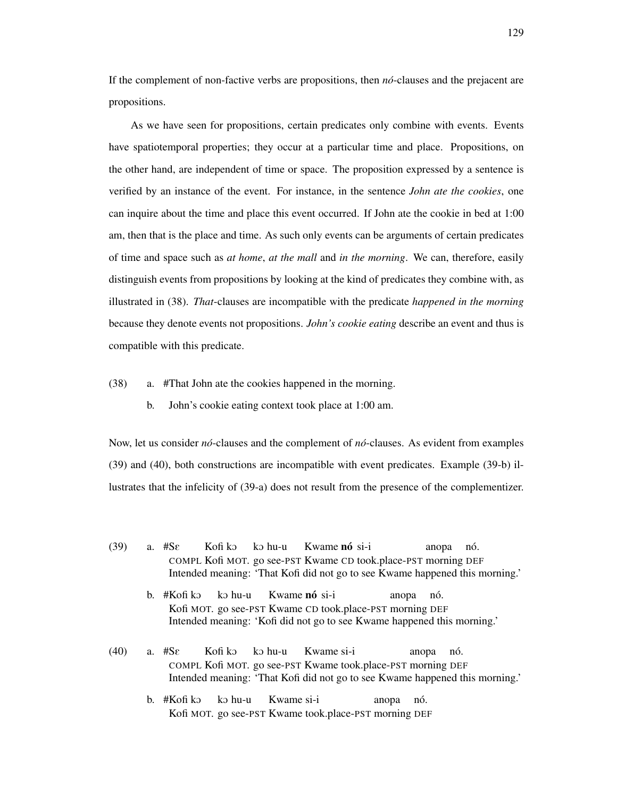If the complement of non-factive verbs are propositions, then *no´*-clauses and the prejacent are propositions.

As we have seen for propositions, certain predicates only combine with events. Events have spatiotemporal properties; they occur at a particular time and place. Propositions, on the other hand, are independent of time or space. The proposition expressed by a sentence is verified by an instance of the event. For instance, in the sentence *John ate the cookies*, one can inquire about the time and place this event occurred. If John ate the cookie in bed at 1:00 am, then that is the place and time. As such only events can be arguments of certain predicates of time and space such as *at home*, *at the mall* and *in the morning*. We can, therefore, easily distinguish events from propositions by looking at the kind of predicates they combine with, as illustrated in (38). *That*-clauses are incompatible with the predicate *happened in the morning* because they denote events not propositions. *John's cookie eating* describe an event and thus is compatible with this predicate.

(38) a. #That John ate the cookies happened in the morning.

b. John's cookie eating context took place at 1:00 am.

Now, let us consider *nó*-clauses and the complement of *nó*-clauses. As evident from examples (39) and (40), both constructions are incompatible with event predicates. Example (39-b) illustrates that the infelicity of (39-a) does not result from the presence of the complementizer.

- $(39)$  a. #S $\varepsilon$ COMPL Kofi MOT. go see-PST Kwame CD took.place-PST morning DEF Kofi kO ko hu-u Kwame nó si-i anopa nó. Intended meaning: 'That Kofi did not go to see Kwame happened this morning.'
	- b. #Kofi kɔ Kofi MOT. go see-PST Kwame CD took.place-PST morning DEF ko hu-u Kwame nó si-i anopa nó. Intended meaning: 'Kofi did not go to see Kwame happened this morning.'
- $(40)$  a. #S $\varepsilon$ COMPL Kofi MOT. go see-PST Kwame took.place-PST morning DEF Kofi kO ko hu-u Kwame si-i anopa nó. Intended meaning: 'That Kofi did not go to see Kwame happened this morning.'
	- b. #Kofi kɔ Kofi MOT. go see-PST Kwame took.place-PST morning DEF ko hu-u Kwame si-i anopa nó.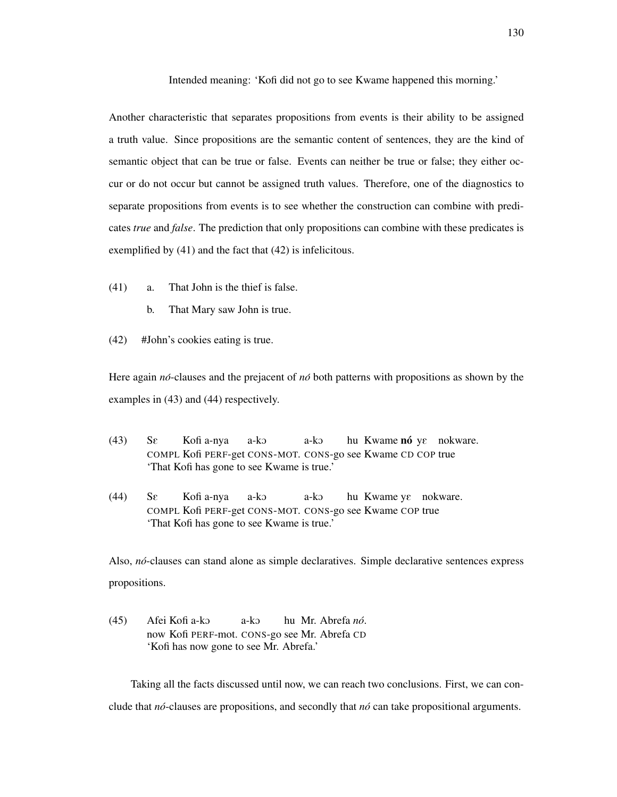Intended meaning: 'Kofi did not go to see Kwame happened this morning.'

Another characteristic that separates propositions from events is their ability to be assigned a truth value. Since propositions are the semantic content of sentences, they are the kind of semantic object that can be true or false. Events can neither be true or false; they either occur or do not occur but cannot be assigned truth values. Therefore, one of the diagnostics to separate propositions from events is to see whether the construction can combine with predicates *true* and *false*. The prediction that only propositions can combine with these predicates is exemplified by (41) and the fact that (42) is infelicitous.

- (41) a. That John is the thief is false.
	- b. That Mary saw John is true.
- (42) #John's cookies eating is true.

Here again *no*-clauses and the prejacent of *no*<sup>*b*</sup> both patterns with propositions as shown by the examples in (43) and (44) respectively.

- $(43)$   $S_{\mathcal{E}}$ COMPL Kofi PERF-get CONS-MOT. CONS-go see Kwame CD COP true Kofi a-nya a-kO a-ko hu Kwame nó ye nokware. 'That Kofi has gone to see Kwame is true.'
- $(44)$  Se COMPL Kofi PERF-get CONS-MOT. CONS-go see Kwame COP true Kofi a-nya a-kO a-kO hu Kwame yε nokware. 'That Kofi has gone to see Kwame is true.'

Also, *no´*-clauses can stand alone as simple declaratives. Simple declarative sentences express propositions.

 $(45)$ now Kofi PERF-mot. CONS-go see Mr. Abrefa CD Kofi a-kO a-kO hu Mr. Abrefa *no´*. 'Kofi has now gone to see Mr. Abrefa.'

Taking all the facts discussed until now, we can reach two conclusions. First, we can conclude that *no´*-clauses are propositions, and secondly that *no´* can take propositional arguments.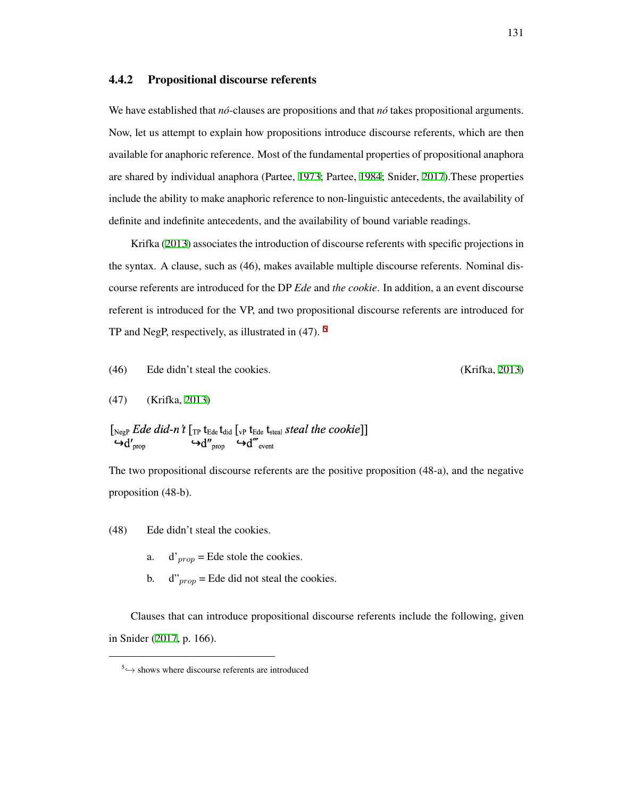# 4.4.2 Propositional discourse referents

We have established that *nó*-clauses are propositions and that *nó* takes propositional arguments. Now, let us attempt to explain how propositions introduce discourse referents, which are then available for anaphoric reference. Most of the fundamental properties of propositional anaphora are shared by individual anaphora (Partee, [1973;](#page-214-4) Partee, [1984;](#page-214-5) Snider, [2017\)](#page-218-4).These properties include the ability to make anaphoric reference to non-linguistic antecedents, the availability of definite and indefinite antecedents, and the availability of bound variable readings.

Krifka [\(2013\)](#page-213-6) associates the introduction of discourse referents with specific projections in the syntax. A clause, such as (46), makes available multiple discourse referents. Nominal discourse referents are introduced for the DP *Ede* and *the cookie*. In addition, a an event discourse referent is introduced for the VP, and two propositional discourse referents are introduced for TP and NegP, respectively, as illustrated in (47). [5](#page-140-0)

(46) Ede didn't steal the cookies. (Krifka, [2013](#page-213-6))

(47) (Krifka, [2013](#page-213-6))

 $[\begin{smallmatrix}\scriptstyle{\text{NegP}}\end{smallmatrix} \begin{smallmatrix}\scriptstyle{Ede} \end{smallmatrix} \begin{smallmatrix} \scriptstyle{did-n't} \end{smallmatrix} \begin{smallmatrix}\scriptstyle{\text{Tr}} \end{smallmatrix} \begin{smallmatrix}\scriptstyle{\text{t}}_{\scriptstyle{\text{Ede}}} \end{smallmatrix} \begin{smallmatrix}\scriptstyle{\text{t}}_{\scriptstyle{\text{Ede}}} \end{smallmatrix} \begin{smallmatrix}\scriptstyle{\text{t}}_{\scriptstyle{\text{Ede}}} \end{smallmatrix} \begin{smallmatrix} \scriptstyle{\text{t}}_{\scriptstyle{\text{Sde}}} \end{smallmatrix} \begin{smallmatrix} \scriptstyle{\text{t}}_{\scriptstyle{\text{Ede}}} \$  $\ddot{\mathcal{A}}''_{\text{prop}} \leftrightarrow d'''_{\text{event}}$  $\boldsymbol{\mathsf{G}}$ <sub>prop</sub>

The two propositional discourse referents are the positive proposition (48-a), and the negative proposition (48-b).

- (48) Ede didn't steal the cookies.
	- a.  $d'_{\text{mron}} =$  Ede stole the cookies.
	- b.  $d''_{\text{prop}} =$  Ede did not steal the cookies.

Clauses that can introduce propositional discourse referents include the following, given in Snider [\(2017,](#page-218-4) p. 166).

<span id="page-140-0"></span><sup>5 →</sup> shows where discourse referents are introduced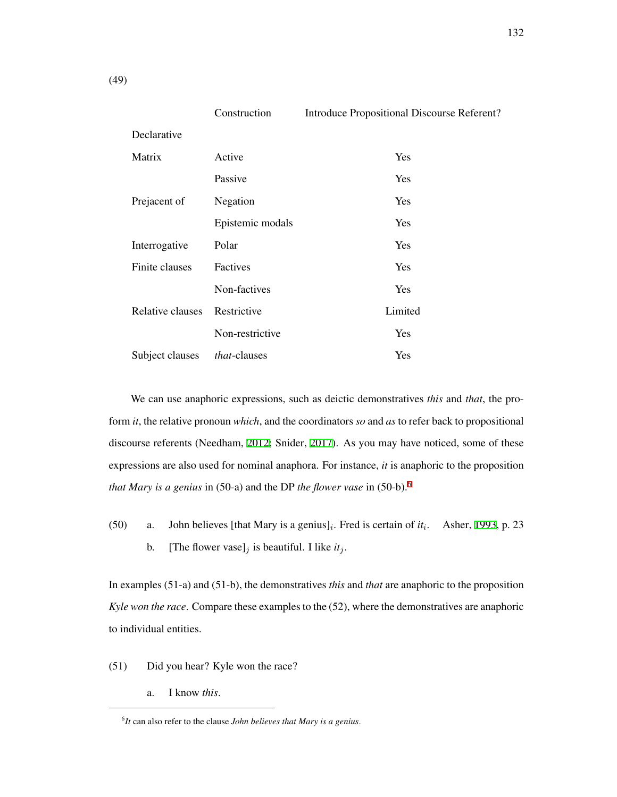|                  | Construction     | Introduce Propositional Discourse Referent? |  |  |
|------------------|------------------|---------------------------------------------|--|--|
| Declarative      |                  |                                             |  |  |
| Matrix           | Active           | Yes                                         |  |  |
|                  | Passive          | Yes                                         |  |  |
| Prejacent of     | Negation         | Yes                                         |  |  |
|                  | Epistemic modals | Yes                                         |  |  |
| Interrogative    | Polar            | Yes                                         |  |  |
| Finite clauses   | Factives         | Yes                                         |  |  |
|                  | Non-factives     | Yes                                         |  |  |
| Relative clauses | Restrictive      | Limited                                     |  |  |
|                  | Non-restrictive  | Yes                                         |  |  |
| Subject clauses  | that-clauses     | Yes                                         |  |  |

We can use anaphoric expressions, such as deictic demonstratives *this* and *that*, the proform *it*, the relative pronoun *which*, and the coordinators *so* and *as* to refer back to propositional discourse referents (Needham, [2012;](#page-214-6) Snider, [2017\)](#page-218-4). As you may have noticed, some of these expressions are also used for nominal anaphora. For instance, *it* is anaphoric to the proposition *that Mary is a genius* in (50-a) and the DP *the flower vase* in (50-b).[6](#page-141-0)

(50) a. John believes [that Mary is a genius]<sub>*i*</sub>. Fred is certain of *it*<sub>*i*</sub>. Asher, [1993,](#page-205-5) p. 23 b. [The flower vase]<sub>*j*</sub> is beautiful. I like  $it_j$ .

In examples (51-a) and (51-b), the demonstratives *this* and *that* are anaphoric to the proposition *Kyle won the race*. Compare these examples to the (52), where the demonstratives are anaphoric to individual entities.

- (51) Did you hear? Kyle won the race?
	- a. I know *this*.

<span id="page-141-0"></span><sup>6</sup> *It* can also refer to the clause *John believes that Mary is a genius*.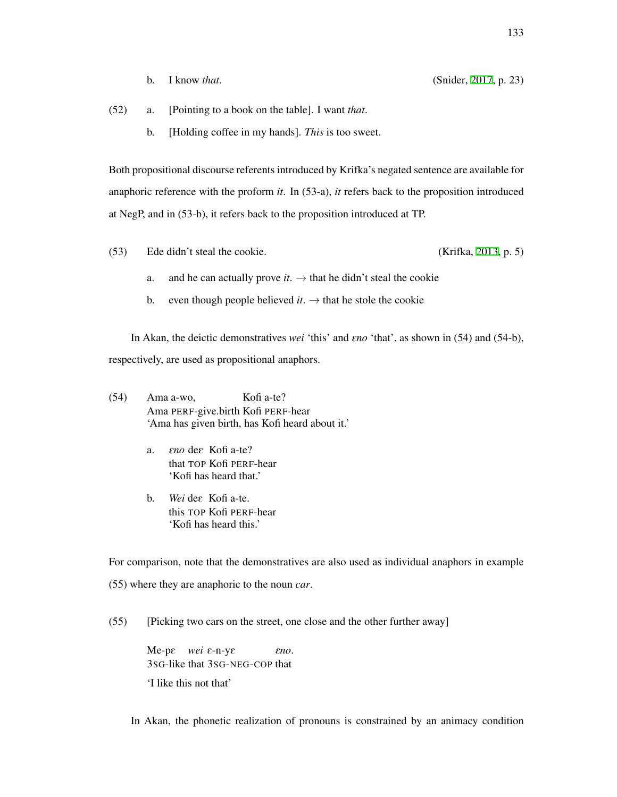- (52) a. [Pointing to a book on the table]. I want *that*.
	- b. [Holding coffee in my hands]. *This* is too sweet.

Both propositional discourse referents introduced by Krifka's negated sentence are available for anaphoric reference with the proform *it*. In (53-a), *it* refers back to the proposition introduced at NegP, and in (53-b), it refers back to the proposition introduced at TP.

- (53) Ede didn't steal the cookie. (Krifka, [2013,](#page-213-6) p. 5)
	- a. and he can actually prove  $it$ .  $\rightarrow$  that he didn't steal the cookie
	- b. even though people believed *it*.  $\rightarrow$  that he stole the cookie

In Akan, the deictic demonstratives *wei* 'this' and E*no* 'that', as shown in (54) and (54-b), respectively, are used as propositional anaphors.

- (54) Ama a-wo, Ama PERF-give.birth Kofi PERF-hear Kofi a-te? 'Ama has given birth, has Kofi heard about it.'
	- a. *Eno* de $\varepsilon$  Kofi a-te? that TOP Kofi PERF-hear 'Kofi has heard that.'
	- b. Wei dee Kofi a-te. this TOP Kofi PERF-hear 'Kofi has heard this.'

For comparison, note that the demonstratives are also used as individual anaphors in example

(55) where they are anaphoric to the noun *car*.

(55) [Picking two cars on the street, one close and the other further away]

Me-pε wei ε-n-yε 3SG-like that 3SG-NEG-COP that E*no*. 'I like this not that'

In Akan, the phonetic realization of pronouns is constrained by an animacy condition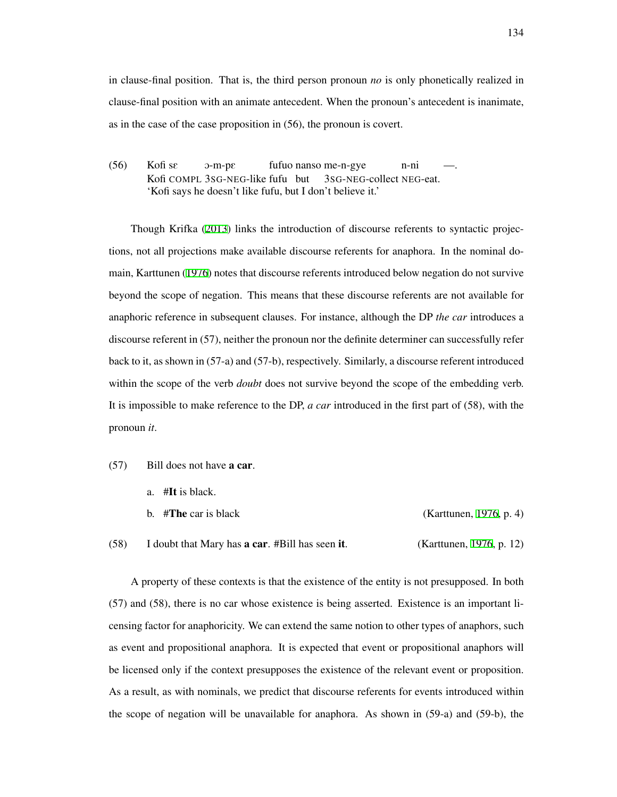in clause-final position. That is, the third person pronoun *no* is only phonetically realized in clause-final position with an animate antecedent. When the pronoun's antecedent is inanimate, as in the case of the case proposition in (56), the pronoun is covert.

 $(56)$ Kofi COMPL 3SG-NEG-like fufu but Kofi sε O-m-pE fufuo nanso me-n-gye 3SG-NEG-collect NEG-eat. n-ni —. 'Kofi says he doesn't like fufu, but I don't believe it.'

Though Krifka ([2013\)](#page-213-6) links the introduction of discourse referents to syntactic projections, not all projections make available discourse referents for anaphora. In the nominal domain, Karttunen ([1976\)](#page-212-6) notes that discourse referents introduced below negation do not survive beyond the scope of negation. This means that these discourse referents are not available for anaphoric reference in subsequent clauses. For instance, although the DP *the car* introduces a discourse referent in (57), neither the pronoun nor the definite determiner can successfully refer back to it, as shown in (57-a) and (57-b), respectively. Similarly, a discourse referent introduced within the scope of the verb *doubt* does not survive beyond the scope of the embedding verb. It is impossible to make reference to the DP, *a car* introduced in the first part of (58), with the pronoun *it*.

- (57) Bill does not have a car.
	- a. #It is black.
	- b. #**The** car is black (Karttunen, [1976,](#page-212-6) p. 4)

(58) I doubt that Mary has a car. #Bill has seen it. (Karttunen, [1976](#page-212-6), p. 12)

A property of these contexts is that the existence of the entity is not presupposed. In both (57) and (58), there is no car whose existence is being asserted. Existence is an important licensing factor for anaphoricity. We can extend the same notion to other types of anaphors, such as event and propositional anaphora. It is expected that event or propositional anaphors will be licensed only if the context presupposes the existence of the relevant event or proposition. As a result, as with nominals, we predict that discourse referents for events introduced within the scope of negation will be unavailable for anaphora. As shown in (59-a) and (59-b), the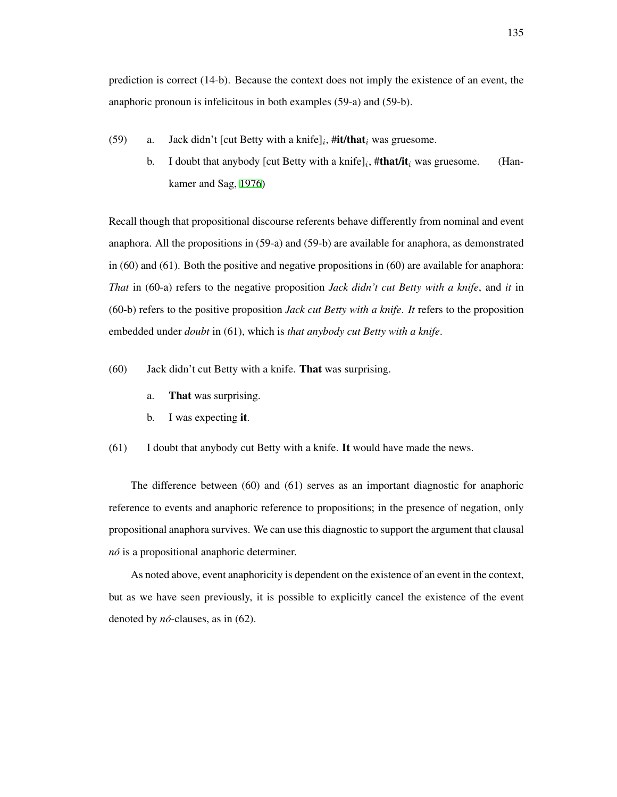prediction is correct (14-b). Because the context does not imply the existence of an event, the anaphoric pronoun is infelicitous in both examples (59-a) and (59-b).

- (59) a. Jack didn't [cut Betty with a knife] $_i$ , #it/that $_i$  was gruesome.
	- b. I doubt that anybody [cut Betty with a knife]*<sup>i</sup>* , #that/it*<sup>i</sup>* was gruesome. (Hankamer and Sag, [1976\)](#page-210-0)

Recall though that propositional discourse referents behave differently from nominal and event anaphora. All the propositions in (59-a) and (59-b) are available for anaphora, as demonstrated in (60) and (61). Both the positive and negative propositions in (60) are available for anaphora: *That* in (60-a) refers to the negative proposition *Jack didn't cut Betty with a knife*, and *it* in (60-b) refers to the positive proposition *Jack cut Betty with a knife*. *It* refers to the proposition embedded under *doubt* in (61), which is *that anybody cut Betty with a knife*.

- (60) Jack didn't cut Betty with a knife. That was surprising.
	- a. That was surprising.
	- b. I was expecting it.
- (61) I doubt that anybody cut Betty with a knife. It would have made the news.

The difference between (60) and (61) serves as an important diagnostic for anaphoric reference to events and anaphoric reference to propositions; in the presence of negation, only propositional anaphora survives. We can use this diagnostic to support the argument that clausal *no´* is a propositional anaphoric determiner.

As noted above, event anaphoricity is dependent on the existence of an event in the context, but as we have seen previously, it is possible to explicitly cancel the existence of the event denoted by *no´*-clauses, as in (62).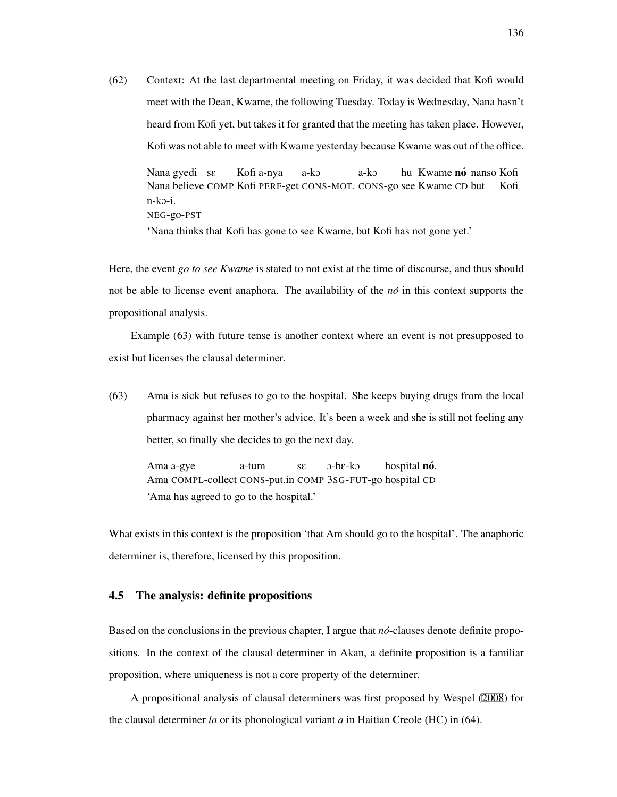(62) Context: At the last departmental meeting on Friday, it was decided that Kofi would meet with the Dean, Kwame, the following Tuesday. Today is Wednesday, Nana hasn't heard from Kofi yet, but takes it for granted that the meeting has taken place. However, Kofi was not able to meet with Kwame yesterday because Kwame was out of the office. Nana gyedi se Nana believe COMP Kofi PERF-get CONS-MOT. CONS-go see Kwame CD but Kofi a-nya a-kO a-kO hu Kwame **nó** nanso Kofi Kofi

NEG-go-PST 'Nana thinks that Kofi has gone to see Kwame, but Kofi has not gone yet.'

Here, the event *go to see Kwame* is stated to not exist at the time of discourse, and thus should not be able to license event anaphora. The availability of the *no´* in this context supports the propositional analysis.

Example (63) with future tense is another context where an event is not presupposed to exist but licenses the clausal determiner.

(63) Ama is sick but refuses to go to the hospital. She keeps buying drugs from the local pharmacy against her mother's advice. It's been a week and she is still not feeling any better, so finally she decides to go the next day.

Ama a-gye Ama COMPL-collect CONS-put.in COMP 3SG-FUT-go hospital CD a-tum sE O-bE-kO hospital **nó**. 'Ama has agreed to go to the hospital.'

What exists in this context is the proposition 'that Am should go to the hospital'. The anaphoric determiner is, therefore, licensed by this proposition.

#### 4.5 The analysis: definite propositions

n-kO-i.

Based on the conclusions in the previous chapter, I argue that  $n\acute{o}$ -clauses denote definite propositions. In the context of the clausal determiner in Akan, a definite proposition is a familiar proposition, where uniqueness is not a core property of the determiner.

A propositional analysis of clausal determiners was first proposed by Wespel [\(2008](#page-218-0)) for the clausal determiner *la* or its phonological variant *a* in Haitian Creole (HC) in (64).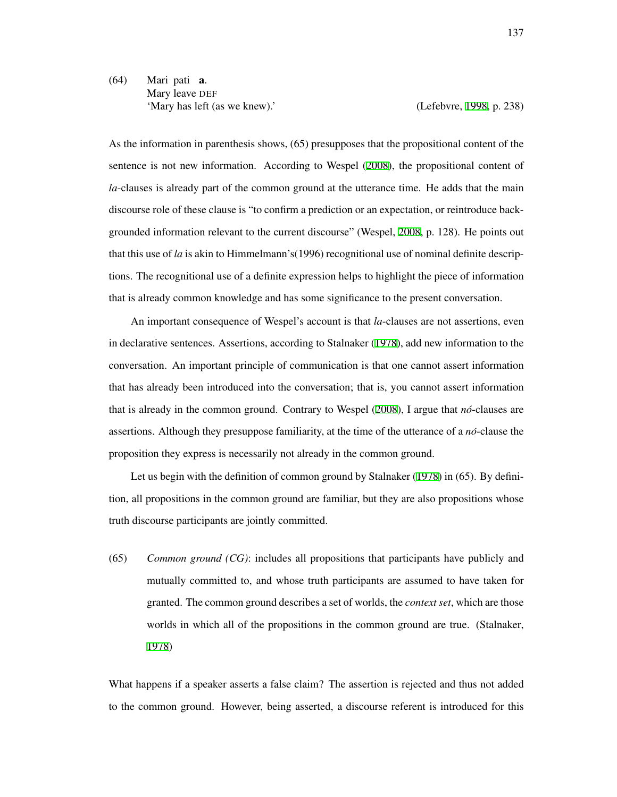## (64) Mari pati a. Mary leave DEF 'Mary has left (as we knew).' (Lefebvre, [1998,](#page-213-0) p. 238)

As the information in parenthesis shows, (65) presupposes that the propositional content of the sentence is not new information. According to Wespel ([2008](#page-218-0)), the propositional content of *la*-clauses is already part of the common ground at the utterance time. He adds that the main discourse role of these clause is "to confirm a prediction or an expectation, or reintroduce backgrounded information relevant to the current discourse" (Wespel, [2008](#page-218-0), p. 128). He points out that this use of *la* is akin to Himmelmann's(1996) recognitional use of nominal definite descriptions. The recognitional use of a definite expression helps to highlight the piece of information that is already common knowledge and has some significance to the present conversation.

An important consequence of Wespel's account is that *la*-clauses are not assertions, even in declarative sentences. Assertions, according to Stalnaker [\(1978\)](#page-218-1), add new information to the conversation. An important principle of communication is that one cannot assert information that has already been introduced into the conversation; that is, you cannot assert information that is already in the common ground. Contrary to Wespel ([2008\)](#page-218-0), I argue that *no´*-clauses are assertions. Although they presuppose familiarity, at the time of the utterance of a *no´*-clause the proposition they express is necessarily not already in the common ground.

Let us begin with the definition of common ground by Stalnaker [\(1978](#page-218-1)) in (65). By definition, all propositions in the common ground are familiar, but they are also propositions whose truth discourse participants are jointly committed.

(65) *Common ground (CG)*: includes all propositions that participants have publicly and mutually committed to, and whose truth participants are assumed to have taken for granted. The common ground describes a set of worlds, the *context set*, which are those worlds in which all of the propositions in the common ground are true. (Stalnaker, [1978\)](#page-218-1)

What happens if a speaker asserts a false claim? The assertion is rejected and thus not added to the common ground. However, being asserted, a discourse referent is introduced for this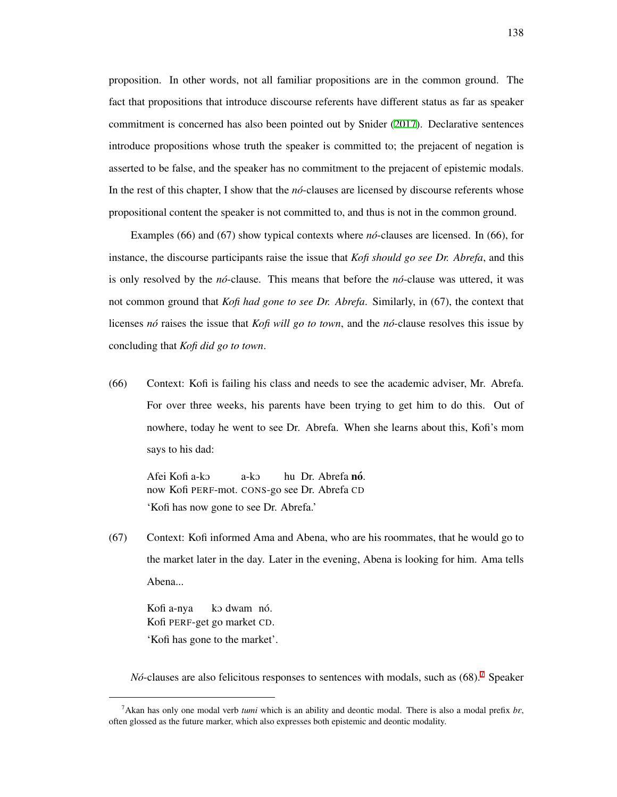proposition. In other words, not all familiar propositions are in the common ground. The fact that propositions that introduce discourse referents have different status as far as speaker commitment is concerned has also been pointed out by Snider [\(2017](#page-218-2)). Declarative sentences introduce propositions whose truth the speaker is committed to; the prejacent of negation is asserted to be false, and the speaker has no commitment to the prejacent of epistemic modals. In the rest of this chapter, I show that the *no*-clauses are licensed by discourse referents whose propositional content the speaker is not committed to, and thus is not in the common ground.

Examples (66) and (67) show typical contexts where *no´*-clauses are licensed. In (66), for instance, the discourse participants raise the issue that *Kofi should go see Dr. Abrefa*, and this is only resolved by the *no´*-clause. This means that before the *no´*-clause was uttered, it was not common ground that *Kofi had gone to see Dr. Abrefa*. Similarly, in (67), the context that licenses *no´* raises the issue that *Kofi will go to town*, and the *no´*-clause resolves this issue by concluding that *Kofi did go to town*.

(66) Context: Kofi is failing his class and needs to see the academic adviser, Mr. Abrefa. For over three weeks, his parents have been trying to get him to do this. Out of nowhere, today he went to see Dr. Abrefa. When she learns about this, Kofi's mom says to his dad:

Afei Kofi a-kO now Kofi PERF-mot. CONS-go see Dr. Abrefa CD a-kO hu Dr. Abrefa **nó**. 'Kofi has now gone to see Dr. Abrefa.'

(67) Context: Kofi informed Ama and Abena, who are his roommates, that he would go to the market later in the day. Later in the evening, Abena is looking for him. Ama tells Abena...

Kofi a-nya Kofi PERF-get go market CD. ko dwam nó. 'Kofi has gone to the market'.

*No*-clauses are also felicitous responses to sentences with modals, such as (68).<sup>[7](#page-147-0)</sup> Speaker

<span id="page-147-0"></span><sup>&</sup>lt;sup>7</sup>Akan has only one modal verb *tumi* which is an ability and deontic modal. There is also a modal prefix  $b\epsilon$ , often glossed as the future marker, which also expresses both epistemic and deontic modality.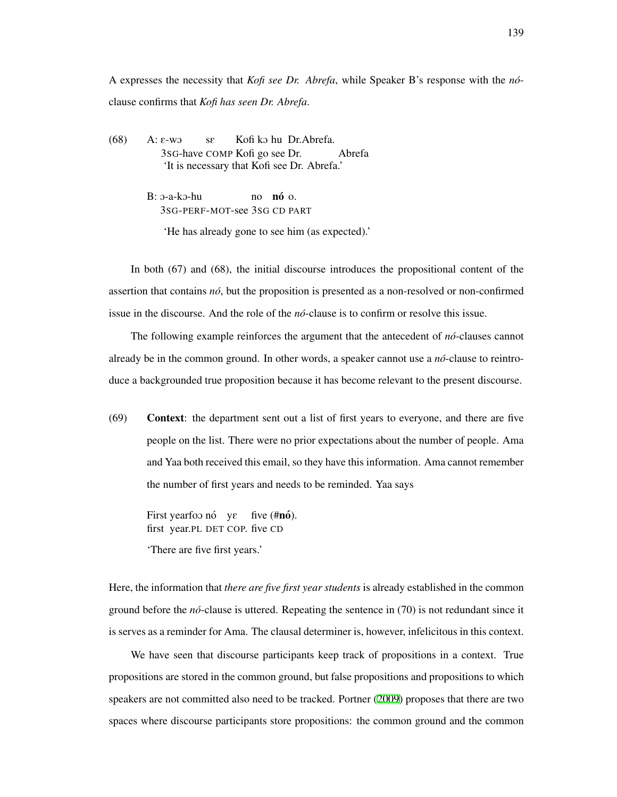A expresses the necessity that *Kofi see Dr. Abrefa*, while Speaker B's response with the *no´* clause confirms that *Kofi has seen Dr. Abrefa*.

 $(68)$  A:  $\varepsilon$ -wo 3SG-have COMP Kofi go see sE Kofi kO hu Dr.Abrefa. Abrefa 'It is necessary that Kofi see Dr. Abrefa.'

> $B: 3-a-k5-hu$ 3SG-PERF-MOT-see 3SG CD PART no **nó** o.

'He has already gone to see him (as expected).'

In both (67) and (68), the initial discourse introduces the propositional content of the assertion that contains *no´*, but the proposition is presented as a non-resolved or non-confirmed issue in the discourse. And the role of the *no´*-clause is to confirm or resolve this issue.

The following example reinforces the argument that the antecedent of *no´*-clauses cannot already be in the common ground. In other words, a speaker cannot use a *no´*-clause to reintroduce a backgrounded true proposition because it has become relevant to the present discourse.

(69) Context: the department sent out a list of first years to everyone, and there are five people on the list. There were no prior expectations about the number of people. Ama and Yaa both received this email, so they have this information. Ama cannot remember the number of first years and needs to be reminded. Yaa says

First yearfoo nó yε first year.PL DET COP. five CD five (#**nó**).

'There are five first years.'

Here, the information that *there are five first year students* is already established in the common ground before the *no´*-clause is uttered. Repeating the sentence in (70) is not redundant since it is serves as a reminder for Ama. The clausal determiner is, however, infelicitous in this context.

We have seen that discourse participants keep track of propositions in a context. True propositions are stored in the common ground, but false propositions and propositions to which speakers are not committed also need to be tracked. Portner ([2009](#page-215-0)) proposes that there are two spaces where discourse participants store propositions: the common ground and the common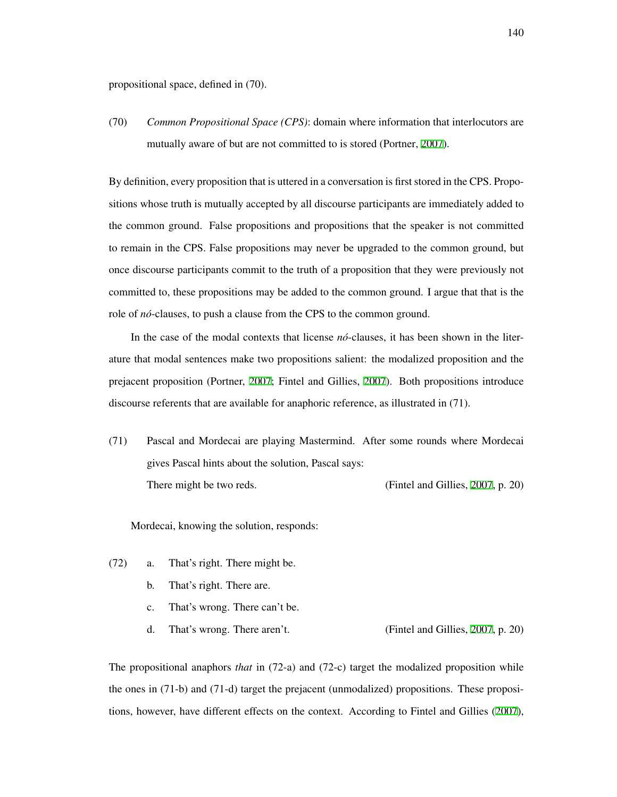propositional space, defined in (70).

(70) *Common Propositional Space (CPS)*: domain where information that interlocutors are mutually aware of but are not committed to is stored (Portner, [2007\)](#page-215-1).

By definition, every proposition that is uttered in a conversation is first stored in the CPS. Propositions whose truth is mutually accepted by all discourse participants are immediately added to the common ground. False propositions and propositions that the speaker is not committed to remain in the CPS. False propositions may never be upgraded to the common ground, but once discourse participants commit to the truth of a proposition that they were previously not committed to, these propositions may be added to the common ground. I argue that that is the role of *no´*-clauses, to push a clause from the CPS to the common ground.

In the case of the modal contexts that license *no*-clauses, it has been shown in the literature that modal sentences make two propositions salient: the modalized proposition and the prejacent proposition (Portner, [2007](#page-215-1); Fintel and Gillies, [2007](#page-209-0)). Both propositions introduce discourse referents that are available for anaphoric reference, as illustrated in (71).

(71) Pascal and Mordecai are playing Mastermind. After some rounds where Mordecai gives Pascal hints about the solution, Pascal says: There might be two reds. (Fintel and Gillies, [2007](#page-209-0), p. 20)

Mordecai, knowing the solution, responds:

- (72) a. That's right. There might be.
	- b. That's right. There are.
	- c. That's wrong. There can't be.
	- d. That's wrong. There aren't. (Fintel and Gillies, [2007](#page-209-0), p. 20)

The propositional anaphors *that* in (72-a) and (72-c) target the modalized proposition while the ones in (71-b) and (71-d) target the prejacent (unmodalized) propositions. These propositions, however, have different effects on the context. According to Fintel and Gillies ([2007\)](#page-209-0),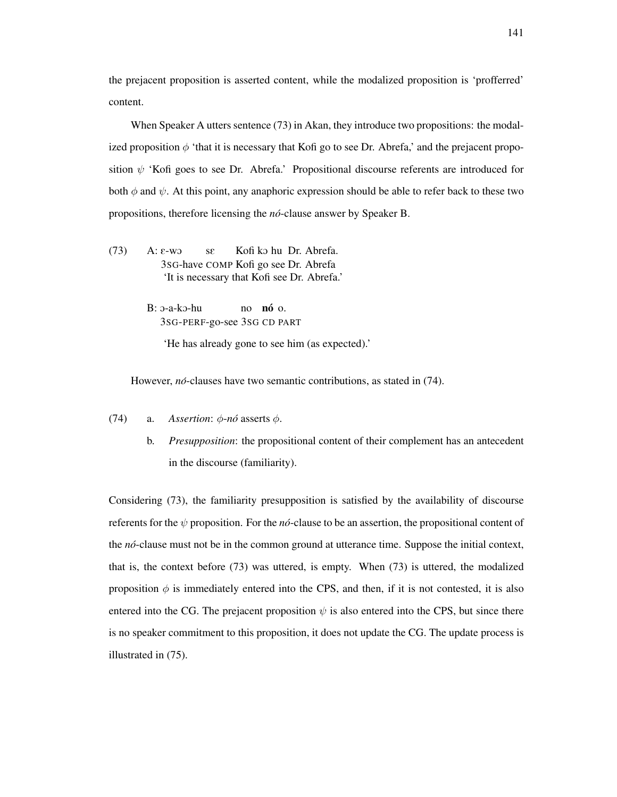the prejacent proposition is asserted content, while the modalized proposition is 'profferred' content.

When Speaker A utters sentence (73) in Akan, they introduce two propositions: the modalized proposition  $\phi$  'that it is necessary that Kofi go to see Dr. Abrefa,' and the prejacent proposition  $\psi$  'Kofi goes to see Dr. Abrefa.' Propositional discourse referents are introduced for both  $\phi$  and  $\psi$ . At this point, any anaphoric expression should be able to refer back to these two propositions, therefore licensing the *no´*-clause answer by Speaker B.

(73)  $A: \varepsilon$ -wo 3SG-have COMP Kofi go see Dr. Abrefa sE Kofi ko hu Dr. Abrefa. 'It is necessary that Kofi see Dr. Abrefa.'

> $B: 3-a-k5-hu$ 3SG-PERF-go-see 3SG CD PART no **nó** o.

> > 'He has already gone to see him (as expected).'

However, *nó*-clauses have two semantic contributions, as stated in (74).

(74) a. *Assertion*: *ϕ*-*no´* asserts *ϕ*.

b. *Presupposition*: the propositional content of their complement has an antecedent in the discourse (familiarity).

Considering (73), the familiarity presupposition is satisfied by the availability of discourse referents for the  $\psi$  proposition. For the *no*-clause to be an assertion, the propositional content of the *no´*-clause must not be in the common ground at utterance time. Suppose the initial context, that is, the context before (73) was uttered, is empty. When (73) is uttered, the modalized proposition  $\phi$  is immediately entered into the CPS, and then, if it is not contested, it is also entered into the CG. The prejacent proposition  $\psi$  is also entered into the CPS, but since there is no speaker commitment to this proposition, it does not update the CG. The update process is illustrated in (75).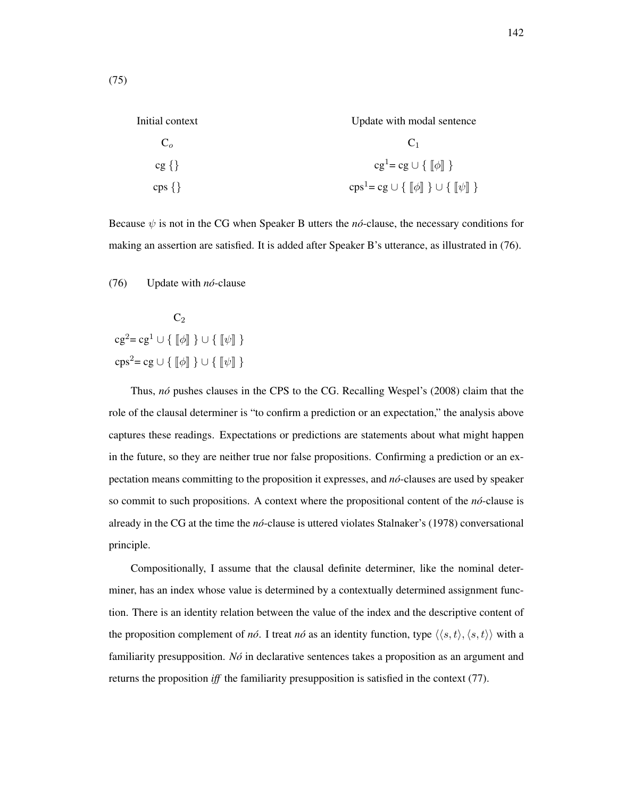Initial context C*o* cg *{}* cps *{}* Update with modal sentence  $C_1$  $cg^{1} = cg ∪ { √[$ *ϕ* $]$ }  $\text{cps}^1 = \text{cg} \cup \{ [\![\phi]\!] \} \cup \{ [\![\psi]\!] \}$ 

Because  $\psi$  is not in the CG when Speaker B utters the *no*-clause, the necessary conditions for making an assertion are satisfied. It is added after Speaker B's utterance, as illustrated in (76).

(76) Update with *no´*-clause

 $C<sub>2</sub>$  $cg^2 = cg^1 \cup \{\|\phi\|\}\cup \{\|\psi\|\}$  $\text{cps}^2 = \text{cg} \cup \{ [\![\phi]\!] \} \cup \{ [\![\psi]\!] \}$ 

Thus, *no´* pushes clauses in the CPS to the CG. Recalling Wespel's (2008) claim that the role of the clausal determiner is "to confirm a prediction or an expectation," the analysis above captures these readings. Expectations or predictions are statements about what might happen in the future, so they are neither true nor false propositions. Confirming a prediction or an expectation means committing to the proposition it expresses, and *no´*-clauses are used by speaker so commit to such propositions. A context where the propositional content of the  $n\acute{o}$ -clause is already in the CG at the time the *no´*-clause is uttered violates Stalnaker's (1978) conversational principle.

Compositionally, I assume that the clausal definite determiner, like the nominal determiner, has an index whose value is determined by a contextually determined assignment function. There is an identity relation between the value of the index and the descriptive content of the proposition complement of *no*. I treat *no* as an identity function, type  $\langle \langle s, t \rangle, \langle s, t \rangle \rangle$  with a familiarity presupposition. *No´* in declarative sentences takes a proposition as an argument and returns the proposition *iff* the familiarity presupposition is satisfied in the context (77).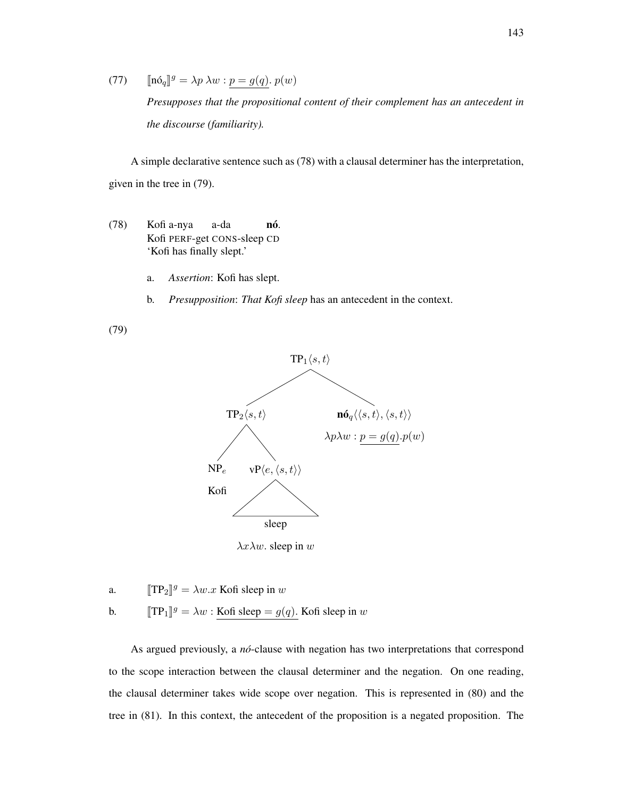(77)  $[\![\mathbf{n}\delta_q]\!]^g = \lambda p \lambda w : \underline{p} = g(q) \cdot p(w)$ 

*Presupposes that the propositional content of their complement has an antecedent in the discourse (familiarity).*

A simple declarative sentence such as (78) with a clausal determiner has the interpretation, given in the tree in (79).

- (78) Kofi a-nya Kofi PERF-get CONS-sleep CD a-da nó. 'Kofi has finally slept.'
	- a. *Assertion*: Kofi has slept.
	- b. *Presupposition*: *That Kofi sleep* has an antecedent in the context.

(79)



a.  $[\![TP_2]\!]^g = \lambda w.x$  Kofi sleep in *w* 

**b.**  $[\text{TP}_1]^g = \lambda w : \underline{\text{Kofi sleep}} = g(q)$ . Kofi sleep in *w* 

As argued previously, a *nó*-clause with negation has two interpretations that correspond to the scope interaction between the clausal determiner and the negation. On one reading, the clausal determiner takes wide scope over negation. This is represented in (80) and the tree in (81). In this context, the antecedent of the proposition is a negated proposition. The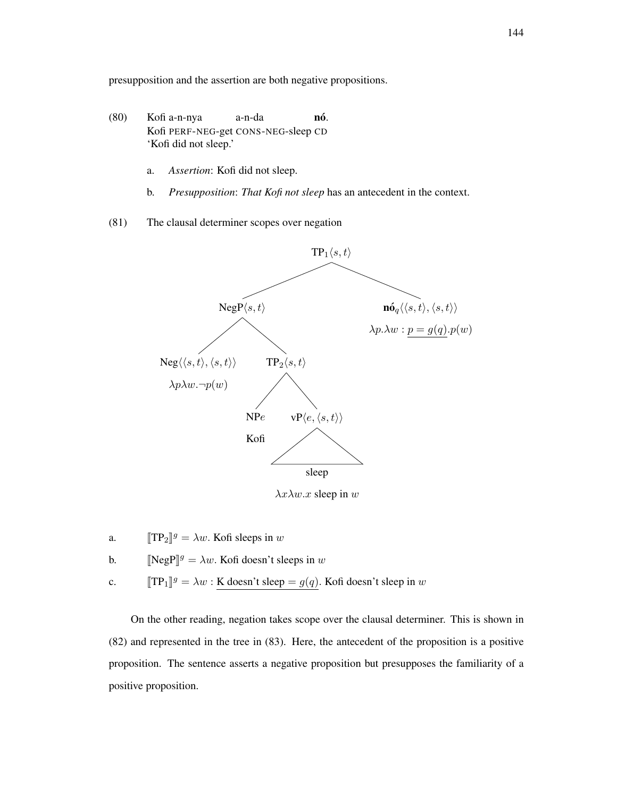presupposition and the assertion are both negative propositions.

- (80) Kofi a-n-nya Kofi PERF-NEG-get CONS-NEG-sleep CD a-n-da nó. 'Kofi did not sleep.'
	- a. *Assertion*: Kofi did not sleep.
	- b. *Presupposition*: *That Kofi not sleep* has an antecedent in the context.
- (81) The clausal determiner scopes over negation



*λxλw.x* sleep in *w*

- a.  $[\![TP_2]\!]^g = \lambda w$ . Kofi sleeps in *w*
- b.  $[\text{NegP}]^g = \lambda w$ . Kofi doesn't sleeps in *w*
- c.  $[\![TP_1]\!]^g = \lambda w : \underline{\text{K doesn't sleep}} = g(q)$ . Kofi doesn't sleep in *w*

On the other reading, negation takes scope over the clausal determiner. This is shown in (82) and represented in the tree in (83). Here, the antecedent of the proposition is a positive proposition. The sentence asserts a negative proposition but presupposes the familiarity of a positive proposition.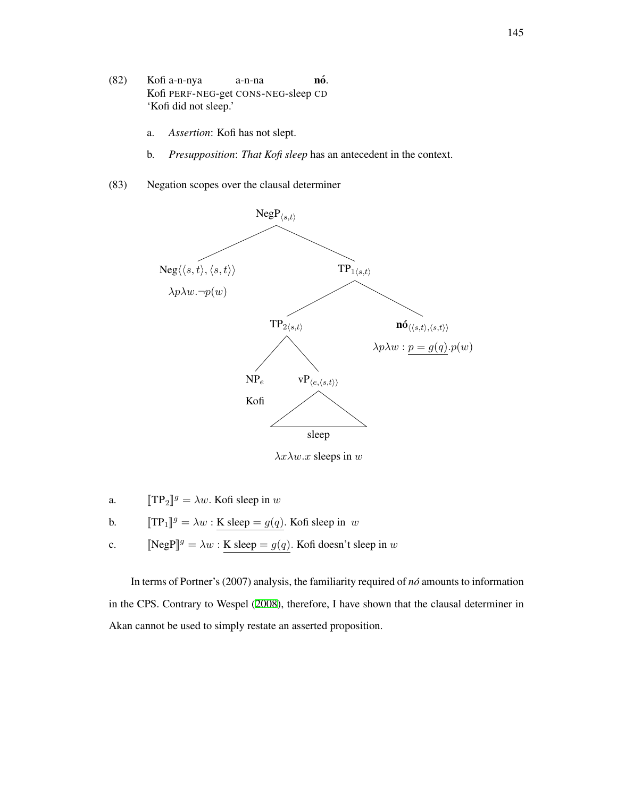- (82) Kofi a-n-nya Kofi PERF-NEG-get CONS-NEG-sleep CD a-n-na nó. 'Kofi did not sleep.'
	- a. *Assertion*: Kofi has not slept.
	- b. *Presupposition*: *That Kofi sleep* has an antecedent in the context.
- (83) Negation scopes over the clausal determiner



*λxλw.x* sleeps in *w*

- a.  $[TP_2]^g = \lambda w$ . Kofi sleep in *w*
- **b.**  $[\![TP_1]\!]^g = \lambda w : \underline{\mathbf{K}} \text{ sleep} = g(q)$ . Kofi sleep in *w*
- c.  $[\text{NegP}]^g = \lambda w : \underline{\text{K sleep}} = g(q)$ . Kofi doesn't sleep in *w*

In terms of Portner's (2007) analysis, the familiarity required of *no´* amounts to information in the CPS. Contrary to Wespel ([2008](#page-218-0)), therefore, I have shown that the clausal determiner in Akan cannot be used to simply restate an asserted proposition.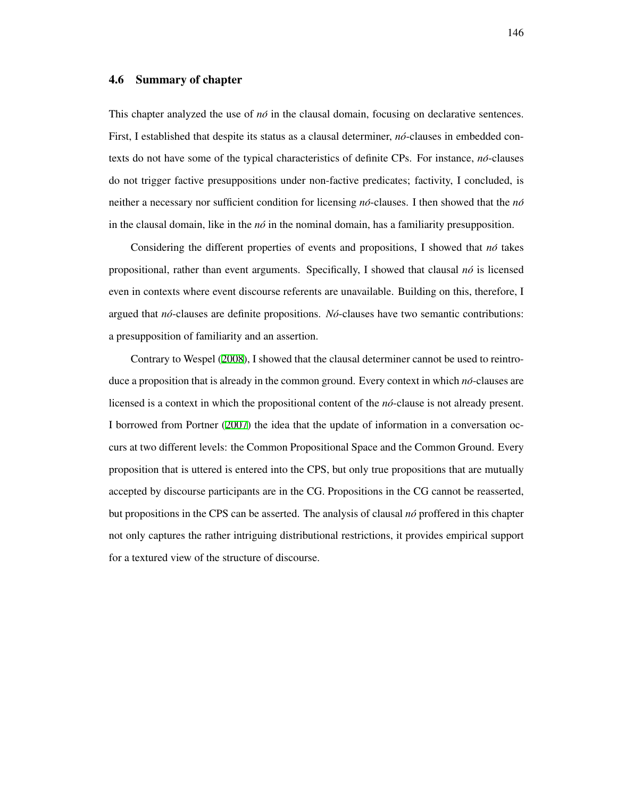#### 4.6 Summary of chapter

This chapter analyzed the use of  $n\delta$  in the clausal domain, focusing on declarative sentences. First, I established that despite its status as a clausal determiner, *no*-clauses in embedded contexts do not have some of the typical characteristics of definite CPs. For instance, *no´*-clauses do not trigger factive presuppositions under non-factive predicates; factivity, I concluded, is neither a necessary nor sufficient condition for licensing  $n\delta$ -clauses. I then showed that the  $n\delta$ in the clausal domain, like in the  $n\delta$  in the nominal domain, has a familiarity presupposition.

Considering the different properties of events and propositions, I showed that *no´* takes propositional, rather than event arguments. Specifically, I showed that clausal *no´* is licensed even in contexts where event discourse referents are unavailable. Building on this, therefore, I argued that *no´*-clauses are definite propositions. *No´*-clauses have two semantic contributions: a presupposition of familiarity and an assertion.

Contrary to Wespel ([2008\)](#page-218-0), I showed that the clausal determiner cannot be used to reintroduce a proposition that is already in the common ground. Every context in which *nó*-clauses are licensed is a context in which the propositional content of the *no´*-clause is not already present. I borrowed from Portner ([2007\)](#page-215-1) the idea that the update of information in a conversation occurs at two different levels: the Common Propositional Space and the Common Ground. Every proposition that is uttered is entered into the CPS, but only true propositions that are mutually accepted by discourse participants are in the CG. Propositions in the CG cannot be reasserted, but propositions in the CPS can be asserted. The analysis of clausal *no´* proffered in this chapter not only captures the rather intriguing distributional restrictions, it provides empirical support for a textured view of the structure of discourse.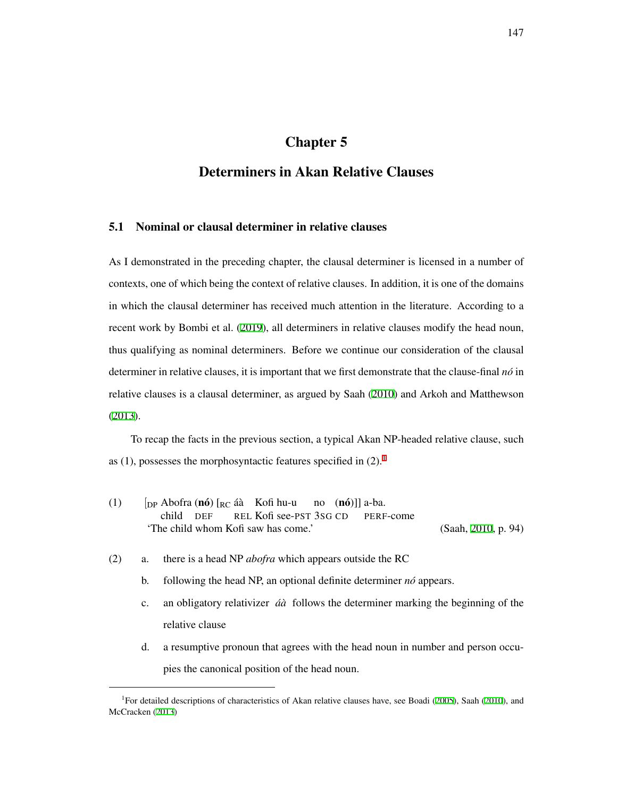# Chapter 5

# Determiners in Akan Relative Clauses

# 5.1 Nominal or clausal determiner in relative clauses

As I demonstrated in the preceding chapter, the clausal determiner is licensed in a number of contexts, one of which being the context of relative clauses. In addition, it is one of the domains in which the clausal determiner has received much attention in the literature. According to a recent work by Bombi et al. ([2019](#page-206-0)), all determiners in relative clauses modify the head noun, thus qualifying as nominal determiners. Before we continue our consideration of the clausal determiner in relative clauses, it is important that we first demonstrate that the clause-final *no´* in relative clauses is a clausal determiner, as argued by Saah [\(2010](#page-216-0)) and Arkoh and Matthewson ([2013](#page-205-0)).

To recap the facts in the previous section, a typical Akan NP-headed relative clause, such as ([1](#page-156-0)), possesses the morphosyntactic features specified in  $(2)$ .<sup>1</sup>

- (1)  $\left[$  [DP Abofra (**nó**)  $\left[$ <sub>RC</sub> áà Kofi hu-u child DEF REL Kofi see-PST 3SG CD no (**nó**)]] a-ba. PERF-come 'The child whom Kofi saw has come.' (Saah, [2010](#page-216-0), p. 94)
- (2) a. there is a head NP *abofra* which appears outside the RC
	- b. following the head NP, an optional definite determiner *no´* appears.
	- c. an obligatory relativizer *a´a`* follows the determiner marking the beginning of the relative clause
	- d. a resumptive pronoun that agrees with the head noun in number and person occupies the canonical position of the head noun.

<span id="page-156-0"></span><sup>&</sup>lt;sup>1</sup>For detailed descriptions of characteristics of Akan relative clauses have, see Boadi [\(2005](#page-206-1)), Saah [\(2010](#page-216-0)), and McCracken ([2013\)](#page-213-1)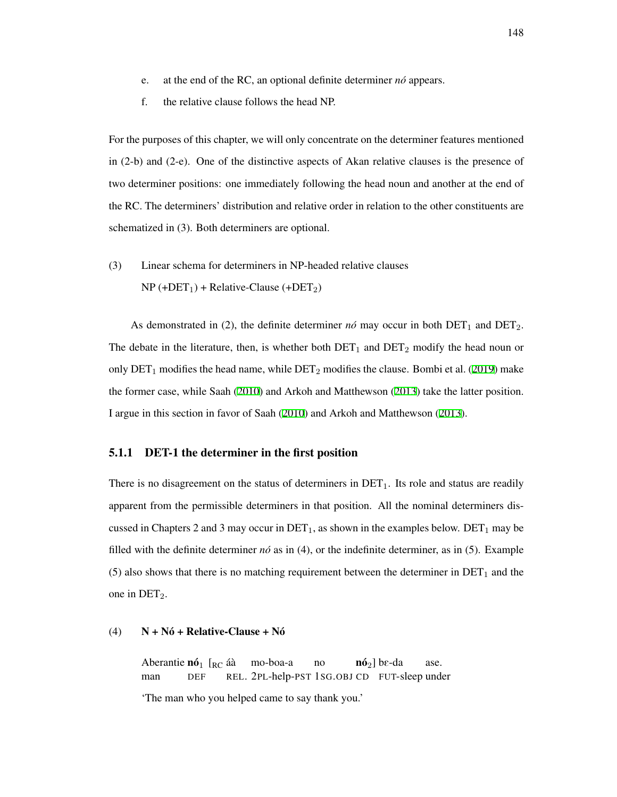- e. at the end of the RC, an optional definite determiner *no´* appears.
- f. the relative clause follows the head NP.

For the purposes of this chapter, we will only concentrate on the determiner features mentioned in (2-b) and (2-e). One of the distinctive aspects of Akan relative clauses is the presence of two determiner positions: one immediately following the head noun and another at the end of the RC. The determiners' distribution and relative order in relation to the other constituents are schematized in (3). Both determiners are optional.

(3) Linear schema for determiners in NP-headed relative clauses  $NP (+DET_1) + Relative-Clause (+DET_2)$ 

As demonstrated in (2), the definite determiner  $n\acute{o}$  may occur in both  $DET_1$  and  $DET_2$ . The debate in the literature, then, is whether both  $DET_1$  and  $DET_2$  modify the head noun or only  $\text{DET}_1$  modifies the head name, while  $\text{DET}_2$  modifies the clause. Bombi et al. ([2019](#page-206-0)) make the former case, while Saah ([2010](#page-216-0)) and Arkoh and Matthewson ([2013](#page-205-0)) take the latter position. I argue in this section in favor of Saah [\(2010](#page-216-0)) and Arkoh and Matthewson ([2013\)](#page-205-0).

# 5.1.1 DET-1 the determiner in the first position

There is no disagreement on the status of determiners in  $DET_1$ . Its role and status are readily apparent from the permissible determiners in that position. All the nominal determiners discussed in Chapters 2 and 3 may occur in  $\text{DET}_1$ , as shown in the examples below.  $\text{DET}_1$  may be filled with the definite determiner  $n\delta$  as in (4), or the indefinite determiner, as in (5). Example (5) also shows that there is no matching requirement between the determiner in  $DET_1$  and the one in  $DEF_2$ .

#### (4)  $N + N6 + Relative-Clause + N6$

Aberantie  $n\acute{o}_1$  [<sub>RC</sub> áà man DEF REL. 2PL-help-PST 1SG.OBJ CD FUT-sleep under mo-boa-a no  $n\delta_2$ ] b $\epsilon$ -da ase. 'The man who you helped came to say thank you.'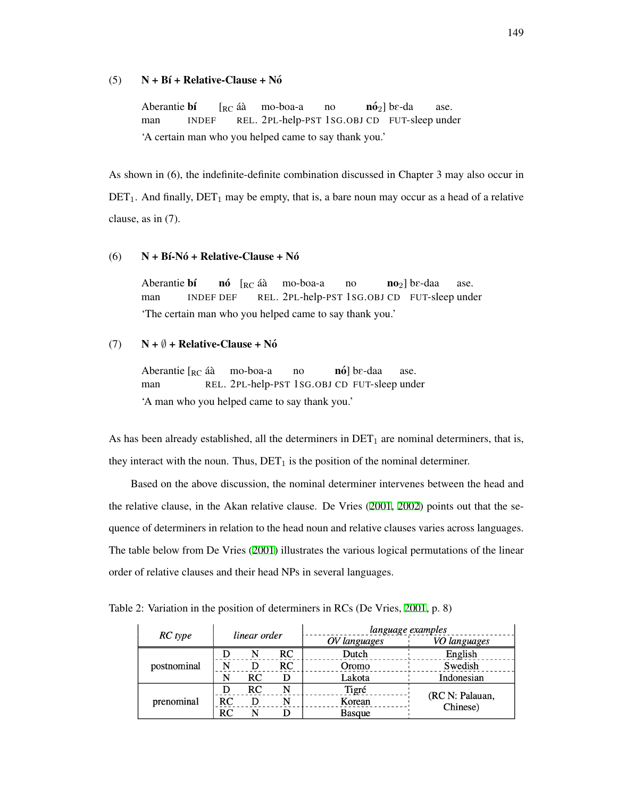### $(5)$  N + Bí + Relative-Clause + Nó

Aberantie **bí** man INDEF  $\Gamma_{\rm RC}$  áà REL. 2PL-help-PST 1SG.OBJ CD FUT-sleep under mo-boa-a no  $n\acute{o}_{2}$ ] b $\epsilon$ -da ase. 'A certain man who you helped came to say thank you.'

As shown in (6), the indefinite-definite combination discussed in Chapter 3 may also occur in  $\text{DET}_1$ . And finally,  $\text{DET}_1$  may be empty, that is, a bare noun may occur as a head of a relative clause, as in (7).

#### $(6)$  N + Bi-Nó + Relative-Clause + Nó

Aberantie **bí** man INDEF DEF **nó** [<sub>RC</sub> áà REL. 2PL-help-PST 1SG.OBJ CD FUT-sleep under mo-boa-a no  $\mathbf{no}_{2}$ ] b $\epsilon$ -daa ase. 'The certain man who you helped came to say thank you.'

# (7)  $N + \emptyset$  + Relative-Clause + Nó

Aberantie [<sub>RC</sub> áà man REL. 2PL-help-PST 1SG.OBJ CD FUT-sleep under mo-boa-a no **nó**] bε-daa ase. 'A man who you helped came to say thank you.'

As has been already established, all the determiners in  $DET_1$  are nominal determiners, that is, they interact with the noun. Thus,  $DET_1$  is the position of the nominal determiner.

Based on the above discussion, the nominal determiner intervenes between the head and the relative clause, in the Akan relative clause. De Vries ([2001,](#page-208-0) [2002\)](#page-208-1) points out that the sequence of determiners in relation to the head noun and relative clauses varies across languages. The table below from De Vries ([2001](#page-208-0)) illustrates the various logical permutations of the linear order of relative clauses and their head NPs in several languages.

Table 2: Variation in the position of determiners in RCs (De Vries, [2001](#page-208-0), p. 8)

|             | linear order |    |    | language examples |                             |
|-------------|--------------|----|----|-------------------|-----------------------------|
| RC type     |              |    |    | OV languages      | VO languages                |
| postnominal |              |    | RC | Dutch             | English                     |
|             |              |    | RC | Oromo             | Swedish                     |
|             |              | RC |    | Lakota            | Indonesian                  |
| prenominal  |              | RC |    | Tigré             | (RC N: Palauan,<br>Chinese) |
|             | RC           |    |    | Korean            |                             |
|             | RC           |    |    | <b>Basque</b>     |                             |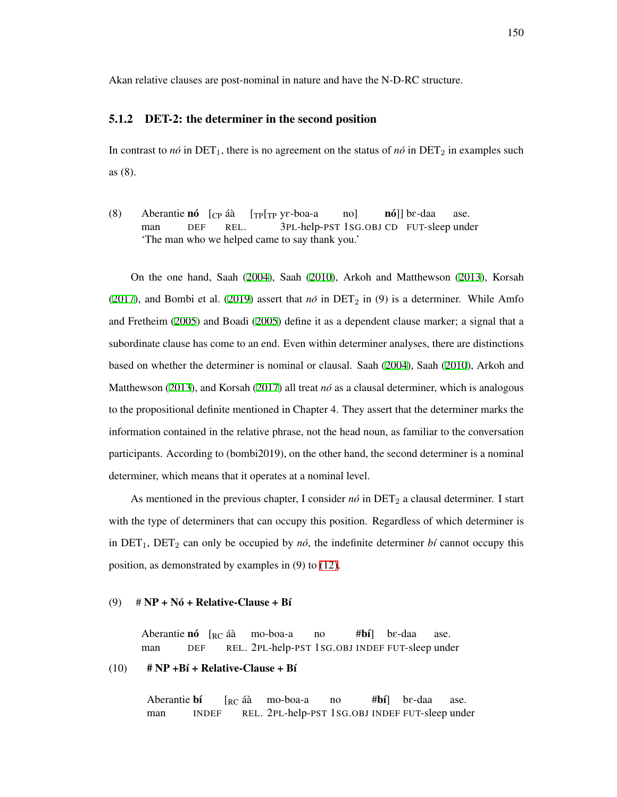Akan relative clauses are post-nominal in nature and have the N-D-RC structure.

#### 5.1.2 DET-2: the determiner in the second position

In contrast to *no*<sup> $\text{in}$ </sup> DET<sub>1</sub>, there is no agreement on the status of *no*<sup> $\text{in}$ </sup> DET<sub>2</sub> in examples such as (8).

(8) Aberantie **nó**  $[CP \hat{a}\hat{a}]$ man DEF REL. [TP[TP yE-boa-a 3PL-help-PST 1SG.OBJ CD FUT-sleep under no] **nó**]] bɛ-daa ase. 'The man who we helped came to say thank you.'

On the one hand, Saah ([2004\)](#page-216-1), Saah ([2010](#page-216-0)), Arkoh and Matthewson ([2013](#page-205-0)), Korsah ([2017](#page-212-0)), and Bombi et al. [\(2019\)](#page-206-0) assert that  $n\acute{o}$  in DET<sub>2</sub> in (9) is a determiner. While Amfo and Fretheim [\(2005](#page-205-1)) and Boadi ([2005\)](#page-206-1) define it as a dependent clause marker; a signal that a subordinate clause has come to an end. Even within determiner analyses, there are distinctions based on whether the determiner is nominal or clausal. Saah [\(2004](#page-216-1)), Saah ([2010\)](#page-216-0), Arkoh and Matthewson ([2013\)](#page-205-0), and Korsah ([2017](#page-212-0)) all treat *nó* as a clausal determiner, which is analogous to the propositional definite mentioned in Chapter 4. They assert that the determiner marks the information contained in the relative phrase, not the head noun, as familiar to the conversation participants. According to (bombi2019), on the other hand, the second determiner is a nominal determiner, which means that it operates at a nominal level.

As mentioned in the previous chapter, I consider  $n\delta$  in DET<sub>2</sub> a clausal determiner. I start with the type of determiners that can occupy this position. Regardless of which determiner is in  $DET_1$ ,  $DET_2$  can only be occupied by *nó*, the indefinite determiner *bí* cannot occupy this position, as demonstrated by examples in (9) to [\(12\)](#page-160-0).

# (9)  $\# NP + N6 + Relative-Clause + Bf$

Aberantie **nó** [<sub>RC</sub> áà man DEF REL. 2PL-help-PST 1SG.OBJ INDEF FUT-sleep under mo-boa-a no #bí] bE-daa ase.

#### $(10)$  # NP +B $\mathbf{i}$  + Relative-Clause + B $\mathbf{i}$

Aberantie bí man INDEF  $\lceil_{\mathsf{RC}}$  áà REL. 2PL-help-PST 1SG.OBJ INDEF FUT-sleep undermo-boa-a no  $#**b**$ i] bE-daa ase.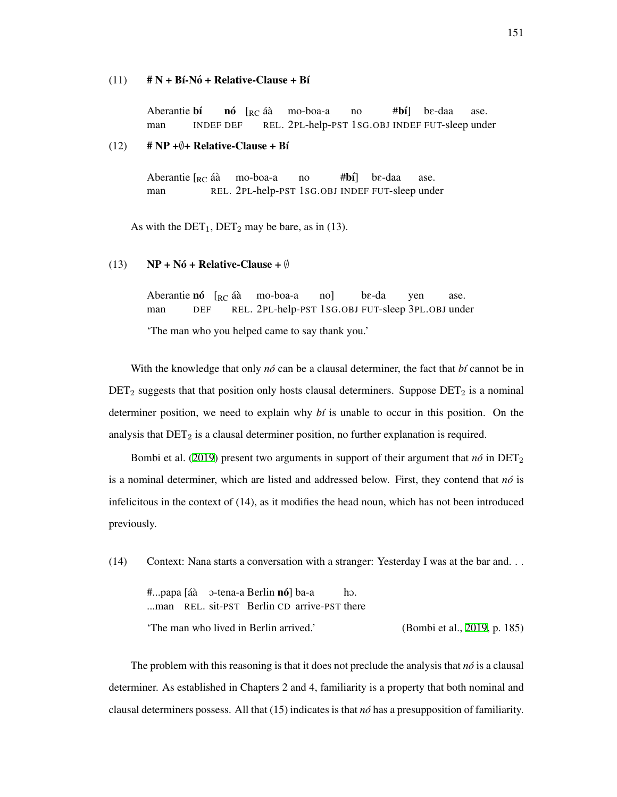#### $(11)$  # N + Bi-Nó + Relative-Clause + Bí

Aberantie bí man INDEF DEF **nó** [<sub>RC</sub> áà REL. 2PL-help-PST 1SG.OBJ INDEF FUT-sleep under mo-boa-a no  $#b\hat{\mathbf{i}}$ bE-daa ase.

#### <span id="page-160-0"></span> $(12)$  # NP + $\emptyset$ + Relative-Clause + Bí

Aberantie [<sub>RC</sub> áà man REL. 2PL-help-PST 1SG.OBJ INDEF FUT-sleep under mo-boa-a no  $#**b**$ i] bE-daa ase.

As with the  $DET_1, DET_2$  may be bare, as in (13).

#### (13) NP + Nó + Relative-Clause +  $\emptyset$

Aberantie **nó** [<sub>RC</sub> áà man DEF REL. 2PL-help-PST 1SG.OBJ FUT-sleep 3PL.OBJ under mo-boa-a no] bE-da yen ase.

'The man who you helped came to say thank you.'

With the knowledge that only *nó* can be a clausal determiner, the fact that *bí* cannot be in  $DET_2$  suggests that that position only hosts clausal determiners. Suppose  $DET_2$  is a nominal determiner position, we need to explain why *b´ı* is unable to occur in this position. On the analysis that  $\text{DET}_2$  is a clausal determiner position, no further explanation is required.

Bombi et al. [\(2019\)](#page-206-0) present two arguments in support of their argument that  $n\delta$  in DET<sub>2</sub> is a nominal determiner, which are listed and addressed below. First, they contend that  $n\delta$  is infelicitous in the context of (14), as it modifies the head noun, which has not been introduced previously.

(14) Context: Nana starts a conversation with a stranger: Yesterday I was at the bar and. . .

#...papa [áà ⊃-tena-a Berlin **nó**] ba-a ...man REL. sit-PST Berlin CD arrive-PST there hO. 'The man who lived in Berlin arrived.' (Bombi et al., [2019,](#page-206-0) p. 185)

The problem with this reasoning is that it does not preclude the analysis that  $n\delta$  is a clausal determiner. As established in Chapters 2 and 4, familiarity is a property that both nominal and clausal determiners possess. All that (15) indicates is that *no´* has a presupposition of familiarity.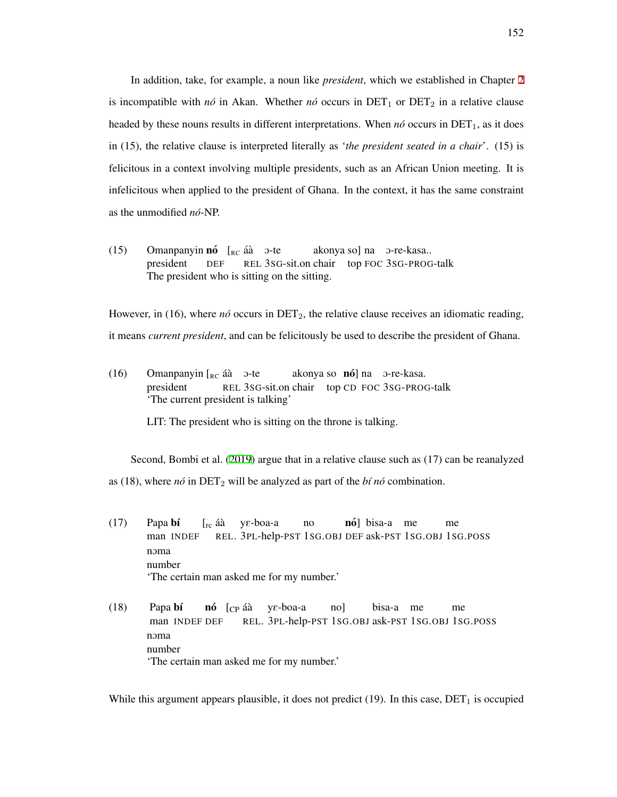In addition, take, for example, a noun like *president*, which we established in Chapter [2](#page-20-0) is incompatible with  $n\delta$  in Akan. Whether  $n\delta$  occurs in DET<sub>1</sub> or DET<sub>2</sub> in a relative clause headed by these nouns results in different interpretations. When  $n\acute{o}$  occurs in DET<sub>1</sub>, as it does in (15), the relative clause is interpreted literally as '*the president seated in a chair*'. (15) is felicitous in a context involving multiple presidents, such as an African Union meeting. It is infelicitous when applied to the president of Ghana. In the context, it has the same constraint as the unmodified *no´*-NP.

(15) Omanpanyin **nó**  $\left[\begin{array}{cc}R_C & \text{if } \text{if } C\end{array}\right]$  O president DEF REL 3SG-sit.on chair top FOC 3SG-PROG-talk akonya so] na O-re-kasa.. The president who is sitting on the sitting.

However, in (16), where  $n\acute{o}$  occurs in DET<sub>2</sub>, the relative clause receives an idiomatic reading, it means *current president*, and can be felicitously be used to describe the president of Ghana.

(16) Omanpanyin  $\begin{bmatrix} Re \end{bmatrix}$  aà  $\begin{bmatrix} 3 \end{bmatrix}$  O-te president REL 3SG-sit.on chair top CD FOC 3SG-PROG-talk akonya so nó] na o-re-kasa. 'The current president is talking'

LIT: The president who is sitting on the throne is talking.

Second, Bombi et al. ([2019\)](#page-206-0) argue that in a relative clause such as (17) can be reanalyzed

as (18), where  $n\acute{o}$  in DET<sub>2</sub> will be analyzed as part of the *bi*  $n\acute{o}$  combination.

- (17) Papa bí man INDEF [<sub>rc</sub> áà γε-boa-a REL. 3PL-help-PST 1SG.OBJ DEF ask-PST 1SG.OBJ 1SG.POSS no nó] bisa-a me me  $n<sub>OMa</sub>$ number 'The certain man asked me for my number.'
- (18) Papa bí man INDEF DEF **nó** [<sub>CP</sub> áà REL. 3PL-help-PST 1SG.OBJ ask-PST 1SG.OBJ 1SG.POSS yE-boa-a no] bisa-a me me noma number 'The certain man asked me for my number.'

While this argument appears plausible, it does not predict  $(19)$ . In this case, DET<sub>1</sub> is occupied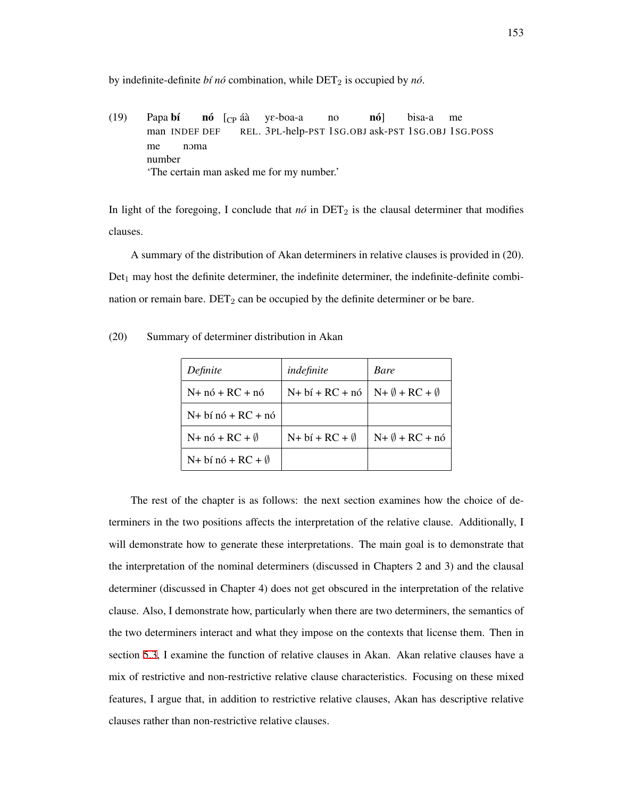by indefinite-definite *bí nó* combination, while DET<sub>2</sub> is occupied by *nó*.

(19) Papa bí man INDEF DEF **nó** [<sub>CP</sub> áà γε-boa-a REL. 3PL-help-PST 1SG.OBJ ask-PST 1SG.OBJ 1SG.POSS no nó] bisa-a me me number nOma 'The certain man asked me for my number.'

In light of the foregoing, I conclude that  $n\acute{o}$  in DET<sub>2</sub> is the clausal determiner that modifies clauses.

A summary of the distribution of Akan determiners in relative clauses is provided in (20).  $Det_1$  may host the definite determiner, the indefinite determiner, the indefinite-definite combination or remain bare.  $DET_2$  can be occupied by the definite determiner or be bare.

| Definite                         | indefinite                        | Bare                              |
|----------------------------------|-----------------------------------|-----------------------------------|
| $N+ n6 + RC + n6$                | $N+ b\acute{i} + RC + n\acute{o}$ | $N + \emptyset + RC + \emptyset$  |
| $N+$ bí nó + RC + nó             |                                   |                                   |
| $N+ n\acute{o} + RC + \emptyset$ | $N+ b\acute{i} + RC + \emptyset$  | $N + \emptyset + RC + n\acute{o}$ |
| $N+$ bí nó + RC + $\emptyset$    |                                   |                                   |

(20) Summary of determiner distribution in Akan

The rest of the chapter is as follows: the next section examines how the choice of determiners in the two positions affects the interpretation of the relative clause. Additionally, I will demonstrate how to generate these interpretations. The main goal is to demonstrate that the interpretation of the nominal determiners (discussed in Chapters 2 and 3) and the clausal determiner (discussed in Chapter 4) does not get obscured in the interpretation of the relative clause. Also, I demonstrate how, particularly when there are two determiners, the semantics of the two determiners interact and what they impose on the contexts that license them. Then in section [5.3](#page-171-0), I examine the function of relative clauses in Akan. Akan relative clauses have a mix of restrictive and non-restrictive relative clause characteristics. Focusing on these mixed features, I argue that, in addition to restrictive relative clauses, Akan has descriptive relative clauses rather than non-restrictive relative clauses.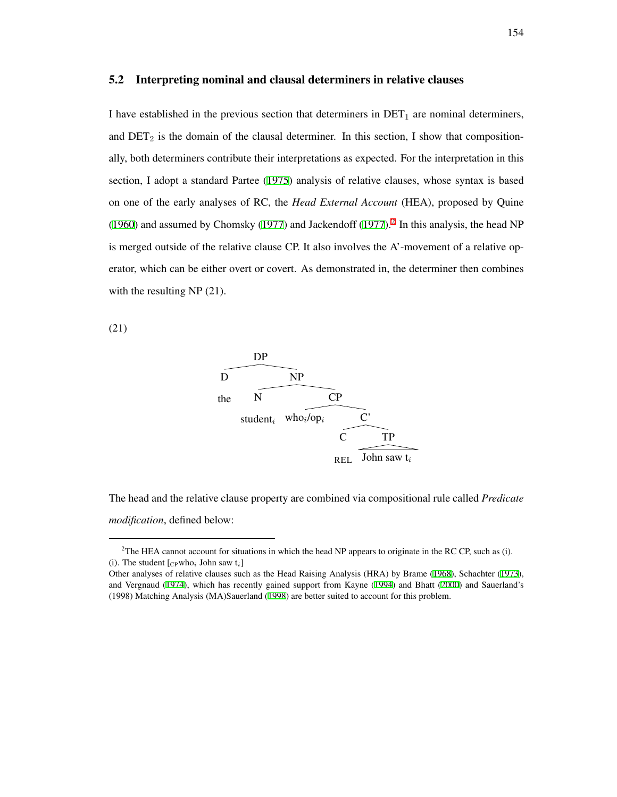# <span id="page-163-2"></span>5.2 Interpreting nominal and clausal determiners in relative clauses

I have established in the previous section that determiners in  $DET_1$  are nominal determiners, and  $DET_2$  is the domain of the clausal determiner. In this section, I show that compositionally, both determiners contribute their interpretations as expected. For the interpretation in this section, I adopt a standard Partee ([1975\)](#page-214-0) analysis of relative clauses, whose syntax is based on one of the early analyses of RC, the *Head External Account* (HEA), proposed by Quine ([1960](#page-215-2)) and assumed by Chomsky ([1977\)](#page-207-0) and Jackendoff [\(1977\)](#page-211-0).<sup>[2](#page-163-0)</sup> In this analysis, the head NP is merged outside of the relative clause CP. It also involves the A'-movement of a relative operator, which can be either overt or covert. As demonstrated in, the determiner then combines with the resulting NP (21).

<span id="page-163-1"></span>(21)



The head and the relative clause property are combined via compositional rule called *Predicate modification*, defined below:

<span id="page-163-0"></span><sup>&</sup>lt;sup>2</sup>The HEA cannot account for situations in which the head NP appears to originate in the RC CP, such as (i). (i). The student  $[c_{P}who_{i}]$  John saw  $t_{i}]$ 

Other analyses of relative clauses such as the Head Raising Analysis (HRA) by Brame ([1968\)](#page-206-2), Schachter ([1973\)](#page-217-0), and Vergnaud ([1974\)](#page-218-3), which has recently gained support from Kayne ([1994\)](#page-212-1) and Bhatt ([2000\)](#page-206-3) and Sauerland's (1998) Matching Analysis (MA)Sauerland ([1998\)](#page-216-2) are better suited to account for this problem.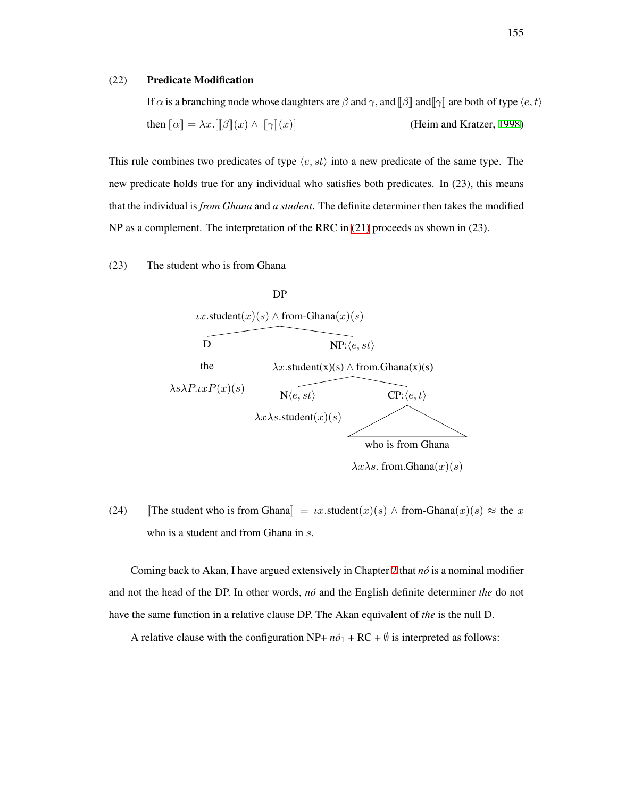#### (22) Predicate Modification

If  $\alpha$  is a branching node whose daughters are  $\beta$  and  $\gamma$ , and  $\beta$  and  $\gamma$  are both of type  $\langle e, t \rangle$ then  $\llbracket \alpha \rrbracket = \lambda x. [\llbracket \beta \rrbracket(x) \wedge \llbracket \gamma \rrbracket(x)]$  (Heim and Kratzer, [1998](#page-211-1))

This rule combines two predicates of type *⟨e, st⟩* into a new predicate of the same type. The new predicate holds true for any individual who satisfies both predicates. In (23), this means that the individual is *from Ghana* and *a student*. The definite determiner then takes the modified NP as a complement. The interpretation of the RRC in [\(21\)](#page-163-1) proceeds as shown in (23).

### (23) The student who is from Ghana



 $\lambda$ *x* $\lambda$ *s*. from.Ghana $(x)(s)$ 

(24) The student who is from Ghana $\| = \iota x$ .student $(x)(s) \wedge \text{from-Ghana}(x)(s) \approx \text{the } x$ who is a student and from Ghana in *s*.

Coming back to Akan, I have argued extensively in Chapter [2](#page-20-0) that *no´* is a nominal modifier and not the head of the DP. In other words, *no´* and the English definite determiner *the* do not have the same function in a relative clause DP. The Akan equivalent of *the* is the null D.

A relative clause with the configuration NP+  $n\delta_1$  + RC +  $\emptyset$  is interpreted as follows: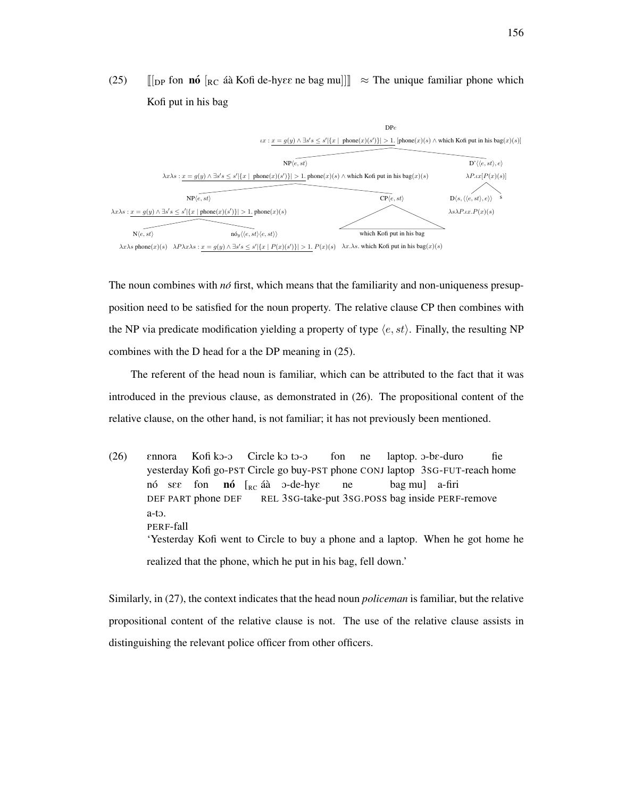

(25)  $\|$ [DP fon **nó**  $\|$ RC að Kofi de-hy $\epsilon \epsilon$  ne bag mu]]  $\| \approx$  The unique familiar phone which Kofi put in his bag

The noun combines with  $n\delta$  first, which means that the familiarity and non-uniqueness presupposition need to be satisfied for the noun property. The relative clause CP then combines with the NP via predicate modification yielding a property of type *⟨e, st⟩*. Finally, the resulting NP combines with the D head for a the DP meaning in (25).

The referent of the head noun is familiar, which can be attributed to the fact that it was introduced in the previous clause, as demonstrated in (26). The propositional content of the relative clause, on the other hand, is not familiar; it has not previously been mentioned.

(26) Ennora yesterday Kofi go-PST Circle go buy-PST phone CONJ laptop 3SG-FUT-reach home Kofi kO-O Circle ko to-o fon ne laptop. o-be-duro fie nó see DEF PART phone DEF fon nó [<sub>RC</sub> áà o-de-hye REL 3SG-take-put 3SG.POSS bag inside PERF-remove ne bag mu] a-firi a-tO. PERF-fall 'Yesterday Kofi went to Circle to buy a phone and a laptop. When he got home he realized that the phone, which he put in his bag, fell down.'

Similarly, in (27), the context indicates that the head noun *policeman* is familiar, but the relative propositional content of the relative clause is not. The use of the relative clause assists in distinguishing the relevant police officer from other officers.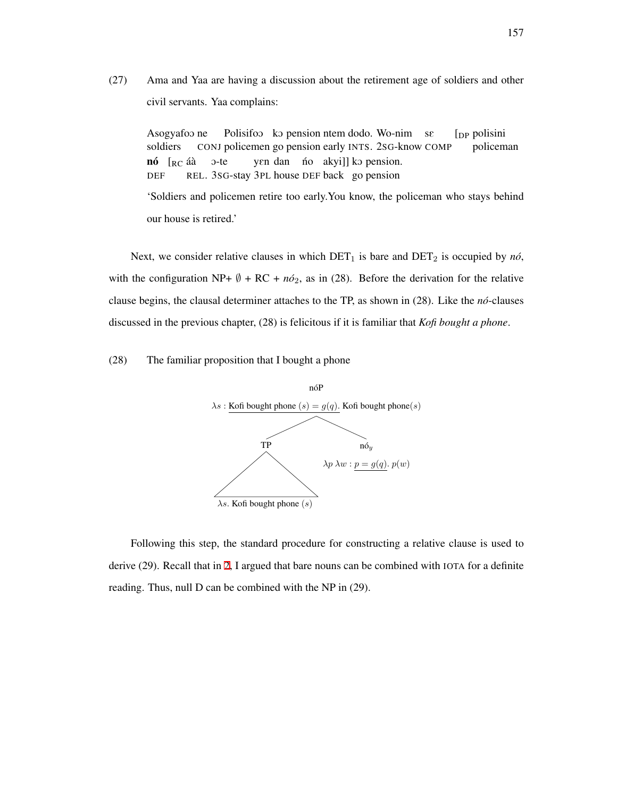(27) Ama and Yaa are having a discussion about the retirement age of soldiers and other civil servants. Yaa complains:

Asogyafoo ne soldiers CONJ policemen go pension early INTS. 2SG-know COMP Polisifoo ko pension ntem dodo. Wo-nim se [DP polisini policeman **nó** [<sub>RC</sub> áà DEF REL. 3SG-stay 3PL house DEF back go pension O-te yen dan no akyi]] ko pension. 'Soldiers and policemen retire too early.You know, the policeman who stays behind our house is retired.'

Next, we consider relative clauses in which  $\text{DET}_1$  is bare and  $\text{DET}_2$  is occupied by *nó*, with the configuration NP+  $\emptyset$  + RC +  $n\acute{o}_2$ , as in (28). Before the derivation for the relative clause begins, the clausal determiner attaches to the TP, as shown in (28). Like the *no´*-clauses discussed in the previous chapter, (28) is felicitous if it is familiar that *Kofi bought a phone*.

# (28) The familiar proposition that I bought a phone



Following this step, the standard procedure for constructing a relative clause is used to derive (29). Recall that in [2](#page-20-0), I argued that bare nouns can be combined with IOTA for a definite reading. Thus, null D can be combined with the NP in (29).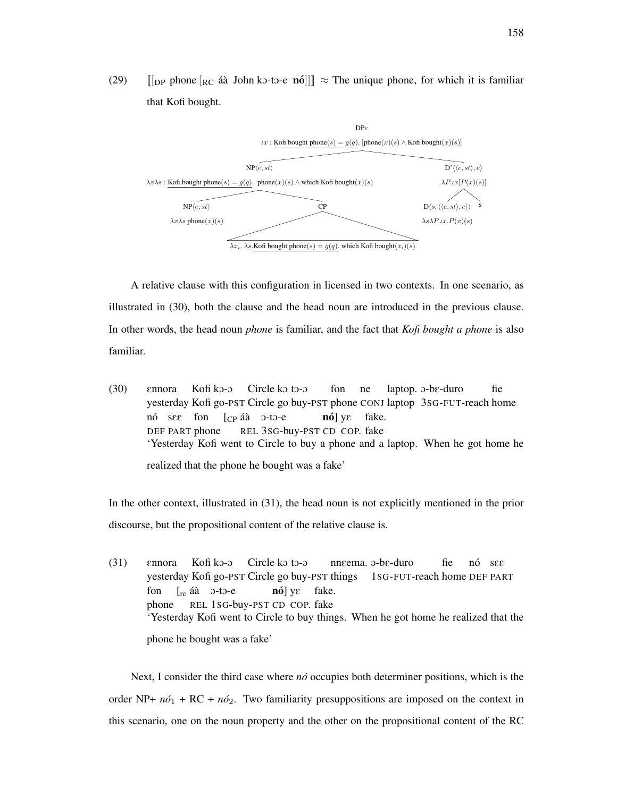(29)  $[[\text{DP phone } [\text{RC } \text{A\`a} \text{ John k3-to-e } \text{n6}]]] \approx \text{The unique phone, for which it is familiar}$ that Kofi bought.



A relative clause with this configuration in licensed in two contexts. In one scenario, as illustrated in (30), both the clause and the head noun are introduced in the previous clause. In other words, the head noun *phone* is familiar, and the fact that *Kofi bought a phone* is also familiar.

(30) Ennora yesterday Kofi go-PST Circle go buy-PST phone CONJ laptop 3SG-FUT-reach home Kofi kO-O Circle ko to-o fon ne laptop. o-be-duro fie nó s $\mathop{\mathrm{sg}}$  fon [<sub>CP</sub> áà ɔ-tɔ-e DEF PART phone REL 3SG-buy-PST CD COP. fake **nó**] yε fake. 'Yesterday Kofi went to Circle to buy a phone and a laptop. When he got home he realized that the phone he bought was a fake'

In the other context, illustrated in (31), the head noun is not explicitly mentioned in the prior discourse, but the propositional content of the relative clause is.

(31) Ennora yesterday Kofi go-PST Circle go buy-PST things 1SG-FUT-reach home DEF PART Kofi kO-O Circle ko to-o nneema. o-be-duro fie no´ sEE fon phone REL 1SG-buy-PST CD COP. fake  $\left[ \begin{matrix} \text{rc} & \text{a\'a} & \text{O-to-e} \\ \end{matrix} \right]$ **nó**] yε fake. 'Yesterday Kofi went to Circle to buy things. When he got home he realized that the phone he bought was a fake'

Next, I consider the third case where *no*<sup>{</sup> occupies both determiner positions, which is the order NP+  $n\delta_1$  + RC +  $n\delta_2$ . Two familiarity presuppositions are imposed on the context in this scenario, one on the noun property and the other on the propositional content of the RC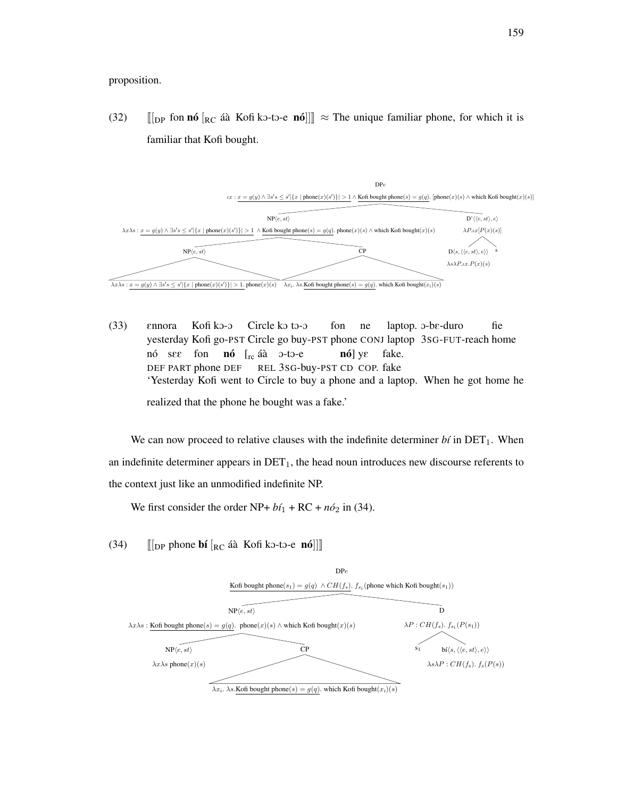proposition.

(32)  $\left[\begin{array}{cc} \ln \ln n \end{array}\right]$   $\left[\begin{array}{cc} R & \text{if } n \end{array}\right]$   $\left[\begin{array}{cc} R & \text{if } n \end{array}\right]$   $\left[\begin{array}{cc} R & \text{if } n \end{array}\right]$   $\left[\begin{array}{cc} R & \text{if } n \end{array}\right]$   $\left[\begin{array}{cc} R & \text{if } n \end{array}\right]$   $\left[\begin{array}{cc} R & \text{if } n \end{array}\right]$   $\left[\begin{array}{cc} R & \text{if } n \end{array}\right]$   $\left$ familiar that Kofi bought.



(33) Ennora yesterday Kofi go-PST Circle go buy-PST phone CONJ laptop 3SG-FUT-reach home Kofi kO-O Circle ko to-o fon ne laptop. o-be-duro fie no´ sEE DEF PART phone DEF fon **nó** [<sub>rc</sub> áà ɔ-tɔ-e REL 3SG-buy-PST CD COP. fake **nó**] yε fake. 'Yesterday Kofi went to Circle to buy a phone and a laptop. When he got home he

realized that the phone he bought was a fake.'

We can now proceed to relative clauses with the indefinite determiner  $b_i$  in  $\text{DET}_1$ . When an indefinite determiner appears in  $\text{DET}_1$ , the head noun introduces new discourse referents to the context just like an unmodified indefinite NP.

We first consider the order NP+  $b\acute{i}_1$  + RC +  $n\acute{o}_2$  in (34).

(34)  $\lbrack \lbrack \rbrack$  [DP phone **bí**  $\lbrack$ <sub>RC</sub> áà Kofi k o-to-e **nó**]]

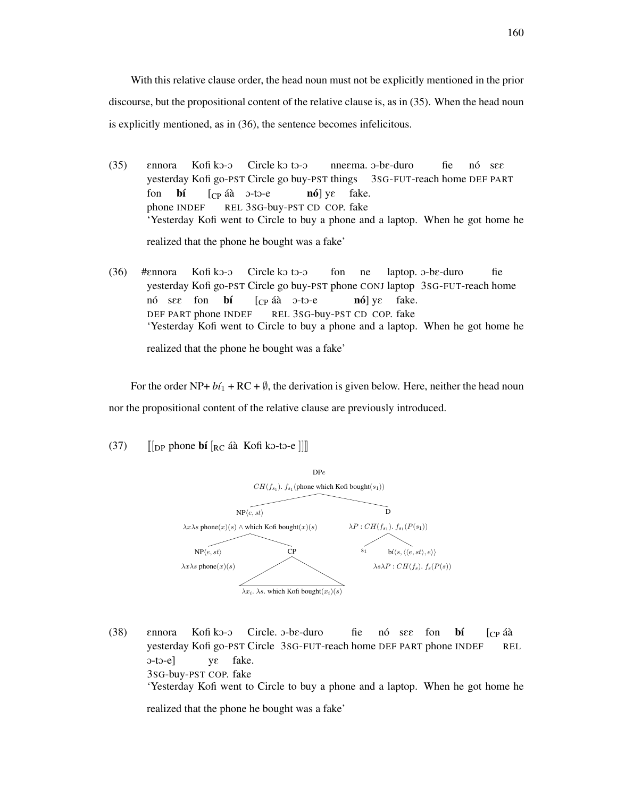With this relative clause order, the head noun must not be explicitly mentioned in the prior discourse, but the propositional content of the relative clause is, as in (35). When the head noun is explicitly mentioned, as in (36), the sentence becomes infelicitous.

- (35) Ennora yesterday Kofi go-PST Circle go buy-PST things 3SG-FUT-reach home DEF PART Kofi kO-O Circle ko to-o nne $\epsilon$ ma. ɔ-bɛ-duro fie no´ sEE fon phone INDEF b´ı  $[CP$ áà  $0$ -to-e REL 3SG-buy-PST CD COP. fake **nó**] yε fake. 'Yesterday Kofi went to Circle to buy a phone and a laptop. When he got home he realized that the phone he bought was a fake'
- (36) #Ennora yesterday Kofi go-PST Circle go buy-PST phone CONJ laptop 3SG-FUT-reach home Kofi kO-O Circle ko to-o fon ne laptop. o-be-duro fie nó see DEF PART phone INDEF fon b´ı [cp áà o-to-e REL 3SG-buy-PST CD COP. fake **nó**] yε fake. 'Yesterday Kofi went to Circle to buy a phone and a laptop. When he got home he realized that the phone he bought was a fake'

For the order NP+  $b\ell_1$  + RC +  $\emptyset$ , the derivation is given below. Here, neither the head noun nor the propositional content of the relative clause are previously introduced.

(37)  $\left\| \begin{bmatrix} \n\text{D}P \text{ phone} & \text{b} \n\text{i} \n\end{bmatrix} \begin{bmatrix} R_C & \text{a} \n\text{a} & \text{K} \n\text{b} \n\text{b} & \text{t} \n\end{bmatrix} \right\|$ 



(38) Ennora yesterday Kofi go-PST Circle 3SG-FUT-reach home DEF PART phone INDEF Kofi ko-o Circle. o-be-duro fie nó see fon b´ı  $\Gamma$ [ $\Gamma$ P a $\hat{a}$ ] REL  $0$ -to-e] 3SG-buy-PST COP. fake yE fake. 'Yesterday Kofi went to Circle to buy a phone and a laptop. When he got home he

realized that the phone he bought was a fake'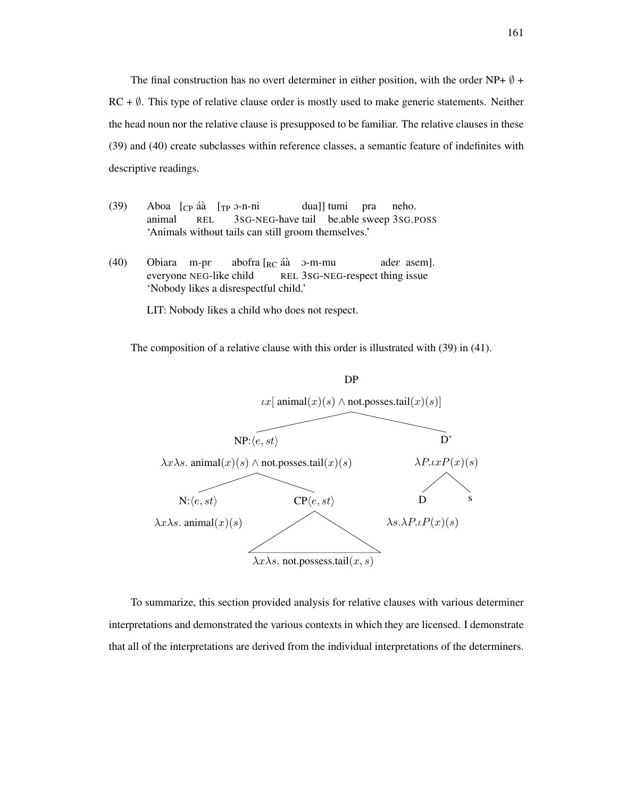The final construction has no overt determiner in either position, with the order NP+ *∅* +  $RC + \emptyset$ . This type of relative clause order is mostly used to make generic statements. Neither the head noun nor the relative clause is presupposed to be familiar. The relative clauses in these (39) and (40) create subclasses within reference classes, a semantic feature of indefinites with descriptive readings.

- (39) Aboa [cp áà [<sub>TP</sub> ɔ-n-ni animal REL 3SG-NEG-have tail be.able sweep 3SG.POSS dua]] tumi pra neho. 'Animals without tails can still groom themselves.'
- (40) Obiara m-pE everyone NEG-like child abofra [<sub>RC</sub> áà o-m-mu REL 3SG-NEG-respect thing issue ades asem]. 'Nobody likes a disrespectful child.'

LIT: Nobody likes a child who does not respect.

The composition of a relative clause with this order is illustrated with (39) in (41).



To summarize, this section provided analysis for relative clauses with various determiner interpretations and demonstrated the various contexts in which they are licensed. I demonstrate that all of the interpretations are derived from the individual interpretations of the determiners.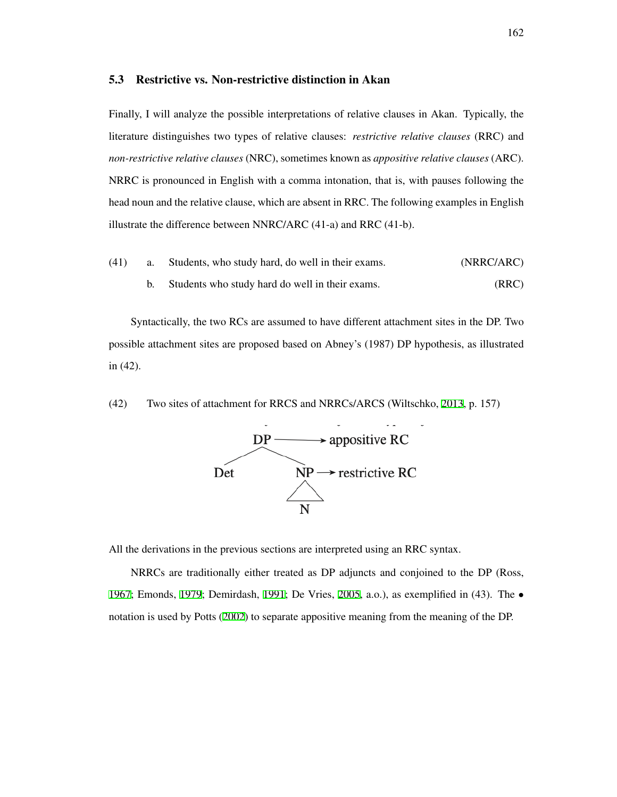## <span id="page-171-0"></span>5.3 Restrictive vs. Non-restrictive distinction in Akan

Finally, I will analyze the possible interpretations of relative clauses in Akan. Typically, the literature distinguishes two types of relative clauses: *restrictive relative clauses* (RRC) and *non-restrictive relative clauses* (NRC), sometimes known as *appositive relative clauses* (ARC). NRRC is pronounced in English with a comma intonation, that is, with pauses following the head noun and the relative clause, which are absent in RRC. The following examples in English illustrate the difference between NNRC/ARC (41-a) and RRC (41-b).

(41) a. Students, who study hard, do well in their exams. (NRRC/ARC) b. Students who study hard do well in their exams. (RRC)

Syntactically, the two RCs are assumed to have different attachment sites in the DP. Two possible attachment sites are proposed based on Abney's (1987) DP hypothesis, as illustrated in (42).

(42) Two sites of attachment for RRCS and NRRCs/ARCS (Wiltschko, [2013](#page-218-4), p. 157)



All the derivations in the previous sections are interpreted using an RRC syntax.

NRRCs are traditionally either treated as DP adjuncts and conjoined to the DP (Ross, [1967;](#page-216-3) Emonds, [1979](#page-209-1); Demirdash, [1991;](#page-208-2) De Vries, [2005](#page-208-3), a.o.), as exemplified in (43). The *•* notation is used by Potts [\(2002\)](#page-215-3) to separate appositive meaning from the meaning of the DP.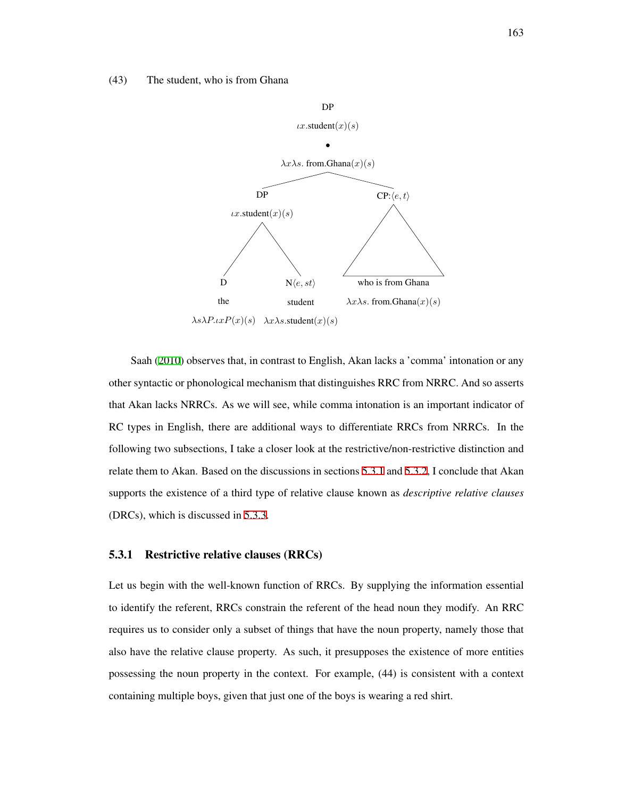#### (43) The student, who is from Ghana



Saah [\(2010](#page-216-0)) observes that, in contrast to English, Akan lacks a 'comma' intonation or any other syntactic or phonological mechanism that distinguishes RRC from NRRC. And so asserts that Akan lacks NRRCs. As we will see, while comma intonation is an important indicator of RC types in English, there are additional ways to differentiate RRCs from NRRCs. In the following two subsections, I take a closer look at the restrictive/non-restrictive distinction and relate them to Akan. Based on the discussions in sections [5.3.1](#page-172-0) and [5.3.2](#page-175-0), I conclude that Akan supports the existence of a third type of relative clause known as *descriptive relative clauses* (DRCs), which is discussed in [5.3.3](#page-178-0).

#### <span id="page-172-0"></span>5.3.1 Restrictive relative clauses (RRCs)

Let us begin with the well-known function of RRCs. By supplying the information essential to identify the referent, RRCs constrain the referent of the head noun they modify. An RRC requires us to consider only a subset of things that have the noun property, namely those that also have the relative clause property. As such, it presupposes the existence of more entities possessing the noun property in the context. For example, (44) is consistent with a context containing multiple boys, given that just one of the boys is wearing a red shirt.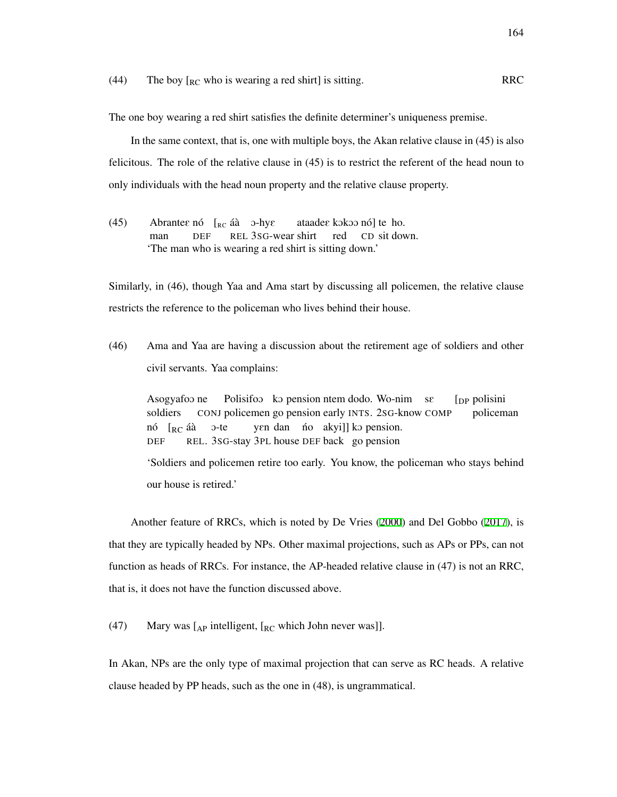(44) The boy  $\begin{bmatrix} R_C \end{bmatrix}$  who is wearing a red shirt] is sitting. RRC

The one boy wearing a red shirt satisfies the definite determiner's uniqueness premise.

In the same context, that is, one with multiple boys, the Akan relative clause in (45) is also felicitous. The role of the relative clause in (45) is to restrict the referent of the head noun to only individuals with the head noun property and the relative clause property.

<span id="page-173-0"></span>(45) Abrantee nó  $\left[_{RC}$  áà  $\right.$ o-hye man DEF REL 3SG-wear shirt ataade $\varepsilon$  kokoo nó] te ho. red CD sit down. 'The man who is wearing a red shirt is sitting down.'

Similarly, in (46), though Yaa and Ama start by discussing all policemen, the relative clause restricts the reference to the policeman who lives behind their house.

(46) Ama and Yaa are having a discussion about the retirement age of soldiers and other civil servants. Yaa complains:

Asogyafoo ne soldiers CONJ policemen go pension early INTS. 2SG-know COMP Polisifoo ko pension ntem dodo. Wo-nim se [DP polisini policeman nó [<sub>RC</sub> áà DEF REL. 3SG-stay 3PL house DEF back go pension O-te yen dan no akyi]] ko pension.

'Soldiers and policemen retire too early. You know, the policeman who stays behind our house is retired.'

Another feature of RRCs, which is noted by De Vries [\(2000\)](#page-208-4) and Del Gobbo ([2017\)](#page-208-5), is that they are typically headed by NPs. Other maximal projections, such as APs or PPs, can not function as heads of RRCs. For instance, the AP-headed relative clause in (47) is not an RRC, that is, it does not have the function discussed above.

(47) Mary was  $\begin{bmatrix} A_P \end{bmatrix}$  intelligent,  $\begin{bmatrix} R_C \end{bmatrix}$  which John never was]].

In Akan, NPs are the only type of maximal projection that can serve as RC heads. A relative clause headed by PP heads, such as the one in (48), is ungrammatical.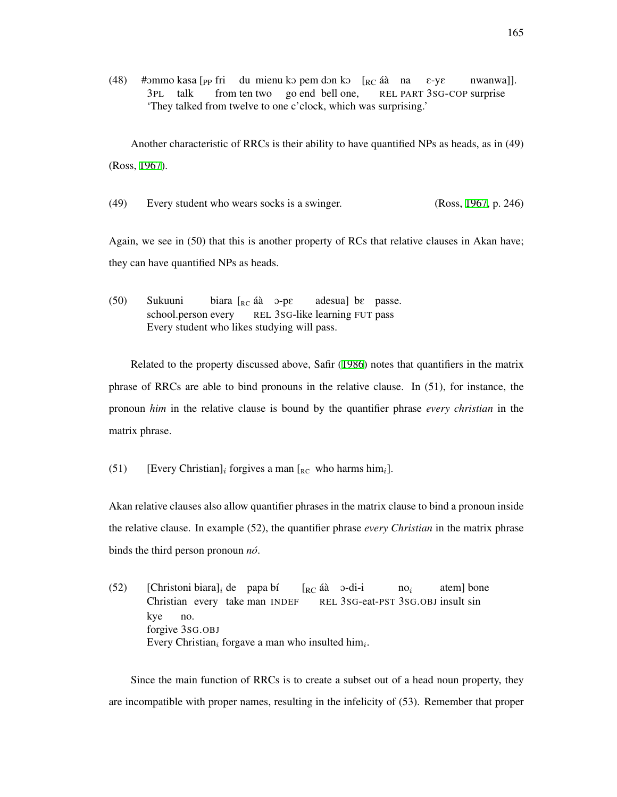(48) #ommo kasa  $[$ <sub>pp</sub> fri du mienu ko pem don ko  $[$ <sub>RC</sub> áà na 3PL talk from ten two go end bell one, REL PART 3SG-COP surprise E-yE nwanwa]]. 'They talked from twelve to one c'clock, which was surprising.'

Another characteristic of RRCs is their ability to have quantified NPs as heads, as in (49) (Ross, [1967](#page-216-3)).

(49) Every student who wears socks is a swinger. (Ross, [1967,](#page-216-3) p. 246)

Again, we see in (50) that this is another property of RCs that relative clauses in Akan have; they can have quantified NPs as heads.

(50) Sukuuni school.person every biara [<sub>RC</sub> áà ⊃-pε REL 3SG-like learning FUT pass adesua] bE passe. Every student who likes studying will pass.

Related to the property discussed above, Safir [\(1986](#page-216-4)) notes that quantifiers in the matrix phrase of RRCs are able to bind pronouns in the relative clause. In (51), for instance, the pronoun *him* in the relative clause is bound by the quantifier phrase *every christian* in the matrix phrase.

(51) [Every Christian]<sub>*i*</sub> forgives a man  $\left[_{RC}$  who harms him<sub>*i*</sub>].

Akan relative clauses also allow quantifier phrases in the matrix clause to bind a pronoun inside the relative clause. In example (52), the quantifier phrase *every Christian* in the matrix phrase binds the third person pronoun *no´*.

 $(52)$  [Christoni biara]<sub>*i*</sub> de papa bí Christian every take man INDEF [<sub>RC</sub> áà o-di-i REL 3SG-eat-PST 3SG.OBJ insult sin no*<sup>i</sup>* atem] bone kye forgive 3SG.OBJ no. Every Christian*<sup>i</sup>* forgave a man who insulted him*<sup>i</sup>* .

Since the main function of RRCs is to create a subset out of a head noun property, they are incompatible with proper names, resulting in the infelicity of (53). Remember that proper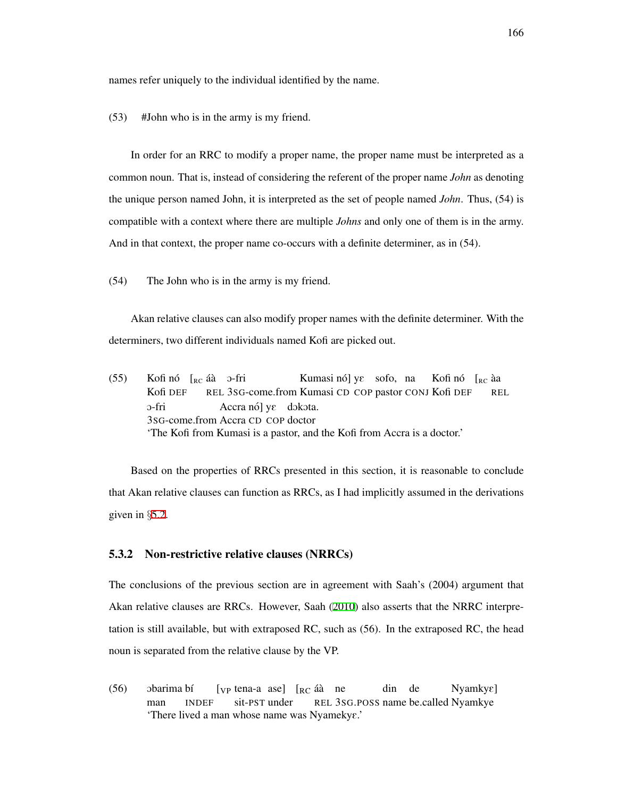names refer uniquely to the individual identified by the name.

(53) #John who is in the army is my friend.

In order for an RRC to modify a proper name, the proper name must be interpreted as a common noun. That is, instead of considering the referent of the proper name *John* as denoting the unique person named John, it is interpreted as the set of people named *John*. Thus, (54) is compatible with a context where there are multiple *Johns* and only one of them is in the army. And in that context, the proper name co-occurs with a definite determiner, as in (54).

(54) The John who is in the army is my friend.

Akan relative clauses can also modify proper names with the definite determiner. With the determiners, two different individuals named Kofi are picked out.

 $(55)$  Kofinó  $\left[_{RC}$  áà o-fri Kofi DEF REL 3SG-come.from Kumasi CD COP pastor CONJ Kofi DEF Kumasi nó] ye sofo, na Kofi nó [<sub>RC</sub> àa REL O-fri 3SG-come.from Accra CD COP doctor Accra nó] ye dokota. 'The Kofi from Kumasi is a pastor, and the Kofi from Accra is a doctor.'

Based on the properties of RRCs presented in this section, it is reasonable to conclude that Akan relative clauses can function as RRCs, as I had implicitly assumed in the derivations given in *§*[5.2](#page-163-2).

# <span id="page-175-0"></span>5.3.2 Non-restrictive relative clauses (NRRCs)

The conclusions of the previous section are in agreement with Saah's (2004) argument that Akan relative clauses are RRCs. However, Saah [\(2010](#page-216-0)) also asserts that the NRRC interpretation is still available, but with extraposed RC, such as (56). In the extraposed RC, the head noun is separated from the relative clause by the VP.

(56) obarima bí man INDEF [<sub>VP</sub> tena-a ase] [<sub>RC</sub> áà ne sit-PST under REL 3SG.POSS name be.called Nyamkye din de Nyamky $\varepsilon$ ] 'There lived a man whose name was Nyameky $\varepsilon$ .'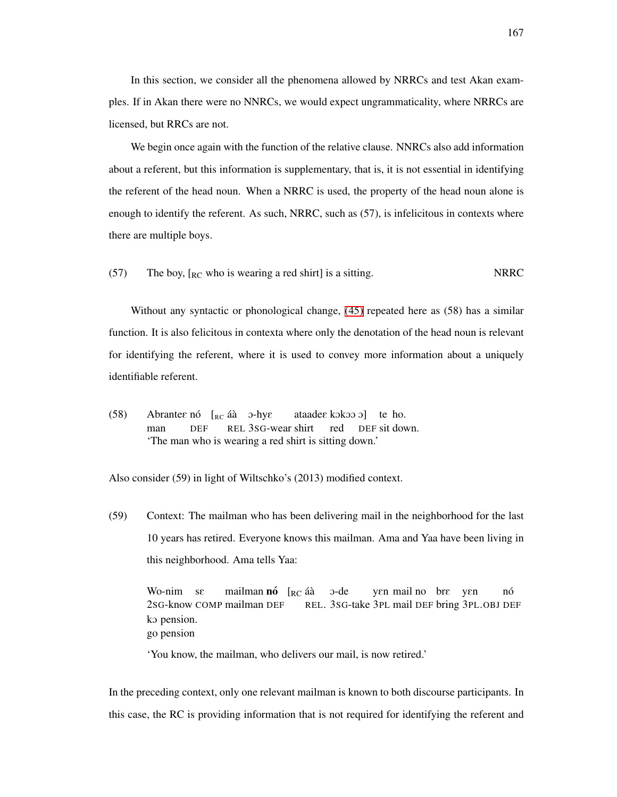In this section, we consider all the phenomena allowed by NRRCs and test Akan examples. If in Akan there were no NNRCs, we would expect ungrammaticality, where NRRCs are licensed, but RRCs are not.

We begin once again with the function of the relative clause. NNRCs also add information about a referent, but this information is supplementary, that is, it is not essential in identifying the referent of the head noun. When a NRRC is used, the property of the head noun alone is enough to identify the referent. As such, NRRC, such as (57), is infelicitous in contexts where there are multiple boys.

(57) The boy,  $\lceil_{RC}$  who is wearing a red shirt] is a sitting. NRRC

Without any syntactic or phonological change, [\(45\)](#page-173-0) repeated here as (58) has a similar function. It is also felicitous in contexta where only the denotation of the head noun is relevant for identifying the referent, where it is used to convey more information about a uniquely identifiable referent.

(58) Abrantee nó  $\left[ \begin{array}{cc} E \\ E \end{array} \right]$  aà o-hye man DEF REL 3SG-wear shirt ataadee kokoo o] te ho. red DEF sit down. 'The man who is wearing a red shirt is sitting down.'

Also consider (59) in light of Wiltschko's (2013) modified context.

(59) Context: The mailman who has been delivering mail in the neighborhood for the last 10 years has retired. Everyone knows this mailman. Ama and Yaa have been living in this neighborhood. Ama tells Yaa:

Wo-nim sε 2SG-know COMP mailman DEF mailman **nó** [<sub>RC</sub> áà REL. 3SG-take 3PL mail DEF bring 3PL.OBJ DEF O-de yen mail no bre yen no´ ko pension. go pension

'You know, the mailman, who delivers our mail, is now retired.'

In the preceding context, only one relevant mailman is known to both discourse participants. In this case, the RC is providing information that is not required for identifying the referent and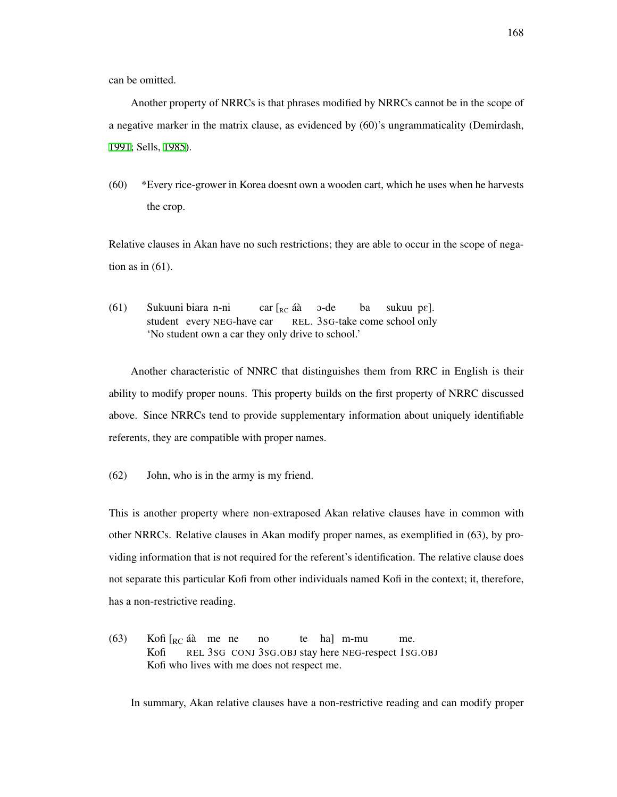can be omitted.

Another property of NRRCs is that phrases modified by NRRCs cannot be in the scope of a negative marker in the matrix clause, as evidenced by (60)'s ungrammaticality (Demirdash, [1991;](#page-208-2) Sells, [1985](#page-217-1)).

(60) \*Every rice-grower in Korea doesnt own a wooden cart, which he uses when he harvests the crop.

Relative clauses in Akan have no such restrictions; they are able to occur in the scope of negation as in  $(61)$ .

(61) Sukuuni biara n-ni student every NEG-have car car [<sub>RC</sub> áà REL. 3SG-take come school only O-de ba sukuu pe]. 'No student own a car they only drive to school.'

Another characteristic of NNRC that distinguishes them from RRC in English is their ability to modify proper nouns. This property builds on the first property of NRRC discussed above. Since NRRCs tend to provide supplementary information about uniquely identifiable referents, they are compatible with proper names.

(62) John, who is in the army is my friend.

This is another property where non-extraposed Akan relative clauses have in common with other NRRCs. Relative clauses in Akan modify proper names, as exemplified in (63), by providing information that is not required for the referent's identification. The relative clause does not separate this particular Kofi from other individuals named Kofi in the context; it, therefore, has a non-restrictive reading.

(63) Kofi  $\left[_{RC}\right]$ áà me ne Kofi REL 3SG CONJ 3SG.OBJ stay here NEG-respect 1SG.OBJ no te ha] m-mu me. Kofi who lives with me does not respect me.

In summary, Akan relative clauses have a non-restrictive reading and can modify proper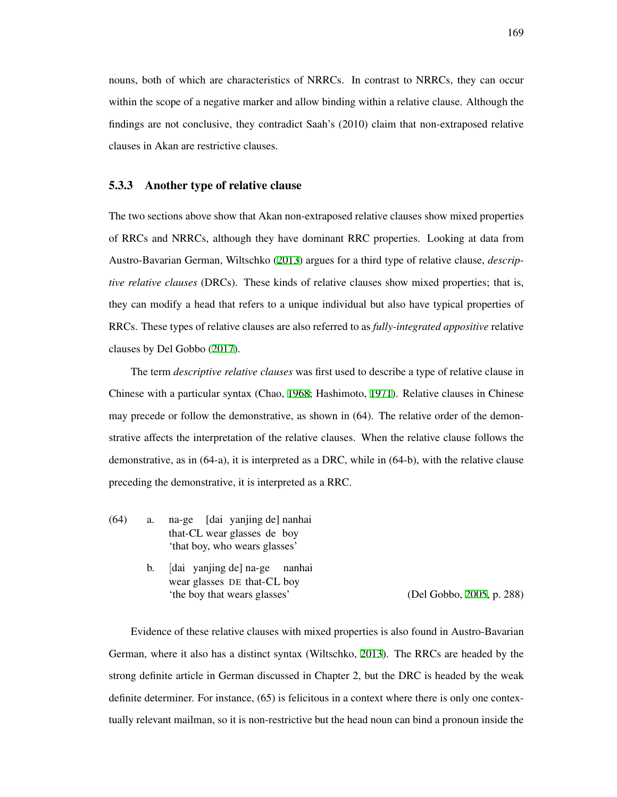nouns, both of which are characteristics of NRRCs. In contrast to NRRCs, they can occur within the scope of a negative marker and allow binding within a relative clause. Although the findings are not conclusive, they contradict Saah's (2010) claim that non-extraposed relative clauses in Akan are restrictive clauses.

### <span id="page-178-0"></span>5.3.3 Another type of relative clause

The two sections above show that Akan non-extraposed relative clauses show mixed properties of RRCs and NRRCs, although they have dominant RRC properties. Looking at data from Austro-Bavarian German, Wiltschko [\(2013\)](#page-218-4) argues for a third type of relative clause, *descriptive relative clauses* (DRCs). These kinds of relative clauses show mixed properties; that is, they can modify a head that refers to a unique individual but also have typical properties of RRCs. These types of relative clauses are also referred to as *fully-integrated appositive* relative clauses by Del Gobbo [\(2017](#page-208-5)).

The term *descriptive relative clauses* was first used to describe a type of relative clause in Chinese with a particular syntax (Chao, [1968](#page-206-4); Hashimoto, [1971](#page-210-1)). Relative clauses in Chinese may precede or follow the demonstrative, as shown in (64). The relative order of the demonstrative affects the interpretation of the relative clauses. When the relative clause follows the demonstrative, as in (64-a), it is interpreted as a DRC, while in (64-b), with the relative clause preceding the demonstrative, it is interpreted as a RRC.

- (64) a. na-ge [dai yanjing de] nanhai that-CL wear glasses de boy 'that boy, who wears glasses'
	- b. [dai yanjing de] na-ge nanhai wear glasses DE that-CL boy 'the boy that wears glasses' (Del Gobbo, [2005,](#page-208-6) p. 288)

Evidence of these relative clauses with mixed properties is also found in Austro-Bavarian German, where it also has a distinct syntax (Wiltschko, [2013\)](#page-218-4). The RRCs are headed by the strong definite article in German discussed in Chapter 2, but the DRC is headed by the weak definite determiner. For instance, (65) is felicitous in a context where there is only one contextually relevant mailman, so it is non-restrictive but the head noun can bind a pronoun inside the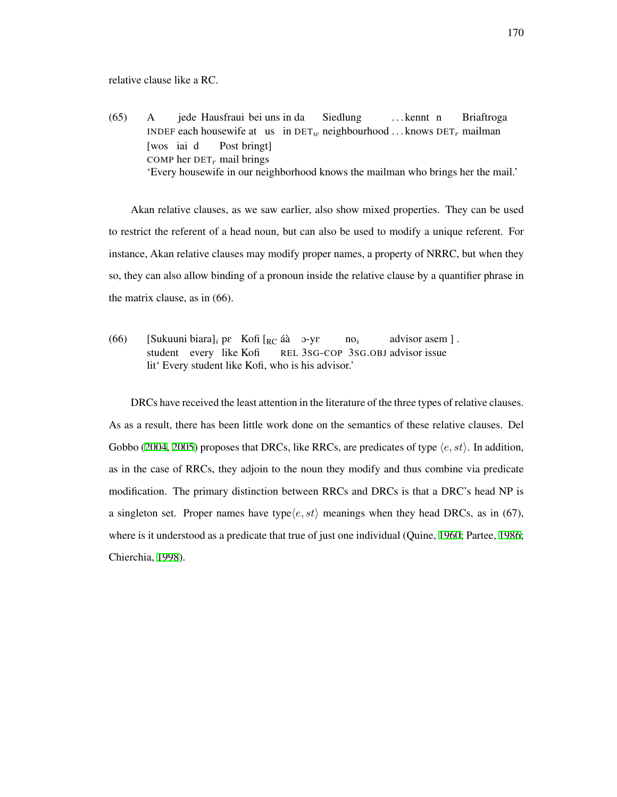relative clause like a RC.

 $(65)$  A INDEF each housewife at us in  $\text{DET}_w$  neighbourhood ... knows  $\text{DET}_r$  mailman jede Hausfraui bei uns in da Siedlung . . . kennt n Briaftroga [wos iai d COMP her DET*r* mail brings Post bringt] 'Every housewife in our neighborhood knows the mailman who brings her the mail.'

Akan relative clauses, as we saw earlier, also show mixed properties. They can be used to restrict the referent of a head noun, but can also be used to modify a unique referent. For instance, Akan relative clauses may modify proper names, a property of NRRC, but when they so, they can also allow binding of a pronoun inside the relative clause by a quantifier phrase in the matrix clause, as in (66).

(66) [Sukuuni biara]<sub>*i*</sub> pe Kofi [<sub>RC</sub> áà o-ye student every like Kofi REL 3SG-COP 3SG.OBJ advisor issue no*<sup>i</sup>* advisor asem ] . lit' Every student like Kofi, who is his advisor.'

DRCs have received the least attention in the literature of the three types of relative clauses. As as a result, there has been little work done on the semantics of these relative clauses. Del Gobbo ([2004,](#page-208-7) [2005\)](#page-208-6) proposes that DRCs, like RRCs, are predicates of type *⟨e, st⟩*. In addition, as in the case of RRCs, they adjoin to the noun they modify and thus combine via predicate modification. The primary distinction between RRCs and DRCs is that a DRC's head NP is a singleton set. Proper names have type $\langle e, st \rangle$  meanings when they head DRCs, as in (67), where is it understood as a predicate that true of just one individual (Quine, [1960](#page-215-2); Partee, [1986;](#page-214-1) Chierchia, [1998\)](#page-207-1).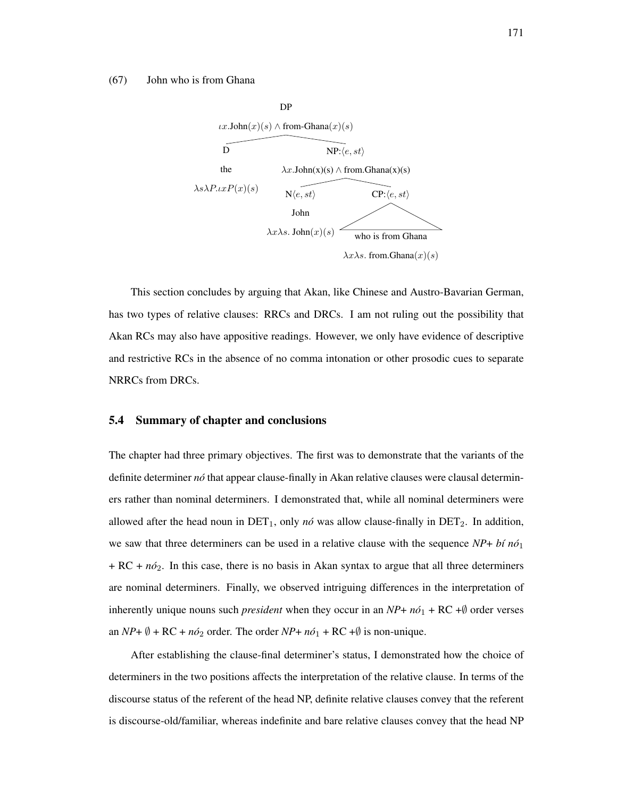#### (67) John who is from Ghana



This section concludes by arguing that Akan, like Chinese and Austro-Bavarian German, has two types of relative clauses: RRCs and DRCs. I am not ruling out the possibility that Akan RCs may also have appositive readings. However, we only have evidence of descriptive and restrictive RCs in the absence of no comma intonation or other prosodic cues to separate NRRCs from DRCs.

### 5.4 Summary of chapter and conclusions

The chapter had three primary objectives. The first was to demonstrate that the variants of the definite determiner *no´* that appear clause-finally in Akan relative clauses were clausal determiners rather than nominal determiners. I demonstrated that, while all nominal determiners were allowed after the head noun in  $DET_1$ , only *nó* was allow clause-finally in  $DET_2$ . In addition, we saw that three determiners can be used in a relative clause with the sequence *NP*+ *b´ı no´*<sup>1</sup>  $+ RC + n\delta_2$ . In this case, there is no basis in Akan syntax to argue that all three determiners are nominal determiners. Finally, we observed intriguing differences in the interpretation of inherently unique nouns such *president* when they occur in an  $NP + n\delta_1 + RC + \emptyset$  order verses an *NP*+  $\emptyset$  + RC +  $n\delta_2$  order. The order *NP*+  $n\delta_1$  + RC + $\emptyset$  is non-unique.

After establishing the clause-final determiner's status, I demonstrated how the choice of determiners in the two positions affects the interpretation of the relative clause. In terms of the discourse status of the referent of the head NP, definite relative clauses convey that the referent is discourse-old/familiar, whereas indefinite and bare relative clauses convey that the head NP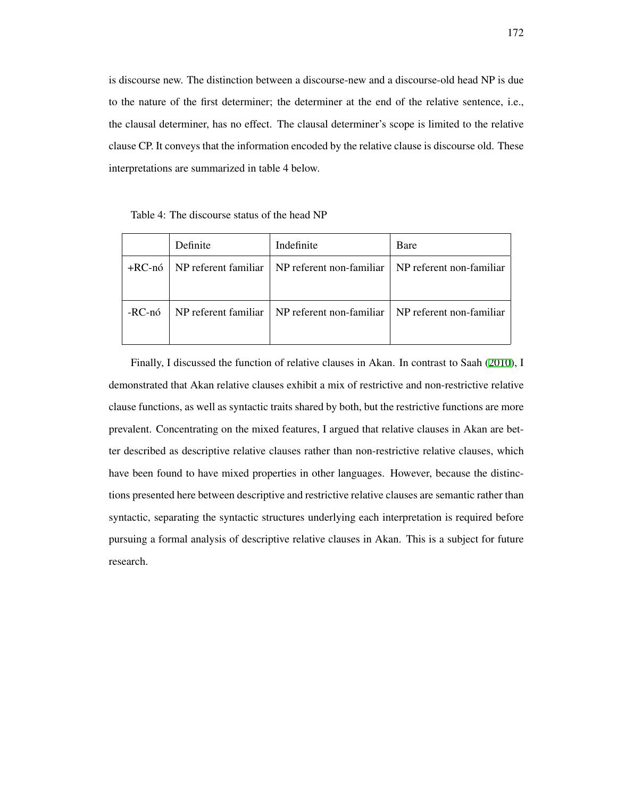is discourse new. The distinction between a discourse-new and a discourse-old head NP is due to the nature of the first determiner; the determiner at the end of the relative sentence, i.e., the clausal determiner, has no effect. The clausal determiner's scope is limited to the relative clause CP. It conveys that the information encoded by the relative clause is discourse old. These interpretations are summarized in table 4 below.

Table 4: The discourse status of the head NP

|        | Definite | Indefinite                                          | Bare                     |
|--------|----------|-----------------------------------------------------|--------------------------|
| +RC-nó |          | NP referent familiar   NP referent non-familiar     | NP referent non-familiar |
|        |          |                                                     |                          |
| -RC-nó |          | $NP$ referent familiar   $NP$ referent non-familiar | NP referent non-familiar |
|        |          |                                                     |                          |

Finally, I discussed the function of relative clauses in Akan. In contrast to Saah [\(2010\)](#page-216-0), I demonstrated that Akan relative clauses exhibit a mix of restrictive and non-restrictive relative clause functions, as well as syntactic traits shared by both, but the restrictive functions are more prevalent. Concentrating on the mixed features, I argued that relative clauses in Akan are better described as descriptive relative clauses rather than non-restrictive relative clauses, which have been found to have mixed properties in other languages. However, because the distinctions presented here between descriptive and restrictive relative clauses are semantic rather than syntactic, separating the syntactic structures underlying each interpretation is required before pursuing a formal analysis of descriptive relative clauses in Akan. This is a subject for future research.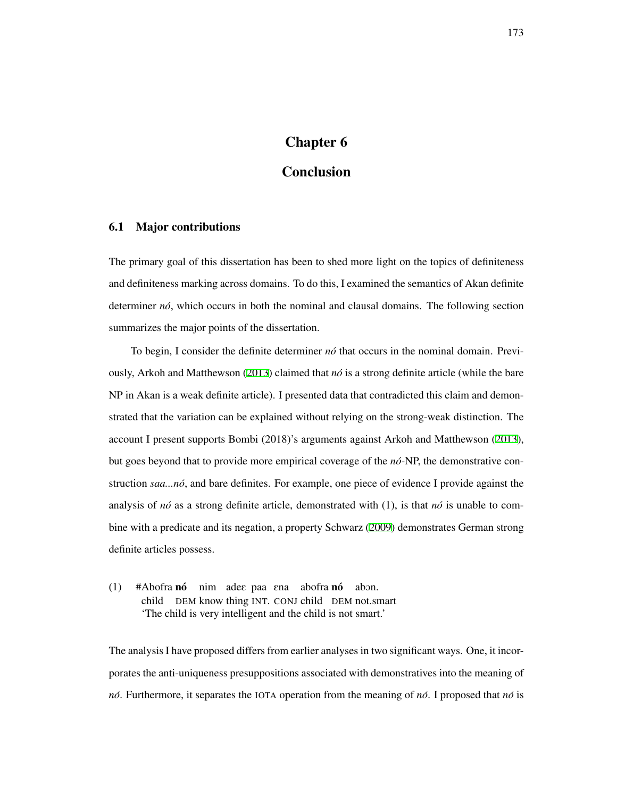# Chapter 6

# Conclusion

## 6.1 Major contributions

The primary goal of this dissertation has been to shed more light on the topics of definiteness and definiteness marking across domains. To do this, I examined the semantics of Akan definite determiner  $n\delta$ , which occurs in both the nominal and clausal domains. The following section summarizes the major points of the dissertation.

To begin, I consider the definite determiner *no´* that occurs in the nominal domain. Previously, Arkoh and Matthewson ([2013\)](#page-205-0) claimed that *no´* is a strong definite article (while the bare NP in Akan is a weak definite article). I presented data that contradicted this claim and demonstrated that the variation can be explained without relying on the strong-weak distinction. The account I present supports Bombi (2018)'s arguments against Arkoh and Matthewson ([2013\)](#page-205-0), but goes beyond that to provide more empirical coverage of the *no´*-NP, the demonstrative construction *saa...no´*, and bare definites. For example, one piece of evidence I provide against the analysis of  $n\delta$  as a strong definite article, demonstrated with (1), is that  $n\delta$  is unable to combine with a predicate and its negation, a property Schwarz ([2009](#page-217-0)) demonstrates German strong definite articles possess.

(1) #Abofra nó nim ades paa sna abofra nó abon. child DEM know thing INT. CONJ child DEM not.smart 'The child is very intelligent and the child is not smart.'

The analysis I have proposed differs from earlier analyses in two significant ways. One, it incorporates the anti-uniqueness presuppositions associated with demonstratives into the meaning of *no´*. Furthermore, it separates the IOTA operation from the meaning of *no´*. I proposed that *no´* is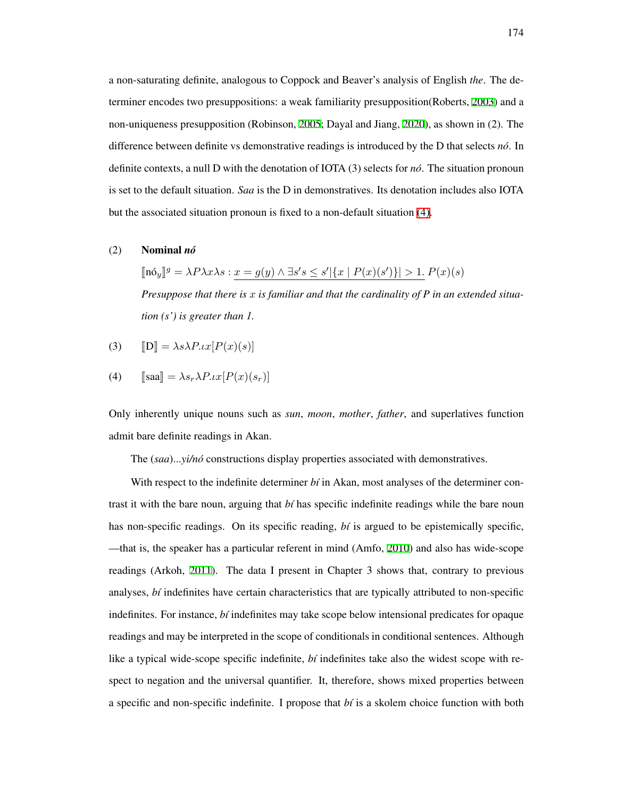a non-saturating definite, analogous to Coppock and Beaver's analysis of English *the*. The determiner encodes two presuppositions: a weak familiarity presupposition(Roberts, [2003](#page-216-1)) and a non-uniqueness presupposition (Robinson, [2005;](#page-216-2) Dayal and Jiang, [2020\)](#page-208-0), as shown in (2). The difference between definite vs demonstrative readings is introduced by the D that selects *no´*. In definite contexts, a null D with the denotation of IOTA (3) selects for *no´*. The situation pronoun is set to the default situation. *Saa* is the D in demonstratives. Its denotation includes also IOTA but the associated situation pronoun is fixed to a non-default situation [\(4\).](#page-183-0)

#### (2) Nominal *no´*

 $[\![\mathbf{n} \delta_y]\!]^g = \lambda P \lambda x \lambda s : \underline{x = g(y) \wedge \exists s' s \leq s' |\{x \mid P(x)(s')\}| > 1}$ .  $P(x)(s)$ *Presuppose that there is x is familiar and that the cardinality of P in an extended situation (s') is greater than 1.*

<span id="page-183-0"></span>
$$
(3) \qquad \llbracket \mathbf{D} \rrbracket = \lambda s \lambda P \iota x [P(x)(s)]
$$

(4) 
$$
[\text{saa}] = \lambda s_r \lambda P \cdot \iota x [P(x)(s_r)]
$$

Only inherently unique nouns such as *sun*, *moon*, *mother*, *father*, and superlatives function admit bare definite readings in Akan.

The (saa)...*yi/nó* constructions display properties associated with demonstratives.

With respect to the indefinite determiner  $b_i$  in Akan, most analyses of the determiner contrast it with the bare noun, arguing that *b´ı* has specific indefinite readings while the bare noun has non-specific readings. On its specific reading, *bi* is argued to be epistemically specific, —that is, the speaker has a particular referent in mind (Amfo, [2010](#page-205-1)) and also has wide-scope readings (Arkoh, [2011](#page-205-2)). The data I present in Chapter 3 shows that, contrary to previous analyses, *b´ı* indefinites have certain characteristics that are typically attributed to non-specific indefinites. For instance, *b´ı* indefinites may take scope below intensional predicates for opaque readings and may be interpreted in the scope of conditionals in conditional sentences. Although like a typical wide-scope specific indefinite, *bi* indefinites take also the widest scope with respect to negation and the universal quantifier. It, therefore, shows mixed properties between a specific and non-specific indefinite. I propose that *b´ı* is a skolem choice function with both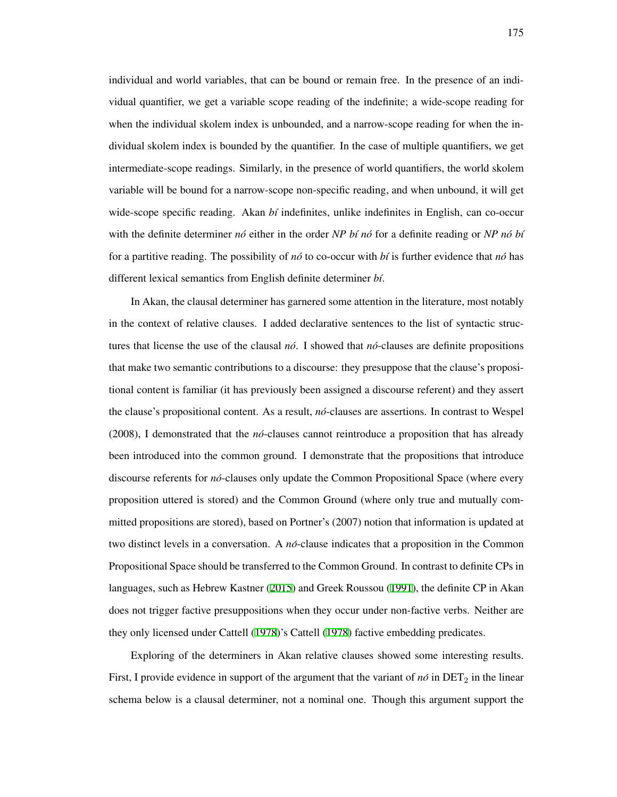individual and world variables, that can be bound or remain free. In the presence of an individual quantifier, we get a variable scope reading of the indefinite; a wide-scope reading for when the individual skolem index is unbounded, and a narrow-scope reading for when the individual skolem index is bounded by the quantifier. In the case of multiple quantifiers, we get intermediate-scope readings. Similarly, in the presence of world quantifiers, the world skolem variable will be bound for a narrow-scope non-specific reading, and when unbound, it will get wide-scope specific reading. Akan *bi* indefinites, unlike indefinites in English, can co-occur with the definite determiner  $n\delta$  either in the order *NP bí no*<sup> $\delta$ </sup> for a definite reading or *NP no<sup>* $\delta$ *</sup> bí* for a partitive reading. The possibility of *no´* to co-occur with *b´ı* is further evidence that *no´* has different lexical semantics from English definite determiner *b´ı*.

In Akan, the clausal determiner has garnered some attention in the literature, most notably in the context of relative clauses. I added declarative sentences to the list of syntactic structures that license the use of the clausal  $n\delta$ . I showed that  $n\delta$ -clauses are definite propositions that make two semantic contributions to a discourse: they presuppose that the clause's propositional content is familiar (it has previously been assigned a discourse referent) and they assert the clause's propositional content. As a result, *no´*-clauses are assertions. In contrast to Wespel  $(2008)$ , I demonstrated that the *no*-clauses cannot reintroduce a proposition that has already been introduced into the common ground. I demonstrate that the propositions that introduce discourse referents for *no´*-clauses only update the Common Propositional Space (where every proposition uttered is stored) and the Common Ground (where only true and mutually committed propositions are stored), based on Portner's (2007) notion that information is updated at two distinct levels in a conversation. A *no´*-clause indicates that a proposition in the Common Propositional Space should be transferred to the Common Ground. In contrast to definite CPs in languages, such as Hebrew Kastner [\(2015\)](#page-212-0) and Greek Roussou [\(1991](#page-216-3)), the definite CP in Akan does not trigger factive presuppositions when they occur under non-factive verbs. Neither are they only licensed under Cattell ([1978\)](#page-206-0)'s Cattell ([1978\)](#page-206-0) factive embedding predicates.

Exploring of the determiners in Akan relative clauses showed some interesting results. First, I provide evidence in support of the argument that the variant of  $n\acute{o}$  in DET<sub>2</sub> in the linear schema below is a clausal determiner, not a nominal one. Though this argument support the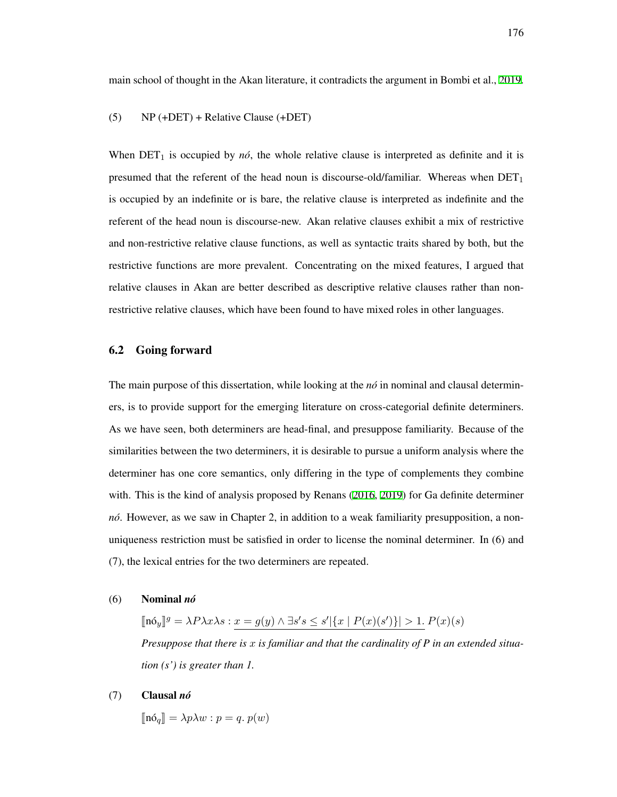main school of thought in the Akan literature, it contradicts the argument in Bombi et al., [2019](#page-206-1).

#### (5) NP (+DET) + Relative Clause (+DET)

When  $DEF_1$  is occupied by  $n\acute{o}$ , the whole relative clause is interpreted as definite and it is presumed that the referent of the head noun is discourse-old/familiar. Whereas when  $DET_1$ is occupied by an indefinite or is bare, the relative clause is interpreted as indefinite and the referent of the head noun is discourse-new. Akan relative clauses exhibit a mix of restrictive and non-restrictive relative clause functions, as well as syntactic traits shared by both, but the restrictive functions are more prevalent. Concentrating on the mixed features, I argued that relative clauses in Akan are better described as descriptive relative clauses rather than nonrestrictive relative clauses, which have been found to have mixed roles in other languages.

#### 6.2 Going forward

The main purpose of this dissertation, while looking at the *no*<sup> $\alpha$ </sup> in nominal and clausal determiners, is to provide support for the emerging literature on cross-categorial definite determiners. As we have seen, both determiners are head-final, and presuppose familiarity. Because of the similarities between the two determiners, it is desirable to pursue a uniform analysis where the determiner has one core semantics, only differing in the type of complements they combine with. This is the kind of analysis proposed by Renans [\(2016,](#page-215-0) [2019](#page-215-1)) for Ga definite determiner *nó*. However, as we saw in Chapter 2, in addition to a weak familiarity presupposition, a nonuniqueness restriction must be satisfied in order to license the nominal determiner. In (6) and (7), the lexical entries for the two determiners are repeated.

(6) Nominal *no´*

 $[\![\mathbf{n} \delta_y]\!]^g = \lambda P \lambda x \lambda s : \underline{x = g(y) \wedge \exists s' s \leq s' |\{x \mid P(x)(s')\}| > 1}$ .  $P(x)(s)$ *Presuppose that there is x is familiar and that the cardinality of P in an extended situation (s') is greater than 1.*

#### (7) Clausal *no´*

 $\lbrack\!\lbrack\mathbf{n}\dot{\mathbf{o}}_q\rbrack\!\rbrack = \lambda p\lambda w : p = q. p(w)$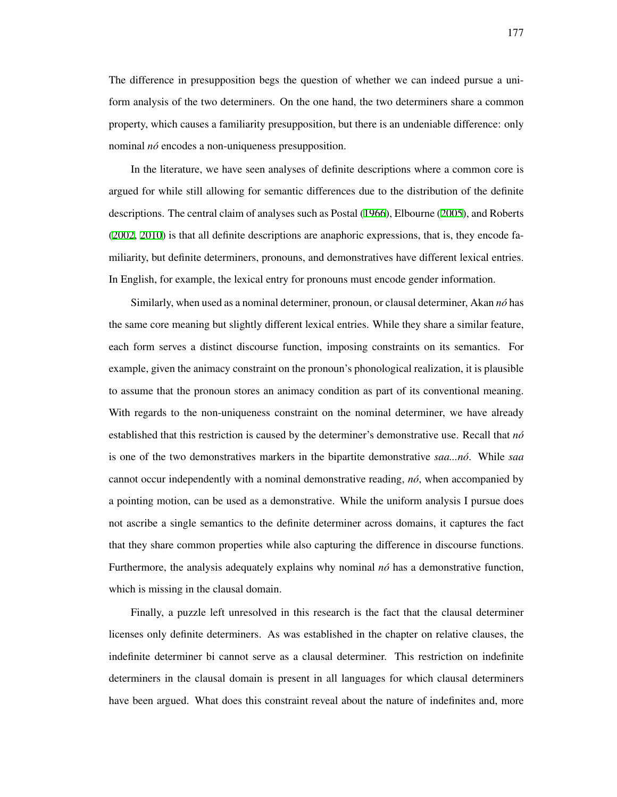The difference in presupposition begs the question of whether we can indeed pursue a uniform analysis of the two determiners. On the one hand, the two determiners share a common property, which causes a familiarity presupposition, but there is an undeniable difference: only nominal *nó* encodes a non-uniqueness presupposition.

In the literature, we have seen analyses of definite descriptions where a common core is argued for while still allowing for semantic differences due to the distribution of the definite descriptions. The central claim of analyses such as Postal [\(1966\)](#page-215-2), Elbourne ([2005](#page-209-0)), and Roberts ([2002](#page-216-4), [2010\)](#page-216-5) is that all definite descriptions are anaphoric expressions, that is, they encode familiarity, but definite determiners, pronouns, and demonstratives have different lexical entries. In English, for example, the lexical entry for pronouns must encode gender information.

Similarly, when used as a nominal determiner, pronoun, or clausal determiner, Akan *no´* has the same core meaning but slightly different lexical entries. While they share a similar feature, each form serves a distinct discourse function, imposing constraints on its semantics. For example, given the animacy constraint on the pronoun's phonological realization, it is plausible to assume that the pronoun stores an animacy condition as part of its conventional meaning. With regards to the non-uniqueness constraint on the nominal determiner, we have already established that this restriction is caused by the determiner's demonstrative use. Recall that *no´* is one of the two demonstratives markers in the bipartite demonstrative *saa...no´*. While *saa* cannot occur independently with a nominal demonstrative reading, *no´*, when accompanied by a pointing motion, can be used as a demonstrative. While the uniform analysis I pursue does not ascribe a single semantics to the definite determiner across domains, it captures the fact that they share common properties while also capturing the difference in discourse functions. Furthermore, the analysis adequately explains why nominal *no*<sup> $\alpha$ </sup> has a demonstrative function, which is missing in the clausal domain.

Finally, a puzzle left unresolved in this research is the fact that the clausal determiner licenses only definite determiners. As was established in the chapter on relative clauses, the indefinite determiner bi cannot serve as a clausal determiner. This restriction on indefinite determiners in the clausal domain is present in all languages for which clausal determiners have been argued. What does this constraint reveal about the nature of indefinites and, more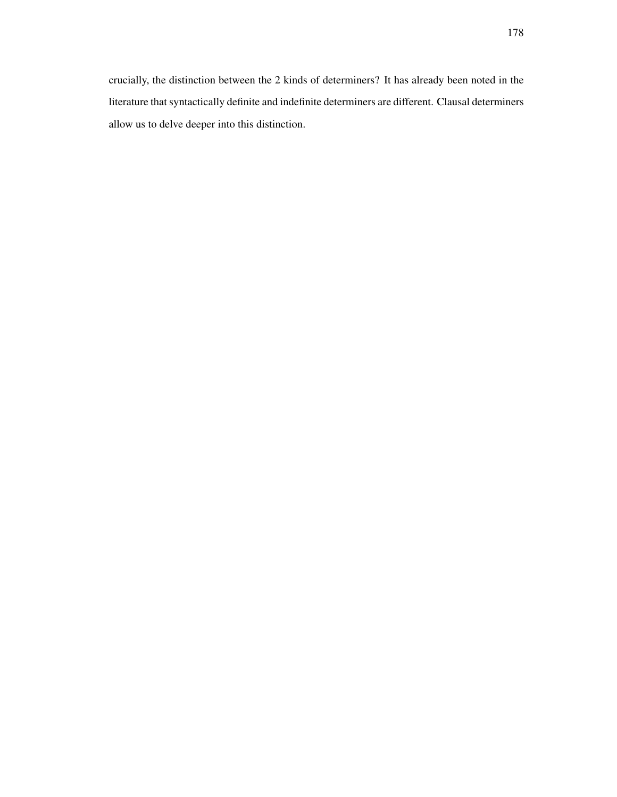crucially, the distinction between the 2 kinds of determiners? It has already been noted in the literature that syntactically definite and indefinite determiners are different. Clausal determiners allow us to delve deeper into this distinction.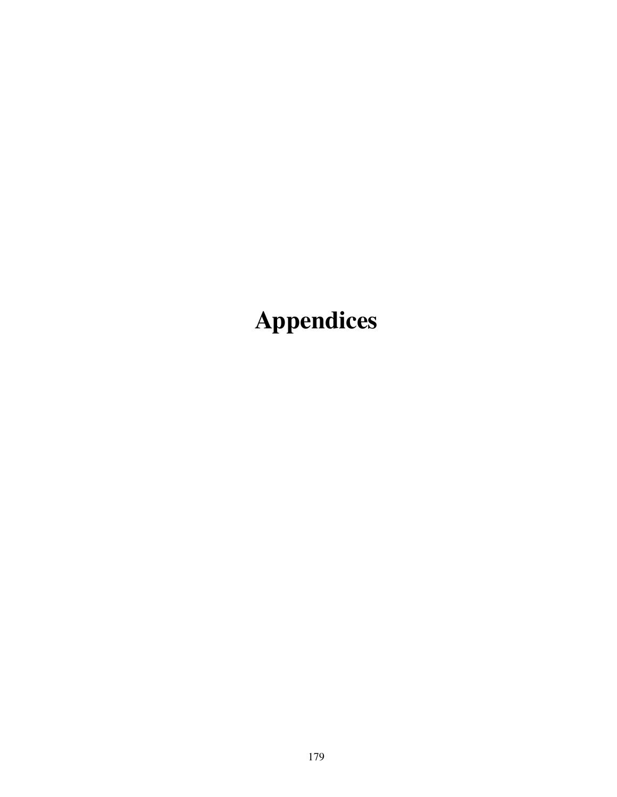Appendices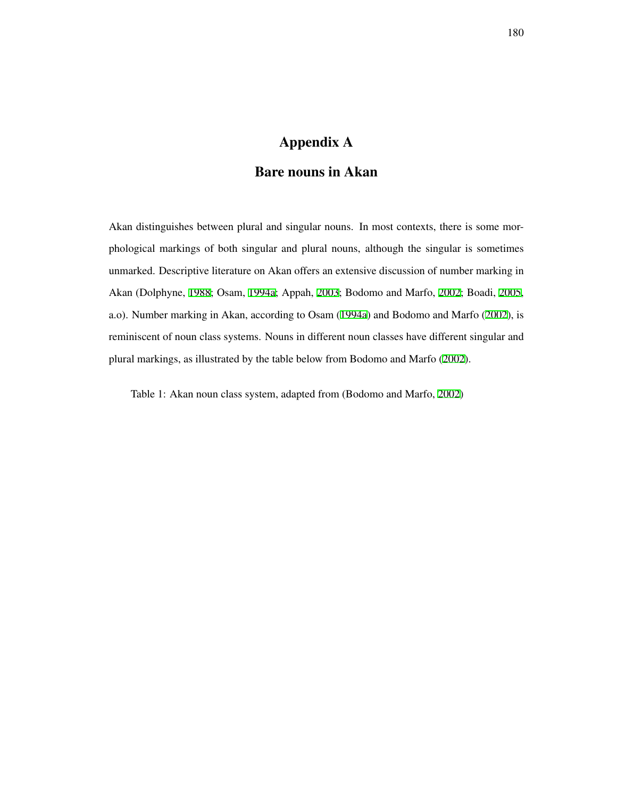# Appendix A

## Bare nouns in Akan

Akan distinguishes between plural and singular nouns. In most contexts, there is some morphological markings of both singular and plural nouns, although the singular is sometimes unmarked. Descriptive literature on Akan offers an extensive discussion of number marking in Akan (Dolphyne, [1988](#page-208-1); Osam, [1994a](#page-214-0); Appah, [2003](#page-205-3); Bodomo and Marfo, [2002](#page-206-2); Boadi, [2005](#page-206-3), a.o). Number marking in Akan, according to Osam ([1994a](#page-214-0)) and Bodomo and Marfo ([2002\)](#page-206-2), is reminiscent of noun class systems. Nouns in different noun classes have different singular and plural markings, as illustrated by the table below from Bodomo and Marfo ([2002](#page-206-2)).

Table 1: Akan noun class system, adapted from (Bodomo and Marfo, [2002\)](#page-206-2)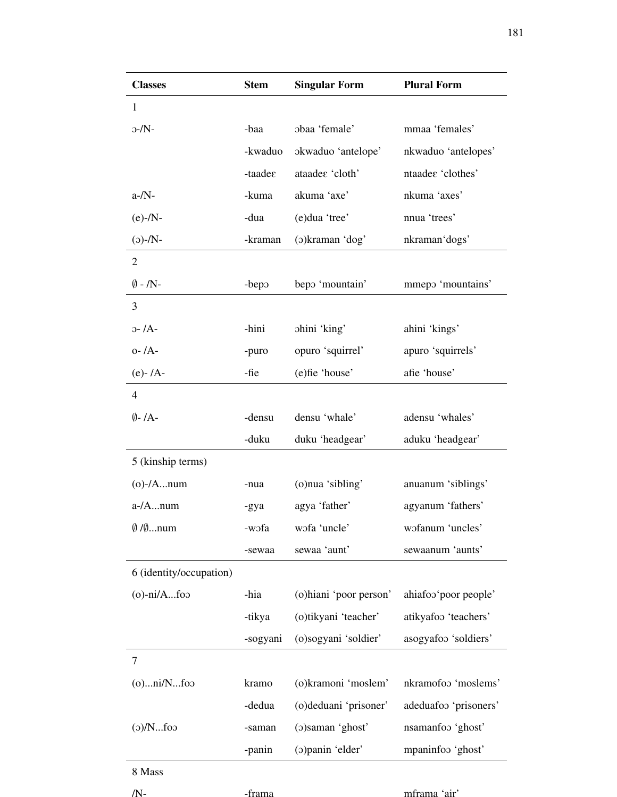| <b>Classes</b>                | <b>Stem</b>         | <b>Singular Form</b>    | <b>Plural Form</b>    |
|-------------------------------|---------------------|-------------------------|-----------------------|
| 1                             |                     |                         |                       |
| $-/N$ -                       | -baa                | obaa 'female'           | mmaa 'females'        |
|                               | -kwaduo             | okwaduo 'antelope'      | nkwaduo 'antelopes'   |
|                               | $-taade\varepsilon$ | ataadee 'cloth'         | ntaadee 'clothes'     |
| $a-N$ -                       | -kuma               | akuma 'axe'             | nkuma 'axes'          |
| $(e)$ -/N-                    | -dua                | (e)dua 'tree'           | nnua 'trees'          |
| $(N-(c))$                     | -kraman             | (o)kraman 'dog'         | nkraman'dogs'         |
| $\overline{2}$                |                     |                         |                       |
| $\emptyset$ - /N-             | -bepo               | bepo 'mountain'         | mmepo 'mountains'     |
| 3                             |                     |                         |                       |
| $0 - /A$                      | -hini               | ohini 'king'            | ahini 'kings'         |
| $o$ - $/A$ -                  | -puro               | opuro 'squirrel'        | apuro 'squirrels'     |
| $(e) - /A -$                  | -fie                | (e)fie 'house'          | afie 'house'          |
| $\overline{4}$                |                     |                         |                       |
| $\emptyset$ -/A-              | -densu              | densu 'whale'           | adensu 'whales'       |
|                               | -duku               | duku 'headgear'         | aduku 'headgear'      |
| 5 (kinship terms)             |                     |                         |                       |
| $(o)$ -/Anum                  | -nua                | (o)nua 'sibling'        | anuanum 'siblings'    |
| $a$ -/Anum                    | -gya                | agya 'father'           | agyanum 'fathers'     |
| $\emptyset$ / $\emptyset$ num | -wofa               | wofa 'uncle'            | wofanum 'uncles'      |
|                               | -sewaa              | sewaa 'aunt'            | sewaanum 'aunts'      |
| 6 (identity/occupation)       |                     |                         |                       |
| $(o)$ -ni/Afoo                | -hia                | (o) hiani 'poor person' | ahiafoo'poor people'  |
|                               | -tikya              | (o)tikyani 'teacher'    | atikyafoo 'teachers'  |
|                               | -sogyani            | (o)sogyani 'soldier'    | asogyafoo 'soldiers'  |
| $\overline{7}$                |                     |                         |                       |
| $(o)$ $ni/N$ foo              | kramo               | (o)kramoni 'moslem'     | nkramofoo 'moslems'   |
|                               | -dedua              | (o)deduani 'prisoner'   | adeduafoo 'prisoners' |
| o(Nfo                         | -saman              | (o) saman 'ghost'       | nsamanfoo 'ghost'     |
|                               | -panin              | (o) panin 'elder'       | mpaninfoo 'ghost'     |
| 8 Mass                        |                     |                         |                       |
| /N-                           | -frama              |                         | mframa 'air'          |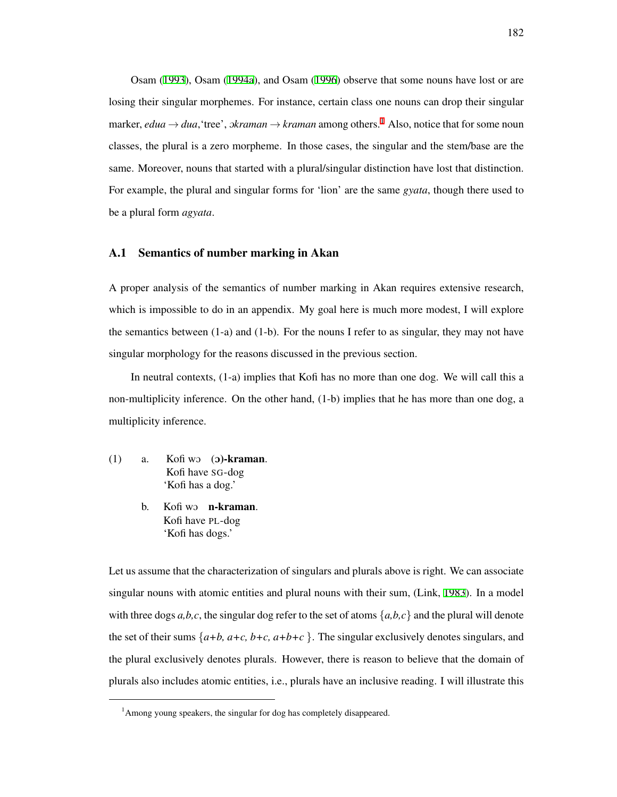Osam ([1993\)](#page-214-1), Osam [\(1994a](#page-214-0)), and Osam ([1996](#page-214-2)) observe that some nouns have lost or are losing their singular morphemes. For instance, certain class one nouns can drop their singular marker, *edua*  $\rightarrow$  *dua*, 'tree', o*kraman*  $\rightarrow$  *kraman* among others.<sup>[1](#page-191-0)</sup> Also, notice that for some noun classes, the plural is a zero morpheme. In those cases, the singular and the stem/base are the same. Moreover, nouns that started with a plural/singular distinction have lost that distinction. For example, the plural and singular forms for 'lion' are the same *gyata*, though there used to be a plural form *agyata*.

#### A.1 Semantics of number marking in Akan

A proper analysis of the semantics of number marking in Akan requires extensive research, which is impossible to do in an appendix. My goal here is much more modest, I will explore the semantics between  $(1-a)$  and  $(1-b)$ . For the nouns I refer to as singular, they may not have singular morphology for the reasons discussed in the previous section.

In neutral contexts, (1-a) implies that Kofi has no more than one dog. We will call this a non-multiplicity inference. On the other hand, (1-b) implies that he has more than one dog, a multiplicity inference.

- <span id="page-191-1"></span> $(1)$  a. Kofi wo  $(2)$ -kraman. Kofi have SG-dog 'Kofi has a dog.'
	- b. Kofi wo **n-kraman**. Kofi have PL-dog 'Kofi has dogs.'

Let us assume that the characterization of singulars and plurals above is right. We can associate singular nouns with atomic entities and plural nouns with their sum, (Link, [1983](#page-213-0)). In a model with three dogs  $a,b,c$ , the singular dog refer to the set of atoms  $\{a,b,c\}$  and the plural will denote the set of their sums  $\{a+b, a+c, b+c, a+b+c\}$ . The singular exclusively denotes singulars, and the plural exclusively denotes plurals. However, there is reason to believe that the domain of plurals also includes atomic entities, i.e., plurals have an inclusive reading. I will illustrate this

<span id="page-191-0"></span><sup>&</sup>lt;sup>1</sup>Among young speakers, the singular for dog has completely disappeared.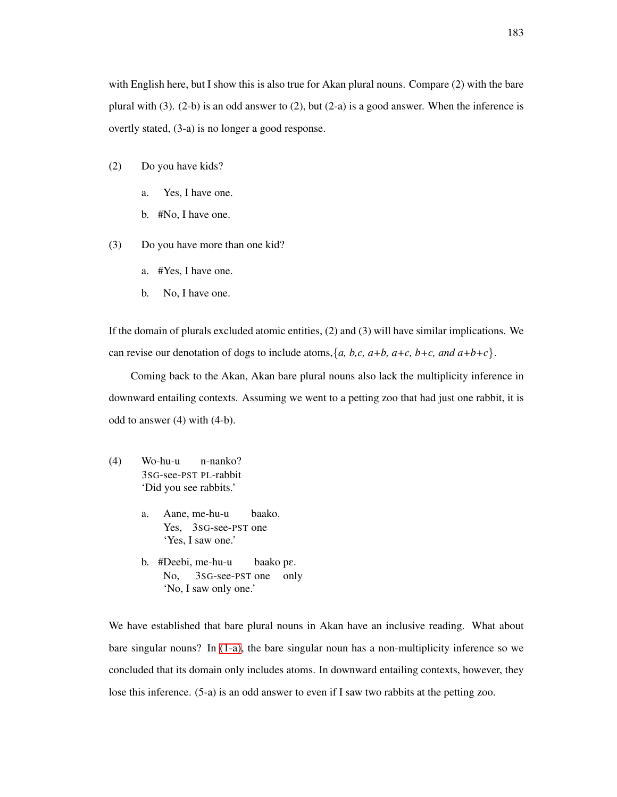with English here, but I show this is also true for Akan plural nouns. Compare (2) with the bare plural with (3). (2-b) is an odd answer to (2), but (2-a) is a good answer. When the inference is overtly stated, (3-a) is no longer a good response.

- (2) Do you have kids?
	- a. Yes, I have one.
	- b. #No, I have one.
- (3) Do you have more than one kid?
	- a. #Yes, I have one.
	- b. No, I have one.

If the domain of plurals excluded atomic entities, (2) and (3) will have similar implications. We can revise our denotation of dogs to include atoms,  $\{a, b, c, a+b, a+c, b+c, and a+b+c\}$ .

Coming back to the Akan, Akan bare plural nouns also lack the multiplicity inference in downward entailing contexts. Assuming we went to a petting zoo that had just one rabbit, it is odd to answer (4) with (4-b).

- (4) Wo-hu-u 3SG-see-PST PL-rabbit n-nanko? 'Did you see rabbits.'
	- a. Aane, me-hu-u Yes, 3SG-see-PST one baako. 'Yes, I saw one.'
	- b. #Deebi, me-hu-u No, 3SG-see-PST one baako pE. only 'No, I saw only one.'

We have established that bare plural nouns in Akan have an inclusive reading. What about bare singular nouns? In [\(1-a\)](#page-191-1), the bare singular noun has a non-multiplicity inference so we concluded that its domain only includes atoms. In downward entailing contexts, however, they lose this inference. (5-a) is an odd answer to even if I saw two rabbits at the petting zoo.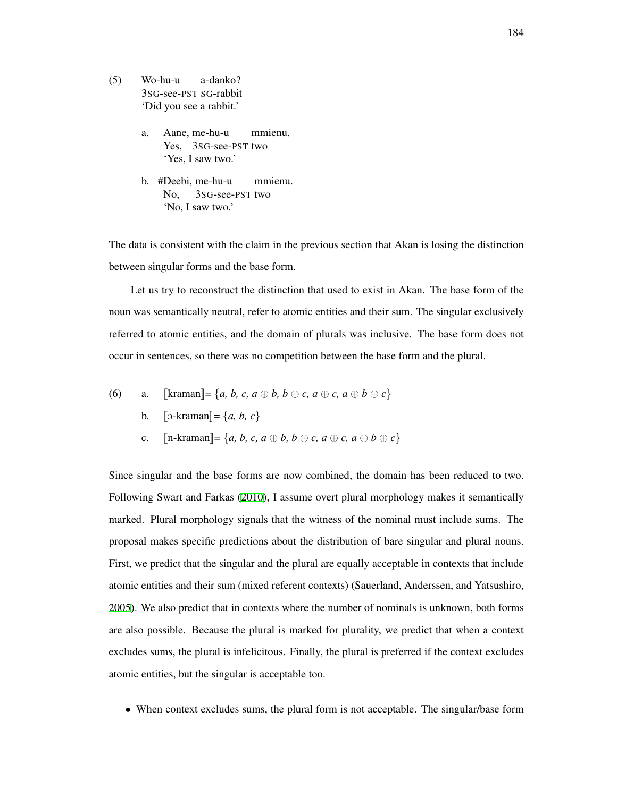- (5) Wo-hu-u 3SG-see-PST SG-rabbit a-danko? 'Did you see a rabbit.'
	- a. Aane, me-hu-u Yes, 3sG-see-PST two mmienu. 'Yes, I saw two.'
	- b. #Deebi, me-hu-u No, 3SG-see-PST two mmienu. 'No, I saw two.'

The data is consistent with the claim in the previous section that Akan is losing the distinction between singular forms and the base form.

Let us try to reconstruct the distinction that used to exist in Akan. The base form of the noun was semantically neutral, refer to atomic entities and their sum. The singular exclusively referred to atomic entities, and the domain of plurals was inclusive. The base form does not occur in sentences, so there was no competition between the base form and the plural.

(6) a. 
$$
\llbracket \text{kraman} \rrbracket = \{a, b, c, a \oplus b, b \oplus c, a \oplus c, a \oplus b \oplus c\}
$$

- b.  $\lbrack \lbrack 5\text{-}kraman \rbrack = \{a, b, c\}$
- c.  $[n\text{-}kraman] = \{a, b, c, a \oplus b, b \oplus c, a \oplus c, a \oplus b \oplus c\}$

Since singular and the base forms are now combined, the domain has been reduced to two. Following Swart and Farkas [\(2010](#page-218-0)), I assume overt plural morphology makes it semantically marked. Plural morphology signals that the witness of the nominal must include sums. The proposal makes specific predictions about the distribution of bare singular and plural nouns. First, we predict that the singular and the plural are equally acceptable in contexts that include atomic entities and their sum (mixed referent contexts) (Sauerland, Anderssen, and Yatsushiro, [2005\)](#page-217-1). We also predict that in contexts where the number of nominals is unknown, both forms are also possible. Because the plural is marked for plurality, we predict that when a context excludes sums, the plural is infelicitous. Finally, the plural is preferred if the context excludes atomic entities, but the singular is acceptable too.

• When context excludes sums, the plural form is not acceptable. The singular/base form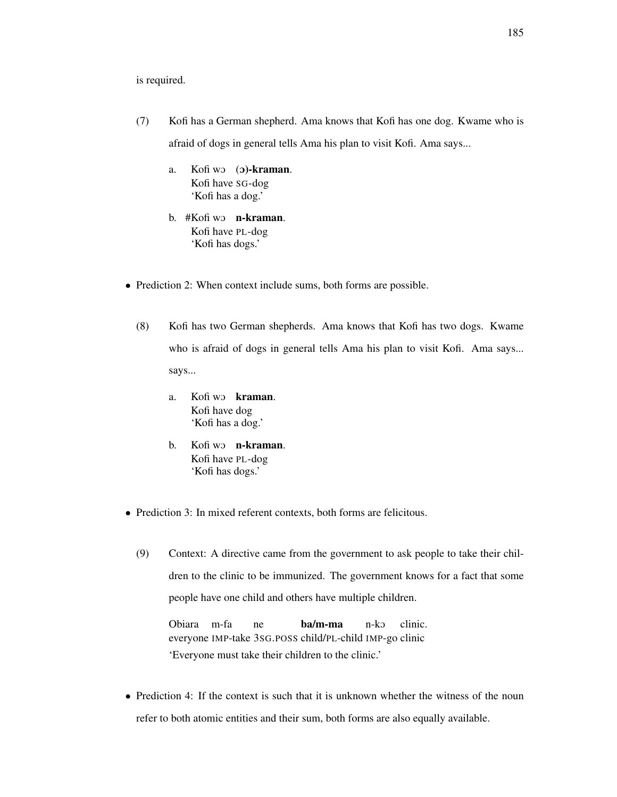is required.

- (7) Kofi has a German shepherd. Ama knows that Kofi has one dog. Kwame who is afraid of dogs in general tells Ama his plan to visit Kofi. Ama says...
	- a. Kofi wo (**b**)-kraman. Kofi have SG-dog 'Kofi has a dog.'
	- b. #Kofi wo **n-kraman**. Kofi have PL-dog 'Kofi has dogs.'
- Prediction 2: When context include sums, both forms are possible.
	- (8) Kofi has two German shepherds. Ama knows that Kofi has two dogs. Kwame who is afraid of dogs in general tells Ama his plan to visit Kofi. Ama says... says...
		- a. Kofi wo kraman. Kofi have dog 'Kofi has a dog.'
		- b. Kofi wo **n-kraman**. Kofi have PL-dog 'Kofi has dogs.'
- Prediction 3: In mixed referent contexts, both forms are felicitous.
	- (9) Context: A directive came from the government to ask people to take their children to the clinic to be immunized. The government knows for a fact that some people have one child and others have multiple children.

Obiara m-fa everyone IMP-take 3SG.POSS child/PL-child IMP-go clinic ne ba/m-ma n-kO clinic. 'Everyone must take their children to the clinic.'

• Prediction 4: If the context is such that it is unknown whether the witness of the noun refer to both atomic entities and their sum, both forms are also equally available.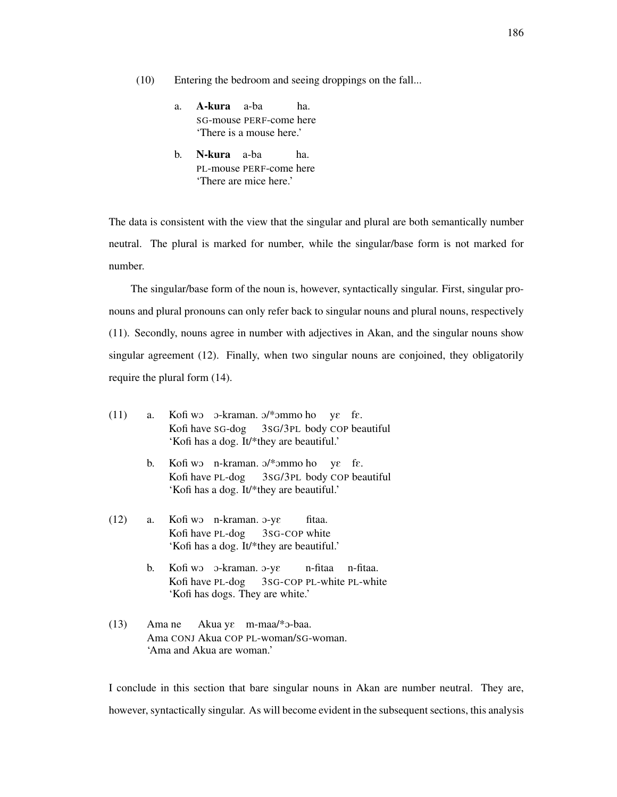(10) Entering the bedroom and seeing droppings on the fall...

- a. **A-kura** a-ba SG-mouse PERF-come here ha. 'There is a mouse here.'
- b. N-kura a-ba PL-mouse PERF-come here ha. 'There are mice here.'

The data is consistent with the view that the singular and plural are both semantically number neutral. The plural is marked for number, while the singular/base form is not marked for number.

The singular/base form of the noun is, however, syntactically singular. First, singular pronouns and plural pronouns can only refer back to singular nouns and plural nouns, respectively (11). Secondly, nouns agree in number with adjectives in Akan, and the singular nouns show singular agreement (12). Finally, when two singular nouns are conjoined, they obligatorily require the plural form (14).

 $(11)$  a. Kofi have SG-dog wo o-kraman. o/\*ommo ho ye fe. 3SG/3PL body COP beautiful 'Kofi has a dog. It/\*they are beautiful.' b. Kofi wo n-kraman. o/\*ommo ho ye fe. Kofi have PL-dog 3SG/3PL body COP beautiful 'Kofi has a dog. It/\*they are beautiful.' (12) a. Kofi wo n-kraman.  $\sigma$ -ye Kofi have PL-dog 3SG-COP white fitaa. 'Kofi has a dog. It/\*they are beautiful.' b. Kofi wo o-kraman. o-ye Kofi have PL-dog 3SG-COP PL-white PL-white n-fitaa n-fitaa. 'Kofi has dogs. They are white.'  $(13)$ Ama CONJ Akua COP PL-woman/SG-woman. Ama ne Akua ye m-maa/\*3-baa. 'Ama and Akua are woman.'

I conclude in this section that bare singular nouns in Akan are number neutral. They are, however, syntactically singular. As will become evident in the subsequent sections, this analysis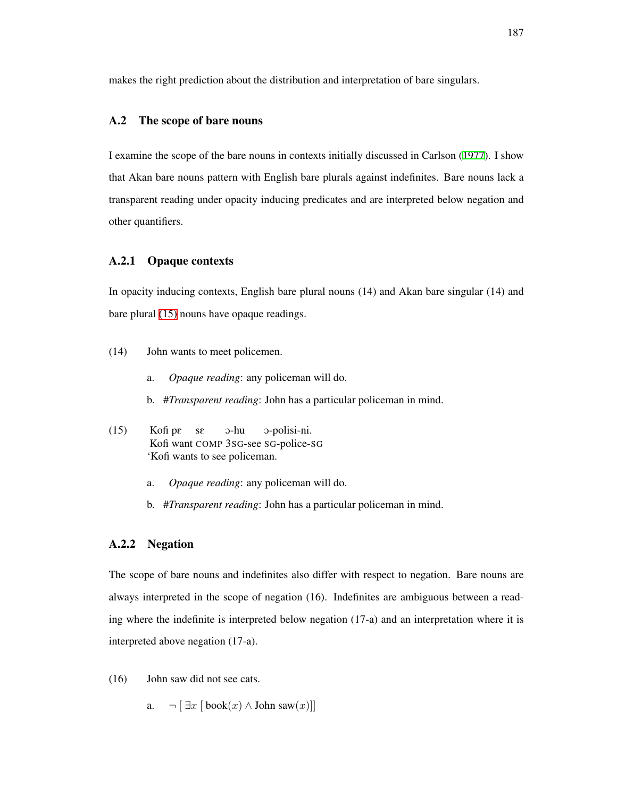makes the right prediction about the distribution and interpretation of bare singulars.

#### A.2 The scope of bare nouns

I examine the scope of the bare nouns in contexts initially discussed in Carlson [\(1977\)](#page-206-4). I show that Akan bare nouns pattern with English bare plurals against indefinites. Bare nouns lack a transparent reading under opacity inducing predicates and are interpreted below negation and other quantifiers.

## A.2.1 Opaque contexts

In opacity inducing contexts, English bare plural nouns (14) and Akan bare singular (14) and bare plural [\(15\)](#page-196-0) nouns have opaque readings.

- (14) John wants to meet policemen.
	- a. *Opaque reading*: any policeman will do.
	- b. #*Transparent reading*: John has a particular policeman in mind.
- <span id="page-196-0"></span>(15) Kofi pE Kofi want COMP 3SG-see SG-police-SG sE O-hu O-polisi-ni. 'Kofi wants to see policeman.
	- a. *Opaque reading*: any policeman will do.
	- b. #*Transparent reading*: John has a particular policeman in mind.

## A.2.2 Negation

The scope of bare nouns and indefinites also differ with respect to negation. Bare nouns are always interpreted in the scope of negation (16). Indefinites are ambiguous between a reading where the indefinite is interpreted below negation (17-a) and an interpretation where it is interpreted above negation (17-a).

(16) John saw did not see cats.

a.  $\neg$  [  $\exists x$  [ book(*x*) ∧ John saw(*x*)]]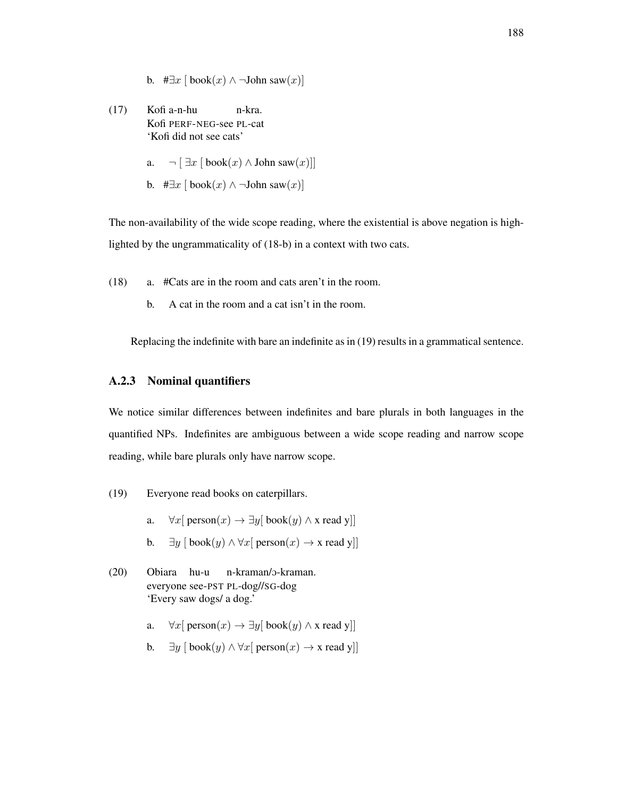b. #*∃x* [ book(*x*) *∧ ¬*John saw(*x*)]

 $(17)$ Kofi PERF-NEG-see PL-cat Kofi a-n-hu n-kra. 'Kofi did not see cats'

a.  $\neg$  [  $\exists x$  [ book(*x*) ∧ John saw(*x*)]]

b. #*∃x* [ book(*x*) *∧ ¬*John saw(*x*)]

The non-availability of the wide scope reading, where the existential is above negation is highlighted by the ungrammaticality of (18-b) in a context with two cats.

- (18) a. #Cats are in the room and cats aren't in the room.
	- b. A cat in the room and a cat isn't in the room.

Replacing the indefinite with bare an indefinite as in (19) results in a grammatical sentence.

## A.2.3 Nominal quantifiers

We notice similar differences between indefinites and bare plurals in both languages in the quantified NPs. Indefinites are ambiguous between a wide scope reading and narrow scope reading, while bare plurals only have narrow scope.

- (19) Everyone read books on caterpillars.
	- a.  $\forall x$ [ person(*x*)  $\rightarrow \exists y$ [ book(*y*)  $\land$  x read y]]
	- b. *∃y* [ book(*y*) *∧ ∀x*[ person(*x*) *→* x read y]]
- (20) Obiara hu-u everyone see-PST PL-dog//SG-dog n-kraman/O-kraman. 'Every saw dogs/ a dog.'
	- a.  $\forall x$ [ person(*x*)  $\rightarrow \exists y$ [ book(*y*)  $\land$  x read y]]
	- b. *∃y* [ book(*y*) *∧ ∀x*[ person(*x*) *→* x read y]]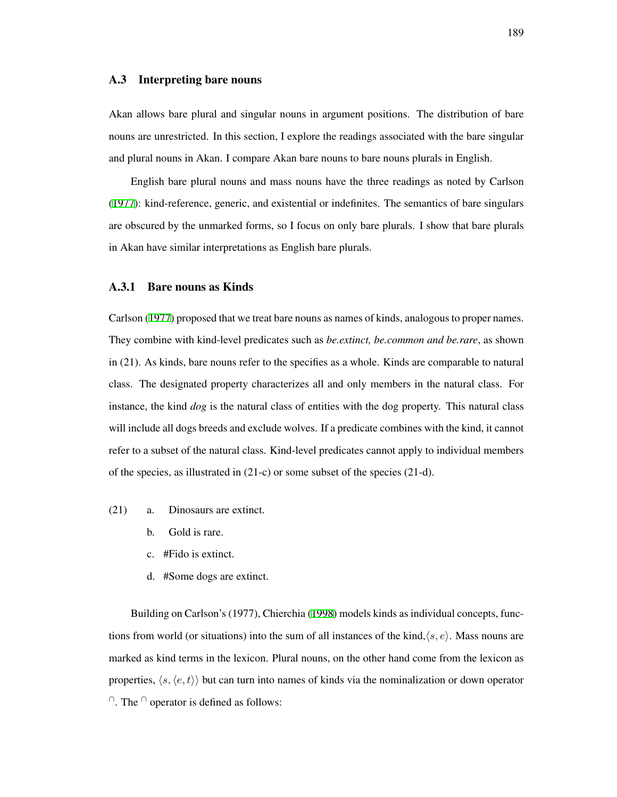#### A.3 Interpreting bare nouns

Akan allows bare plural and singular nouns in argument positions. The distribution of bare nouns are unrestricted. In this section, I explore the readings associated with the bare singular and plural nouns in Akan. I compare Akan bare nouns to bare nouns plurals in English.

English bare plural nouns and mass nouns have the three readings as noted by Carlson ([1977](#page-206-4)): kind-reference, generic, and existential or indefinites. The semantics of bare singulars are obscured by the unmarked forms, so I focus on only bare plurals. I show that bare plurals in Akan have similar interpretations as English bare plurals.

## A.3.1 Bare nouns as Kinds

Carlson ([1977](#page-206-4)) proposed that we treat bare nouns as names of kinds, analogous to proper names. They combine with kind-level predicates such as *be.extinct, be.common and be.rare*, as shown in (21). As kinds, bare nouns refer to the specifies as a whole. Kinds are comparable to natural class. The designated property characterizes all and only members in the natural class. For instance, the kind *dog* is the natural class of entities with the dog property. This natural class will include all dogs breeds and exclude wolves. If a predicate combines with the kind, it cannot refer to a subset of the natural class. Kind-level predicates cannot apply to individual members of the species, as illustrated in (21-c) or some subset of the species (21-d).

- (21) a. Dinosaurs are extinct.
	- b. Gold is rare.
	- c. #Fido is extinct.
	- d. #Some dogs are extinct.

Building on Carlson's (1977), Chierchia [\(1998\)](#page-207-0) models kinds as individual concepts, functions from world (or situations) into the sum of all instances of the kind,*⟨s, e⟩*. Mass nouns are marked as kind terms in the lexicon. Plural nouns, on the other hand come from the lexicon as properties, *⟨s,⟨e, t⟩⟩* but can turn into names of kinds via the nominalization or down operator *∩*. The *∩* operator is defined as follows: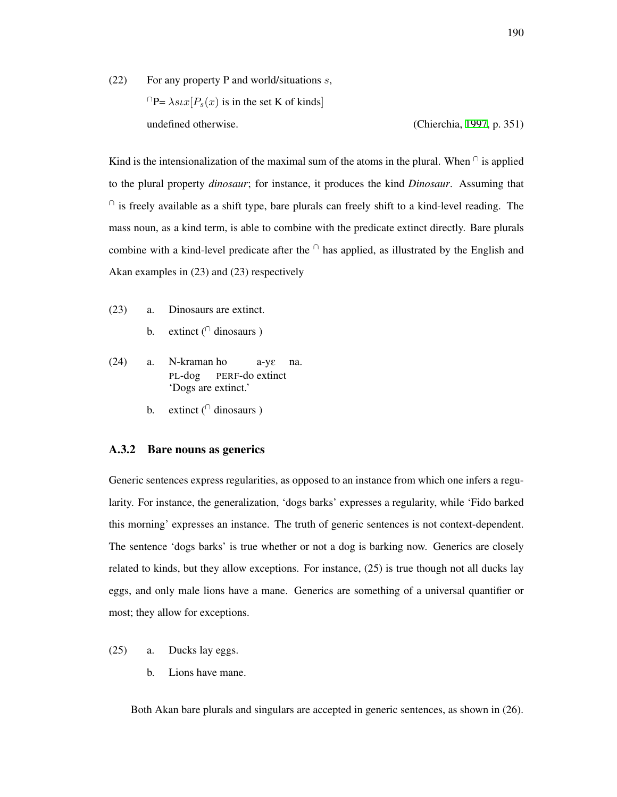(22) For any property P and world/situations *s*,  $\bigcap P = \lambda s \iota x$  [ $P_s(x)$  is in the set K of kinds] undefined otherwise. (Chierchia, [1997,](#page-207-1) p. 351)

Kind is the intensionalization of the maximal sum of the atoms in the plural. When  $\cap$  is applied to the plural property *dinosaur*; for instance, it produces the kind *Dinosaur*. Assuming that *∩* is freely available as a shift type, bare plurals can freely shift to a kind-level reading. The mass noun, as a kind term, is able to combine with the predicate extinct directly. Bare plurals combine with a kind-level predicate after the *∩* has applied, as illustrated by the English and Akan examples in (23) and (23) respectively

- (23) a. Dinosaurs are extinct.
	- b. extinct (*∩* dinosaurs )
- (24) a. N-kraman ho PL-dog PERF-do extinct a-yE na. 'Dogs are extinct.'
	- b. extinct (*∩* dinosaurs )

#### A.3.2 Bare nouns as generics

Generic sentences express regularities, as opposed to an instance from which one infers a regularity. For instance, the generalization, 'dogs barks' expresses a regularity, while 'Fido barked this morning' expresses an instance. The truth of generic sentences is not context-dependent. The sentence 'dogs barks' is true whether or not a dog is barking now. Generics are closely related to kinds, but they allow exceptions. For instance, (25) is true though not all ducks lay eggs, and only male lions have a mane. Generics are something of a universal quantifier or most; they allow for exceptions.

- (25) a. Ducks lay eggs.
	- b. Lions have mane.

Both Akan bare plurals and singulars are accepted in generic sentences, as shown in (26).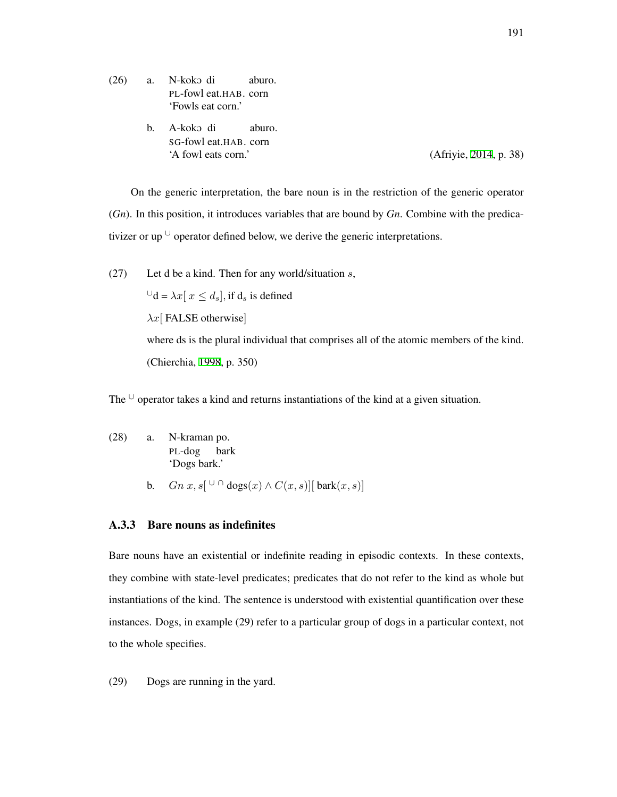(26) a. N-koko di PL-fowl eat.HAB. corn aburo. 'Fowls eat corn.' b. A-koko di SG-fowl eat.HAB. corn aburo. 'A fowl eats corn.' (Afriyie, [2014](#page-204-0), p. 38)

On the generic interpretation, the bare noun is in the restriction of the generic operator (*Gn*). In this position, it introduces variables that are bound by *Gn*. Combine with the predicativizer or up *∪* operator defined below, we derive the generic interpretations.

(27) Let d be a kind. Then for any world/situation *s*,

 $∪$ d =  $\lambda x$ [  $x \le d_s$ ]*,* if  $d_s$  is defined *λx*[ FALSE otherwise] where ds is the plural individual that comprises all of the atomic members of the kind. (Chierchia, [1998](#page-207-0), p. 350)

The *∪* operator takes a kind and returns instantiations of the kind at a given situation.

- (28) a. N-kraman po. PL-dog bark 'Dogs bark.'
	- **b.** *Gn x*,  $s[$  <sup>∪</sup> ∩ dogs $(x)$  ∧  $C(x, s)$ ][ bark $(x, s)$ ]

## A.3.3 Bare nouns as indefinites

Bare nouns have an existential or indefinite reading in episodic contexts. In these contexts, they combine with state-level predicates; predicates that do not refer to the kind as whole but instantiations of the kind. The sentence is understood with existential quantification over these instances. Dogs, in example (29) refer to a particular group of dogs in a particular context, not to the whole specifies.

(29) Dogs are running in the yard.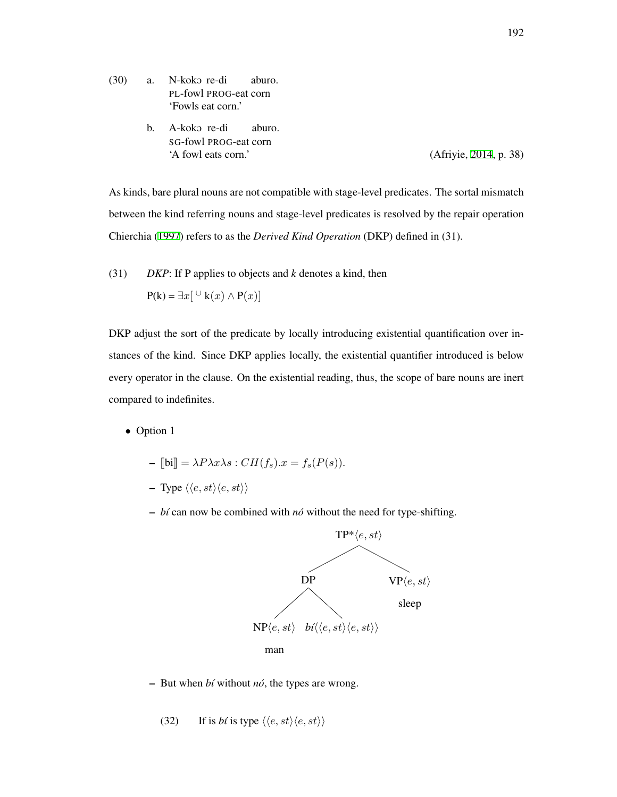- (30) a. N-koko re-di PL-fowl PROG-eat corn aburo. 'Fowls eat corn.'
	- b. A-koko re-di SG-fowl PROG-eat corn aburo. 'A fowl eats corn.' (Afriyie, [2014](#page-204-0), p. 38)

As kinds, bare plural nouns are not compatible with stage-level predicates. The sortal mismatch between the kind referring nouns and stage-level predicates is resolved by the repair operation Chierchia ([1997\)](#page-207-1) refers to as the *Derived Kind Operation* (DKP) defined in (31).

(31) *DKP*: If P applies to objects and *k* denotes a kind, then

$$
P(k) = \exists x [\cup k(x) \land P(x)]
$$

DKP adjust the sort of the predicate by locally introducing existential quantification over instances of the kind. Since DKP applies locally, the existential quantifier introduced is below every operator in the clause. On the existential reading, thus, the scope of bare nouns are inert compared to indefinites.

*•* Option 1

$$
- \llbracket \text{bi} \rrbracket = \lambda P \lambda x \lambda s : CH(f_s).x = f_s(P(s)).
$$

 $-$  Type  $\langle \langle e, st \rangle \langle e, st \rangle \rangle$ 

 $- b$ *i* can now be combined with *nó* without the need for type-shifting.



– But when *b´ı* without *no´*, the types are wrong.

(32) If is *bi* is type  $\langle \langle e, st \rangle \langle e, st \rangle \rangle$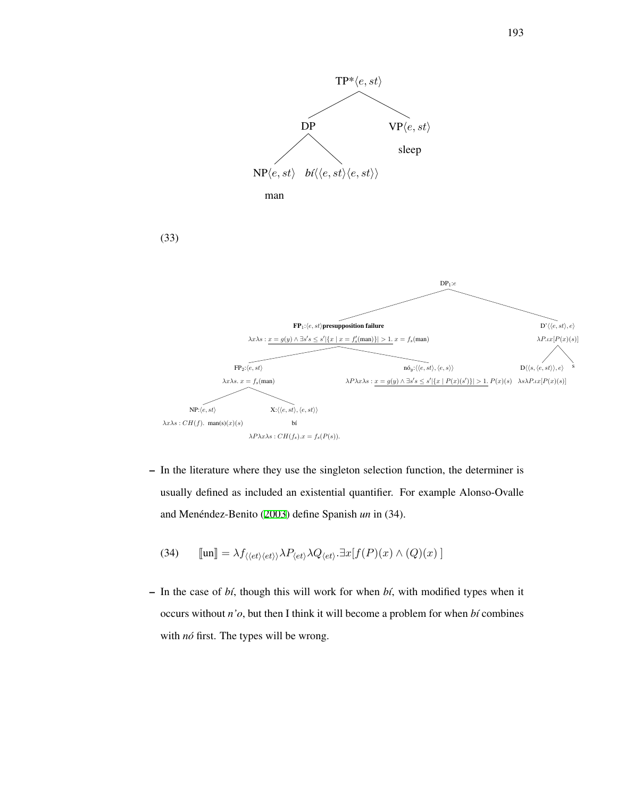

– In the literature where they use the singleton selection function, the determiner is usually defined as included an existential quantifier. For example Alonso-Ovalle and Menéndez-Benito ([2003](#page-205-4)) define Spanish *un* in (34).

(34) 
$$
\llbracket \text{un} \rrbracket = \lambda f_{\langle \langle et \rangle \langle et \rangle} \lambda P_{\langle et \rangle} \lambda Q_{\langle et \rangle} . \exists x [f(P)(x) \land (Q)(x)]
$$

– In the case of *b´ı*, though this will work for when *b´ı*, with modified types when it occurs without *n'o*, but then I think it will become a problem for when *bt* combines with *nó* first. The types will be wrong.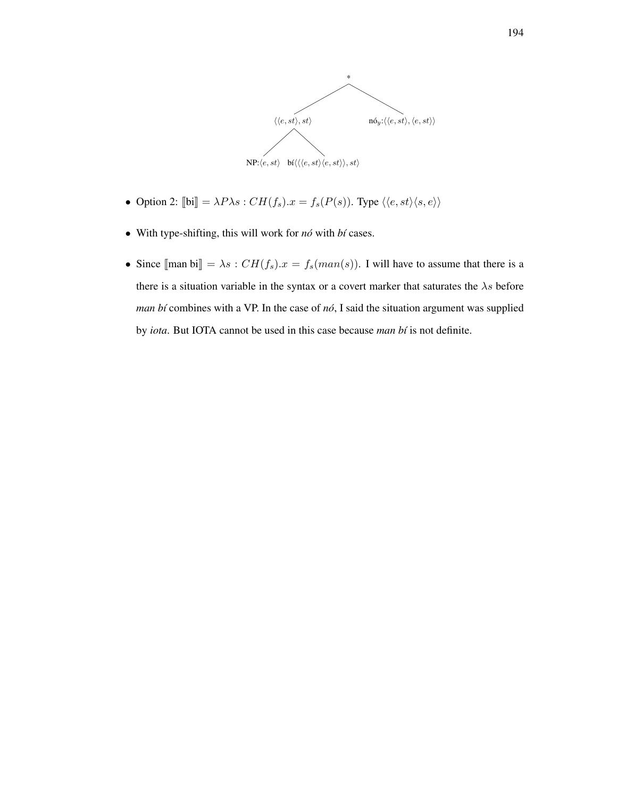

- Option 2:  $[\![\mathbf{bi}]\!] = \lambda P \lambda s : CH(f_s).x = f_s(P(s)).$  Type  $\langle\langle e, st \rangle \langle s, e \rangle\rangle$
- With type-shifting, this will work for *nó* with *bí* cases.
- Since  $[\text{man bi}] = \lambda s : CH(f_s)x = f_s(\text{man}(s))$ . I will have to assume that there is a there is a situation variable in the syntax or a covert marker that saturates the *λs* before *man bí* combines with a VP. In the case of  $n\acute{o}$ , I said the situation argument was supplied by *iota*. But IOTA cannot be used in this case because *man bt* is not definite.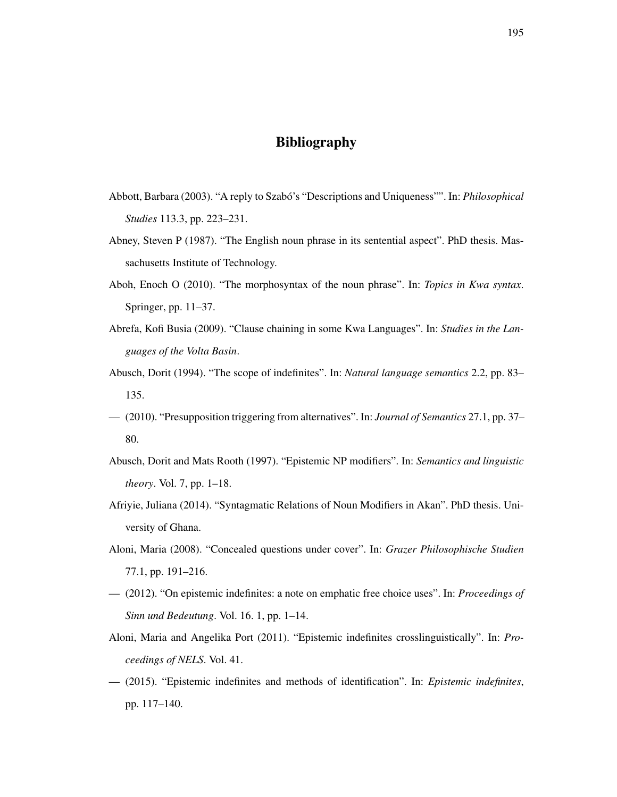# Bibliography

- Abbott, Barbara (2003). "A reply to Szabó's "Descriptions and Uniqueness"". In: *Philosophical Studies* 113.3, pp. 223–231.
- Abney, Steven P (1987). "The English noun phrase in its sentential aspect". PhD thesis. Massachusetts Institute of Technology.
- Aboh, Enoch O (2010). "The morphosyntax of the noun phrase". In: *Topics in Kwa syntax*. Springer, pp. 11–37.
- Abrefa, Kofi Busia (2009). "Clause chaining in some Kwa Languages". In: *Studies in the Languages of the Volta Basin*.
- Abusch, Dorit (1994). "The scope of indefinites". In: *Natural language semantics* 2.2, pp. 83– 135.
- (2010). "Presupposition triggering from alternatives". In: *Journal of Semantics* 27.1, pp. 37– 80.
- Abusch, Dorit and Mats Rooth (1997). "Epistemic NP modifiers". In: *Semantics and linguistic theory*. Vol. 7, pp. 1–18.
- <span id="page-204-0"></span>Afriyie, Juliana (2014). "Syntagmatic Relations of Noun Modifiers in Akan". PhD thesis. University of Ghana.
- Aloni, Maria (2008). "Concealed questions under cover". In: *Grazer Philosophische Studien* 77.1, pp. 191–216.
- (2012). "On epistemic indefinites: a note on emphatic free choice uses". In: *Proceedings of Sinn und Bedeutung*. Vol. 16. 1, pp. 1–14.
- Aloni, Maria and Angelika Port (2011). "Epistemic indefinites crosslinguistically". In: *Proceedings of NELS*. Vol. 41.
- (2015). "Epistemic indefinites and methods of identification". In: *Epistemic indefinites*, pp. 117–140.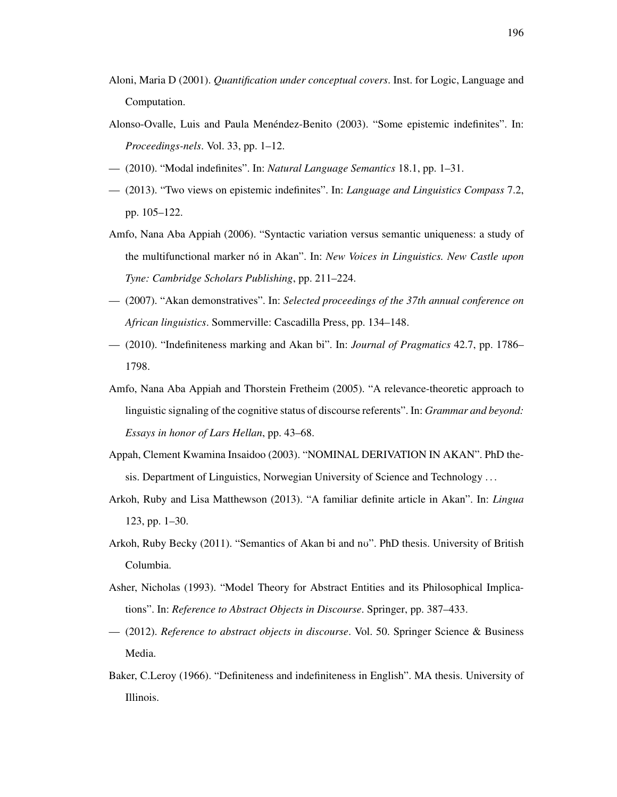- Aloni, Maria D (2001). *Quantification under conceptual covers*. Inst. for Logic, Language and Computation.
- <span id="page-205-4"></span>Alonso-Ovalle, Luis and Paula Menéndez-Benito (2003). "Some epistemic indefinites". In: *Proceedings-nels*. Vol. 33, pp. 1–12.
- (2010). "Modal indefinites". In: *Natural Language Semantics* 18.1, pp. 1–31.
- (2013). "Two views on epistemic indefinites". In: *Language and Linguistics Compass* 7.2, pp. 105–122.
- Amfo, Nana Aba Appiah (2006). "Syntactic variation versus semantic uniqueness: a study of the multifunctional marker nó in Akan". In: *New Voices in Linguistics. New Castle upon Tyne: Cambridge Scholars Publishing*, pp. 211–224.
- (2007). "Akan demonstratives". In: *Selected proceedings of the 37th annual conference on African linguistics*. Sommerville: Cascadilla Press, pp. 134–148.
- <span id="page-205-1"></span>— (2010). "Indefiniteness marking and Akan bi". In: *Journal of Pragmatics* 42.7, pp. 1786– 1798.
- Amfo, Nana Aba Appiah and Thorstein Fretheim (2005). "A relevance-theoretic approach to linguistic signaling of the cognitive status of discourse referents". In: *Grammar and beyond: Essays in honor of Lars Hellan*, pp. 43–68.
- <span id="page-205-3"></span>Appah, Clement Kwamina Insaidoo (2003). "NOMINAL DERIVATION IN AKAN". PhD thesis. Department of Linguistics, Norwegian University of Science and Technology . . .
- <span id="page-205-0"></span>Arkoh, Ruby and Lisa Matthewson (2013). "A familiar definite article in Akan". In: *Lingua* 123, pp. 1–30.
- <span id="page-205-2"></span>Arkoh, Ruby Becky (2011). "Semantics of Akan bi and no". PhD thesis. University of British Columbia.
- Asher, Nicholas (1993). "Model Theory for Abstract Entities and its Philosophical Implications". In: *Reference to Abstract Objects in Discourse*. Springer, pp. 387–433.
- (2012). *Reference to abstract objects in discourse*. Vol. 50. Springer Science & Business Media.
- Baker, C.Leroy (1966). "Definiteness and indefiniteness in English". MA thesis. University of Illinois.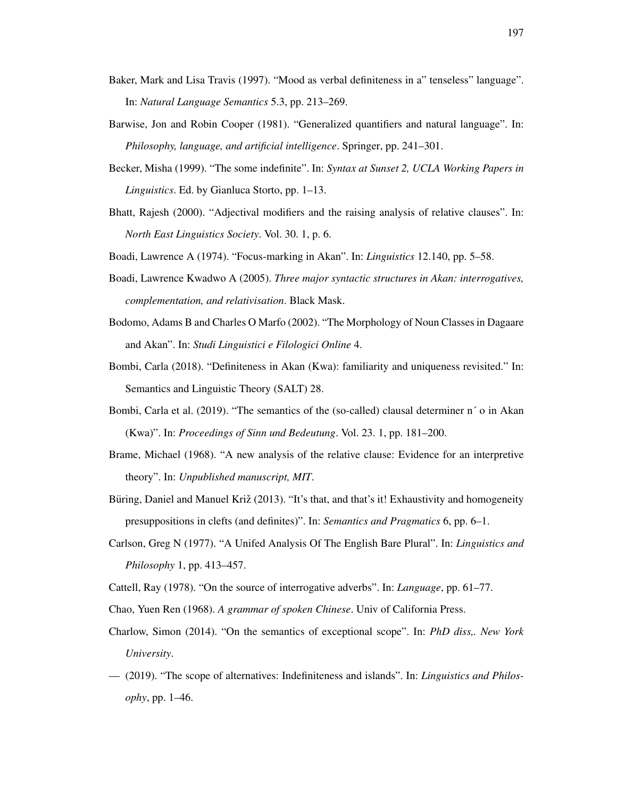- Baker, Mark and Lisa Travis (1997). "Mood as verbal definiteness in a" tenseless" language". In: *Natural Language Semantics* 5.3, pp. 213–269.
- Barwise, Jon and Robin Cooper (1981). "Generalized quantifiers and natural language". In: *Philosophy, language, and artificial intelligence*. Springer, pp. 241–301.
- Becker, Misha (1999). "The some indefinite". In: *Syntax at Sunset 2, UCLA Working Papers in Linguistics*. Ed. by Gianluca Storto, pp. 1–13.
- Bhatt, Rajesh (2000). "Adjectival modifiers and the raising analysis of relative clauses". In: *North East Linguistics Society*. Vol. 30. 1, p. 6.
- <span id="page-206-3"></span>Boadi, Lawrence A (1974). "Focus-marking in Akan". In: *Linguistics* 12.140, pp. 5–58.
- Boadi, Lawrence Kwadwo A (2005). *Three major syntactic structures in Akan: interrogatives, complementation, and relativisation*. Black Mask.
- <span id="page-206-2"></span>Bodomo, Adams B and Charles O Marfo (2002). "The Morphology of Noun Classes in Dagaare and Akan". In: *Studi Linguistici e Filologici Online* 4.
- Bombi, Carla (2018). "Definiteness in Akan (Kwa): familiarity and uniqueness revisited." In: Semantics and Linguistic Theory (SALT) 28.
- <span id="page-206-1"></span>Bombi, Carla et al. (2019). "The semantics of the (so-called) clausal determiner n' o in Akan (Kwa)". In: *Proceedings of Sinn und Bedeutung*. Vol. 23. 1, pp. 181–200.
- Brame, Michael (1968). "A new analysis of the relative clause: Evidence for an interpretive theory". In: *Unpublished manuscript, MIT*.
- Buring, Daniel and Manuel Križ (2013). "It's that, and that's it! Exhaustivity and homogeneity presuppositions in clefts (and definites)". In: *Semantics and Pragmatics* 6, pp. 6–1.
- <span id="page-206-4"></span>Carlson, Greg N (1977). "A Unifed Analysis Of The English Bare Plural". In: *Linguistics and Philosophy* 1, pp. 413–457.
- <span id="page-206-0"></span>Cattell, Ray (1978). "On the source of interrogative adverbs". In: *Language*, pp. 61–77.
- Chao, Yuen Ren (1968). *A grammar of spoken Chinese*. Univ of California Press.
- Charlow, Simon (2014). "On the semantics of exceptional scope". In: *PhD diss,. New York University*.
- (2019). "The scope of alternatives: Indefiniteness and islands". In: *Linguistics and Philosophy*, pp. 1–46.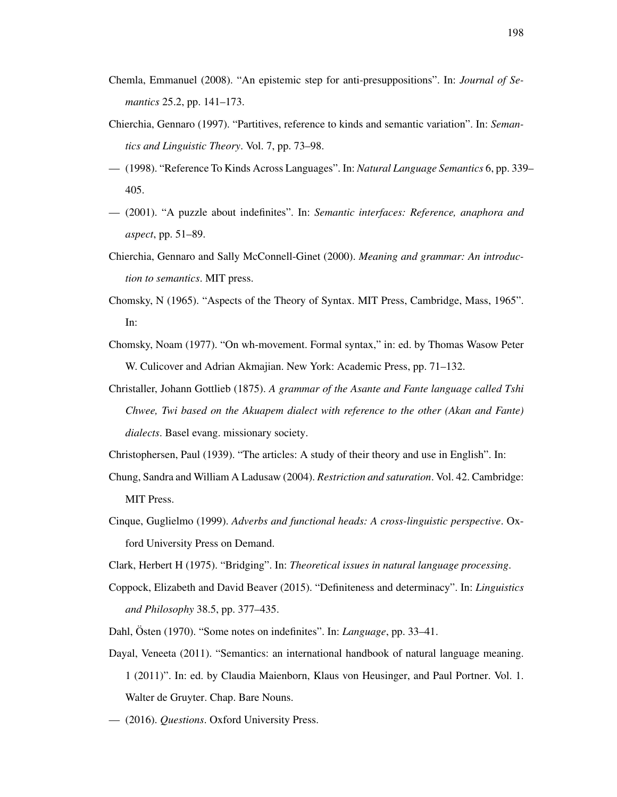- Chemla, Emmanuel (2008). "An epistemic step for anti-presuppositions". In: *Journal of Semantics* 25.2, pp. 141–173.
- <span id="page-207-1"></span>Chierchia, Gennaro (1997). "Partitives, reference to kinds and semantic variation". In: *Semantics and Linguistic Theory*. Vol. 7, pp. 73–98.
- <span id="page-207-0"></span>— (1998). "Reference To Kinds Across Languages". In: *Natural Language Semantics* 6, pp. 339– 405.
- (2001). "A puzzle about indefinites". In: *Semantic interfaces: Reference, anaphora and aspect*, pp. 51–89.
- Chierchia, Gennaro and Sally McConnell-Ginet (2000). *Meaning and grammar: An introduction to semantics*. MIT press.
- Chomsky, N (1965). "Aspects of the Theory of Syntax. MIT Press, Cambridge, Mass, 1965". In:
- Chomsky, Noam (1977). "On wh-movement. Formal syntax," in: ed. by Thomas Wasow Peter W. Culicover and Adrian Akmajian. New York: Academic Press, pp. 71–132.
- Christaller, Johann Gottlieb (1875). *A grammar of the Asante and Fante language called Tshi Chwee, Twi based on the Akuapem dialect with reference to the other (Akan and Fante) dialects*. Basel evang. missionary society.
- Christophersen, Paul (1939). "The articles: A study of their theory and use in English". In:
- Chung, Sandra and William A Ladusaw (2004). *Restriction and saturation*. Vol. 42. Cambridge: MIT Press.
- Cinque, Guglielmo (1999). *Adverbs and functional heads: A cross-linguistic perspective*. Oxford University Press on Demand.
- Clark, Herbert H (1975). "Bridging". In: *Theoretical issues in natural language processing*.
- Coppock, Elizabeth and David Beaver (2015). "Definiteness and determinacy". In: *Linguistics and Philosophy* 38.5, pp. 377–435.
- Dahl, Östen (1970). "Some notes on indefinites". In: *Language*, pp. 33–41.
- Dayal, Veneeta (2011). "Semantics: an international handbook of natural language meaning. 1 (2011)". In: ed. by Claudia Maienborn, Klaus von Heusinger, and Paul Portner. Vol. 1. Walter de Gruyter. Chap. Bare Nouns.
- (2016). *Questions*. Oxford University Press.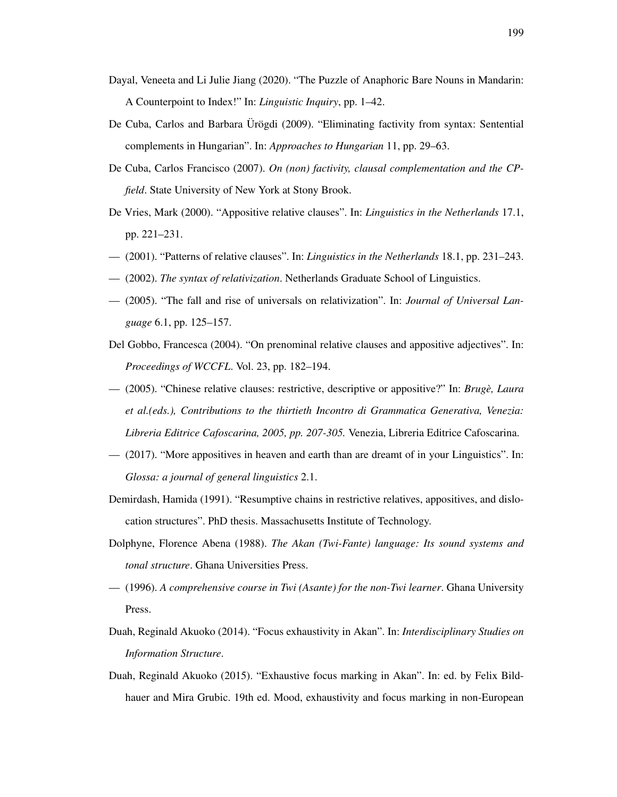- <span id="page-208-0"></span>Dayal, Veneeta and Li Julie Jiang (2020). "The Puzzle of Anaphoric Bare Nouns in Mandarin: A Counterpoint to Index!" In: *Linguistic Inquiry*, pp. 1–42.
- De Cuba, Carlos and Barbara Ürögdi (2009). "Eliminating factivity from syntax: Sentential complements in Hungarian". In: *Approaches to Hungarian* 11, pp. 29–63.
- De Cuba, Carlos Francisco (2007). *On (non) factivity, clausal complementation and the CPfield*. State University of New York at Stony Brook.
- De Vries, Mark (2000). "Appositive relative clauses". In: *Linguistics in the Netherlands* 17.1, pp. 221–231.
- (2001). "Patterns of relative clauses". In: *Linguistics in the Netherlands* 18.1, pp. 231–243.
- (2002). *The syntax of relativization*. Netherlands Graduate School of Linguistics.
- (2005). "The fall and rise of universals on relativization". In: *Journal of Universal Language* 6.1, pp. 125–157.
- Del Gobbo, Francesca (2004). "On prenominal relative clauses and appositive adjectives". In: *Proceedings of WCCFL*. Vol. 23, pp. 182–194.
- (2005). "Chinese relative clauses: restrictive, descriptive or appositive?" In: *Bruge, Laura ` et al.(eds.), Contributions to the thirtieth Incontro di Grammatica Generativa, Venezia: Libreria Editrice Cafoscarina, 2005, pp. 207-305.* Venezia, Libreria Editrice Cafoscarina.
- (2017). "More appositives in heaven and earth than are dreamt of in your Linguistics". In: *Glossa: a journal of general linguistics* 2.1.
- Demirdash, Hamida (1991). "Resumptive chains in restrictive relatives, appositives, and dislocation structures". PhD thesis. Massachusetts Institute of Technology.
- <span id="page-208-1"></span>Dolphyne, Florence Abena (1988). *The Akan (Twi-Fante) language: Its sound systems and tonal structure*. Ghana Universities Press.
- (1996). *A comprehensive course in Twi (Asante) for the non-Twi learner*. Ghana University Press.
- Duah, Reginald Akuoko (2014). "Focus exhaustivity in Akan". In: *Interdisciplinary Studies on Information Structure*.
- Duah, Reginald Akuoko (2015). "Exhaustive focus marking in Akan". In: ed. by Felix Bildhauer and Mira Grubic. 19th ed. Mood, exhaustivity and focus marking in non-European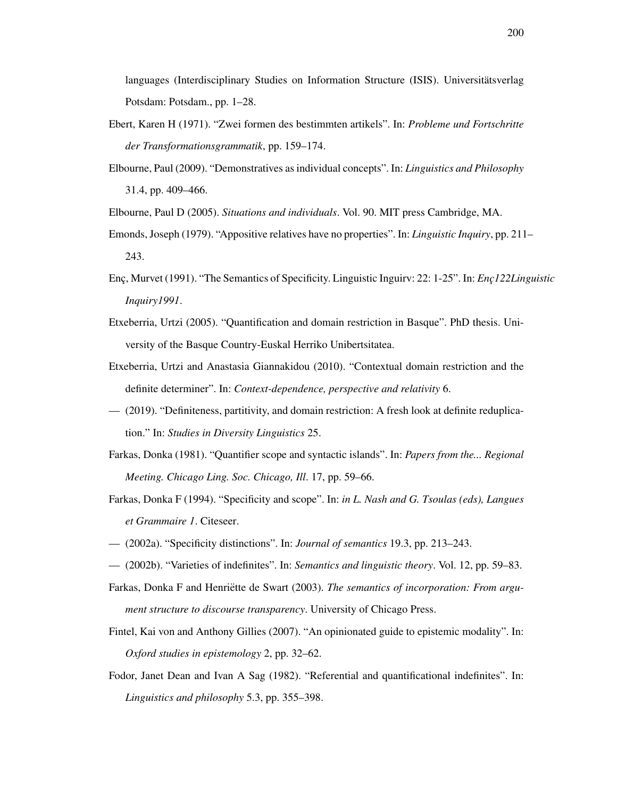languages (Interdisciplinary Studies on Information Structure (ISIS). Universitätsverlag Potsdam: Potsdam., pp. 1–28.

- Ebert, Karen H (1971). "Zwei formen des bestimmten artikels". In: *Probleme und Fortschritte der Transformationsgrammatik*, pp. 159–174.
- Elbourne, Paul (2009). "Demonstratives as individual concepts". In: *Linguistics and Philosophy* 31.4, pp. 409–466.

<span id="page-209-0"></span>Elbourne, Paul D (2005). *Situations and individuals*. Vol. 90. MIT press Cambridge, MA.

- Emonds, Joseph (1979). "Appositive relatives have no properties". In: *Linguistic Inquiry*, pp. 211– 243.
- Enc¸, Murvet (1991). "The Semantics of Specificity. Linguistic Inguirv: 22: 1-25". In: *Enc¸122Linguistic Inquiry1991*.
- Etxeberria, Urtzi (2005). "Quantification and domain restriction in Basque". PhD thesis. University of the Basque Country-Euskal Herriko Unibertsitatea.
- Etxeberria, Urtzi and Anastasia Giannakidou (2010). "Contextual domain restriction and the definite determiner". In: *Context-dependence, perspective and relativity* 6.
- (2019). "Definiteness, partitivity, and domain restriction: A fresh look at definite reduplication." In: *Studies in Diversity Linguistics* 25.
- Farkas, Donka (1981). "Quantifier scope and syntactic islands". In: *Papers from the... Regional Meeting. Chicago Ling. Soc. Chicago, Ill*. 17, pp. 59–66.
- Farkas, Donka F (1994). "Specificity and scope". In: *in L. Nash and G. Tsoulas (eds), Langues et Grammaire 1*. Citeseer.
- (2002a). "Specificity distinctions". In: *Journal of semantics* 19.3, pp. 213–243.
- (2002b). "Varieties of indefinites". In: *Semantics and linguistic theory*. Vol. 12, pp. 59–83.
- Farkas, Donka F and Henriëtte de Swart (2003). The semantics of incorporation: From argu*ment structure to discourse transparency*. University of Chicago Press.
- Fintel, Kai von and Anthony Gillies (2007). "An opinionated guide to epistemic modality". In: *Oxford studies in epistemology* 2, pp. 32–62.
- Fodor, Janet Dean and Ivan A Sag (1982). "Referential and quantificational indefinites". In: *Linguistics and philosophy* 5.3, pp. 355–398.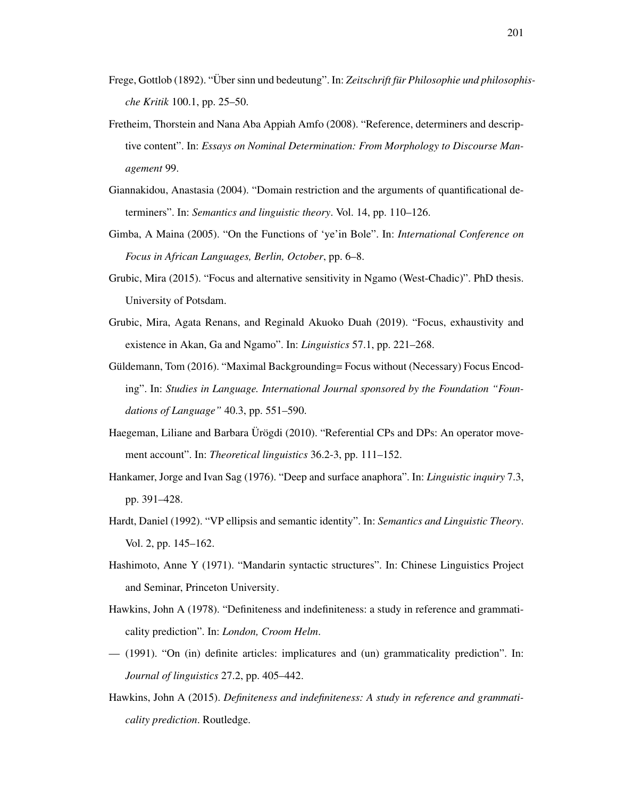- Frege, Gottlob (1892). "Über sinn und bedeutung". In: Zeitschrift für Philosophie und philosophis*che Kritik* 100.1, pp. 25–50.
- Fretheim, Thorstein and Nana Aba Appiah Amfo (2008). "Reference, determiners and descriptive content". In: *Essays on Nominal Determination: From Morphology to Discourse Management* 99.
- Giannakidou, Anastasia (2004). "Domain restriction and the arguments of quantificational determiners". In: *Semantics and linguistic theory*. Vol. 14, pp. 110–126.
- Gimba, A Maina (2005). "On the Functions of 'ye'in Bole". In: *International Conference on Focus in African Languages, Berlin, October*, pp. 6–8.
- Grubic, Mira (2015). "Focus and alternative sensitivity in Ngamo (West-Chadic)". PhD thesis. University of Potsdam.
- Grubic, Mira, Agata Renans, and Reginald Akuoko Duah (2019). "Focus, exhaustivity and existence in Akan, Ga and Ngamo". In: *Linguistics* 57.1, pp. 221–268.
- Güldemann, Tom (2016). "Maximal Backgrounding= Focus without (Necessary) Focus Encoding". In: *Studies in Language. International Journal sponsored by the Foundation "Foundations of Language"* 40.3, pp. 551–590.
- Haegeman, Liliane and Barbara Ürögdi (2010). "Referential CPs and DPs: An operator movement account". In: *Theoretical linguistics* 36.2-3, pp. 111–152.
- Hankamer, Jorge and Ivan Sag (1976). "Deep and surface anaphora". In: *Linguistic inquiry* 7.3, pp. 391–428.
- Hardt, Daniel (1992). "VP ellipsis and semantic identity". In: *Semantics and Linguistic Theory*. Vol. 2, pp. 145–162.
- Hashimoto, Anne Y (1971). "Mandarin syntactic structures". In: Chinese Linguistics Project and Seminar, Princeton University.
- Hawkins, John A (1978). "Definiteness and indefiniteness: a study in reference and grammaticality prediction". In: *London, Croom Helm*.
- (1991). "On (in) definite articles: implicatures and (un) grammaticality prediction". In: *Journal of linguistics* 27.2, pp. 405–442.
- Hawkins, John A (2015). *Definiteness and indefiniteness: A study in reference and grammaticality prediction*. Routledge.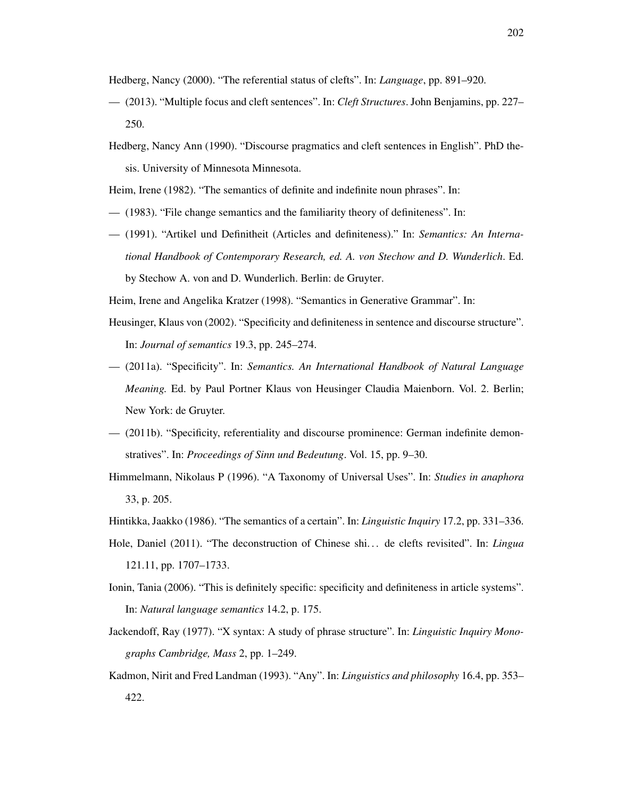Hedberg, Nancy (2000). "The referential status of clefts". In: *Language*, pp. 891–920.

- (2013). "Multiple focus and cleft sentences". In: *Cleft Structures*. John Benjamins, pp. 227– 250.
- Hedberg, Nancy Ann (1990). "Discourse pragmatics and cleft sentences in English". PhD thesis. University of Minnesota Minnesota.

Heim, Irene (1982). "The semantics of definite and indefinite noun phrases". In:

- (1983). "File change semantics and the familiarity theory of definiteness". In:
- (1991). "Artikel und Definitheit (Articles and definiteness)." In: *Semantics: An International Handbook of Contemporary Research, ed. A. von Stechow and D. Wunderlich*. Ed. by Stechow A. von and D. Wunderlich. Berlin: de Gruyter.

Heim, Irene and Angelika Kratzer (1998). "Semantics in Generative Grammar". In:

- Heusinger, Klaus von (2002). "Specificity and definiteness in sentence and discourse structure". In: *Journal of semantics* 19.3, pp. 245–274.
- (2011a). "Specificity". In: *Semantics. An International Handbook of Natural Language Meaning.* Ed. by Paul Portner Klaus von Heusinger Claudia Maienborn. Vol. 2. Berlin; New York: de Gruyter.
- (2011b). "Specificity, referentiality and discourse prominence: German indefinite demonstratives". In: *Proceedings of Sinn und Bedeutung*. Vol. 15, pp. 9–30.
- Himmelmann, Nikolaus P (1996). "A Taxonomy of Universal Uses". In: *Studies in anaphora* 33, p. 205.
- Hintikka, Jaakko (1986). "The semantics of a certain". In: *Linguistic Inquiry* 17.2, pp. 331–336.
- Hole, Daniel (2011). "The deconstruction of Chinese shi. . . de clefts revisited". In: *Lingua* 121.11, pp. 1707–1733.
- Ionin, Tania (2006). "This is definitely specific: specificity and definiteness in article systems". In: *Natural language semantics* 14.2, p. 175.
- Jackendoff, Ray (1977). "X syntax: A study of phrase structure". In: *Linguistic Inquiry Monographs Cambridge, Mass* 2, pp. 1–249.
- Kadmon, Nirit and Fred Landman (1993). "Any". In: *Linguistics and philosophy* 16.4, pp. 353– 422.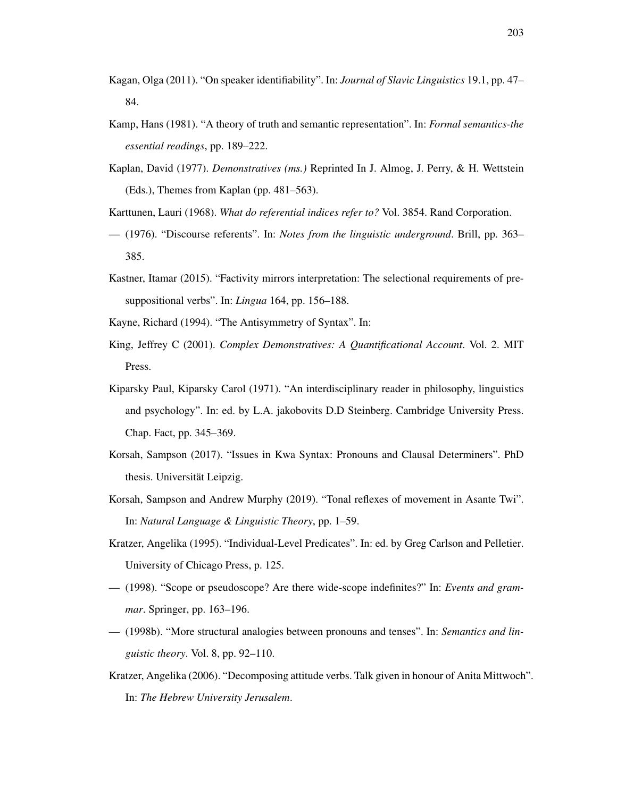- Kagan, Olga (2011). "On speaker identifiability". In: *Journal of Slavic Linguistics* 19.1, pp. 47– 84.
- Kamp, Hans (1981). "A theory of truth and semantic representation". In: *Formal semantics-the essential readings*, pp. 189–222.
- Kaplan, David (1977). *Demonstratives (ms.)* Reprinted In J. Almog, J. Perry, & H. Wettstein (Eds.), Themes from Kaplan (pp. 481–563).
- Karttunen, Lauri (1968). *What do referential indices refer to?* Vol. 3854. Rand Corporation.
- (1976). "Discourse referents". In: *Notes from the linguistic underground*. Brill, pp. 363– 385.
- <span id="page-212-0"></span>Kastner, Itamar (2015). "Factivity mirrors interpretation: The selectional requirements of presuppositional verbs". In: *Lingua* 164, pp. 156–188.
- Kayne, Richard (1994). "The Antisymmetry of Syntax". In:
- King, Jeffrey C (2001). *Complex Demonstratives: A Quantificational Account*. Vol. 2. MIT Press.
- Kiparsky Paul, Kiparsky Carol (1971). "An interdisciplinary reader in philosophy, linguistics and psychology". In: ed. by L.A. jakobovits D.D Steinberg. Cambridge University Press. Chap. Fact, pp. 345–369.
- Korsah, Sampson (2017). "Issues in Kwa Syntax: Pronouns and Clausal Determiners". PhD thesis. Universität Leipzig.
- Korsah, Sampson and Andrew Murphy (2019). "Tonal reflexes of movement in Asante Twi". In: *Natural Language & Linguistic Theory*, pp. 1–59.
- Kratzer, Angelika (1995). "Individual-Level Predicates". In: ed. by Greg Carlson and Pelletier. University of Chicago Press, p. 125.
- (1998). "Scope or pseudoscope? Are there wide-scope indefinites?" In: *Events and grammar*. Springer, pp. 163–196.
- (1998b). "More structural analogies between pronouns and tenses". In: *Semantics and linguistic theory*. Vol. 8, pp. 92–110.
- Kratzer, Angelika (2006). "Decomposing attitude verbs. Talk given in honour of Anita Mittwoch". In: *The Hebrew University Jerusalem*.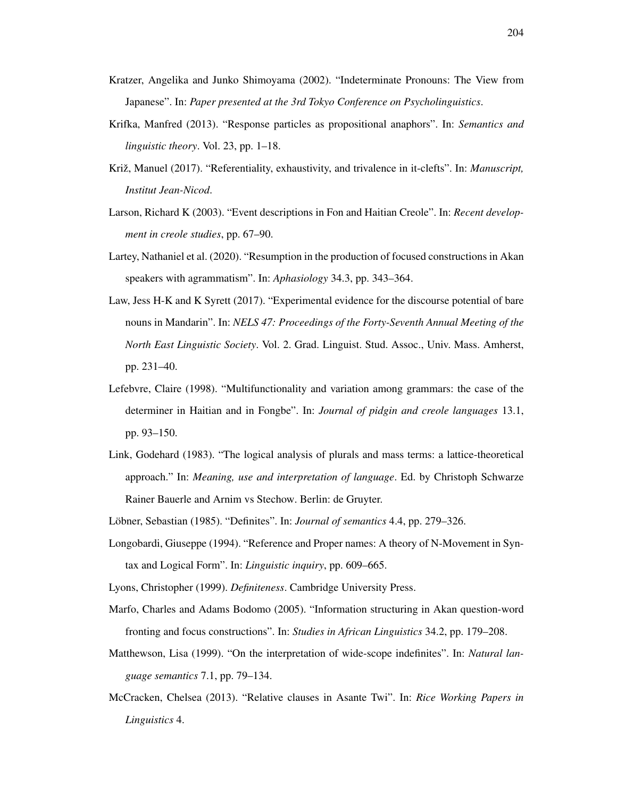- Kratzer, Angelika and Junko Shimoyama (2002). "Indeterminate Pronouns: The View from Japanese". In: *Paper presented at the 3rd Tokyo Conference on Psycholinguistics*.
- Krifka, Manfred (2013). "Response particles as propositional anaphors". In: *Semantics and linguistic theory*. Vol. 23, pp. 1–18.
- Križ, Manuel (2017). "Referentiality, exhaustivity, and trivalence in it-clefts". In: *Manuscript*, *Institut Jean-Nicod*.
- Larson, Richard K (2003). "Event descriptions in Fon and Haitian Creole". In: *Recent development in creole studies*, pp. 67–90.
- Lartey, Nathaniel et al. (2020). "Resumption in the production of focused constructions in Akan speakers with agrammatism". In: *Aphasiology* 34.3, pp. 343–364.
- Law, Jess H-K and K Syrett (2017). "Experimental evidence for the discourse potential of bare nouns in Mandarin". In: *NELS 47: Proceedings of the Forty-Seventh Annual Meeting of the North East Linguistic Society*. Vol. 2. Grad. Linguist. Stud. Assoc., Univ. Mass. Amherst, pp. 231–40.
- Lefebvre, Claire (1998). "Multifunctionality and variation among grammars: the case of the determiner in Haitian and in Fongbe". In: *Journal of pidgin and creole languages* 13.1, pp. 93–150.
- <span id="page-213-0"></span>Link, Godehard (1983). "The logical analysis of plurals and mass terms: a lattice-theoretical approach." In: *Meaning, use and interpretation of language*. Ed. by Christoph Schwarze Rainer Bauerle and Arnim vs Stechow. Berlin: de Gruyter.
- Löbner, Sebastian (1985). "Definites". In: *Journal of semantics* 4.4, pp. 279–326.
- Longobardi, Giuseppe (1994). "Reference and Proper names: A theory of N-Movement in Syntax and Logical Form". In: *Linguistic inquiry*, pp. 609–665.
- Lyons, Christopher (1999). *Definiteness*. Cambridge University Press.
- Marfo, Charles and Adams Bodomo (2005). "Information structuring in Akan question-word fronting and focus constructions". In: *Studies in African Linguistics* 34.2, pp. 179–208.
- Matthewson, Lisa (1999). "On the interpretation of wide-scope indefinites". In: *Natural language semantics* 7.1, pp. 79–134.
- McCracken, Chelsea (2013). "Relative clauses in Asante Twi". In: *Rice Working Papers in Linguistics* 4.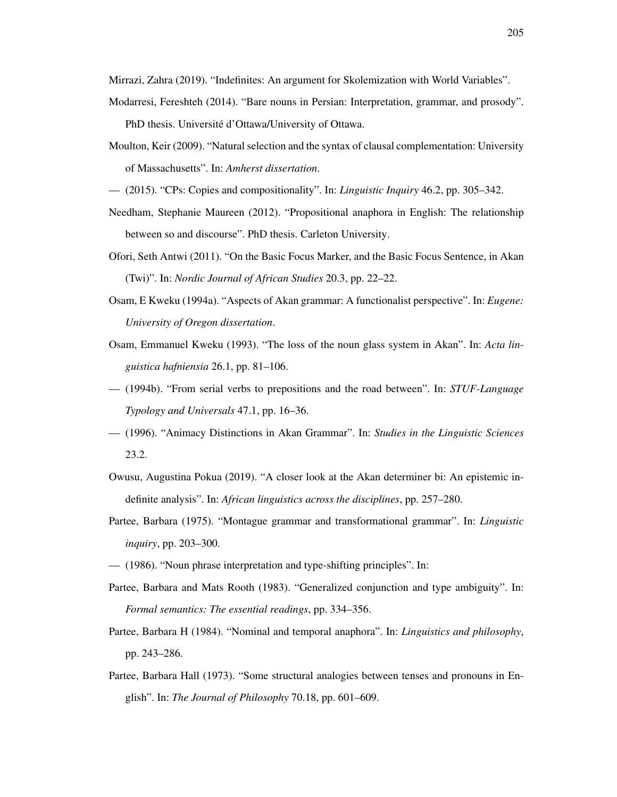Mirrazi, Zahra (2019). "Indefinites: An argument for Skolemization with World Variables".

- Modarresi, Fereshteh (2014). "Bare nouns in Persian: Interpretation, grammar, and prosody". PhD thesis. Université d'Ottawa/University of Ottawa.
- Moulton, Keir (2009). "Natural selection and the syntax of clausal complementation: University of Massachusetts". In: *Amherst dissertation*.
- (2015). "CPs: Copies and compositionality". In: *Linguistic Inquiry* 46.2, pp. 305–342.
- Needham, Stephanie Maureen (2012). "Propositional anaphora in English: The relationship between so and discourse". PhD thesis. Carleton University.
- Ofori, Seth Antwi (2011). "On the Basic Focus Marker, and the Basic Focus Sentence, in Akan (Twi)". In: *Nordic Journal of African Studies* 20.3, pp. 22–22.
- <span id="page-214-0"></span>Osam, E Kweku (1994a). "Aspects of Akan grammar: A functionalist perspective". In: *Eugene: University of Oregon dissertation*.
- <span id="page-214-1"></span>Osam, Emmanuel Kweku (1993). "The loss of the noun glass system in Akan". In: *Acta linguistica hafniensia* 26.1, pp. 81–106.
- (1994b). "From serial verbs to prepositions and the road between". In: *STUF-Language Typology and Universals* 47.1, pp. 16–36.
- <span id="page-214-2"></span>— (1996). "Animacy Distinctions in Akan Grammar". In: *Studies in the Linguistic Sciences* 23.2.
- Owusu, Augustina Pokua (2019). "A closer look at the Akan determiner bi: An epistemic indefinite analysis". In: *African linguistics across the disciplines*, pp. 257–280.
- Partee, Barbara (1975). "Montague grammar and transformational grammar". In: *Linguistic inquiry*, pp. 203–300.
- (1986). "Noun phrase interpretation and type-shifting principles". In:
- Partee, Barbara and Mats Rooth (1983). "Generalized conjunction and type ambiguity". In: *Formal semantics: The essential readings*, pp. 334–356.
- Partee, Barbara H (1984). "Nominal and temporal anaphora". In: *Linguistics and philosophy*, pp. 243–286.
- Partee, Barbara Hall (1973). "Some structural analogies between tenses and pronouns in English". In: *The Journal of Philosophy* 70.18, pp. 601–609.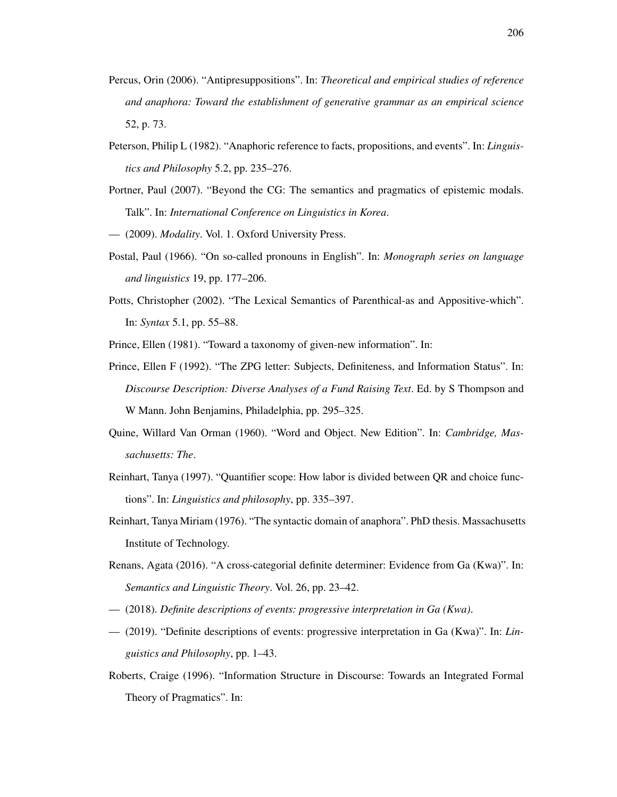- Percus, Orin (2006). "Antipresuppositions". In: *Theoretical and empirical studies of reference and anaphora: Toward the establishment of generative grammar as an empirical science* 52, p. 73.
- Peterson, Philip L (1982). "Anaphoric reference to facts, propositions, and events". In: *Linguistics and Philosophy* 5.2, pp. 235–276.
- Portner, Paul (2007). "Beyond the CG: The semantics and pragmatics of epistemic modals. Talk". In: *International Conference on Linguistics in Korea*.
- <span id="page-215-2"></span>— (2009). *Modality*. Vol. 1. Oxford University Press.
- Postal, Paul (1966). "On so-called pronouns in English". In: *Monograph series on language and linguistics* 19, pp. 177–206.
- Potts, Christopher (2002). "The Lexical Semantics of Parenthical-as and Appositive-which". In: *Syntax* 5.1, pp. 55–88.

Prince, Ellen (1981). "Toward a taxonomy of given-new information". In:

- Prince, Ellen F (1992). "The ZPG letter: Subjects, Definiteness, and Information Status". In: *Discourse Description: Diverse Analyses of a Fund Raising Text*. Ed. by S Thompson and W Mann. John Benjamins, Philadelphia, pp. 295–325.
- Quine, Willard Van Orman (1960). "Word and Object. New Edition". In: *Cambridge, Massachusetts: The*.
- Reinhart, Tanya (1997). "Quantifier scope: How labor is divided between QR and choice functions". In: *Linguistics and philosophy*, pp. 335–397.
- Reinhart, Tanya Miriam (1976). "The syntactic domain of anaphora". PhD thesis. Massachusetts Institute of Technology.
- <span id="page-215-0"></span>Renans, Agata (2016). "A cross-categorial definite determiner: Evidence from Ga (Kwa)". In: *Semantics and Linguistic Theory*. Vol. 26, pp. 23–42.
- <span id="page-215-1"></span>— (2018). *Definite descriptions of events: progressive interpretation in Ga (Kwa)*.
- (2019). "Definite descriptions of events: progressive interpretation in Ga (Kwa)". In: *Linguistics and Philosophy*, pp. 1–43.
- Roberts, Craige (1996). "Information Structure in Discourse: Towards an Integrated Formal Theory of Pragmatics". In: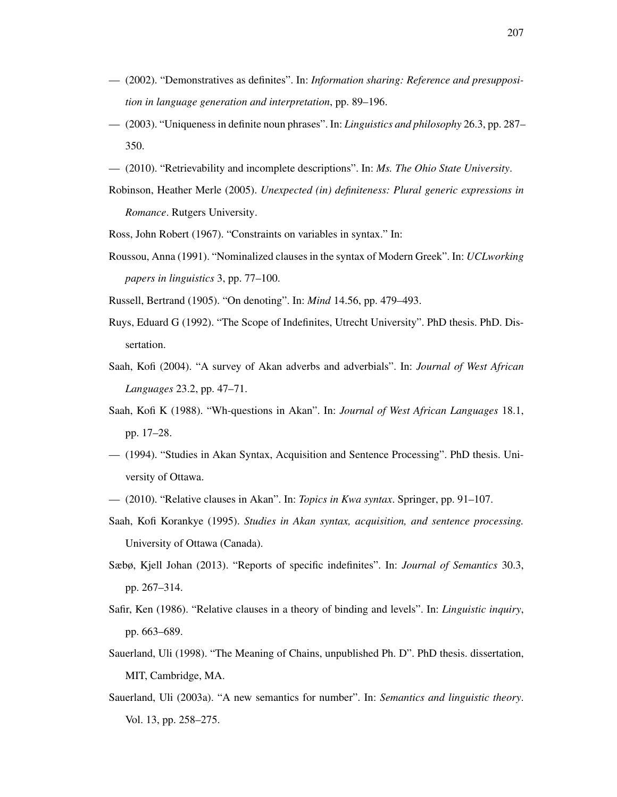- (2002). "Demonstratives as definites". In: *Information sharing: Reference and presupposition in language generation and interpretation*, pp. 89–196.
- (2003). "Uniqueness in definite noun phrases". In: *Linguistics and philosophy* 26.3, pp. 287– 350.
- (2010). "Retrievability and incomplete descriptions". In: *Ms. The Ohio State University*.
- Robinson, Heather Merle (2005). *Unexpected (in) definiteness: Plural generic expressions in Romance*. Rutgers University.
- Ross, John Robert (1967). "Constraints on variables in syntax." In:
- Roussou, Anna (1991). "Nominalized clauses in the syntax of Modern Greek". In: *UCLworking papers in linguistics* 3, pp. 77–100.
- Russell, Bertrand (1905). "On denoting". In: *Mind* 14.56, pp. 479–493.
- Ruys, Eduard G (1992). "The Scope of Indefinites, Utrecht University". PhD thesis. PhD. Dissertation.
- Saah, Kofi (2004). "A survey of Akan adverbs and adverbials". In: *Journal of West African Languages* 23.2, pp. 47–71.
- Saah, Kofi K (1988). "Wh-questions in Akan". In: *Journal of West African Languages* 18.1, pp. 17–28.
- (1994). "Studies in Akan Syntax, Acquisition and Sentence Processing". PhD thesis. University of Ottawa.
- (2010). "Relative clauses in Akan". In: *Topics in Kwa syntax*. Springer, pp. 91–107.
- Saah, Kofi Korankye (1995). *Studies in Akan syntax, acquisition, and sentence processing.* University of Ottawa (Canada).
- Sæbø, Kjell Johan (2013). "Reports of specific indefinites". In: *Journal of Semantics* 30.3, pp. 267–314.
- Safir, Ken (1986). "Relative clauses in a theory of binding and levels". In: *Linguistic inquiry*, pp. 663–689.
- Sauerland, Uli (1998). "The Meaning of Chains, unpublished Ph. D". PhD thesis. dissertation, MIT, Cambridge, MA.
- Sauerland, Uli (2003a). "A new semantics for number". In: *Semantics and linguistic theory*. Vol. 13, pp. 258–275.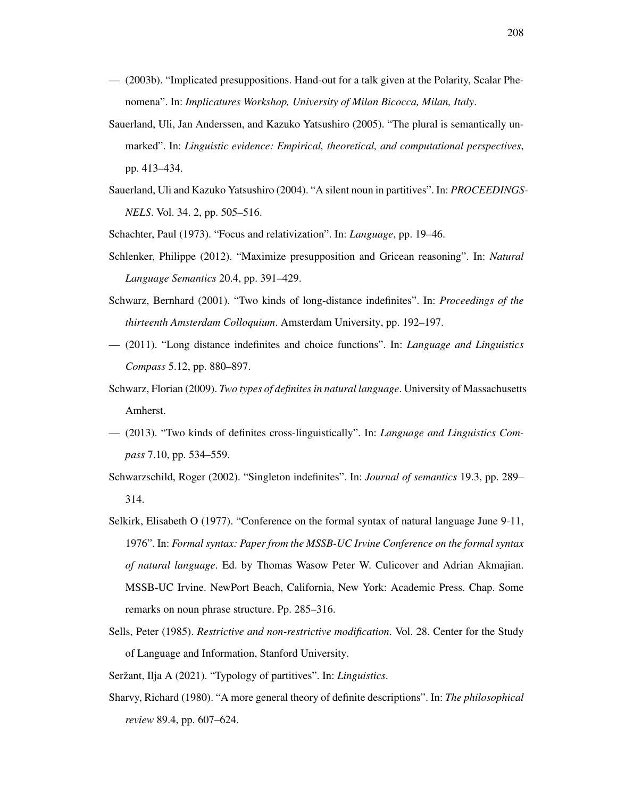- (2003b). "Implicated presuppositions. Hand-out for a talk given at the Polarity, Scalar Phenomena". In: *Implicatures Workshop, University of Milan Bicocca, Milan, Italy*.
- Sauerland, Uli, Jan Anderssen, and Kazuko Yatsushiro (2005). "The plural is semantically unmarked". In: *Linguistic evidence: Empirical, theoretical, and computational perspectives*, pp. 413–434.
- Sauerland, Uli and Kazuko Yatsushiro (2004). "A silent noun in partitives". In: *PROCEEDINGS-NELS*. Vol. 34. 2, pp. 505–516.
- Schachter, Paul (1973). "Focus and relativization". In: *Language*, pp. 19–46.
- Schlenker, Philippe (2012). "Maximize presupposition and Gricean reasoning". In: *Natural Language Semantics* 20.4, pp. 391–429.
- Schwarz, Bernhard (2001). "Two kinds of long-distance indefinites". In: *Proceedings of the thirteenth Amsterdam Colloquium*. Amsterdam University, pp. 192–197.
- (2011). "Long distance indefinites and choice functions". In: *Language and Linguistics Compass* 5.12, pp. 880–897.
- Schwarz, Florian (2009). *Two types of definites in natural language*. University of Massachusetts Amherst.
- (2013). "Two kinds of definites cross-linguistically". In: *Language and Linguistics Compass* 7.10, pp. 534–559.
- Schwarzschild, Roger (2002). "Singleton indefinites". In: *Journal of semantics* 19.3, pp. 289– 314.
- Selkirk, Elisabeth O (1977). "Conference on the formal syntax of natural language June 9-11, 1976". In: *Formal syntax: Paper from the MSSB-UC Irvine Conference on the formal syntax of natural language*. Ed. by Thomas Wasow Peter W. Culicover and Adrian Akmajian. MSSB-UC Irvine. NewPort Beach, California, New York: Academic Press. Chap. Some remarks on noun phrase structure. Pp. 285–316.
- Sells, Peter (1985). *Restrictive and non-restrictive modification*. Vol. 28. Center for the Study of Language and Information, Stanford University.

Seržant, Ilja A (2021). "Typology of partitives". In: *Linguistics*.

Sharvy, Richard (1980). "A more general theory of definite descriptions". In: *The philosophical review* 89.4, pp. 607–624.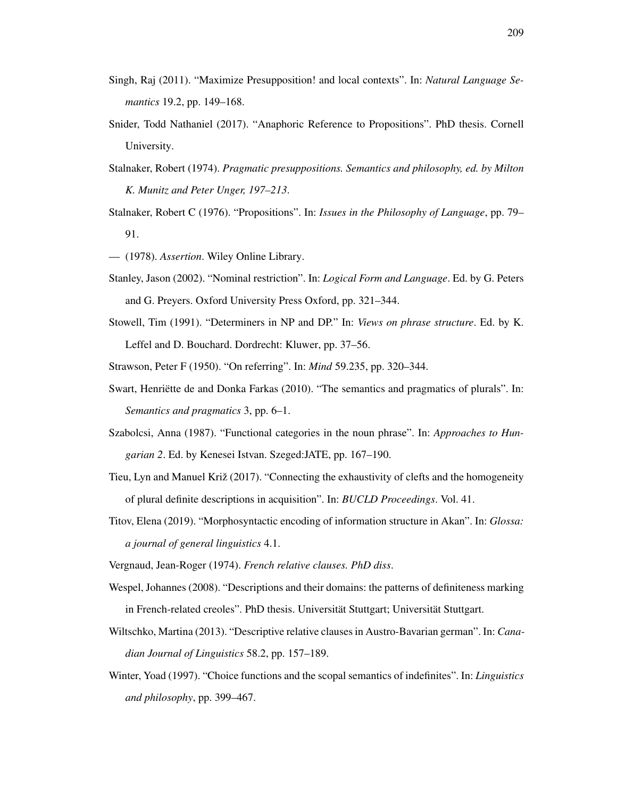- Singh, Raj (2011). "Maximize Presupposition! and local contexts". In: *Natural Language Semantics* 19.2, pp. 149–168.
- Snider, Todd Nathaniel (2017). "Anaphoric Reference to Propositions". PhD thesis. Cornell University.
- Stalnaker, Robert (1974). *Pragmatic presuppositions. Semantics and philosophy, ed. by Milton K. Munitz and Peter Unger, 197–213*.
- Stalnaker, Robert C (1976). "Propositions". In: *Issues in the Philosophy of Language*, pp. 79– 91.
- (1978). *Assertion*. Wiley Online Library.
- Stanley, Jason (2002). "Nominal restriction". In: *Logical Form and Language*. Ed. by G. Peters and G. Preyers. Oxford University Press Oxford, pp. 321–344.
- Stowell, Tim (1991). "Determiners in NP and DP." In: *Views on phrase structure*. Ed. by K. Leffel and D. Bouchard. Dordrecht: Kluwer, pp. 37–56.
- Strawson, Peter F (1950). "On referring". In: *Mind* 59.235, pp. 320–344.
- Swart, Henriette de and Donka Farkas (2010). "The semantics and pragmatics of plurals". In: *Semantics and pragmatics* 3, pp. 6–1.
- Szabolcsi, Anna (1987). "Functional categories in the noun phrase". In: *Approaches to Hungarian 2*. Ed. by Kenesei Istvan. Szeged:JATE, pp. 167–190.
- Tieu, Lyn and Manuel Križ (2017). "Connecting the exhaustivity of clefts and the homogeneity of plural definite descriptions in acquisition". In: *BUCLD Proceedings*. Vol. 41.
- Titov, Elena (2019). "Morphosyntactic encoding of information structure in Akan". In: *Glossa: a journal of general linguistics* 4.1.
- Vergnaud, Jean-Roger (1974). *French relative clauses. PhD diss*.
- Wespel, Johannes (2008). "Descriptions and their domains: the patterns of definiteness marking in French-related creoles". PhD thesis. Universität Stuttgart; Universität Stuttgart.
- Wiltschko, Martina (2013). "Descriptive relative clauses in Austro-Bavarian german". In: *Canadian Journal of Linguistics* 58.2, pp. 157–189.
- Winter, Yoad (1997). "Choice functions and the scopal semantics of indefinites". In: *Linguistics and philosophy*, pp. 399–467.